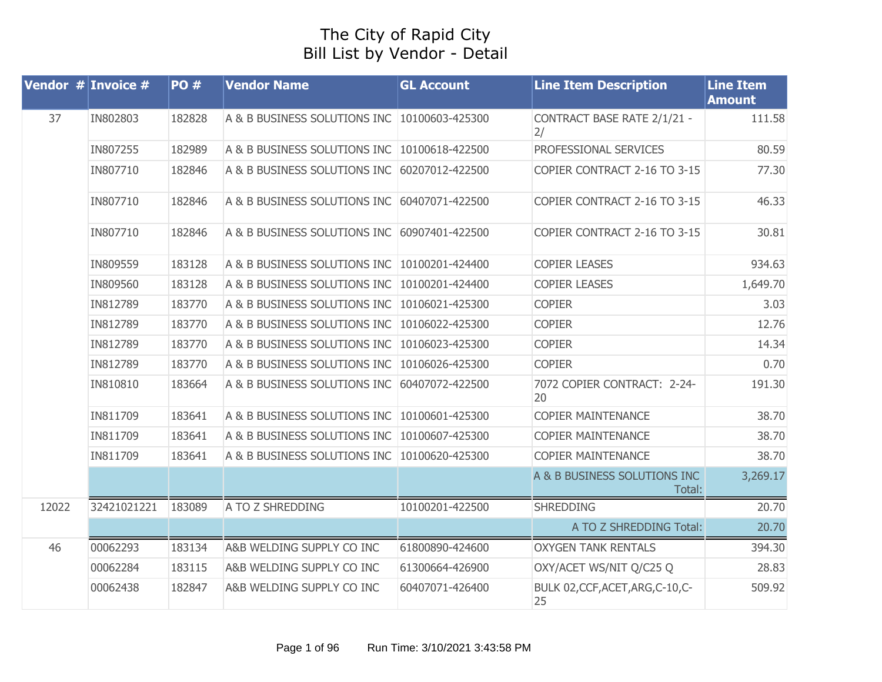## The City of Rapid City Bill List by Vendor - Detail

|       | <b>Vendor # Invoice #</b> | <b>PO#</b> | <b>Vendor Name</b>                           | <b>GL Account</b> | <b>Line Item Description</b>            | <b>Line Item</b><br><b>Amount</b> |
|-------|---------------------------|------------|----------------------------------------------|-------------------|-----------------------------------------|-----------------------------------|
| 37    | IN802803                  | 182828     | A & B BUSINESS SOLUTIONS INC 10100603-425300 |                   | CONTRACT BASE RATE 2/1/21 -<br>2/       | 111.58                            |
|       | IN807255                  | 182989     | A & B BUSINESS SOLUTIONS INC                 | 10100618-422500   | PROFESSIONAL SERVICES                   | 80.59                             |
|       | IN807710                  | 182846     | A & B BUSINESS SOLUTIONS INC                 | 60207012-422500   | COPIER CONTRACT 2-16 TO 3-15            | 77.30                             |
|       | IN807710                  | 182846     | A & B BUSINESS SOLUTIONS INC 60407071-422500 |                   | COPIER CONTRACT 2-16 TO 3-15            | 46.33                             |
|       | IN807710                  | 182846     | A & B BUSINESS SOLUTIONS INC 60907401-422500 |                   | COPIER CONTRACT 2-16 TO 3-15            | 30.81                             |
|       | IN809559                  | 183128     | A & B BUSINESS SOLUTIONS INC                 | 10100201-424400   | <b>COPIER LEASES</b>                    | 934.63                            |
|       | IN809560                  | 183128     | A & B BUSINESS SOLUTIONS INC                 | 10100201-424400   | <b>COPIER LEASES</b>                    | 1,649.70                          |
|       | IN812789                  | 183770     | A & B BUSINESS SOLUTIONS INC                 | 10106021-425300   | <b>COPIER</b>                           | 3.03                              |
|       | IN812789                  | 183770     | A & B BUSINESS SOLUTIONS INC                 | 10106022-425300   | <b>COPIER</b>                           | 12.76                             |
|       | IN812789                  | 183770     | A & B BUSINESS SOLUTIONS INC                 | 10106023-425300   | <b>COPIER</b>                           | 14.34                             |
|       | IN812789                  | 183770     | A & B BUSINESS SOLUTIONS INC                 | 10106026-425300   | <b>COPIER</b>                           | 0.70                              |
|       | IN810810                  | 183664     | A & B BUSINESS SOLUTIONS INC                 | 60407072-422500   | 7072 COPIER CONTRACT: 2-24-<br>20       | 191.30                            |
|       | IN811709                  | 183641     | A & B BUSINESS SOLUTIONS INC                 | 10100601-425300   | <b>COPIER MAINTENANCE</b>               | 38.70                             |
|       | IN811709                  | 183641     | A & B BUSINESS SOLUTIONS INC                 | 10100607-425300   | <b>COPIER MAINTENANCE</b>               | 38.70                             |
|       | IN811709                  | 183641     | A & B BUSINESS SOLUTIONS INC 10100620-425300 |                   | <b>COPIER MAINTENANCE</b>               | 38.70                             |
|       |                           |            |                                              |                   | A & B BUSINESS SOLUTIONS INC<br>Total:  | 3,269.17                          |
| 12022 | 32421021221               | 183089     | A TO Z SHREDDING                             | 10100201-422500   | <b>SHREDDING</b>                        | 20.70                             |
|       |                           |            |                                              |                   | A TO Z SHREDDING Total:                 | 20.70                             |
| 46    | 00062293                  | 183134     | A&B WELDING SUPPLY CO INC                    | 61800890-424600   | <b>OXYGEN TANK RENTALS</b>              | 394.30                            |
|       | 00062284                  | 183115     | A&B WELDING SUPPLY CO INC                    | 61300664-426900   | OXY/ACET WS/NIT Q/C25 Q                 | 28.83                             |
|       | 00062438                  | 182847     | A&B WELDING SUPPLY CO INC                    | 60407071-426400   | BULK 02, CCF, ACET, ARG, C-10, C-<br>25 | 509.92                            |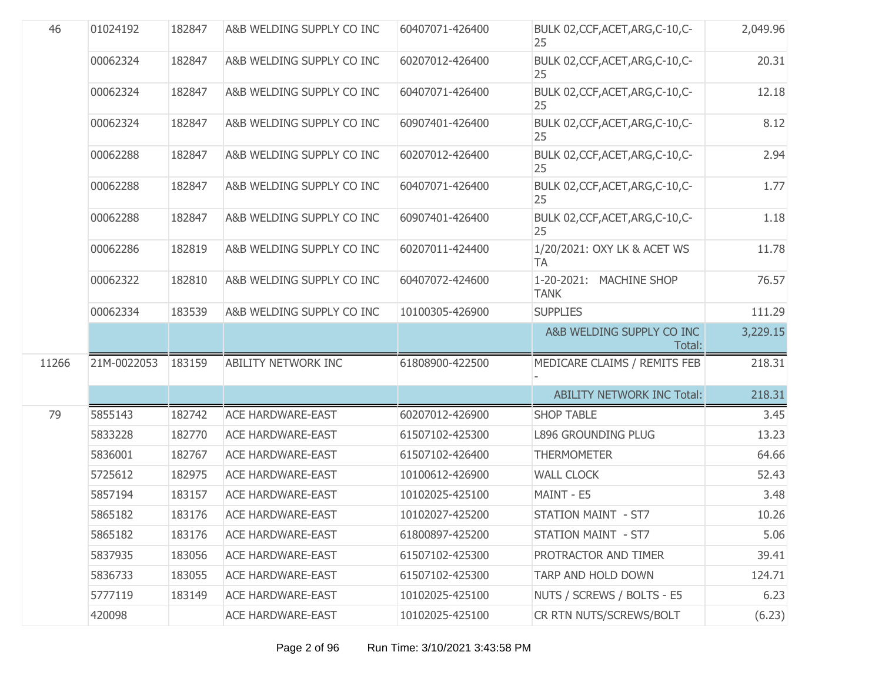| 46    | 01024192    | 182847 | A&B WELDING SUPPLY CO INC  | 60407071-426400 | BULK 02, CCF, ACET, ARG, C-10, C-<br>25  | 2,049.96 |
|-------|-------------|--------|----------------------------|-----------------|------------------------------------------|----------|
|       | 00062324    | 182847 | A&B WELDING SUPPLY CO INC  | 60207012-426400 | BULK 02, CCF, ACET, ARG, C-10, C-<br>25  | 20.31    |
|       | 00062324    | 182847 | A&B WELDING SUPPLY CO INC  | 60407071-426400 | BULK 02, CCF, ACET, ARG, C-10, C-<br>25  | 12.18    |
|       | 00062324    | 182847 | A&B WELDING SUPPLY CO INC  | 60907401-426400 | BULK 02, CCF, ACET, ARG, C-10, C-<br>25  | 8.12     |
|       | 00062288    | 182847 | A&B WELDING SUPPLY CO INC  | 60207012-426400 | BULK 02, CCF, ACET, ARG, C-10, C-<br>25  | 2.94     |
|       | 00062288    | 182847 | A&B WELDING SUPPLY CO INC  | 60407071-426400 | BULK 02, CCF, ACET, ARG, C-10, C-<br>25  | 1.77     |
|       | 00062288    | 182847 | A&B WELDING SUPPLY CO INC  | 60907401-426400 | BULK 02, CCF, ACET, ARG, C-10, C-<br>25  | 1.18     |
|       | 00062286    | 182819 | A&B WELDING SUPPLY CO INC  | 60207011-424400 | 1/20/2021: OXY LK & ACET WS<br><b>TA</b> | 11.78    |
|       | 00062322    | 182810 | A&B WELDING SUPPLY CO INC  | 60407072-424600 | 1-20-2021: MACHINE SHOP<br><b>TANK</b>   | 76.57    |
|       | 00062334    | 183539 | A&B WELDING SUPPLY CO INC  | 10100305-426900 | <b>SUPPLIES</b>                          | 111.29   |
|       |             |        |                            |                 | A&B WELDING SUPPLY CO INC<br>Total:      | 3,229.15 |
| 11266 | 21M-0022053 | 183159 | <b>ABILITY NETWORK INC</b> | 61808900-422500 | MEDICARE CLAIMS / REMITS FEB             | 218.31   |
|       |             |        |                            |                 | <b>ABILITY NETWORK INC Total:</b>        | 218.31   |
| 79    | 5855143     | 182742 | <b>ACE HARDWARE-EAST</b>   | 60207012-426900 | <b>SHOP TABLE</b>                        | 3.45     |
|       | 5833228     | 182770 | <b>ACE HARDWARE-EAST</b>   | 61507102-425300 | <b>L896 GROUNDING PLUG</b>               | 13.23    |
|       | 5836001     | 182767 | <b>ACE HARDWARE-EAST</b>   | 61507102-426400 | <b>THERMOMETER</b>                       | 64.66    |
|       | 5725612     | 182975 | <b>ACE HARDWARE-EAST</b>   | 10100612-426900 | <b>WALL CLOCK</b>                        | 52.43    |
|       | 5857194     | 183157 | <b>ACE HARDWARE-EAST</b>   | 10102025-425100 | MAINT - E5                               | 3.48     |
|       | 5865182     | 183176 | <b>ACE HARDWARE-EAST</b>   | 10102027-425200 | STATION MAINT - ST7                      | 10.26    |
|       | 5865182     | 183176 | <b>ACE HARDWARE-EAST</b>   | 61800897-425200 | STATION MAINT - ST7                      | 5.06     |
|       | 5837935     | 183056 | <b>ACE HARDWARE-EAST</b>   | 61507102-425300 | PROTRACTOR AND TIMER                     | 39.41    |
|       | 5836733     | 183055 | <b>ACE HARDWARE-EAST</b>   | 61507102-425300 | TARP AND HOLD DOWN                       | 124.71   |
|       | 5777119     | 183149 | <b>ACE HARDWARE-EAST</b>   | 10102025-425100 | NUTS / SCREWS / BOLTS - E5               | 6.23     |
|       | 420098      |        | <b>ACE HARDWARE-EAST</b>   | 10102025-425100 | CR RTN NUTS/SCREWS/BOLT                  | (6.23)   |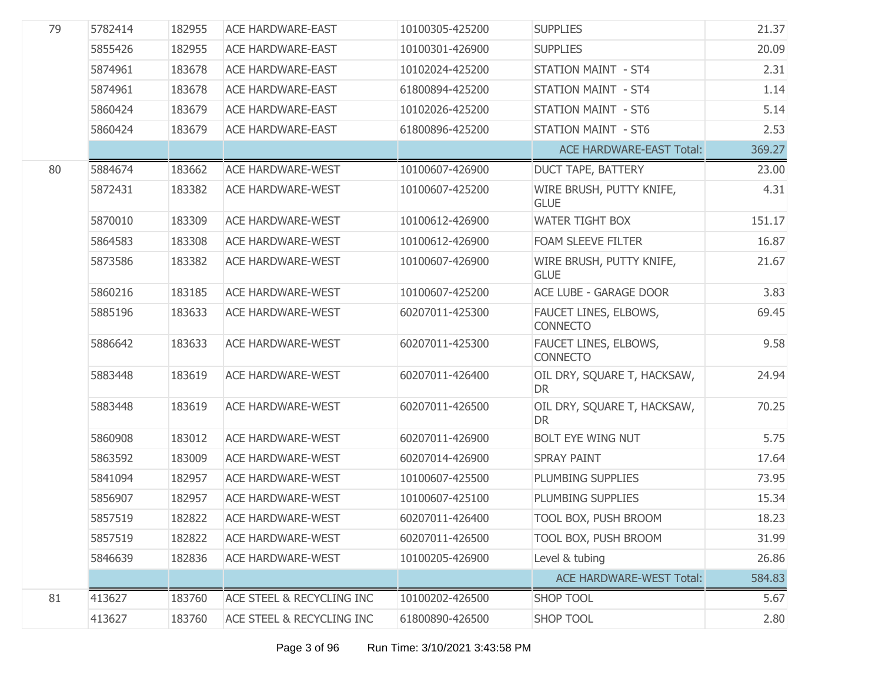| 79 | 5782414 | 182955 | <b>ACE HARDWARE-EAST</b>  | 10100305-425200 | <b>SUPPLIES</b>                          | 21.37  |
|----|---------|--------|---------------------------|-----------------|------------------------------------------|--------|
|    | 5855426 | 182955 | <b>ACE HARDWARE-EAST</b>  | 10100301-426900 | <b>SUPPLIES</b>                          | 20.09  |
|    | 5874961 | 183678 | <b>ACE HARDWARE-EAST</b>  | 10102024-425200 | <b>STATION MAINT - ST4</b>               | 2.31   |
|    | 5874961 | 183678 | <b>ACE HARDWARE-EAST</b>  | 61800894-425200 | <b>STATION MAINT - ST4</b>               | 1.14   |
|    | 5860424 | 183679 | <b>ACE HARDWARE-EAST</b>  | 10102026-425200 | <b>STATION MAINT - ST6</b>               | 5.14   |
|    | 5860424 | 183679 | <b>ACE HARDWARE-EAST</b>  | 61800896-425200 | <b>STATION MAINT - ST6</b>               | 2.53   |
|    |         |        |                           |                 | <b>ACE HARDWARE-EAST Total:</b>          | 369.27 |
| 80 | 5884674 | 183662 | <b>ACE HARDWARE-WEST</b>  | 10100607-426900 | DUCT TAPE, BATTERY                       | 23.00  |
|    | 5872431 | 183382 | <b>ACE HARDWARE-WEST</b>  | 10100607-425200 | WIRE BRUSH, PUTTY KNIFE,<br><b>GLUE</b>  | 4.31   |
|    | 5870010 | 183309 | <b>ACE HARDWARE-WEST</b>  | 10100612-426900 | <b>WATER TIGHT BOX</b>                   | 151.17 |
|    | 5864583 | 183308 | <b>ACE HARDWARE-WEST</b>  | 10100612-426900 | FOAM SLEEVE FILTER                       | 16.87  |
|    | 5873586 | 183382 | <b>ACE HARDWARE-WEST</b>  | 10100607-426900 | WIRE BRUSH, PUTTY KNIFE,<br><b>GLUE</b>  | 21.67  |
|    | 5860216 | 183185 | <b>ACE HARDWARE-WEST</b>  | 10100607-425200 | ACE LUBE - GARAGE DOOR                   | 3.83   |
|    | 5885196 | 183633 | <b>ACE HARDWARE-WEST</b>  | 60207011-425300 | FAUCET LINES, ELBOWS,<br><b>CONNECTO</b> | 69.45  |
|    | 5886642 | 183633 | <b>ACE HARDWARE-WEST</b>  | 60207011-425300 | FAUCET LINES, ELBOWS,<br><b>CONNECTO</b> | 9.58   |
|    | 5883448 | 183619 | <b>ACE HARDWARE-WEST</b>  | 60207011-426400 | OIL DRY, SQUARE T, HACKSAW,<br><b>DR</b> | 24.94  |
|    | 5883448 | 183619 | <b>ACE HARDWARE-WEST</b>  | 60207011-426500 | OIL DRY, SQUARE T, HACKSAW,<br><b>DR</b> | 70.25  |
|    | 5860908 | 183012 | <b>ACE HARDWARE-WEST</b>  | 60207011-426900 | <b>BOLT EYE WING NUT</b>                 | 5.75   |
|    | 5863592 | 183009 | <b>ACE HARDWARE-WEST</b>  | 60207014-426900 | <b>SPRAY PAINT</b>                       | 17.64  |
|    | 5841094 | 182957 | <b>ACE HARDWARE-WEST</b>  | 10100607-425500 | PLUMBING SUPPLIES                        | 73.95  |
|    | 5856907 | 182957 | <b>ACE HARDWARE-WEST</b>  | 10100607-425100 | PLUMBING SUPPLIES                        | 15.34  |
|    | 5857519 | 182822 | ACE HARDWARE-WEST         | 60207011-426400 | TOOL BOX, PUSH BROOM                     | 18.23  |
|    | 5857519 | 182822 | <b>ACE HARDWARE-WEST</b>  | 60207011-426500 | TOOL BOX, PUSH BROOM                     | 31.99  |
|    | 5846639 | 182836 | <b>ACE HARDWARE-WEST</b>  | 10100205-426900 | Level & tubing                           | 26.86  |
|    |         |        |                           |                 | <b>ACE HARDWARE-WEST Total:</b>          | 584.83 |
| 81 | 413627  | 183760 | ACE STEEL & RECYCLING INC | 10100202-426500 | <b>SHOP TOOL</b>                         | 5.67   |
|    | 413627  | 183760 | ACE STEEL & RECYCLING INC | 61800890-426500 | SHOP TOOL                                | 2.80   |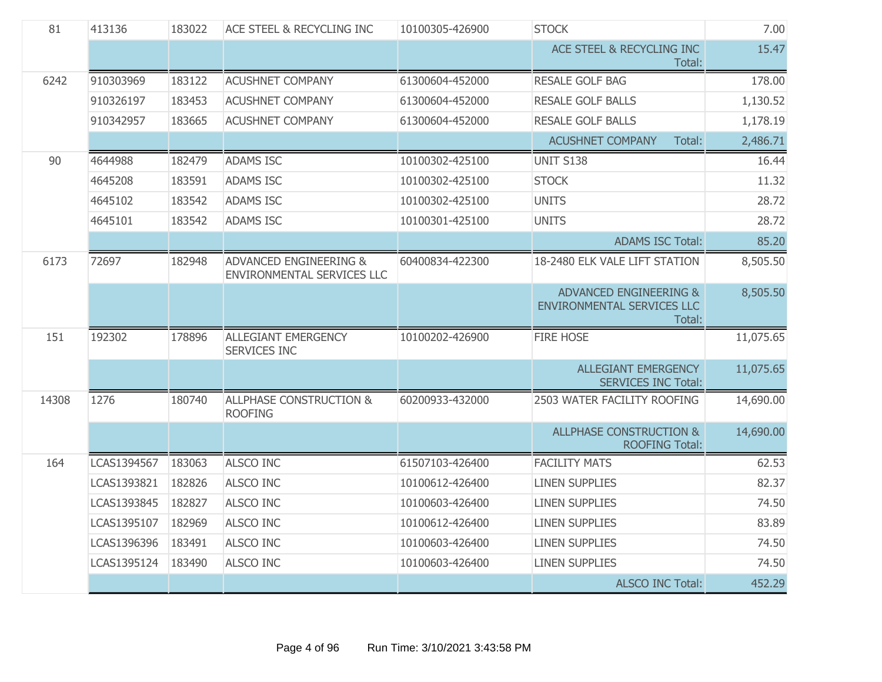| 81    | 413136<br><b>ACE STEEL &amp; RECYCLING INC</b><br><b>STOCK</b><br>183022<br>10100305-426900 |        |                                                                 | 7.00            |                                                                           |           |
|-------|---------------------------------------------------------------------------------------------|--------|-----------------------------------------------------------------|-----------------|---------------------------------------------------------------------------|-----------|
|       |                                                                                             |        |                                                                 |                 | ACE STEEL & RECYCLING INC<br>Total:                                       | 15.47     |
| 6242  | 910303969                                                                                   | 183122 | <b>ACUSHNET COMPANY</b>                                         | 61300604-452000 | <b>RESALE GOLF BAG</b>                                                    | 178.00    |
|       | 910326197                                                                                   | 183453 | <b>ACUSHNET COMPANY</b>                                         | 61300604-452000 | <b>RESALE GOLF BALLS</b>                                                  | 1,130.52  |
|       | 910342957                                                                                   | 183665 | <b>ACUSHNET COMPANY</b>                                         | 61300604-452000 | <b>RESALE GOLF BALLS</b>                                                  | 1,178.19  |
|       |                                                                                             |        |                                                                 |                 | <b>ACUSHNET COMPANY</b><br>Total:                                         | 2,486.71  |
| 90    | 4644988                                                                                     | 182479 | <b>ADAMS ISC</b>                                                | 10100302-425100 | UNIT S138                                                                 | 16.44     |
|       | 4645208                                                                                     | 183591 | <b>ADAMS ISC</b>                                                | 10100302-425100 | <b>STOCK</b>                                                              | 11.32     |
|       | 4645102                                                                                     | 183542 | <b>ADAMS ISC</b>                                                | 10100302-425100 | <b>UNITS</b>                                                              | 28.72     |
|       | 4645101                                                                                     | 183542 | <b>ADAMS ISC</b>                                                | 10100301-425100 | <b>UNITS</b>                                                              | 28.72     |
|       |                                                                                             |        |                                                                 |                 | <b>ADAMS ISC Total:</b>                                                   | 85.20     |
| 6173  | 72697                                                                                       | 182948 | <b>ADVANCED ENGINEERING &amp;</b><br>ENVIRONMENTAL SERVICES LLC | 60400834-422300 | 18-2480 ELK VALE LIFT STATION                                             | 8,505.50  |
|       |                                                                                             |        |                                                                 |                 | <b>ADVANCED ENGINEERING &amp;</b><br>ENVIRONMENTAL SERVICES LLC<br>Total: | 8,505.50  |
| 151   | 192302                                                                                      | 178896 | ALLEGIANT EMERGENCY<br>SERVICES INC                             | 10100202-426900 | <b>FIRE HOSE</b>                                                          | 11,075.65 |
|       |                                                                                             |        |                                                                 |                 | <b>ALLEGIANT EMERGENCY</b><br><b>SERVICES INC Total:</b>                  | 11,075.65 |
| 14308 | 1276                                                                                        | 180740 | <b>ALLPHASE CONSTRUCTION &amp;</b><br><b>ROOFING</b>            | 60200933-432000 | 2503 WATER FACILITY ROOFING                                               | 14,690.00 |
|       |                                                                                             |        |                                                                 |                 | <b>ALLPHASE CONSTRUCTION &amp;</b><br><b>ROOFING Total:</b>               | 14,690.00 |
| 164   | LCAS1394567                                                                                 | 183063 | <b>ALSCO INC</b>                                                | 61507103-426400 | <b>FACILITY MATS</b>                                                      | 62.53     |
|       | LCAS1393821                                                                                 | 182826 | <b>ALSCO INC</b>                                                | 10100612-426400 | <b>LINEN SUPPLIES</b>                                                     | 82.37     |
|       | LCAS1393845                                                                                 | 182827 | <b>ALSCO INC</b>                                                | 10100603-426400 | <b>LINEN SUPPLIES</b>                                                     | 74.50     |
|       | LCAS1395107                                                                                 | 182969 | <b>ALSCO INC</b>                                                | 10100612-426400 | <b>LINEN SUPPLIES</b>                                                     | 83.89     |
|       | LCAS1396396                                                                                 | 183491 | <b>ALSCO INC</b>                                                | 10100603-426400 | <b>LINEN SUPPLIES</b>                                                     | 74.50     |
|       | LCAS1395124                                                                                 | 183490 | <b>ALSCO INC</b>                                                | 10100603-426400 | <b>LINEN SUPPLIES</b>                                                     | 74.50     |
|       |                                                                                             |        |                                                                 |                 | <b>ALSCO INC Total:</b>                                                   | 452.29    |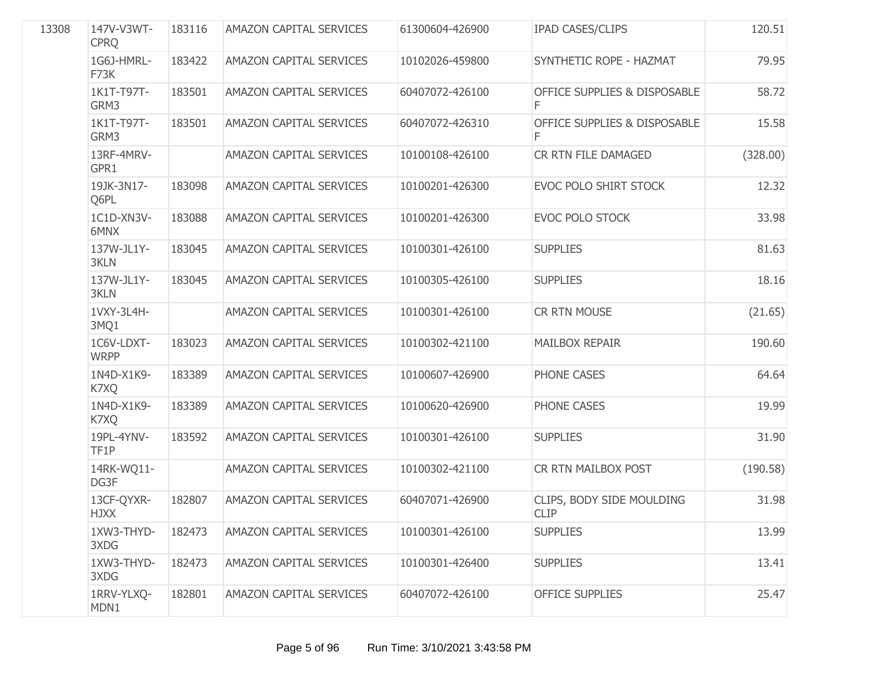| 13308 | 147V-V3WT-<br><b>CPRQ</b> | 183116 | AMAZON CAPITAL SERVICES        | 61300604-426900 | <b>IPAD CASES/CLIPS</b>                  | 120.51   |
|-------|---------------------------|--------|--------------------------------|-----------------|------------------------------------------|----------|
|       | 1G6J-HMRL-<br>F73K        | 183422 | <b>AMAZON CAPITAL SERVICES</b> | 10102026-459800 | SYNTHETIC ROPE - HAZMAT                  | 79.95    |
|       | 1K1T-T97T-<br>GRM3        | 183501 | AMAZON CAPITAL SERVICES        | 60407072-426100 | OFFICE SUPPLIES & DISPOSABLE<br>F        | 58.72    |
|       | 1K1T-T97T-<br>GRM3        | 183501 | AMAZON CAPITAL SERVICES        | 60407072-426310 | OFFICE SUPPLIES & DISPOSABLE             | 15.58    |
|       | 13RF-4MRV-<br>GPR1        |        | AMAZON CAPITAL SERVICES        | 10100108-426100 | CR RTN FILE DAMAGED                      | (328.00) |
|       | 19JK-3N17-<br>Q6PL        | 183098 | AMAZON CAPITAL SERVICES        | 10100201-426300 | EVOC POLO SHIRT STOCK                    | 12.32    |
|       | 1C1D-XN3V-<br>6MNX        | 183088 | AMAZON CAPITAL SERVICES        | 10100201-426300 | <b>EVOC POLO STOCK</b>                   | 33.98    |
|       | 137W-JL1Y-<br>3KLN        | 183045 | <b>AMAZON CAPITAL SERVICES</b> | 10100301-426100 | <b>SUPPLIES</b>                          | 81.63    |
|       | 137W-JL1Y-<br>3KLN        | 183045 | AMAZON CAPITAL SERVICES        | 10100305-426100 | <b>SUPPLIES</b>                          | 18.16    |
|       | 1VXY-3L4H-<br>3MQ1        |        | <b>AMAZON CAPITAL SERVICES</b> | 10100301-426100 | CR RTN MOUSE                             | (21.65)  |
|       | 1C6V-LDXT-<br><b>WRPP</b> | 183023 | <b>AMAZON CAPITAL SERVICES</b> | 10100302-421100 | <b>MAILBOX REPAIR</b>                    | 190.60   |
|       | 1N4D-X1K9-<br>K7XQ        | 183389 | AMAZON CAPITAL SERVICES        | 10100607-426900 | PHONE CASES                              | 64.64    |
|       | 1N4D-X1K9-<br>K7XQ        | 183389 | <b>AMAZON CAPITAL SERVICES</b> | 10100620-426900 | PHONE CASES                              | 19.99    |
|       | 19PL-4YNV-<br>TF1P        | 183592 | AMAZON CAPITAL SERVICES        | 10100301-426100 | <b>SUPPLIES</b>                          | 31.90    |
|       | 14RK-WQ11-<br>DG3F        |        | AMAZON CAPITAL SERVICES        | 10100302-421100 | CR RTN MAILBOX POST                      | (190.58) |
|       | 13CF-QYXR-<br><b>HJXX</b> | 182807 | <b>AMAZON CAPITAL SERVICES</b> | 60407071-426900 | CLIPS, BODY SIDE MOULDING<br><b>CLIP</b> | 31.98    |
|       | 1XW3-THYD-<br>3XDG        | 182473 | AMAZON CAPITAL SERVICES        | 10100301-426100 | <b>SUPPLIES</b>                          | 13.99    |
|       | 1XW3-THYD-<br>3XDG        | 182473 | AMAZON CAPITAL SERVICES        | 10100301-426400 | <b>SUPPLIES</b>                          | 13.41    |
|       | 1RRV-YLXQ-<br>MDN1        | 182801 | AMAZON CAPITAL SERVICES        | 60407072-426100 | <b>OFFICE SUPPLIES</b>                   | 25.47    |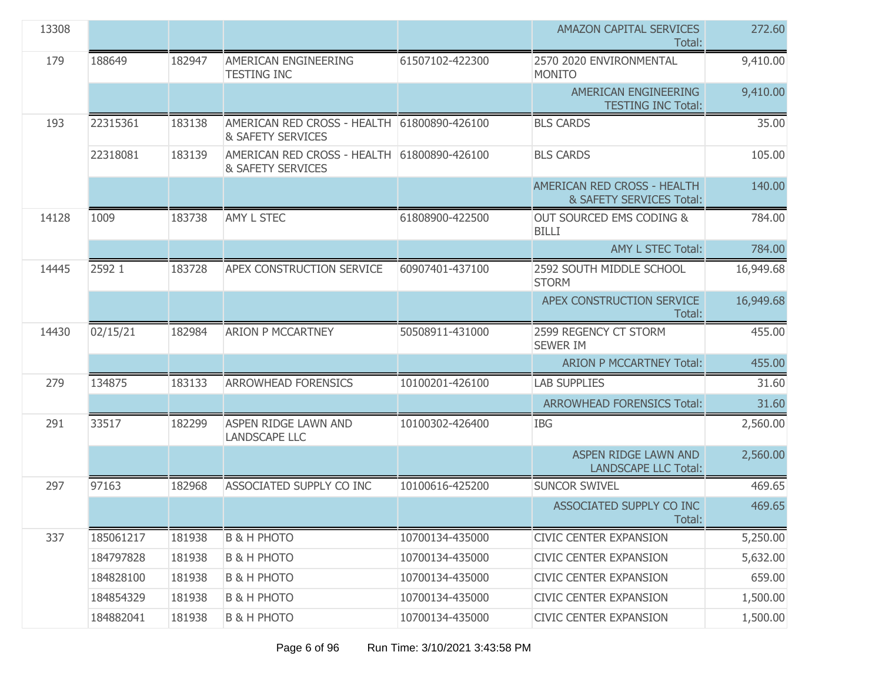| 13308 |           |        |                                                                             |                 | AMAZON CAPITAL SERVICES<br>Total:                          | 272.60    |
|-------|-----------|--------|-----------------------------------------------------------------------------|-----------------|------------------------------------------------------------|-----------|
| 179   | 188649    | 182947 | AMERICAN ENGINEERING<br><b>TESTING INC</b>                                  | 61507102-422300 | 2570 2020 ENVIRONMENTAL<br><b>MONITO</b>                   | 9,410.00  |
|       |           |        |                                                                             |                 | AMERICAN ENGINEERING<br><b>TESTING INC Total:</b>          | 9,410.00  |
| 193   | 22315361  | 183138 | AMERICAN RED CROSS - HEALTH 61800890-426100<br>& SAFETY SERVICES            |                 | <b>BLS CARDS</b>                                           | 35.00     |
|       | 22318081  | 183139 | AMERICAN RED CROSS - HEALTH 61800890-426100<br><b>&amp; SAFETY SERVICES</b> |                 | <b>BLS CARDS</b>                                           | 105.00    |
|       |           |        |                                                                             |                 | AMERICAN RED CROSS - HEALTH<br>& SAFETY SERVICES Total:    | 140.00    |
| 14128 | 1009      | 183738 | AMY L STEC                                                                  | 61808900-422500 | OUT SOURCED EMS CODING &<br><b>BILLI</b>                   | 784.00    |
|       |           |        |                                                                             |                 | <b>AMY L STEC Total:</b>                                   | 784.00    |
| 14445 | 2592 1    | 183728 | APEX CONSTRUCTION SERVICE                                                   | 60907401-437100 | 2592 SOUTH MIDDLE SCHOOL<br><b>STORM</b>                   | 16,949.68 |
|       |           |        |                                                                             |                 | APEX CONSTRUCTION SERVICE<br>Total:                        | 16,949.68 |
| 14430 | 02/15/21  | 182984 | <b>ARION P MCCARTNEY</b>                                                    | 50508911-431000 | 2599 REGENCY CT STORM<br><b>SEWER IM</b>                   | 455.00    |
|       |           |        |                                                                             |                 | <b>ARION P MCCARTNEY Total:</b>                            | 455.00    |
| 279   | 134875    | 183133 | <b>ARROWHEAD FORENSICS</b>                                                  | 10100201-426100 | <b>LAB SUPPLIES</b>                                        | 31.60     |
|       |           |        |                                                                             |                 | <b>ARROWHEAD FORENSICS Total:</b>                          | 31.60     |
| 291   | 33517     | 182299 | <b>ASPEN RIDGE LAWN AND</b><br><b>LANDSCAPE LLC</b>                         | 10100302-426400 | <b>IBG</b>                                                 | 2,560.00  |
|       |           |        |                                                                             |                 | <b>ASPEN RIDGE LAWN AND</b><br><b>LANDSCAPE LLC Total:</b> | 2,560.00  |
| 297   | 97163     | 182968 | ASSOCIATED SUPPLY CO INC                                                    | 10100616-425200 | <b>SUNCOR SWIVEL</b>                                       | 469.65    |
|       |           |        |                                                                             |                 | ASSOCIATED SUPPLY CO INC<br>Total:                         | 469.65    |
| 337   | 185061217 | 181938 | <b>B &amp; H PHOTO</b>                                                      | 10700134-435000 | <b>CIVIC CENTER EXPANSION</b>                              | 5,250.00  |
|       | 184797828 | 181938 | <b>B &amp; H PHOTO</b>                                                      | 10700134-435000 | <b>CIVIC CENTER EXPANSION</b>                              | 5,632.00  |
|       | 184828100 | 181938 | <b>B &amp; H PHOTO</b>                                                      | 10700134-435000 | <b>CIVIC CENTER EXPANSION</b>                              | 659.00    |
|       | 184854329 | 181938 | <b>B &amp; H PHOTO</b>                                                      | 10700134-435000 | <b>CIVIC CENTER EXPANSION</b>                              | 1,500.00  |
|       | 184882041 | 181938 | <b>B &amp; H PHOTO</b>                                                      | 10700134-435000 | <b>CIVIC CENTER EXPANSION</b>                              | 1,500.00  |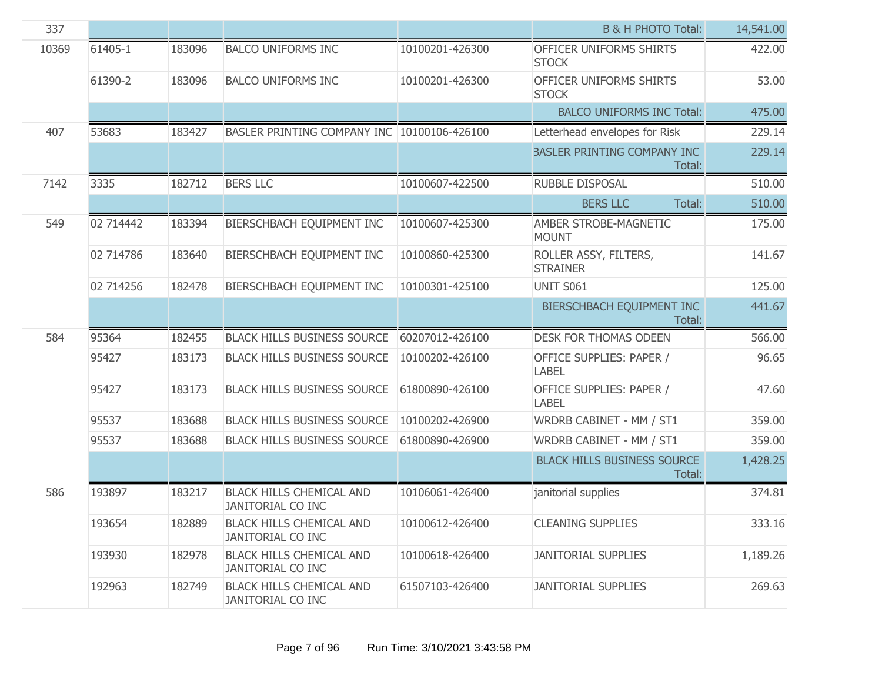| 337   |           |        |                                                             |                 | <b>B &amp; H PHOTO Total:</b>                | 14,541.00 |
|-------|-----------|--------|-------------------------------------------------------------|-----------------|----------------------------------------------|-----------|
| 10369 | 61405-1   | 183096 | <b>BALCO UNIFORMS INC</b>                                   | 10100201-426300 | OFFICER UNIFORMS SHIRTS<br><b>STOCK</b>      | 422.00    |
|       | 61390-2   | 183096 | <b>BALCO UNIFORMS INC</b>                                   | 10100201-426300 | OFFICER UNIFORMS SHIRTS<br><b>STOCK</b>      | 53.00     |
|       |           |        |                                                             |                 | <b>BALCO UNIFORMS INC Total:</b>             | 475.00    |
| 407   | 53683     | 183427 | BASLER PRINTING COMPANY INC 10100106-426100                 |                 | Letterhead envelopes for Risk                | 229.14    |
|       |           |        |                                                             |                 | <b>BASLER PRINTING COMPANY INC</b><br>Total: | 229.14    |
| 7142  | 3335      | 182712 | <b>BERS LLC</b>                                             | 10100607-422500 | <b>RUBBLE DISPOSAL</b>                       | 510.00    |
|       |           |        |                                                             |                 | <b>BERS LLC</b><br>Total:                    | 510.00    |
| 549   | 02 714442 | 183394 | BIERSCHBACH EQUIPMENT INC                                   | 10100607-425300 | AMBER STROBE-MAGNETIC<br><b>MOUNT</b>        | 175.00    |
|       | 02 714786 | 183640 | BIERSCHBACH EQUIPMENT INC                                   | 10100860-425300 | ROLLER ASSY, FILTERS,<br><b>STRAINER</b>     | 141.67    |
|       | 02 714256 | 182478 | BIERSCHBACH EQUIPMENT INC                                   | 10100301-425100 | <b>UNIT S061</b>                             | 125.00    |
|       |           |        |                                                             |                 | BIERSCHBACH EQUIPMENT INC<br>Total:          | 441.67    |
| 584   | 95364     | 182455 | <b>BLACK HILLS BUSINESS SOURCE</b>                          | 60207012-426100 | DESK FOR THOMAS ODEEN                        | 566.00    |
|       | 95427     | 183173 | <b>BLACK HILLS BUSINESS SOURCE</b>                          | 10100202-426100 | OFFICE SUPPLIES: PAPER /<br><b>LABEL</b>     | 96.65     |
|       | 95427     | 183173 | <b>BLACK HILLS BUSINESS SOURCE</b>                          | 61800890-426100 | OFFICE SUPPLIES: PAPER /<br><b>LABEL</b>     | 47.60     |
|       | 95537     | 183688 | <b>BLACK HILLS BUSINESS SOURCE</b>                          | 10100202-426900 | WRDRB CABINET - MM / ST1                     | 359.00    |
|       | 95537     | 183688 | <b>BLACK HILLS BUSINESS SOURCE</b>                          | 61800890-426900 | WRDRB CABINET - MM / ST1                     | 359.00    |
|       |           |        |                                                             |                 | <b>BLACK HILLS BUSINESS SOURCE</b><br>Total: | 1,428.25  |
| 586   | 193897    | 183217 | <b>BLACK HILLS CHEMICAL AND</b><br><b>JANITORIAL CO INC</b> | 10106061-426400 | janitorial supplies                          | 374.81    |
|       | 193654    | 182889 | <b>BLACK HILLS CHEMICAL AND</b><br><b>JANITORIAL CO INC</b> | 10100612-426400 | <b>CLEANING SUPPLIES</b>                     | 333.16    |
|       | 193930    | 182978 | <b>BLACK HILLS CHEMICAL AND</b><br><b>JANITORIAL CO INC</b> | 10100618-426400 | <b>JANITORIAL SUPPLIES</b>                   | 1,189.26  |
|       | 192963    | 182749 | <b>BLACK HILLS CHEMICAL AND</b><br>JANITORIAL CO INC        | 61507103-426400 | <b>JANITORIAL SUPPLIES</b>                   | 269.63    |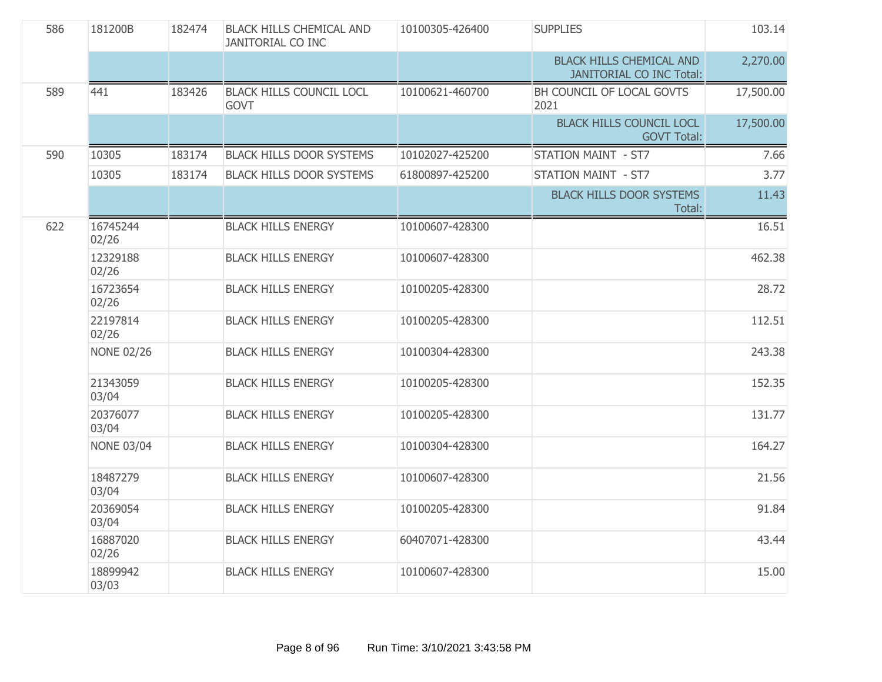| 586 | 181200B           | 182474 | <b>BLACK HILLS CHEMICAL AND</b><br><b>JANITORIAL CO INC</b> | 10100305-426400 | <b>SUPPLIES</b>                                                    | 103.14    |
|-----|-------------------|--------|-------------------------------------------------------------|-----------------|--------------------------------------------------------------------|-----------|
|     |                   |        |                                                             |                 | <b>BLACK HILLS CHEMICAL AND</b><br><b>JANITORIAL CO INC Total:</b> | 2,270.00  |
| 589 | 441               | 183426 | <b>BLACK HILLS COUNCIL LOCL</b><br><b>GOVT</b>              | 10100621-460700 | BH COUNCIL OF LOCAL GOVTS<br>2021                                  | 17,500.00 |
|     |                   |        |                                                             |                 | <b>BLACK HILLS COUNCIL LOCL</b><br><b>GOVT Total:</b>              | 17,500.00 |
| 590 | 10305             | 183174 | <b>BLACK HILLS DOOR SYSTEMS</b>                             | 10102027-425200 | <b>STATION MAINT - ST7</b>                                         | 7.66      |
|     | 10305             | 183174 | <b>BLACK HILLS DOOR SYSTEMS</b>                             | 61800897-425200 | <b>STATION MAINT - ST7</b>                                         | 3.77      |
|     |                   |        |                                                             |                 | <b>BLACK HILLS DOOR SYSTEMS</b><br>Total:                          | 11.43     |
| 622 | 16745244<br>02/26 |        | <b>BLACK HILLS ENERGY</b>                                   | 10100607-428300 |                                                                    | 16.51     |
|     | 12329188<br>02/26 |        | <b>BLACK HILLS ENERGY</b>                                   | 10100607-428300 |                                                                    | 462.38    |
|     | 16723654<br>02/26 |        | <b>BLACK HILLS ENERGY</b>                                   | 10100205-428300 |                                                                    | 28.72     |
|     | 22197814<br>02/26 |        | <b>BLACK HILLS ENERGY</b>                                   | 10100205-428300 |                                                                    | 112.51    |
|     | <b>NONE 02/26</b> |        | <b>BLACK HILLS ENERGY</b>                                   | 10100304-428300 |                                                                    | 243.38    |
|     | 21343059<br>03/04 |        | <b>BLACK HILLS ENERGY</b>                                   | 10100205-428300 |                                                                    | 152.35    |
|     | 20376077<br>03/04 |        | <b>BLACK HILLS ENERGY</b>                                   | 10100205-428300 |                                                                    | 131.77    |
|     | <b>NONE 03/04</b> |        | <b>BLACK HILLS ENERGY</b>                                   | 10100304-428300 |                                                                    | 164.27    |
|     | 18487279<br>03/04 |        | <b>BLACK HILLS ENERGY</b>                                   | 10100607-428300 |                                                                    | 21.56     |
|     | 20369054<br>03/04 |        | <b>BLACK HILLS ENERGY</b>                                   | 10100205-428300 |                                                                    | 91.84     |
|     | 16887020<br>02/26 |        | <b>BLACK HILLS ENERGY</b>                                   | 60407071-428300 |                                                                    | 43.44     |
|     | 18899942<br>03/03 |        | <b>BLACK HILLS ENERGY</b>                                   | 10100607-428300 |                                                                    | 15.00     |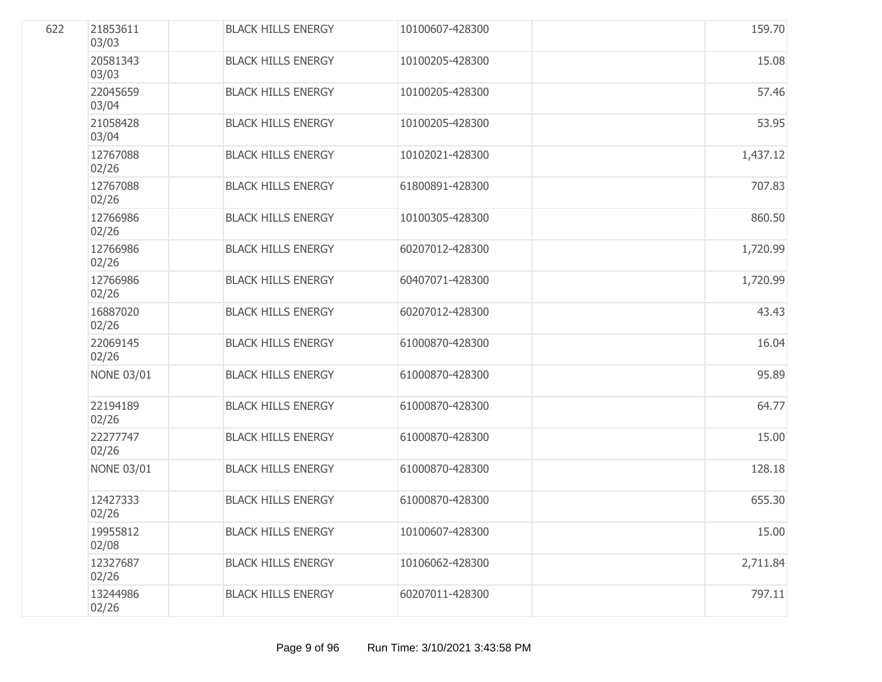| 622 | 21853611<br>03/03 | <b>BLACK HILLS ENERGY</b> | 10100607-428300 | 159.70   |
|-----|-------------------|---------------------------|-----------------|----------|
|     | 20581343<br>03/03 | <b>BLACK HILLS ENERGY</b> | 10100205-428300 | 15.08    |
|     | 22045659<br>03/04 | <b>BLACK HILLS ENERGY</b> | 10100205-428300 | 57.46    |
|     | 21058428<br>03/04 | <b>BLACK HILLS ENERGY</b> | 10100205-428300 | 53.95    |
|     | 12767088<br>02/26 | <b>BLACK HILLS ENERGY</b> | 10102021-428300 | 1,437.12 |
|     | 12767088<br>02/26 | <b>BLACK HILLS ENERGY</b> | 61800891-428300 | 707.83   |
|     | 12766986<br>02/26 | <b>BLACK HILLS ENERGY</b> | 10100305-428300 | 860.50   |
|     | 12766986<br>02/26 | <b>BLACK HILLS ENERGY</b> | 60207012-428300 | 1,720.99 |
|     | 12766986<br>02/26 | <b>BLACK HILLS ENERGY</b> | 60407071-428300 | 1,720.99 |
|     | 16887020<br>02/26 | <b>BLACK HILLS ENERGY</b> | 60207012-428300 | 43.43    |
|     | 22069145<br>02/26 | <b>BLACK HILLS ENERGY</b> | 61000870-428300 | 16.04    |
|     | <b>NONE 03/01</b> | <b>BLACK HILLS ENERGY</b> | 61000870-428300 | 95.89    |
|     | 22194189<br>02/26 | <b>BLACK HILLS ENERGY</b> | 61000870-428300 | 64.77    |
|     | 22277747<br>02/26 | <b>BLACK HILLS ENERGY</b> | 61000870-428300 | 15.00    |
|     | <b>NONE 03/01</b> | <b>BLACK HILLS ENERGY</b> | 61000870-428300 | 128.18   |
|     | 12427333<br>02/26 | <b>BLACK HILLS ENERGY</b> | 61000870-428300 | 655.30   |
|     | 19955812<br>02/08 | <b>BLACK HILLS ENERGY</b> | 10100607-428300 | 15.00    |
|     | 12327687<br>02/26 | <b>BLACK HILLS ENERGY</b> | 10106062-428300 | 2,711.84 |
|     | 13244986<br>02/26 | <b>BLACK HILLS ENERGY</b> | 60207011-428300 | 797.11   |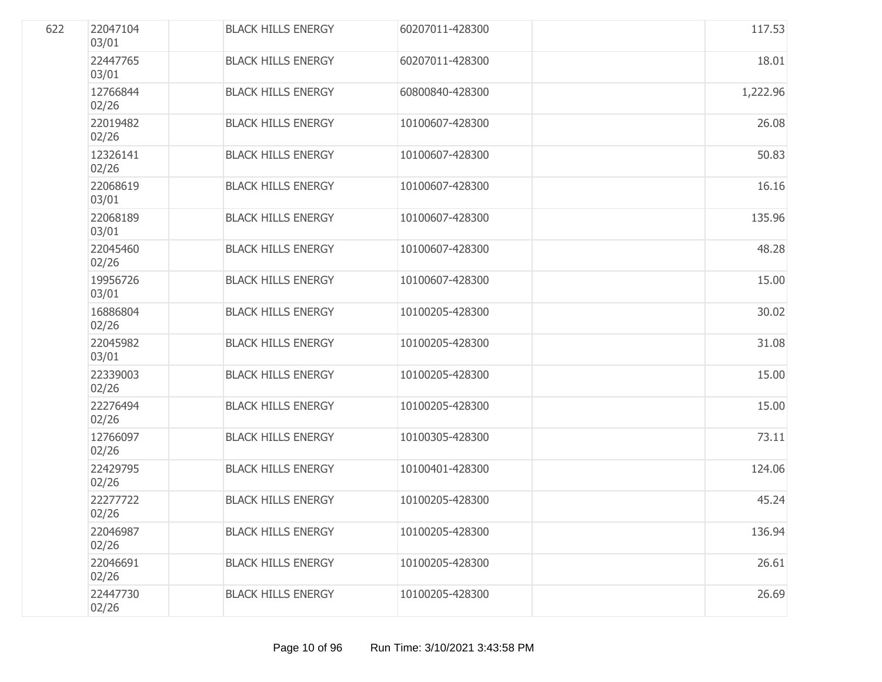| 622 | 22047104<br>03/01 | <b>BLACK HILLS ENERGY</b> | 60207011-428300 | 117.53   |
|-----|-------------------|---------------------------|-----------------|----------|
|     | 22447765<br>03/01 | <b>BLACK HILLS ENERGY</b> | 60207011-428300 | 18.01    |
|     | 12766844<br>02/26 | <b>BLACK HILLS ENERGY</b> | 60800840-428300 | 1,222.96 |
|     | 22019482<br>02/26 | <b>BLACK HILLS ENERGY</b> | 10100607-428300 | 26.08    |
|     | 12326141<br>02/26 | <b>BLACK HILLS ENERGY</b> | 10100607-428300 | 50.83    |
|     | 22068619<br>03/01 | <b>BLACK HILLS ENERGY</b> | 10100607-428300 | 16.16    |
|     | 22068189<br>03/01 | <b>BLACK HILLS ENERGY</b> | 10100607-428300 | 135.96   |
|     | 22045460<br>02/26 | <b>BLACK HILLS ENERGY</b> | 10100607-428300 | 48.28    |
|     | 19956726<br>03/01 | <b>BLACK HILLS ENERGY</b> | 10100607-428300 | 15.00    |
|     | 16886804<br>02/26 | <b>BLACK HILLS ENERGY</b> | 10100205-428300 | 30.02    |
|     | 22045982<br>03/01 | <b>BLACK HILLS ENERGY</b> | 10100205-428300 | 31.08    |
|     | 22339003<br>02/26 | <b>BLACK HILLS ENERGY</b> | 10100205-428300 | 15.00    |
|     | 22276494<br>02/26 | <b>BLACK HILLS ENERGY</b> | 10100205-428300 | 15.00    |
|     | 12766097<br>02/26 | <b>BLACK HILLS ENERGY</b> | 10100305-428300 | 73.11    |
|     | 22429795<br>02/26 | <b>BLACK HILLS ENERGY</b> | 10100401-428300 | 124.06   |
|     | 22277722<br>02/26 | <b>BLACK HILLS ENERGY</b> | 10100205-428300 | 45.24    |
|     | 22046987<br>02/26 | <b>BLACK HILLS ENERGY</b> | 10100205-428300 | 136.94   |
|     | 22046691<br>02/26 | <b>BLACK HILLS ENERGY</b> | 10100205-428300 | 26.61    |
|     | 22447730<br>02/26 | <b>BLACK HILLS ENERGY</b> | 10100205-428300 | 26.69    |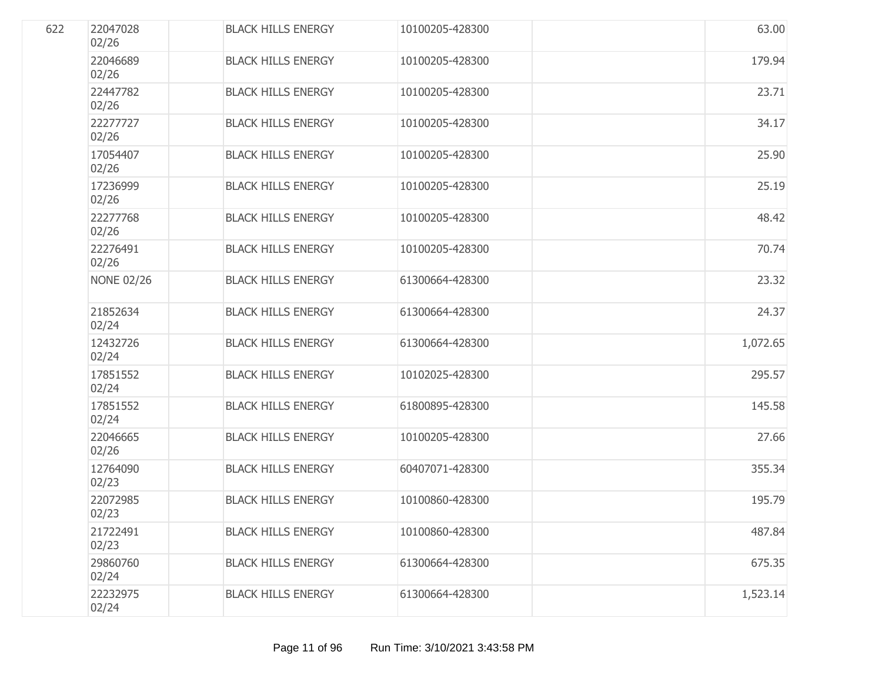| 622 | 22047028<br>02/26 | <b>BLACK HILLS ENERGY</b> | 10100205-428300 | 63.00    |
|-----|-------------------|---------------------------|-----------------|----------|
|     | 22046689<br>02/26 | <b>BLACK HILLS ENERGY</b> | 10100205-428300 | 179.94   |
|     | 22447782<br>02/26 | <b>BLACK HILLS ENERGY</b> | 10100205-428300 | 23.71    |
|     | 22277727<br>02/26 | <b>BLACK HILLS ENERGY</b> | 10100205-428300 | 34.17    |
|     | 17054407<br>02/26 | <b>BLACK HILLS ENERGY</b> | 10100205-428300 | 25.90    |
|     | 17236999<br>02/26 | <b>BLACK HILLS ENERGY</b> | 10100205-428300 | 25.19    |
|     | 22277768<br>02/26 | <b>BLACK HILLS ENERGY</b> | 10100205-428300 | 48.42    |
|     | 22276491<br>02/26 | <b>BLACK HILLS ENERGY</b> | 10100205-428300 | 70.74    |
|     | <b>NONE 02/26</b> | <b>BLACK HILLS ENERGY</b> | 61300664-428300 | 23.32    |
|     | 21852634<br>02/24 | <b>BLACK HILLS ENERGY</b> | 61300664-428300 | 24.37    |
|     | 12432726<br>02/24 | <b>BLACK HILLS ENERGY</b> | 61300664-428300 | 1,072.65 |
|     | 17851552<br>02/24 | <b>BLACK HILLS ENERGY</b> | 10102025-428300 | 295.57   |
|     | 17851552<br>02/24 | <b>BLACK HILLS ENERGY</b> | 61800895-428300 | 145.58   |
|     | 22046665<br>02/26 | <b>BLACK HILLS ENERGY</b> | 10100205-428300 | 27.66    |
|     | 12764090<br>02/23 | <b>BLACK HILLS ENERGY</b> | 60407071-428300 | 355.34   |
|     | 22072985<br>02/23 | <b>BLACK HILLS ENERGY</b> | 10100860-428300 | 195.79   |
|     | 21722491<br>02/23 | <b>BLACK HILLS ENERGY</b> | 10100860-428300 | 487.84   |
|     | 29860760<br>02/24 | <b>BLACK HILLS ENERGY</b> | 61300664-428300 | 675.35   |
|     | 22232975<br>02/24 | <b>BLACK HILLS ENERGY</b> | 61300664-428300 | 1,523.14 |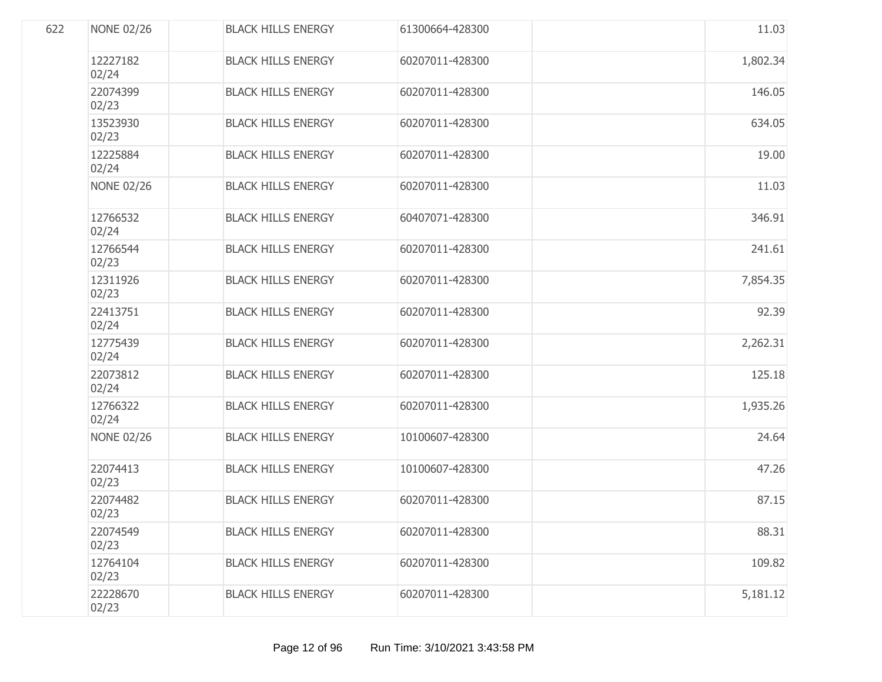| 622 | <b>NONE 02/26</b> | <b>BLACK HILLS ENERGY</b> | 61300664-428300 | 11.03    |
|-----|-------------------|---------------------------|-----------------|----------|
|     | 12227182<br>02/24 | <b>BLACK HILLS ENERGY</b> | 60207011-428300 | 1,802.34 |
|     | 22074399<br>02/23 | <b>BLACK HILLS ENERGY</b> | 60207011-428300 | 146.05   |
|     | 13523930<br>02/23 | <b>BLACK HILLS ENERGY</b> | 60207011-428300 | 634.05   |
|     | 12225884<br>02/24 | <b>BLACK HILLS ENERGY</b> | 60207011-428300 | 19.00    |
|     | <b>NONE 02/26</b> | <b>BLACK HILLS ENERGY</b> | 60207011-428300 | 11.03    |
|     | 12766532<br>02/24 | <b>BLACK HILLS ENERGY</b> | 60407071-428300 | 346.91   |
|     | 12766544<br>02/23 | <b>BLACK HILLS ENERGY</b> | 60207011-428300 | 241.61   |
|     | 12311926<br>02/23 | <b>BLACK HILLS ENERGY</b> | 60207011-428300 | 7,854.35 |
|     | 22413751<br>02/24 | <b>BLACK HILLS ENERGY</b> | 60207011-428300 | 92.39    |
|     | 12775439<br>02/24 | <b>BLACK HILLS ENERGY</b> | 60207011-428300 | 2,262.31 |
|     | 22073812<br>02/24 | <b>BLACK HILLS ENERGY</b> | 60207011-428300 | 125.18   |
|     | 12766322<br>02/24 | <b>BLACK HILLS ENERGY</b> | 60207011-428300 | 1,935.26 |
|     | <b>NONE 02/26</b> | <b>BLACK HILLS ENERGY</b> | 10100607-428300 | 24.64    |
|     | 22074413<br>02/23 | <b>BLACK HILLS ENERGY</b> | 10100607-428300 | 47.26    |
|     | 22074482<br>02/23 | <b>BLACK HILLS ENERGY</b> | 60207011-428300 | 87.15    |
|     | 22074549<br>02/23 | <b>BLACK HILLS ENERGY</b> | 60207011-428300 | 88.31    |
|     | 12764104<br>02/23 | <b>BLACK HILLS ENERGY</b> | 60207011-428300 | 109.82   |
|     | 22228670<br>02/23 | <b>BLACK HILLS ENERGY</b> | 60207011-428300 | 5,181.12 |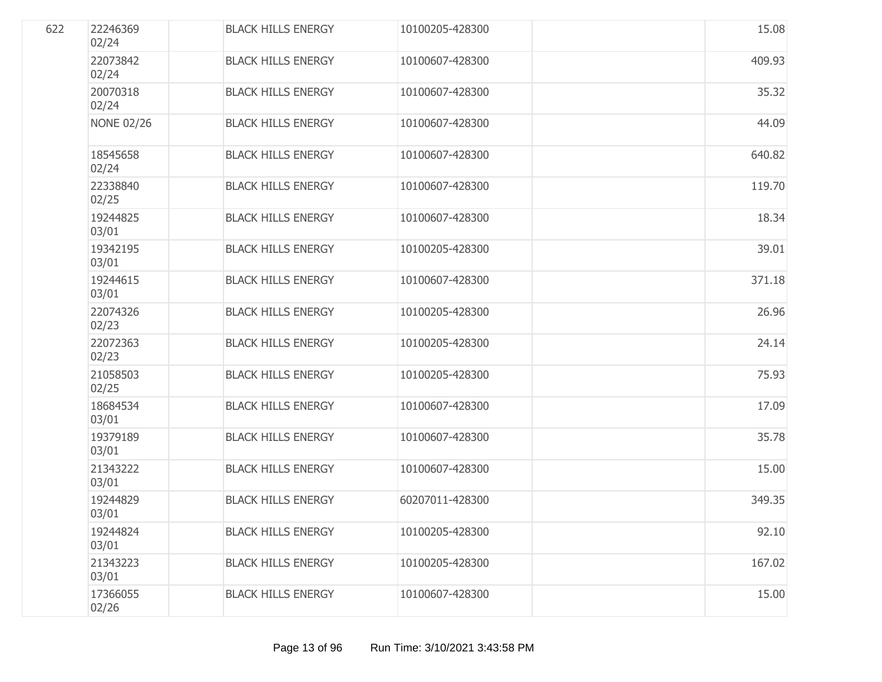| 622 | 22246369<br>02/24 | <b>BLACK HILLS ENERGY</b> | 10100205-428300 | 15.08  |
|-----|-------------------|---------------------------|-----------------|--------|
|     | 22073842<br>02/24 | <b>BLACK HILLS ENERGY</b> | 10100607-428300 | 409.93 |
|     | 20070318<br>02/24 | <b>BLACK HILLS ENERGY</b> | 10100607-428300 | 35.32  |
|     | <b>NONE 02/26</b> | <b>BLACK HILLS ENERGY</b> | 10100607-428300 | 44.09  |
|     | 18545658<br>02/24 | <b>BLACK HILLS ENERGY</b> | 10100607-428300 | 640.82 |
|     | 22338840<br>02/25 | <b>BLACK HILLS ENERGY</b> | 10100607-428300 | 119.70 |
|     | 19244825<br>03/01 | <b>BLACK HILLS ENERGY</b> | 10100607-428300 | 18.34  |
|     | 19342195<br>03/01 | <b>BLACK HILLS ENERGY</b> | 10100205-428300 | 39.01  |
|     | 19244615<br>03/01 | <b>BLACK HILLS ENERGY</b> | 10100607-428300 | 371.18 |
|     | 22074326<br>02/23 | <b>BLACK HILLS ENERGY</b> | 10100205-428300 | 26.96  |
|     | 22072363<br>02/23 | <b>BLACK HILLS ENERGY</b> | 10100205-428300 | 24.14  |
|     | 21058503<br>02/25 | <b>BLACK HILLS ENERGY</b> | 10100205-428300 | 75.93  |
|     | 18684534<br>03/01 | <b>BLACK HILLS ENERGY</b> | 10100607-428300 | 17.09  |
|     | 19379189<br>03/01 | <b>BLACK HILLS ENERGY</b> | 10100607-428300 | 35.78  |
|     | 21343222<br>03/01 | <b>BLACK HILLS ENERGY</b> | 10100607-428300 | 15.00  |
|     | 19244829<br>03/01 | <b>BLACK HILLS ENERGY</b> | 60207011-428300 | 349.35 |
|     | 19244824<br>03/01 | <b>BLACK HILLS ENERGY</b> | 10100205-428300 | 92.10  |
|     | 21343223<br>03/01 | <b>BLACK HILLS ENERGY</b> | 10100205-428300 | 167.02 |
|     | 17366055<br>02/26 | <b>BLACK HILLS ENERGY</b> | 10100607-428300 | 15.00  |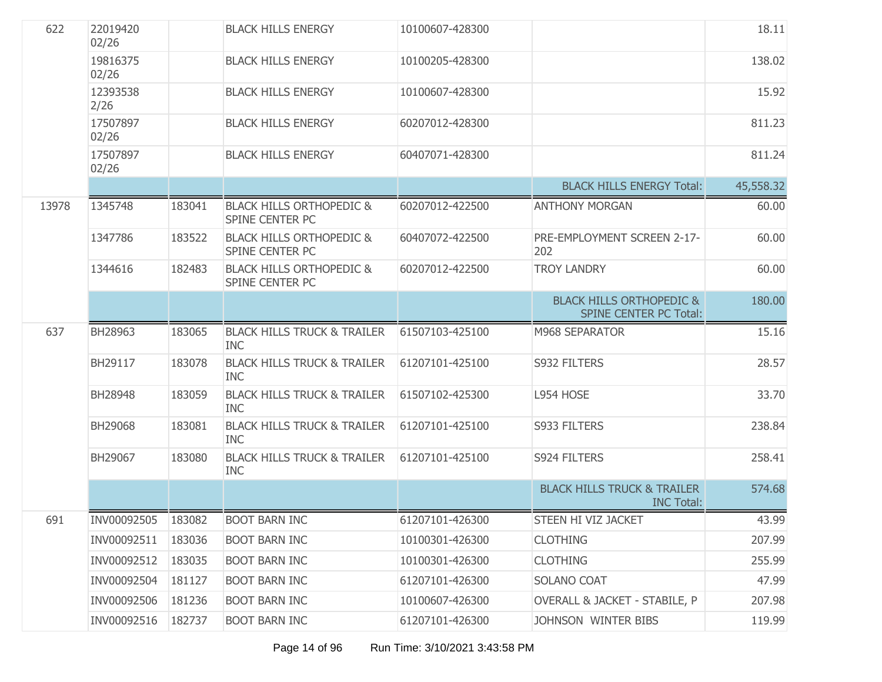| 622   | 22019420<br>02/26 |        | <b>BLACK HILLS ENERGY</b>                                     | 10100607-428300 |                                                                      | 18.11     |
|-------|-------------------|--------|---------------------------------------------------------------|-----------------|----------------------------------------------------------------------|-----------|
|       | 19816375<br>02/26 |        | <b>BLACK HILLS ENERGY</b>                                     | 10100205-428300 |                                                                      | 138.02    |
|       | 12393538<br>2/26  |        | <b>BLACK HILLS ENERGY</b>                                     | 10100607-428300 |                                                                      | 15.92     |
|       | 17507897<br>02/26 |        | <b>BLACK HILLS ENERGY</b>                                     | 60207012-428300 |                                                                      | 811.23    |
|       | 17507897<br>02/26 |        | <b>BLACK HILLS ENERGY</b>                                     | 60407071-428300 |                                                                      | 811.24    |
|       |                   |        |                                                               |                 | <b>BLACK HILLS ENERGY Total:</b>                                     | 45,558.32 |
| 13978 | 1345748           | 183041 | <b>BLACK HILLS ORTHOPEDIC &amp;</b><br><b>SPINE CENTER PC</b> | 60207012-422500 | <b>ANTHONY MORGAN</b>                                                | 60.00     |
|       | 1347786           | 183522 | <b>BLACK HILLS ORTHOPEDIC &amp;</b><br>SPINE CENTER PC        | 60407072-422500 | PRE-EMPLOYMENT SCREEN 2-17-<br>202                                   | 60.00     |
|       | 1344616           | 182483 | <b>BLACK HILLS ORTHOPEDIC &amp;</b><br><b>SPINE CENTER PC</b> | 60207012-422500 | <b>TROY LANDRY</b>                                                   | 60.00     |
|       |                   |        |                                                               |                 | <b>BLACK HILLS ORTHOPEDIC &amp;</b><br><b>SPINE CENTER PC Total:</b> | 180.00    |
| 637   | BH28963           | 183065 | <b>BLACK HILLS TRUCK &amp; TRAILER</b><br><b>INC</b>          | 61507103-425100 | M968 SEPARATOR                                                       | 15.16     |
|       | BH29117           | 183078 | <b>BLACK HILLS TRUCK &amp; TRAILER</b><br><b>INC</b>          | 61207101-425100 | S932 FILTERS                                                         | 28.57     |
|       | BH28948           | 183059 | <b>BLACK HILLS TRUCK &amp; TRAILER</b><br><b>INC</b>          | 61507102-425300 | L954 HOSE                                                            | 33.70     |
|       | BH29068           | 183081 | <b>BLACK HILLS TRUCK &amp; TRAILER</b><br><b>INC</b>          | 61207101-425100 | S933 FILTERS                                                         | 238.84    |
|       | BH29067           | 183080 | <b>BLACK HILLS TRUCK &amp; TRAILER</b><br><b>INC</b>          | 61207101-425100 | S924 FILTERS                                                         | 258.41    |
|       |                   |        |                                                               |                 | <b>BLACK HILLS TRUCK &amp; TRAILER</b><br><b>INC Total:</b>          | 574.68    |
| 691   |                   |        | INV00092505 183082 BOOT BARN INC                              | 61207101-426300 | STEEN HI VIZ JACKET                                                  | 43.99     |
|       | INV00092511       | 183036 | <b>BOOT BARN INC</b>                                          | 10100301-426300 | <b>CLOTHING</b>                                                      | 207.99    |
|       | INV00092512       | 183035 | <b>BOOT BARN INC</b>                                          | 10100301-426300 | <b>CLOTHING</b>                                                      | 255.99    |
|       | INV00092504       | 181127 | <b>BOOT BARN INC</b>                                          | 61207101-426300 | SOLANO COAT                                                          | 47.99     |
|       | INV00092506       | 181236 | <b>BOOT BARN INC</b>                                          | 10100607-426300 | OVERALL & JACKET - STABILE, P                                        | 207.98    |
|       | INV00092516       | 182737 | <b>BOOT BARN INC</b>                                          | 61207101-426300 | JOHNSON WINTER BIBS                                                  | 119.99    |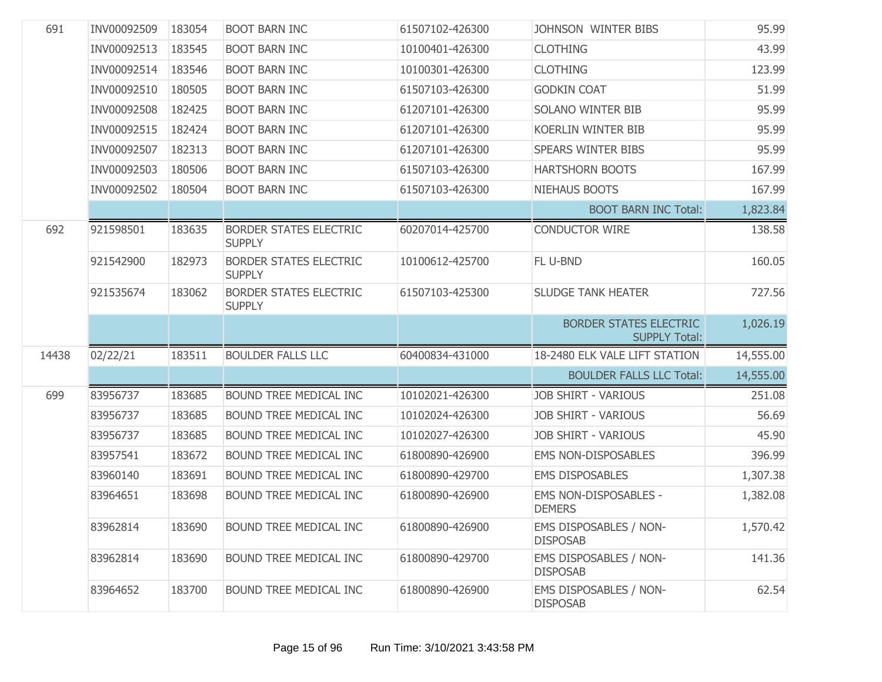| 691   | INV00092509 | 183054 | <b>BOOT BARN INC</b>                           | 61507102-426300 | JOHNSON WINTER BIBS                                   | 95.99     |
|-------|-------------|--------|------------------------------------------------|-----------------|-------------------------------------------------------|-----------|
|       | INV00092513 | 183545 | <b>BOOT BARN INC</b>                           | 10100401-426300 | <b>CLOTHING</b>                                       | 43.99     |
|       | INV00092514 | 183546 | <b>BOOT BARN INC</b>                           | 10100301-426300 | <b>CLOTHING</b>                                       | 123.99    |
|       | INV00092510 | 180505 | <b>BOOT BARN INC</b>                           | 61507103-426300 | <b>GODKIN COAT</b>                                    | 51.99     |
|       | INV00092508 | 182425 | <b>BOOT BARN INC</b>                           | 61207101-426300 | <b>SOLANO WINTER BIB</b>                              | 95.99     |
|       | INV00092515 | 182424 | <b>BOOT BARN INC</b>                           | 61207101-426300 | <b>KOERLIN WINTER BIB</b>                             | 95.99     |
|       | INV00092507 | 182313 | <b>BOOT BARN INC</b>                           | 61207101-426300 | <b>SPEARS WINTER BIBS</b>                             | 95.99     |
|       | INV00092503 | 180506 | <b>BOOT BARN INC</b>                           | 61507103-426300 | <b>HARTSHORN BOOTS</b>                                | 167.99    |
|       | INV00092502 | 180504 | <b>BOOT BARN INC</b>                           | 61507103-426300 | NIEHAUS BOOTS                                         | 167.99    |
|       |             |        |                                                |                 | <b>BOOT BARN INC Total:</b>                           | 1,823.84  |
| 692   | 921598501   | 183635 | <b>BORDER STATES ELECTRIC</b><br><b>SUPPLY</b> | 60207014-425700 | <b>CONDUCTOR WIRE</b>                                 | 138.58    |
|       | 921542900   | 182973 | <b>BORDER STATES ELECTRIC</b><br><b>SUPPLY</b> | 10100612-425700 | FL U-BND                                              | 160.05    |
|       | 921535674   | 183062 | <b>BORDER STATES ELECTRIC</b><br><b>SUPPLY</b> | 61507103-425300 | <b>SLUDGE TANK HEATER</b>                             | 727.56    |
|       |             |        |                                                |                 | <b>BORDER STATES ELECTRIC</b><br><b>SUPPLY Total:</b> | 1,026.19  |
| 14438 | 02/22/21    | 183511 | <b>BOULDER FALLS LLC</b>                       | 60400834-431000 | 18-2480 ELK VALE LIFT STATION                         | 14,555.00 |
|       |             |        |                                                |                 | <b>BOULDER FALLS LLC Total:</b>                       | 14,555.00 |
| 699   | 83956737    | 183685 | BOUND TREE MEDICAL INC                         | 10102021-426300 | <b>JOB SHIRT - VARIOUS</b>                            | 251.08    |
|       | 83956737    | 183685 | BOUND TREE MEDICAL INC                         | 10102024-426300 | <b>JOB SHIRT - VARIOUS</b>                            | 56.69     |
|       | 83956737    | 183685 | BOUND TREE MEDICAL INC                         | 10102027-426300 | <b>JOB SHIRT - VARIOUS</b>                            | 45.90     |
|       | 83957541    | 183672 | BOUND TREE MEDICAL INC                         | 61800890-426900 | <b>EMS NON-DISPOSABLES</b>                            | 396.99    |
|       | 83960140    | 183691 | BOUND TREE MEDICAL INC                         | 61800890-429700 | <b>EMS DISPOSABLES</b>                                | 1,307.38  |
|       | 83964651    | 183698 | <b>BOUND TREE MEDICAL INC</b>                  | 61800890-426900 | <b>EMS NON-DISPOSABLES -</b><br><b>DEMERS</b>         | 1,382.08  |
|       | 83962814    | 183690 | BOUND TREE MEDICAL INC                         | 61800890-426900 | <b>EMS DISPOSABLES / NON-</b><br><b>DISPOSAB</b>      | 1,570.42  |
|       | 83962814    | 183690 | BOUND TREE MEDICAL INC                         | 61800890-429700 | <b>EMS DISPOSABLES / NON-</b><br><b>DISPOSAB</b>      | 141.36    |
|       | 83964652    | 183700 | <b>BOUND TREE MEDICAL INC</b>                  | 61800890-426900 | <b>EMS DISPOSABLES / NON-</b><br><b>DISPOSAB</b>      | 62.54     |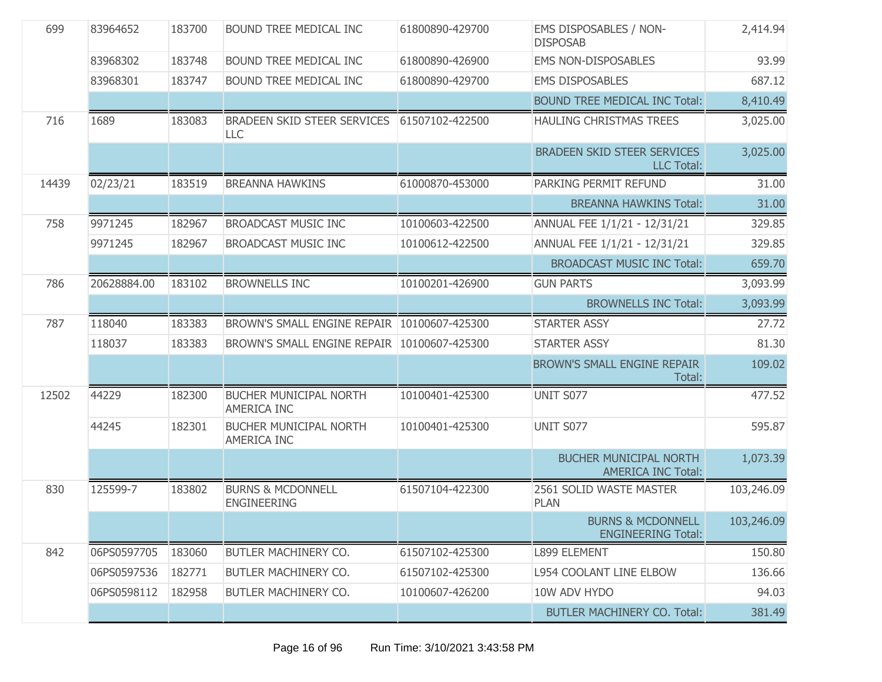| 699   | 83964652    | 183700 | BOUND TREE MEDICAL INC                              | 61800890-429700 | EMS DISPOSABLES / NON-<br><b>DISPOSAB</b>                  | 2,414.94   |
|-------|-------------|--------|-----------------------------------------------------|-----------------|------------------------------------------------------------|------------|
|       | 83968302    | 183748 | <b>BOUND TREE MEDICAL INC</b>                       | 61800890-426900 | <b>EMS NON-DISPOSABLES</b>                                 | 93.99      |
|       | 83968301    | 183747 | <b>BOUND TREE MEDICAL INC</b>                       | 61800890-429700 | <b>EMS DISPOSABLES</b>                                     | 687.12     |
|       |             |        |                                                     |                 | <b>BOUND TREE MEDICAL INC Total:</b>                       | 8,410.49   |
| 716   | 1689        | 183083 | BRADEEN SKID STEER SERVICES<br>LLC                  | 61507102-422500 | <b>HAULING CHRISTMAS TREES</b>                             | 3,025.00   |
|       |             |        |                                                     |                 | <b>BRADEEN SKID STEER SERVICES</b><br><b>LLC Total:</b>    | 3,025.00   |
| 14439 | 02/23/21    | 183519 | <b>BREANNA HAWKINS</b>                              | 61000870-453000 | PARKING PERMIT REFUND                                      | 31.00      |
|       |             |        |                                                     |                 | <b>BREANNA HAWKINS Total:</b>                              | 31.00      |
| 758   | 9971245     | 182967 | <b>BROADCAST MUSIC INC</b>                          | 10100603-422500 | ANNUAL FEE 1/1/21 - 12/31/21                               | 329.85     |
|       | 9971245     | 182967 | <b>BROADCAST MUSIC INC</b>                          | 10100612-422500 | ANNUAL FEE 1/1/21 - 12/31/21                               | 329.85     |
|       |             |        |                                                     |                 | <b>BROADCAST MUSIC INC Total:</b>                          | 659.70     |
| 786   | 20628884.00 | 183102 | <b>BROWNELLS INC</b>                                | 10100201-426900 | <b>GUN PARTS</b>                                           | 3,093.99   |
|       |             |        |                                                     |                 | <b>BROWNELLS INC Total:</b>                                | 3,093.99   |
| 787   | 118040      | 183383 | BROWN'S SMALL ENGINE REPAIR 10100607-425300         |                 | <b>STARTER ASSY</b>                                        | 27.72      |
|       | 118037      | 183383 | BROWN'S SMALL ENGINE REPAIR                         | 10100607-425300 | <b>STARTER ASSY</b>                                        | 81.30      |
|       |             |        |                                                     |                 | <b>BROWN'S SMALL ENGINE REPAIR</b><br>Total:               | 109.02     |
| 12502 | 44229       | 182300 | <b>BUCHER MUNICIPAL NORTH</b><br><b>AMERICA INC</b> | 10100401-425300 | <b>UNIT S077</b>                                           | 477.52     |
|       | 44245       | 182301 | <b>BUCHER MUNICIPAL NORTH</b><br>AMERICA INC        | 10100401-425300 | UNIT S077                                                  | 595.87     |
|       |             |        |                                                     |                 | <b>BUCHER MUNICIPAL NORTH</b><br><b>AMERICA INC Total:</b> | 1,073.39   |
| 830   | 125599-7    | 183802 | <b>BURNS &amp; MCDONNELL</b><br><b>ENGINEERING</b>  | 61507104-422300 | 2561 SOLID WASTE MASTER<br><b>PLAN</b>                     | 103,246.09 |
|       |             |        |                                                     |                 | <b>BURNS &amp; MCDONNELL</b><br><b>ENGINEERING Total:</b>  | 103,246.09 |
| 842   | 06PS0597705 | 183060 | BUTLER MACHINERY CO.                                | 61507102-425300 | L899 ELEMENT                                               | 150.80     |
|       | 06PS0597536 | 182771 | BUTLER MACHINERY CO.                                | 61507102-425300 | L954 COOLANT LINE ELBOW                                    | 136.66     |
|       | 06PS0598112 | 182958 | BUTLER MACHINERY CO.                                | 10100607-426200 | 10W ADV HYDO                                               | 94.03      |
|       |             |        |                                                     |                 | <b>BUTLER MACHINERY CO. Total:</b>                         | 381.49     |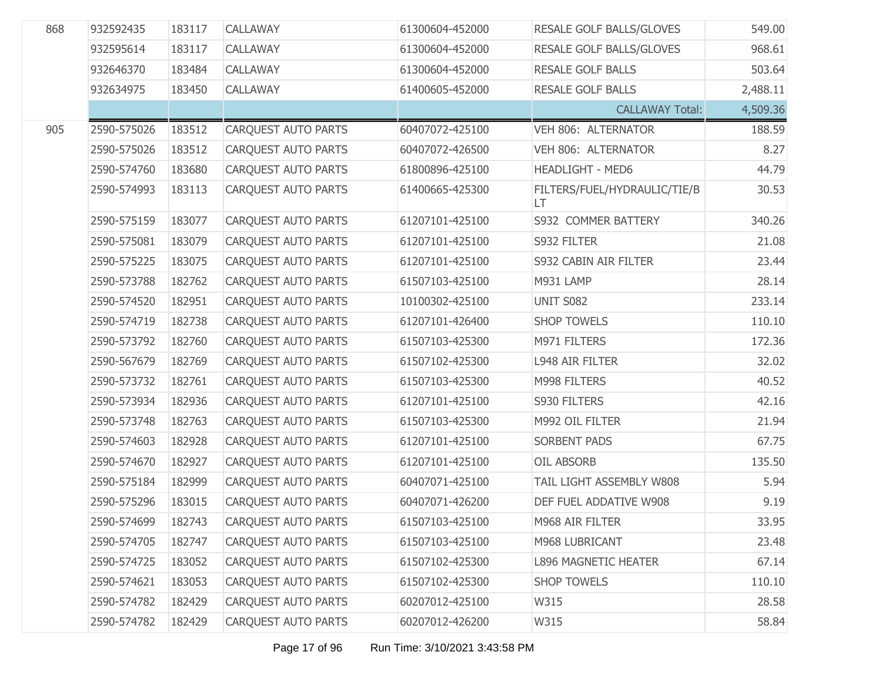| 868 | 932592435   | 183117 | CALLAWAY                   | 61300604-452000 | RESALE GOLF BALLS/GLOVES           | 549.00   |
|-----|-------------|--------|----------------------------|-----------------|------------------------------------|----------|
|     | 932595614   | 183117 | CALLAWAY                   | 61300604-452000 | RESALE GOLF BALLS/GLOVES           | 968.61   |
|     | 932646370   | 183484 | CALLAWAY                   | 61300604-452000 | <b>RESALE GOLF BALLS</b>           | 503.64   |
|     | 932634975   | 183450 | CALLAWAY                   | 61400605-452000 | <b>RESALE GOLF BALLS</b>           | 2,488.11 |
|     |             |        |                            |                 | <b>CALLAWAY Total:</b>             | 4,509.36 |
| 905 | 2590-575026 | 183512 | CARQUEST AUTO PARTS        | 60407072-425100 | VEH 806: ALTERNATOR                | 188.59   |
|     | 2590-575026 | 183512 | CARQUEST AUTO PARTS        | 60407072-426500 | VEH 806: ALTERNATOR                | 8.27     |
|     | 2590-574760 | 183680 | <b>CAROUEST AUTO PARTS</b> | 61800896-425100 | <b>HEADLIGHT - MED6</b>            | 44.79    |
|     | 2590-574993 | 183113 | CARQUEST AUTO PARTS        | 61400665-425300 | FILTERS/FUEL/HYDRAULIC/TIE/B<br>LT | 30.53    |
|     | 2590-575159 | 183077 | <b>CARQUEST AUTO PARTS</b> | 61207101-425100 | S932 COMMER BATTERY                | 340.26   |
|     | 2590-575081 | 183079 | <b>CARQUEST AUTO PARTS</b> | 61207101-425100 | S932 FILTER                        | 21.08    |
|     | 2590-575225 | 183075 | CARQUEST AUTO PARTS        | 61207101-425100 | S932 CABIN AIR FILTER              | 23.44    |
|     | 2590-573788 | 182762 | <b>CARQUEST AUTO PARTS</b> | 61507103-425100 | M931 LAMP                          | 28.14    |
|     | 2590-574520 | 182951 | CARQUEST AUTO PARTS        | 10100302-425100 | UNIT S082                          | 233.14   |
|     | 2590-574719 | 182738 | <b>CARQUEST AUTO PARTS</b> | 61207101-426400 | <b>SHOP TOWELS</b>                 | 110.10   |
|     | 2590-573792 | 182760 | CARQUEST AUTO PARTS        | 61507103-425300 | M971 FILTERS                       | 172.36   |
|     | 2590-567679 | 182769 | CARQUEST AUTO PARTS        | 61507102-425300 | <b>L948 AIR FILTER</b>             | 32.02    |
|     | 2590-573732 | 182761 | CARQUEST AUTO PARTS        | 61507103-425300 | M998 FILTERS                       | 40.52    |
|     | 2590-573934 | 182936 | CARQUEST AUTO PARTS        | 61207101-425100 | S930 FILTERS                       | 42.16    |
|     | 2590-573748 | 182763 | CARQUEST AUTO PARTS        | 61507103-425300 | M992 OIL FILTER                    | 21.94    |
|     | 2590-574603 | 182928 | CARQUEST AUTO PARTS        | 61207101-425100 | <b>SORBENT PADS</b>                | 67.75    |
|     | 2590-574670 | 182927 | CARQUEST AUTO PARTS        | 61207101-425100 | <b>OIL ABSORB</b>                  | 135.50   |
|     | 2590-575184 | 182999 | <b>CARQUEST AUTO PARTS</b> | 60407071-425100 | TAIL LIGHT ASSEMBLY W808           | 5.94     |
|     | 2590-575296 | 183015 | CARQUEST AUTO PARTS        | 60407071-426200 | DEF FUEL ADDATIVE W908             | 9.19     |
|     | 2590-574699 | 182743 | CARQUEST AUTO PARTS        | 61507103-425100 | M968 AIR FILTER                    | 33.95    |
|     | 2590-574705 | 182747 | CARQUEST AUTO PARTS        | 61507103-425100 | M968 LUBRICANT                     | 23.48    |
|     | 2590-574725 | 183052 | CARQUEST AUTO PARTS        | 61507102-425300 | <b>L896 MAGNETIC HEATER</b>        | 67.14    |
|     | 2590-574621 | 183053 | CARQUEST AUTO PARTS        | 61507102-425300 | <b>SHOP TOWELS</b>                 | 110.10   |
|     | 2590-574782 | 182429 | CARQUEST AUTO PARTS        | 60207012-425100 | W315                               | 28.58    |
|     | 2590-574782 | 182429 | CARQUEST AUTO PARTS        | 60207012-426200 | W315                               | 58.84    |

Page 17 of 96 Run Time: 3/10/2021 3:43:58 PM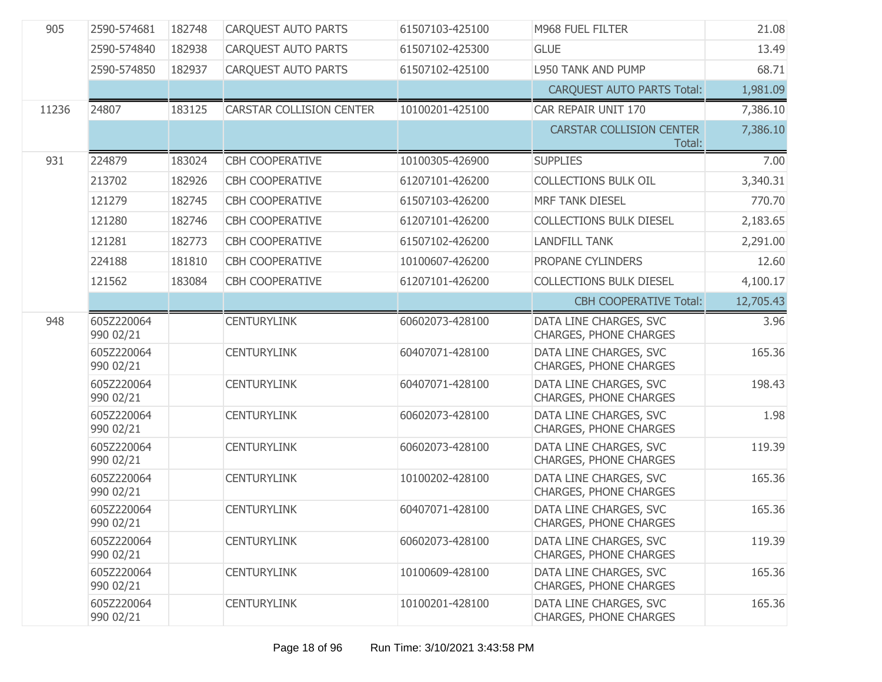| 905   | 2590-574681             | 182748 | <b>CARQUEST AUTO PARTS</b> | 61507103-425100 | M968 FUEL FILTER                                        | 21.08     |
|-------|-------------------------|--------|----------------------------|-----------------|---------------------------------------------------------|-----------|
|       | 2590-574840             | 182938 | CARQUEST AUTO PARTS        | 61507102-425300 | <b>GLUE</b>                                             | 13.49     |
|       | 2590-574850             | 182937 | CARQUEST AUTO PARTS        | 61507102-425100 | L950 TANK AND PUMP                                      | 68.71     |
|       |                         |        |                            |                 | <b>CARQUEST AUTO PARTS Total:</b>                       | 1,981.09  |
| 11236 | 24807                   | 183125 | CARSTAR COLLISION CENTER   | 10100201-425100 | CAR REPAIR UNIT 170                                     | 7,386.10  |
|       |                         |        |                            |                 | <b>CARSTAR COLLISION CENTER</b><br>Total:               | 7,386.10  |
| 931   | 224879                  | 183024 | <b>CBH COOPERATIVE</b>     | 10100305-426900 | <b>SUPPLIES</b>                                         | 7.00      |
|       | 213702                  | 182926 | <b>CBH COOPERATIVE</b>     | 61207101-426200 | <b>COLLECTIONS BULK OIL</b>                             | 3,340.31  |
|       | 121279                  | 182745 | <b>CBH COOPERATIVE</b>     | 61507103-426200 | <b>MRF TANK DIESEL</b>                                  | 770.70    |
|       | 121280                  | 182746 | <b>CBH COOPERATIVE</b>     | 61207101-426200 | <b>COLLECTIONS BULK DIESEL</b>                          | 2,183.65  |
|       | 121281                  | 182773 | <b>CBH COOPERATIVE</b>     | 61507102-426200 | <b>LANDFILL TANK</b>                                    | 2,291.00  |
|       | 224188                  | 181810 | <b>CBH COOPERATIVE</b>     | 10100607-426200 | PROPANE CYLINDERS                                       | 12.60     |
|       | 121562                  | 183084 | <b>CBH COOPERATIVE</b>     | 61207101-426200 | <b>COLLECTIONS BULK DIESEL</b>                          | 4,100.17  |
|       |                         |        |                            |                 | <b>CBH COOPERATIVE Total:</b>                           | 12,705.43 |
| 948   | 605Z220064<br>990 02/21 |        | <b>CENTURYLINK</b>         | 60602073-428100 | DATA LINE CHARGES, SVC<br><b>CHARGES, PHONE CHARGES</b> | 3.96      |
|       | 605Z220064<br>990 02/21 |        | <b>CENTURYLINK</b>         | 60407071-428100 | DATA LINE CHARGES, SVC<br><b>CHARGES, PHONE CHARGES</b> | 165.36    |
|       | 605Z220064<br>990 02/21 |        | <b>CENTURYLINK</b>         | 60407071-428100 | DATA LINE CHARGES, SVC<br><b>CHARGES, PHONE CHARGES</b> | 198.43    |
|       | 605Z220064<br>990 02/21 |        | <b>CENTURYLINK</b>         | 60602073-428100 | DATA LINE CHARGES, SVC<br><b>CHARGES, PHONE CHARGES</b> | 1.98      |
|       | 605Z220064<br>990 02/21 |        | <b>CENTURYLINK</b>         | 60602073-428100 | DATA LINE CHARGES, SVC<br><b>CHARGES, PHONE CHARGES</b> | 119.39    |
|       | 605Z220064<br>990 02/21 |        | <b>CENTURYLINK</b>         | 10100202-428100 | DATA LINE CHARGES, SVC<br><b>CHARGES, PHONE CHARGES</b> | 165.36    |
|       | 605Z220064<br>990 02/21 |        | <b>CENTURYLINK</b>         | 60407071-428100 | DATA LINE CHARGES, SVC<br><b>CHARGES, PHONE CHARGES</b> | 165.36    |
|       | 605Z220064<br>990 02/21 |        | <b>CENTURYLINK</b>         | 60602073-428100 | DATA LINE CHARGES, SVC<br><b>CHARGES, PHONE CHARGES</b> | 119.39    |
|       | 605Z220064<br>990 02/21 |        | <b>CENTURYLINK</b>         | 10100609-428100 | DATA LINE CHARGES, SVC<br><b>CHARGES, PHONE CHARGES</b> | 165.36    |
|       | 605Z220064<br>990 02/21 |        | <b>CENTURYLINK</b>         | 10100201-428100 | DATA LINE CHARGES, SVC<br><b>CHARGES, PHONE CHARGES</b> | 165.36    |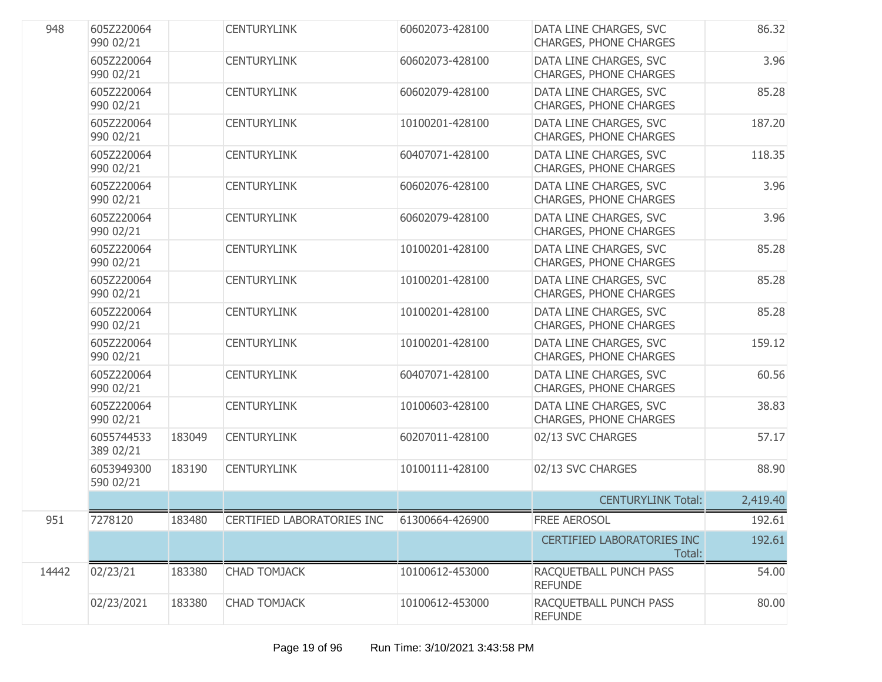| 948   | 605Z220064<br>990 02/21 |        | <b>CENTURYLINK</b>         | 60602073-428100 | DATA LINE CHARGES, SVC<br><b>CHARGES, PHONE CHARGES</b> | 86.32    |
|-------|-------------------------|--------|----------------------------|-----------------|---------------------------------------------------------|----------|
|       | 605Z220064<br>990 02/21 |        | <b>CENTURYLINK</b>         | 60602073-428100 | DATA LINE CHARGES, SVC<br><b>CHARGES, PHONE CHARGES</b> | 3.96     |
|       | 605Z220064<br>990 02/21 |        | <b>CENTURYLINK</b>         | 60602079-428100 | DATA LINE CHARGES, SVC<br>CHARGES, PHONE CHARGES        | 85.28    |
|       | 605Z220064<br>990 02/21 |        | <b>CENTURYLINK</b>         | 10100201-428100 | DATA LINE CHARGES, SVC<br>CHARGES, PHONE CHARGES        | 187.20   |
|       | 605Z220064<br>990 02/21 |        | <b>CENTURYLINK</b>         | 60407071-428100 | DATA LINE CHARGES, SVC<br><b>CHARGES, PHONE CHARGES</b> | 118.35   |
|       | 605Z220064<br>990 02/21 |        | <b>CENTURYLINK</b>         | 60602076-428100 | DATA LINE CHARGES, SVC<br><b>CHARGES, PHONE CHARGES</b> | 3.96     |
|       | 605Z220064<br>990 02/21 |        | <b>CENTURYLINK</b>         | 60602079-428100 | DATA LINE CHARGES, SVC<br>CHARGES, PHONE CHARGES        | 3.96     |
|       | 605Z220064<br>990 02/21 |        | <b>CENTURYLINK</b>         | 10100201-428100 | DATA LINE CHARGES, SVC<br><b>CHARGES, PHONE CHARGES</b> | 85.28    |
|       | 605Z220064<br>990 02/21 |        | <b>CENTURYLINK</b>         | 10100201-428100 | DATA LINE CHARGES, SVC<br>CHARGES, PHONE CHARGES        | 85.28    |
|       | 605Z220064<br>990 02/21 |        | <b>CENTURYLINK</b>         | 10100201-428100 | DATA LINE CHARGES, SVC<br>CHARGES, PHONE CHARGES        | 85.28    |
|       | 605Z220064<br>990 02/21 |        | <b>CENTURYLINK</b>         | 10100201-428100 | DATA LINE CHARGES, SVC<br><b>CHARGES, PHONE CHARGES</b> | 159.12   |
|       | 605Z220064<br>990 02/21 |        | <b>CENTURYLINK</b>         | 60407071-428100 | DATA LINE CHARGES, SVC<br>CHARGES, PHONE CHARGES        | 60.56    |
|       | 605Z220064<br>990 02/21 |        | <b>CENTURYLINK</b>         | 10100603-428100 | DATA LINE CHARGES, SVC<br>CHARGES, PHONE CHARGES        | 38.83    |
|       | 6055744533<br>389 02/21 | 183049 | <b>CENTURYLINK</b>         | 60207011-428100 | 02/13 SVC CHARGES                                       | 57.17    |
|       | 6053949300<br>590 02/21 | 183190 | <b>CENTURYLINK</b>         | 10100111-428100 | 02/13 SVC CHARGES                                       | 88.90    |
|       |                         |        |                            |                 | <b>CENTURYLINK Total:</b>                               | 2,419.40 |
| 951   | 7278120                 | 183480 | CERTIFIED LABORATORIES INC | 61300664-426900 | FREE AEROSOL                                            | 192.61   |
|       |                         |        |                            |                 | <b>CERTIFIED LABORATORIES INC</b><br>Total:             | 192.61   |
| 14442 | 02/23/21                | 183380 | <b>CHAD TOMJACK</b>        | 10100612-453000 | RACQUETBALL PUNCH PASS<br><b>REFUNDE</b>                | 54.00    |
|       | 02/23/2021              | 183380 | <b>CHAD TOMJACK</b>        | 10100612-453000 | RACQUETBALL PUNCH PASS<br><b>REFUNDE</b>                | 80.00    |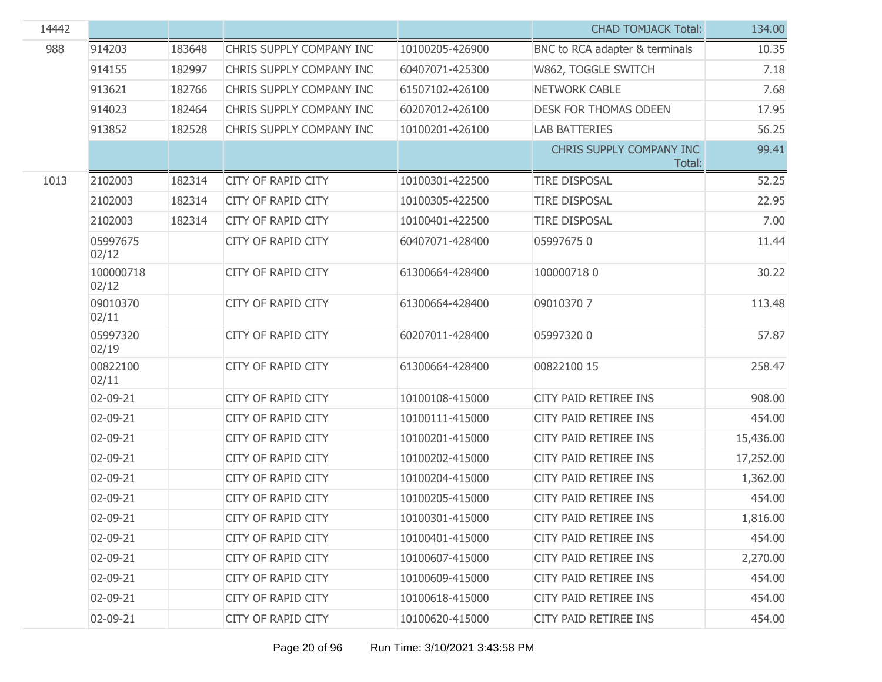| 14442 |                    |        |                           |                 | <b>CHAD TOMJACK Total:</b>         | 134.00    |
|-------|--------------------|--------|---------------------------|-----------------|------------------------------------|-----------|
| 988   | 914203             | 183648 | CHRIS SUPPLY COMPANY INC  | 10100205-426900 | BNC to RCA adapter & terminals     | 10.35     |
|       | 914155             | 182997 | CHRIS SUPPLY COMPANY INC  | 60407071-425300 | W862, TOGGLE SWITCH                | 7.18      |
|       | 913621             | 182766 | CHRIS SUPPLY COMPANY INC  | 61507102-426100 | <b>NETWORK CABLE</b>               | 7.68      |
|       | 914023             | 182464 | CHRIS SUPPLY COMPANY INC  | 60207012-426100 | <b>DESK FOR THOMAS ODEEN</b>       | 17.95     |
|       | 913852             | 182528 | CHRIS SUPPLY COMPANY INC  | 10100201-426100 | <b>LAB BATTERIES</b>               | 56.25     |
|       |                    |        |                           |                 | CHRIS SUPPLY COMPANY INC<br>Total: | 99.41     |
| 1013  | 2102003            | 182314 | <b>CITY OF RAPID CITY</b> | 10100301-422500 | <b>TIRE DISPOSAL</b>               | 52.25     |
|       | 2102003            | 182314 | <b>CITY OF RAPID CITY</b> | 10100305-422500 | <b>TIRE DISPOSAL</b>               | 22.95     |
|       | 2102003            | 182314 | <b>CITY OF RAPID CITY</b> | 10100401-422500 | <b>TIRE DISPOSAL</b>               | 7.00      |
|       | 05997675<br>02/12  |        | <b>CITY OF RAPID CITY</b> | 60407071-428400 | 059976750                          | 11.44     |
|       | 100000718<br>02/12 |        | <b>CITY OF RAPID CITY</b> | 61300664-428400 | 1000007180                         | 30.22     |
|       | 09010370<br>02/11  |        | <b>CITY OF RAPID CITY</b> | 61300664-428400 | 090103707                          | 113.48    |
|       | 05997320<br>02/19  |        | <b>CITY OF RAPID CITY</b> | 60207011-428400 | 059973200                          | 57.87     |
|       | 00822100<br>02/11  |        | <b>CITY OF RAPID CITY</b> | 61300664-428400 | 00822100 15                        | 258.47    |
|       | 02-09-21           |        | <b>CITY OF RAPID CITY</b> | 10100108-415000 | CITY PAID RETIREE INS              | 908.00    |
|       | 02-09-21           |        | <b>CITY OF RAPID CITY</b> | 10100111-415000 | CITY PAID RETIREE INS              | 454.00    |
|       | 02-09-21           |        | <b>CITY OF RAPID CITY</b> | 10100201-415000 | CITY PAID RETIREE INS              | 15,436.00 |
|       | 02-09-21           |        | <b>CITY OF RAPID CITY</b> | 10100202-415000 | <b>CITY PAID RETIREE INS</b>       | 17,252.00 |
|       | 02-09-21           |        | <b>CITY OF RAPID CITY</b> | 10100204-415000 | CITY PAID RETIREE INS              | 1,362.00  |
|       | 02-09-21           |        | <b>CITY OF RAPID CITY</b> | 10100205-415000 | CITY PAID RETIREE INS              | 454.00    |
|       | 02-09-21           |        | CITY OF RAPID CITY        | 10100301-415000 | CITY PAID RETIREE INS              | 1,816.00  |
|       | 02-09-21           |        | CITY OF RAPID CITY        | 10100401-415000 | CITY PAID RETIREE INS              | 454.00    |
|       | 02-09-21           |        | <b>CITY OF RAPID CITY</b> | 10100607-415000 | CITY PAID RETIREE INS              | 2,270.00  |
|       | 02-09-21           |        | <b>CITY OF RAPID CITY</b> | 10100609-415000 | <b>CITY PAID RETIREE INS</b>       | 454.00    |
|       | 02-09-21           |        | <b>CITY OF RAPID CITY</b> | 10100618-415000 | CITY PAID RETIREE INS              | 454.00    |
|       | 02-09-21           |        | <b>CITY OF RAPID CITY</b> | 10100620-415000 | CITY PAID RETIREE INS              | 454.00    |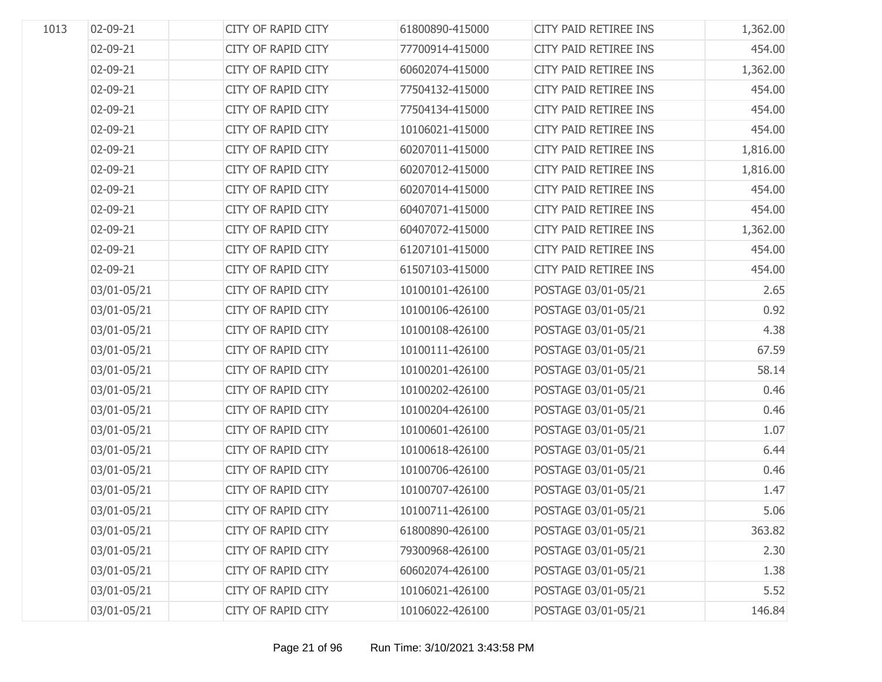| 1013 | 02-09-21    | <b>CITY OF RAPID CITY</b> | 61800890-415000 | CITY PAID RETIREE INS | 1,362.00 |
|------|-------------|---------------------------|-----------------|-----------------------|----------|
|      | 02-09-21    | CITY OF RAPID CITY        | 77700914-415000 | CITY PAID RETIREE INS | 454.00   |
|      | 02-09-21    | CITY OF RAPID CITY        | 60602074-415000 | CITY PAID RETIREE INS | 1,362.00 |
|      | 02-09-21    | CITY OF RAPID CITY        | 77504132-415000 | CITY PAID RETIREE INS | 454.00   |
|      | 02-09-21    | CITY OF RAPID CITY        | 77504134-415000 | CITY PAID RETIREE INS | 454.00   |
|      | 02-09-21    | CITY OF RAPID CITY        | 10106021-415000 | CITY PAID RETIREE INS | 454.00   |
|      | 02-09-21    | CITY OF RAPID CITY        | 60207011-415000 | CITY PAID RETIREE INS | 1,816.00 |
|      | 02-09-21    | CITY OF RAPID CITY        | 60207012-415000 | CITY PAID RETIREE INS | 1,816.00 |
|      | 02-09-21    | CITY OF RAPID CITY        | 60207014-415000 | CITY PAID RETIREE INS | 454.00   |
|      | 02-09-21    | CITY OF RAPID CITY        | 60407071-415000 | CITY PAID RETIREE INS | 454.00   |
|      | 02-09-21    | CITY OF RAPID CITY        | 60407072-415000 | CITY PAID RETIREE INS | 1,362.00 |
|      | 02-09-21    | CITY OF RAPID CITY        | 61207101-415000 | CITY PAID RETIREE INS | 454.00   |
|      | 02-09-21    | CITY OF RAPID CITY        | 61507103-415000 | CITY PAID RETIREE INS | 454.00   |
|      | 03/01-05/21 | CITY OF RAPID CITY        | 10100101-426100 | POSTAGE 03/01-05/21   | 2.65     |
|      | 03/01-05/21 | CITY OF RAPID CITY        | 10100106-426100 | POSTAGE 03/01-05/21   | 0.92     |
|      | 03/01-05/21 | CITY OF RAPID CITY        | 10100108-426100 | POSTAGE 03/01-05/21   | 4.38     |
|      | 03/01-05/21 | CITY OF RAPID CITY        | 10100111-426100 | POSTAGE 03/01-05/21   | 67.59    |
|      | 03/01-05/21 | CITY OF RAPID CITY        | 10100201-426100 | POSTAGE 03/01-05/21   | 58.14    |
|      | 03/01-05/21 | CITY OF RAPID CITY        | 10100202-426100 | POSTAGE 03/01-05/21   | 0.46     |
|      | 03/01-05/21 | CITY OF RAPID CITY        | 10100204-426100 | POSTAGE 03/01-05/21   | 0.46     |
|      | 03/01-05/21 | CITY OF RAPID CITY        | 10100601-426100 | POSTAGE 03/01-05/21   | 1.07     |
|      | 03/01-05/21 | CITY OF RAPID CITY        | 10100618-426100 | POSTAGE 03/01-05/21   | 6.44     |
|      | 03/01-05/21 | CITY OF RAPID CITY        | 10100706-426100 | POSTAGE 03/01-05/21   | 0.46     |
|      | 03/01-05/21 | CITY OF RAPID CITY        | 10100707-426100 | POSTAGE 03/01-05/21   | 1.47     |
|      | 03/01-05/21 | CITY OF RAPID CITY        | 10100711-426100 | POSTAGE 03/01-05/21   | 5.06     |
|      | 03/01-05/21 | <b>CITY OF RAPID CITY</b> | 61800890-426100 | POSTAGE 03/01-05/21   | 363.82   |
|      | 03/01-05/21 | <b>CITY OF RAPID CITY</b> | 79300968-426100 | POSTAGE 03/01-05/21   | 2.30     |
|      | 03/01-05/21 | CITY OF RAPID CITY        | 60602074-426100 | POSTAGE 03/01-05/21   | 1.38     |
|      | 03/01-05/21 | <b>CITY OF RAPID CITY</b> | 10106021-426100 | POSTAGE 03/01-05/21   | 5.52     |
|      | 03/01-05/21 | CITY OF RAPID CITY        | 10106022-426100 | POSTAGE 03/01-05/21   | 146.84   |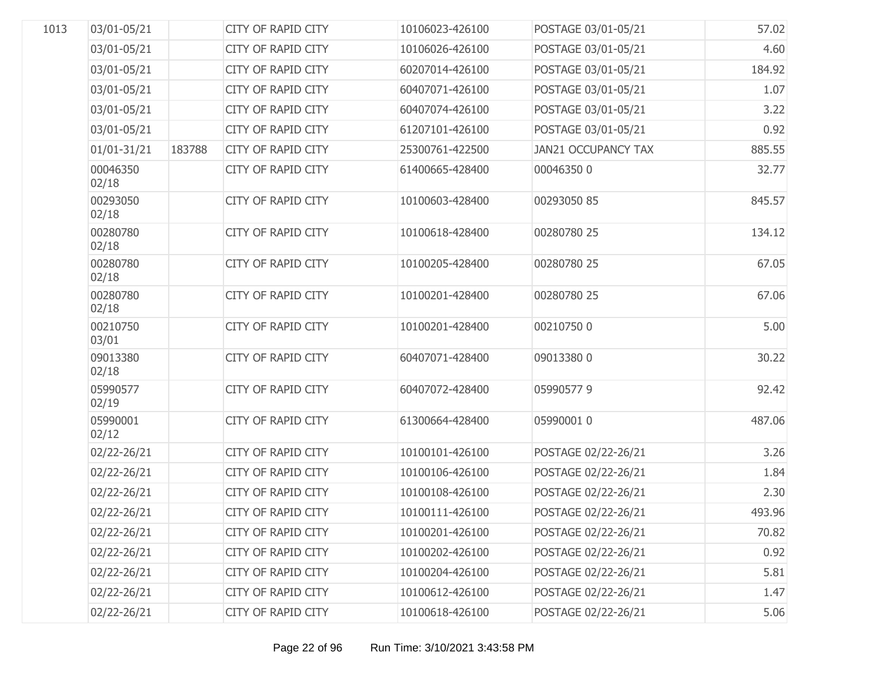| 1013 | 03/01-05/21       |        | <b>CITY OF RAPID CITY</b> | 10106023-426100 | POSTAGE 03/01-05/21        | 57.02  |
|------|-------------------|--------|---------------------------|-----------------|----------------------------|--------|
|      | 03/01-05/21       |        | <b>CITY OF RAPID CITY</b> | 10106026-426100 | POSTAGE 03/01-05/21        | 4.60   |
|      | 03/01-05/21       |        | <b>CITY OF RAPID CITY</b> | 60207014-426100 | POSTAGE 03/01-05/21        | 184.92 |
|      | 03/01-05/21       |        | <b>CITY OF RAPID CITY</b> | 60407071-426100 | POSTAGE 03/01-05/21        | 1.07   |
|      | 03/01-05/21       |        | <b>CITY OF RAPID CITY</b> | 60407074-426100 | POSTAGE 03/01-05/21        | 3.22   |
|      | 03/01-05/21       |        | <b>CITY OF RAPID CITY</b> | 61207101-426100 | POSTAGE 03/01-05/21        | 0.92   |
|      | $01/01 - 31/21$   | 183788 | <b>CITY OF RAPID CITY</b> | 25300761-422500 | <b>JAN21 OCCUPANCY TAX</b> | 885.55 |
|      | 00046350<br>02/18 |        | <b>CITY OF RAPID CITY</b> | 61400665-428400 | 000463500                  | 32.77  |
|      | 00293050<br>02/18 |        | <b>CITY OF RAPID CITY</b> | 10100603-428400 | 00293050 85                | 845.57 |
|      | 00280780<br>02/18 |        | <b>CITY OF RAPID CITY</b> | 10100618-428400 | 00280780 25                | 134.12 |
|      | 00280780<br>02/18 |        | CITY OF RAPID CITY        | 10100205-428400 | 00280780 25                | 67.05  |
|      | 00280780<br>02/18 |        | <b>CITY OF RAPID CITY</b> | 10100201-428400 | 00280780 25                | 67.06  |
|      | 00210750<br>03/01 |        | <b>CITY OF RAPID CITY</b> | 10100201-428400 | 002107500                  | 5.00   |
|      | 09013380<br>02/18 |        | <b>CITY OF RAPID CITY</b> | 60407071-428400 | 09013380 0                 | 30.22  |
|      | 05990577<br>02/19 |        | <b>CITY OF RAPID CITY</b> | 60407072-428400 | 059905779                  | 92.42  |
|      | 05990001<br>02/12 |        | <b>CITY OF RAPID CITY</b> | 61300664-428400 | 05990001 0                 | 487.06 |
|      | 02/22-26/21       |        | <b>CITY OF RAPID CITY</b> | 10100101-426100 | POSTAGE 02/22-26/21        | 3.26   |
|      | 02/22-26/21       |        | <b>CITY OF RAPID CITY</b> | 10100106-426100 | POSTAGE 02/22-26/21        | 1.84   |
|      | 02/22-26/21       |        | <b>CITY OF RAPID CITY</b> | 10100108-426100 | POSTAGE 02/22-26/21        | 2.30   |
|      | 02/22-26/21       |        | <b>CITY OF RAPID CITY</b> | 10100111-426100 | POSTAGE 02/22-26/21        | 493.96 |
|      | 02/22-26/21       |        | <b>CITY OF RAPID CITY</b> | 10100201-426100 | POSTAGE 02/22-26/21        | 70.82  |
|      | 02/22-26/21       |        | CITY OF RAPID CITY        | 10100202-426100 | POSTAGE 02/22-26/21        | 0.92   |
|      | 02/22-26/21       |        | CITY OF RAPID CITY        | 10100204-426100 | POSTAGE 02/22-26/21        | 5.81   |
|      | 02/22-26/21       |        | CITY OF RAPID CITY        | 10100612-426100 | POSTAGE 02/22-26/21        | 1.47   |
|      | 02/22-26/21       |        | CITY OF RAPID CITY        | 10100618-426100 | POSTAGE 02/22-26/21        | 5.06   |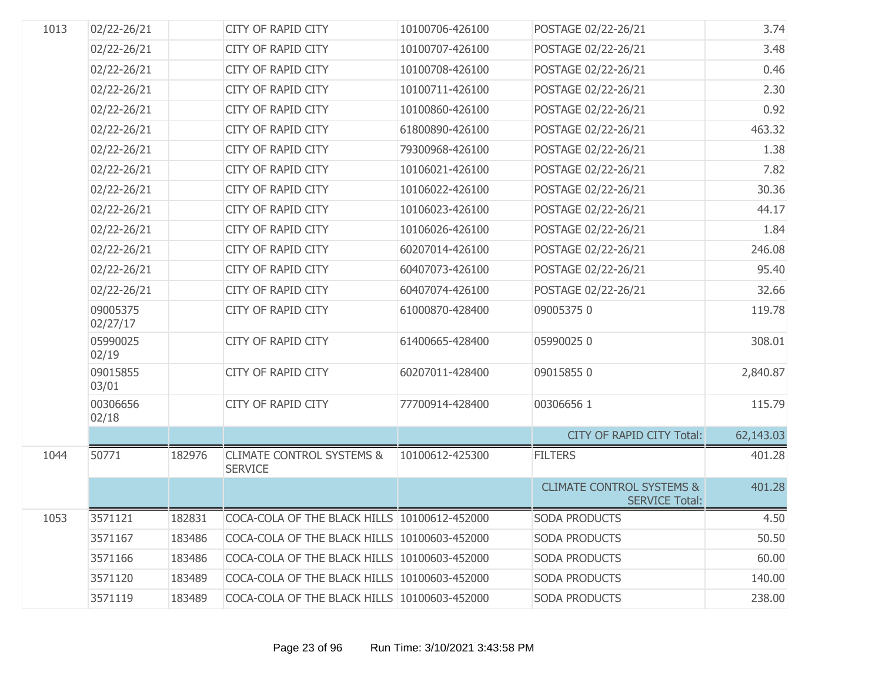| 1013 | 02/22-26/21          |        | <b>CITY OF RAPID CITY</b>                              | 10100706-426100 | POSTAGE 02/22-26/21                                           | 3.74      |
|------|----------------------|--------|--------------------------------------------------------|-----------------|---------------------------------------------------------------|-----------|
|      | 02/22-26/21          |        | <b>CITY OF RAPID CITY</b>                              | 10100707-426100 | POSTAGE 02/22-26/21                                           | 3.48      |
|      | 02/22-26/21          |        | <b>CITY OF RAPID CITY</b>                              | 10100708-426100 | POSTAGE 02/22-26/21                                           | 0.46      |
|      | 02/22-26/21          |        | <b>CITY OF RAPID CITY</b>                              | 10100711-426100 | POSTAGE 02/22-26/21                                           | 2.30      |
|      | 02/22-26/21          |        | <b>CITY OF RAPID CITY</b>                              | 10100860-426100 | POSTAGE 02/22-26/21                                           | 0.92      |
|      | 02/22-26/21          |        | <b>CITY OF RAPID CITY</b>                              | 61800890-426100 | POSTAGE 02/22-26/21                                           | 463.32    |
|      | 02/22-26/21          |        | <b>CITY OF RAPID CITY</b>                              | 79300968-426100 | POSTAGE 02/22-26/21                                           | 1.38      |
|      | 02/22-26/21          |        | <b>CITY OF RAPID CITY</b>                              | 10106021-426100 | POSTAGE 02/22-26/21                                           | 7.82      |
|      | 02/22-26/21          |        | <b>CITY OF RAPID CITY</b>                              | 10106022-426100 | POSTAGE 02/22-26/21                                           | 30.36     |
|      | 02/22-26/21          |        | <b>CITY OF RAPID CITY</b>                              | 10106023-426100 | POSTAGE 02/22-26/21                                           | 44.17     |
|      | 02/22-26/21          |        | <b>CITY OF RAPID CITY</b>                              | 10106026-426100 | POSTAGE 02/22-26/21                                           | 1.84      |
|      | 02/22-26/21          |        | <b>CITY OF RAPID CITY</b>                              | 60207014-426100 | POSTAGE 02/22-26/21                                           | 246.08    |
|      | 02/22-26/21          |        | <b>CITY OF RAPID CITY</b>                              | 60407073-426100 | POSTAGE 02/22-26/21                                           | 95.40     |
|      | 02/22-26/21          |        | <b>CITY OF RAPID CITY</b>                              | 60407074-426100 | POSTAGE 02/22-26/21                                           | 32.66     |
|      | 09005375<br>02/27/17 |        | <b>CITY OF RAPID CITY</b>                              | 61000870-428400 | 090053750                                                     | 119.78    |
|      | 05990025<br>02/19    |        | <b>CITY OF RAPID CITY</b>                              | 61400665-428400 | 059900250                                                     | 308.01    |
|      | 09015855<br>03/01    |        | <b>CITY OF RAPID CITY</b>                              | 60207011-428400 | 090158550                                                     | 2,840.87  |
|      | 00306656<br>02/18    |        | <b>CITY OF RAPID CITY</b>                              | 77700914-428400 | 00306656 1                                                    | 115.79    |
|      |                      |        |                                                        |                 | <b>CITY OF RAPID CITY Total:</b>                              | 62,143.03 |
| 1044 | 50771                | 182976 | <b>CLIMATE CONTROL SYSTEMS &amp;</b><br><b>SERVICE</b> | 10100612-425300 | <b>FILTERS</b>                                                | 401.28    |
|      |                      |        |                                                        |                 | <b>CLIMATE CONTROL SYSTEMS &amp;</b><br><b>SERVICE Total:</b> | 401.28    |
| 1053 | 3571121              | 182831 | COCA-COLA OF THE BLACK HILLS 10100612-452000           |                 | <b>SODA PRODUCTS</b>                                          | 4.50      |
|      | 3571167              | 183486 | COCA-COLA OF THE BLACK HILLS 10100603-452000           |                 | <b>SODA PRODUCTS</b>                                          | 50.50     |
|      | 3571166              | 183486 | COCA-COLA OF THE BLACK HILLS 10100603-452000           |                 | SODA PRODUCTS                                                 | 60.00     |
|      | 3571120              | 183489 | COCA-COLA OF THE BLACK HILLS 10100603-452000           |                 | SODA PRODUCTS                                                 | 140.00    |
|      | 3571119              | 183489 | COCA-COLA OF THE BLACK HILLS 10100603-452000           |                 | SODA PRODUCTS                                                 | 238.00    |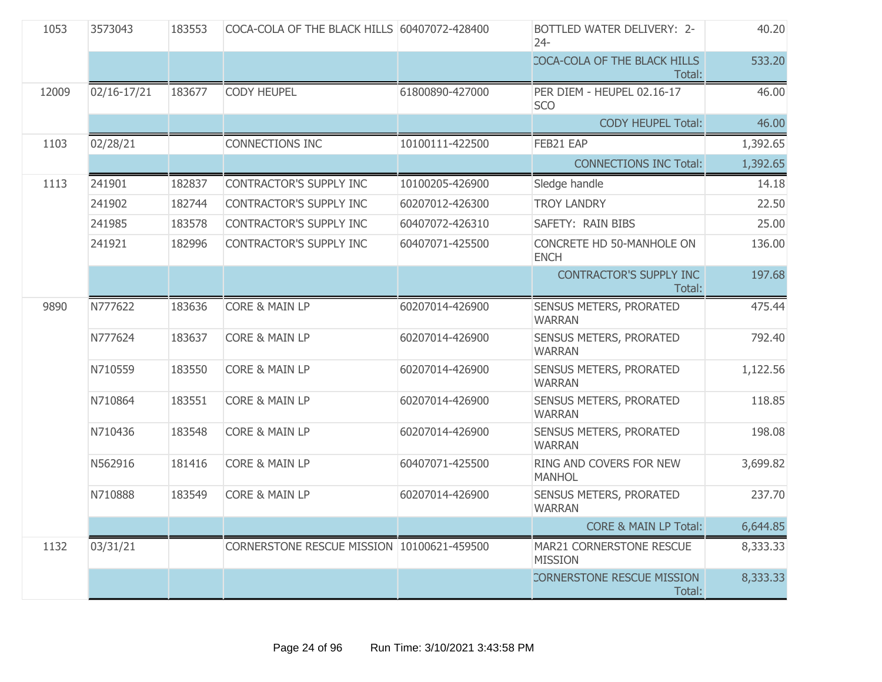| 1053  | 3573043     | 183553 | COCA-COLA OF THE BLACK HILLS 60407072-428400 |                 | BOTTLED WATER DELIVERY: 2-<br>$24 -$       | 40.20    |
|-------|-------------|--------|----------------------------------------------|-----------------|--------------------------------------------|----------|
|       |             |        |                                              |                 | COCA-COLA OF THE BLACK HILLS<br>Total:     | 533.20   |
| 12009 | 02/16-17/21 | 183677 | <b>CODY HEUPEL</b>                           | 61800890-427000 | PER DIEM - HEUPEL 02.16-17<br><b>SCO</b>   | 46.00    |
|       |             |        |                                              |                 | <b>CODY HEUPEL Total:</b>                  | 46.00    |
| 1103  | 02/28/21    |        | <b>CONNECTIONS INC</b>                       | 10100111-422500 | FEB21 EAP                                  | 1,392.65 |
|       |             |        |                                              |                 | <b>CONNECTIONS INC Total:</b>              | 1,392.65 |
| 1113  | 241901      | 182837 | CONTRACTOR'S SUPPLY INC                      | 10100205-426900 | Sledge handle                              | 14.18    |
|       | 241902      | 182744 | CONTRACTOR'S SUPPLY INC                      | 60207012-426300 | <b>TROY LANDRY</b>                         | 22.50    |
|       | 241985      | 183578 | CONTRACTOR'S SUPPLY INC                      | 60407072-426310 | SAFETY: RAIN BIBS                          | 25.00    |
|       | 241921      | 182996 | CONTRACTOR'S SUPPLY INC                      | 60407071-425500 | CONCRETE HD 50-MANHOLE ON<br><b>ENCH</b>   | 136.00   |
|       |             |        |                                              |                 | <b>CONTRACTOR'S SUPPLY INC</b><br>Total:   | 197.68   |
| 9890  | N777622     | 183636 | <b>CORE &amp; MAIN LP</b>                    | 60207014-426900 | SENSUS METERS, PRORATED<br><b>WARRAN</b>   | 475.44   |
|       | N777624     | 183637 | <b>CORE &amp; MAIN LP</b>                    | 60207014-426900 | SENSUS METERS, PRORATED<br><b>WARRAN</b>   | 792.40   |
|       | N710559     | 183550 | <b>CORE &amp; MAIN LP</b>                    | 60207014-426900 | SENSUS METERS, PRORATED<br><b>WARRAN</b>   | 1,122.56 |
|       | N710864     | 183551 | <b>CORE &amp; MAIN LP</b>                    | 60207014-426900 | SENSUS METERS, PRORATED<br><b>WARRAN</b>   | 118.85   |
|       | N710436     | 183548 | <b>CORE &amp; MAIN LP</b>                    | 60207014-426900 | SENSUS METERS, PRORATED<br><b>WARRAN</b>   | 198.08   |
|       | N562916     | 181416 | CORE & MAIN LP                               | 60407071-425500 | RING AND COVERS FOR NEW<br><b>MANHOL</b>   | 3,699.82 |
|       | N710888     | 183549 | <b>CORE &amp; MAIN LP</b>                    | 60207014-426900 | SENSUS METERS, PRORATED<br><b>WARRAN</b>   | 237.70   |
|       |             |        |                                              |                 | <b>CORE &amp; MAIN LP Total:</b>           | 6,644.85 |
| 1132  | 03/31/21    |        | CORNERSTONE RESCUE MISSION 10100621-459500   |                 | MAR21 CORNERSTONE RESCUE<br><b>MISSION</b> | 8,333.33 |
|       |             |        |                                              |                 | CORNERSTONE RESCUE MISSION<br>Total:       | 8,333.33 |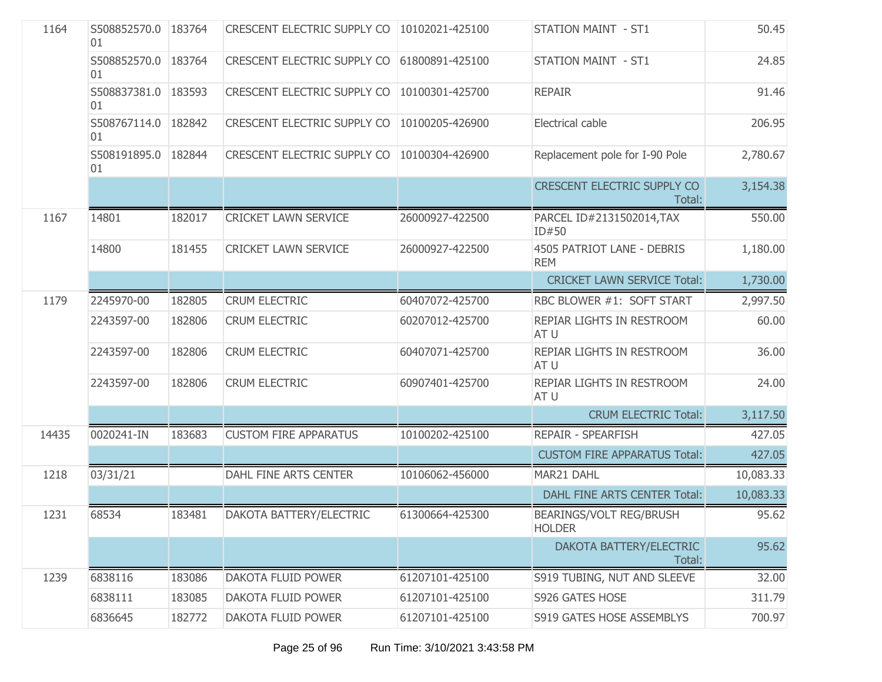| 1164  | S508852570.0 183764<br>01   |        | CRESCENT ELECTRIC SUPPLY CO        | 10102021-425100 | <b>STATION MAINT - ST1</b>               | 50.45     |
|-------|-----------------------------|--------|------------------------------------|-----------------|------------------------------------------|-----------|
|       | S508852570.0 183764<br>01   |        | <b>CRESCENT ELECTRIC SUPPLY CO</b> | 61800891-425100 | <b>STATION MAINT - ST1</b>               | 24.85     |
|       | S508837381.0<br>01          | 183593 | CRESCENT ELECTRIC SUPPLY CO        | 10100301-425700 | <b>REPAIR</b>                            | 91.46     |
|       | S508767114.0   182842<br>01 |        | CRESCENT ELECTRIC SUPPLY CO        | 10100205-426900 | Electrical cable                         | 206.95    |
|       | S508191895.0 182844<br>01   |        | CRESCENT ELECTRIC SUPPLY CO        | 10100304-426900 | Replacement pole for I-90 Pole           | 2,780.67  |
|       |                             |        |                                    |                 | CRESCENT ELECTRIC SUPPLY CO<br>Total:    | 3,154.38  |
| 1167  | 14801                       | 182017 | <b>CRICKET LAWN SERVICE</b>        | 26000927-422500 | PARCEL ID#2131502014, TAX<br>ID#50       | 550.00    |
|       | 14800                       | 181455 | <b>CRICKET LAWN SERVICE</b>        | 26000927-422500 | 4505 PATRIOT LANE - DEBRIS<br><b>REM</b> | 1,180.00  |
|       |                             |        |                                    |                 | <b>CRICKET LAWN SERVICE Total:</b>       | 1,730.00  |
| 1179  | 2245970-00                  | 182805 | <b>CRUM ELECTRIC</b>               | 60407072-425700 | RBC BLOWER #1: SOFT START                | 2,997.50  |
|       | 2243597-00                  | 182806 | <b>CRUM ELECTRIC</b>               | 60207012-425700 | REPIAR LIGHTS IN RESTROOM<br>AT U        | 60.00     |
|       | 2243597-00                  | 182806 | <b>CRUM ELECTRIC</b>               | 60407071-425700 | REPIAR LIGHTS IN RESTROOM<br>AT U        | 36.00     |
|       | 2243597-00                  | 182806 | <b>CRUM ELECTRIC</b>               | 60907401-425700 | REPIAR LIGHTS IN RESTROOM<br>AT U        | 24.00     |
|       |                             |        |                                    |                 | <b>CRUM ELECTRIC Total:</b>              | 3,117.50  |
| 14435 | 0020241-IN                  | 183683 | <b>CUSTOM FIRE APPARATUS</b>       | 10100202-425100 | <b>REPAIR - SPEARFISH</b>                | 427.05    |
|       |                             |        |                                    |                 | <b>CUSTOM FIRE APPARATUS Total:</b>      | 427.05    |
| 1218  | 03/31/21                    |        | DAHL FINE ARTS CENTER              | 10106062-456000 | MAR21 DAHL                               | 10,083.33 |
|       |                             |        |                                    |                 | DAHL FINE ARTS CENTER Total:             | 10,083.33 |
| 1231  | 68534                       | 183481 | DAKOTA BATTERY/ELECTRIC            | 61300664-425300 | BEARINGS/VOLT REG/BRUSH<br><b>HOLDER</b> | 95.62     |
|       |                             |        |                                    |                 | DAKOTA BATTERY/ELECTRIC<br>Total:        | 95.62     |
| 1239  | 6838116                     | 183086 | DAKOTA FLUID POWER                 | 61207101-425100 | S919 TUBING, NUT AND SLEEVE              | 32.00     |
|       | 6838111                     | 183085 | DAKOTA FLUID POWER                 | 61207101-425100 | S926 GATES HOSE                          | 311.79    |
|       | 6836645                     | 182772 | DAKOTA FLUID POWER                 | 61207101-425100 | S919 GATES HOSE ASSEMBLYS                | 700.97    |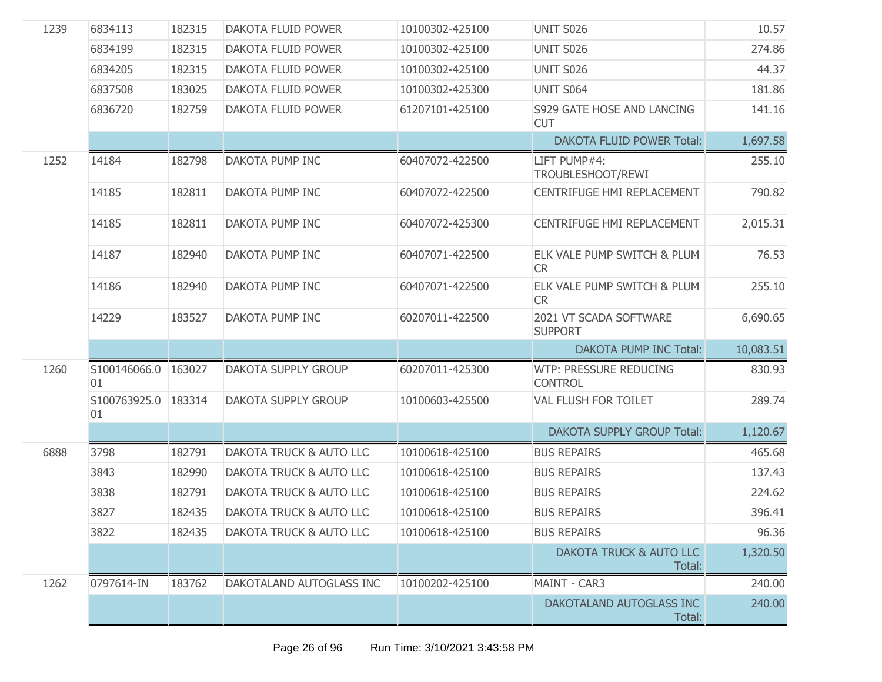| 1239 | 6834113                   | 182315 | <b>DAKOTA FLUID POWER</b>          | 10100302-425100 | <b>UNIT S026</b>                                | 10.57     |
|------|---------------------------|--------|------------------------------------|-----------------|-------------------------------------------------|-----------|
|      | 6834199                   | 182315 | <b>DAKOTA FLUID POWER</b>          | 10100302-425100 | <b>UNIT S026</b>                                | 274.86    |
|      | 6834205                   | 182315 | <b>DAKOTA FLUID POWER</b>          | 10100302-425100 | <b>UNIT S026</b>                                | 44.37     |
|      | 6837508                   | 183025 | <b>DAKOTA FLUID POWER</b>          | 10100302-425300 | UNIT S064                                       | 181.86    |
|      | 6836720                   | 182759 | DAKOTA FLUID POWER                 | 61207101-425100 | S929 GATE HOSE AND LANCING<br><b>CUT</b>        | 141.16    |
|      |                           |        |                                    |                 | <b>DAKOTA FLUID POWER Total:</b>                | 1,697.58  |
| 1252 | 14184                     | 182798 | DAKOTA PUMP INC                    | 60407072-422500 | LIFT PUMP#4:<br>TROUBLESHOOT/REWI               | 255.10    |
|      | 14185                     | 182811 | DAKOTA PUMP INC                    | 60407072-422500 | CENTRIFUGE HMI REPLACEMENT                      | 790.82    |
|      | 14185                     | 182811 | DAKOTA PUMP INC                    | 60407072-425300 | CENTRIFUGE HMI REPLACEMENT                      | 2,015.31  |
|      | 14187                     | 182940 | DAKOTA PUMP INC                    | 60407071-422500 | ELK VALE PUMP SWITCH & PLUM<br><b>CR</b>        | 76.53     |
|      | 14186                     | 182940 | DAKOTA PUMP INC                    | 60407071-422500 | ELK VALE PUMP SWITCH & PLUM<br><b>CR</b>        | 255.10    |
|      | 14229                     | 183527 | DAKOTA PUMP INC                    | 60207011-422500 | 2021 VT SCADA SOFTWARE<br><b>SUPPORT</b>        | 6,690.65  |
|      |                           |        |                                    |                 | <b>DAKOTA PUMP INC Total:</b>                   | 10,083.51 |
| 1260 | S100146066.0 163027<br>01 |        | <b>DAKOTA SUPPLY GROUP</b>         | 60207011-425300 | <b>WTP: PRESSURE REDUCING</b><br><b>CONTROL</b> | 830.93    |
|      | S100763925.0<br>01        | 183314 | <b>DAKOTA SUPPLY GROUP</b>         | 10100603-425500 | VAL FLUSH FOR TOILET                            | 289.74    |
|      |                           |        |                                    |                 | <b>DAKOTA SUPPLY GROUP Total:</b>               | 1,120.67  |
| 6888 | 3798                      | 182791 | DAKOTA TRUCK & AUTO LLC            | 10100618-425100 | <b>BUS REPAIRS</b>                              | 465.68    |
|      | 3843                      | 182990 | DAKOTA TRUCK & AUTO LLC            | 10100618-425100 | <b>BUS REPAIRS</b>                              | 137.43    |
|      | 3838                      | 182791 | DAKOTA TRUCK & AUTO LLC            | 10100618-425100 | <b>BUS REPAIRS</b>                              | 224.62    |
|      | 3827                      | 182435 | <b>DAKOTA TRUCK &amp; AUTO LLC</b> | 10100618-425100 | <b>BUS REPAIRS</b>                              | 396.41    |
|      | 3822                      | 182435 | <b>DAKOTA TRUCK &amp; AUTO LLC</b> | 10100618-425100 | <b>BUS REPAIRS</b>                              | 96.36     |
|      |                           |        |                                    |                 | <b>DAKOTA TRUCK &amp; AUTO LLC</b><br>Total:    | 1,320.50  |
| 1262 | 0797614-IN                | 183762 | DAKOTALAND AUTOGLASS INC           | 10100202-425100 | MAINT - CAR3                                    | 240.00    |
|      |                           |        |                                    |                 | DAKOTALAND AUTOGLASS INC<br>Total:              | 240.00    |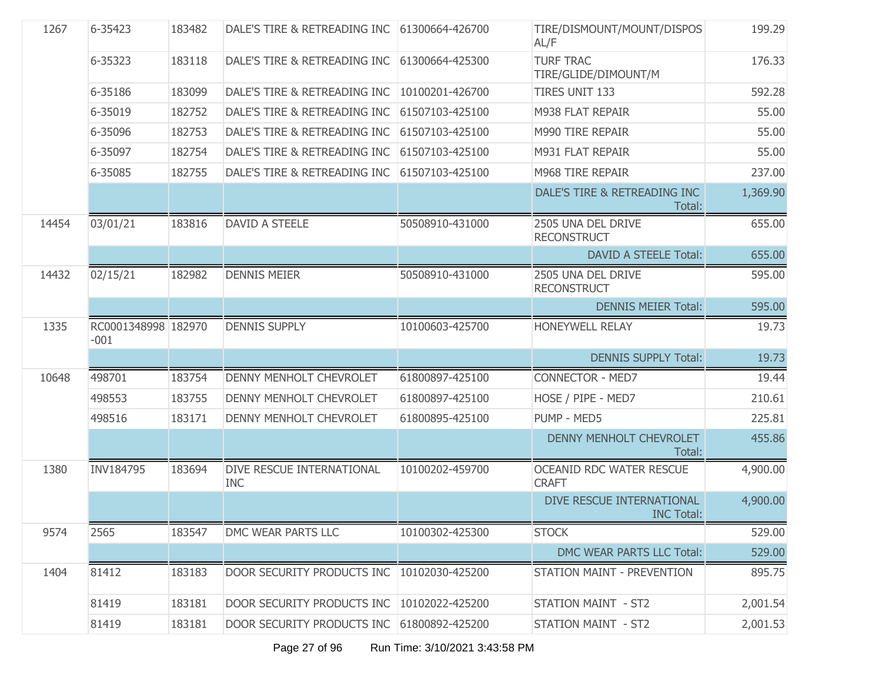| 1267  | 6-35423                       | 183482 | DALE'S TIRE & RETREADING INC               | 61300664-426700 | TIRE/DISMOUNT/MOUNT/DISPOS<br>AL/F             | 199.29   |
|-------|-------------------------------|--------|--------------------------------------------|-----------------|------------------------------------------------|----------|
|       | 6-35323                       | 183118 | DALE'S TIRE & RETREADING INC               | 61300664-425300 | <b>TURF TRAC</b><br>TIRE/GLIDE/DIMOUNT/M       | 176.33   |
|       | 6-35186                       | 183099 | DALE'S TIRE & RETREADING INC               | 10100201-426700 | <b>TIRES UNIT 133</b>                          | 592.28   |
|       | 6-35019                       | 182752 | DALE'S TIRE & RETREADING INC               | 61507103-425100 | M938 FLAT REPAIR                               | 55.00    |
|       | 6-35096                       | 182753 | DALE'S TIRE & RETREADING INC               | 61507103-425100 | M990 TIRE REPAIR                               | 55.00    |
|       | 6-35097                       | 182754 | DALE'S TIRE & RETREADING INC               | 61507103-425100 | M931 FLAT REPAIR                               | 55.00    |
|       | 6-35085                       | 182755 | DALE'S TIRE & RETREADING INC               | 61507103-425100 | M968 TIRE REPAIR                               | 237.00   |
|       |                               |        |                                            |                 | DALE'S TIRE & RETREADING INC<br>Total:         | 1,369.90 |
| 14454 | 03/01/21                      | 183816 | <b>DAVID A STEELE</b>                      | 50508910-431000 | 2505 UNA DEL DRIVE<br><b>RECONSTRUCT</b>       | 655.00   |
|       |                               |        |                                            |                 | <b>DAVID A STEELE Total:</b>                   | 655.00   |
| 14432 | 02/15/21                      | 182982 | <b>DENNIS MEIER</b>                        | 50508910-431000 | 2505 UNA DEL DRIVE<br><b>RECONSTRUCT</b>       | 595.00   |
|       |                               |        |                                            |                 | <b>DENNIS MEIER Total:</b>                     | 595.00   |
| 1335  | RC0001348998 182970<br>$-001$ |        | <b>DENNIS SUPPLY</b>                       | 10100603-425700 | <b>HONEYWELL RELAY</b>                         | 19.73    |
|       |                               |        |                                            |                 | <b>DENNIS SUPPLY Total:</b>                    | 19.73    |
| 10648 | 498701                        | 183754 | <b>DENNY MENHOLT CHEVROLET</b>             | 61800897-425100 | <b>CONNECTOR - MED7</b>                        | 19.44    |
|       | 498553                        | 183755 | DENNY MENHOLT CHEVROLET                    | 61800897-425100 | HOSE / PIPE - MED7                             | 210.61   |
|       | 498516                        | 183171 | DENNY MENHOLT CHEVROLET                    | 61800895-425100 | PUMP - MED5                                    | 225.81   |
|       |                               |        |                                            |                 | DENNY MENHOLT CHEVROLET<br>Total:              | 455.86   |
| 1380  | INV184795                     | 183694 | DIVE RESCUE INTERNATIONAL<br><b>INC</b>    | 10100202-459700 | OCEANID RDC WATER RESCUE<br><b>CRAFT</b>       | 4,900.00 |
|       |                               |        |                                            |                 | DIVE RESCUE INTERNATIONAL<br><b>INC Total:</b> | 4,900.00 |
| 9574  | 2565                          | 183547 | DMC WEAR PARTS LLC                         | 10100302-425300 | <b>STOCK</b>                                   | 529.00   |
|       |                               |        |                                            |                 | DMC WEAR PARTS LLC Total:                      | 529.00   |
| 1404  | 81412                         | 183183 | DOOR SECURITY PRODUCTS INC 10102030-425200 |                 | <b>STATION MAINT - PREVENTION</b>              | 895.75   |
|       | 81419                         | 183181 | DOOR SECURITY PRODUCTS INC                 | 10102022-425200 | <b>STATION MAINT - ST2</b>                     | 2,001.54 |
|       | 81419                         | 183181 | DOOR SECURITY PRODUCTS INC                 | 61800892-425200 | STATION MAINT - ST2                            | 2,001.53 |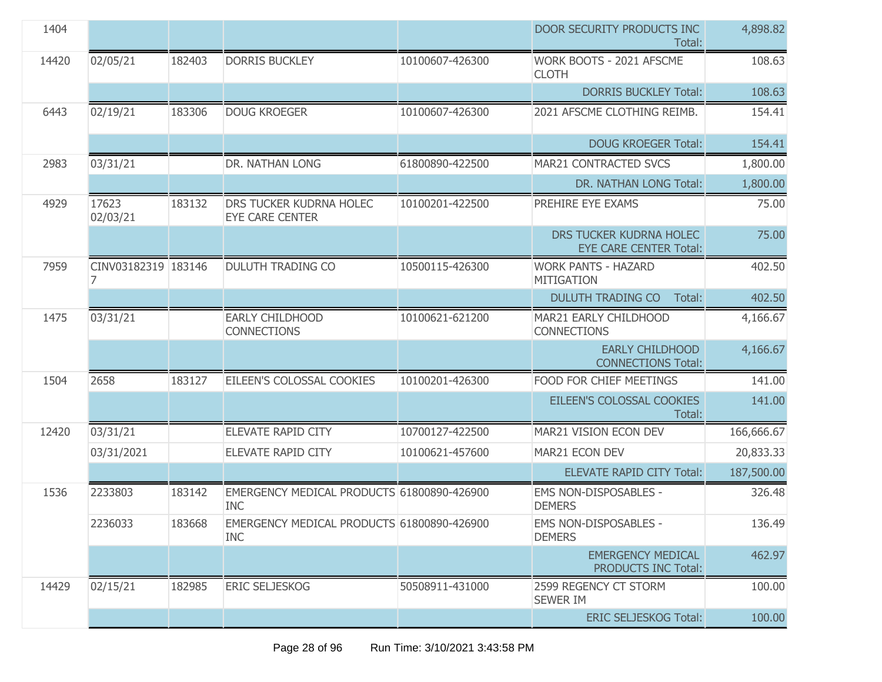| 1404  |                     |        |                                                          |                 | DOOR SECURITY PRODUCTS INC<br>Total:                     | 4,898.82   |
|-------|---------------------|--------|----------------------------------------------------------|-----------------|----------------------------------------------------------|------------|
| 14420 | 02/05/21            | 182403 | <b>DORRIS BUCKLEY</b>                                    | 10100607-426300 | WORK BOOTS - 2021 AFSCME<br><b>CLOTH</b>                 | 108.63     |
|       |                     |        |                                                          |                 | <b>DORRIS BUCKLEY Total:</b>                             | 108.63     |
| 6443  | 02/19/21            | 183306 | <b>DOUG KROEGER</b>                                      | 10100607-426300 | 2021 AFSCME CLOTHING REIMB.                              | 154.41     |
|       |                     |        |                                                          |                 | <b>DOUG KROEGER Total:</b>                               | 154.41     |
| 2983  | 03/31/21            |        | DR. NATHAN LONG                                          | 61800890-422500 | MAR21 CONTRACTED SVCS                                    | 1,800.00   |
|       |                     |        |                                                          |                 | DR. NATHAN LONG Total:                                   | 1,800.00   |
| 4929  | 17623<br>02/03/21   | 183132 | DRS TUCKER KUDRNA HOLEC<br><b>EYE CARE CENTER</b>        | 10100201-422500 | PREHIRE EYE EXAMS                                        | 75.00      |
|       |                     |        |                                                          |                 | DRS TUCKER KUDRNA HOLEC<br><b>EYE CARE CENTER Total:</b> | 75.00      |
| 7959  | CINV03182319 183146 |        | <b>DULUTH TRADING CO</b>                                 | 10500115-426300 | <b>WORK PANTS - HAZARD</b><br><b>MITIGATION</b>          | 402.50     |
|       |                     |        |                                                          |                 | <b>DULUTH TRADING CO</b><br>Total:                       | 402.50     |
| 1475  | 03/31/21            |        | EARLY CHILDHOOD<br><b>CONNECTIONS</b>                    | 10100621-621200 | MAR21 EARLY CHILDHOOD<br><b>CONNECTIONS</b>              | 4,166.67   |
|       |                     |        |                                                          |                 | <b>EARLY CHILDHOOD</b><br><b>CONNECTIONS Total:</b>      | 4,166.67   |
| 1504  | 2658                | 183127 | EILEEN'S COLOSSAL COOKIES                                | 10100201-426300 | FOOD FOR CHIEF MEETINGS                                  | 141.00     |
|       |                     |        |                                                          |                 | EILEEN'S COLOSSAL COOKIES<br>Total:                      | 141.00     |
| 12420 | 03/31/21            |        | <b>ELEVATE RAPID CITY</b>                                | 10700127-422500 | MAR21 VISION ECON DEV                                    | 166,666.67 |
|       | 03/31/2021          |        | <b>ELEVATE RAPID CITY</b>                                | 10100621-457600 | MAR21 ECON DEV                                           | 20,833.33  |
|       |                     |        |                                                          |                 | <b>ELEVATE RAPID CITY Total:</b>                         | 187,500.00 |
| 1536  | 2233803             | 183142 | EMERGENCY MEDICAL PRODUCTS 61800890-426900<br><b>INC</b> |                 | EMS NON-DISPOSABLES -<br><b>DEMERS</b>                   | 326.48     |
|       | 2236033             | 183668 | EMERGENCY MEDICAL PRODUCTS 61800890-426900<br><b>INC</b> |                 | EMS NON-DISPOSABLES -<br><b>DEMERS</b>                   | 136.49     |
|       |                     |        |                                                          |                 | <b>EMERGENCY MEDICAL</b><br>PRODUCTS INC Total:          | 462.97     |
| 14429 | 02/15/21            | 182985 | <b>ERIC SELJESKOG</b>                                    | 50508911-431000 | 2599 REGENCY CT STORM<br><b>SEWER IM</b>                 | 100.00     |
|       |                     |        |                                                          |                 | <b>ERIC SELJESKOG Total:</b>                             | 100.00     |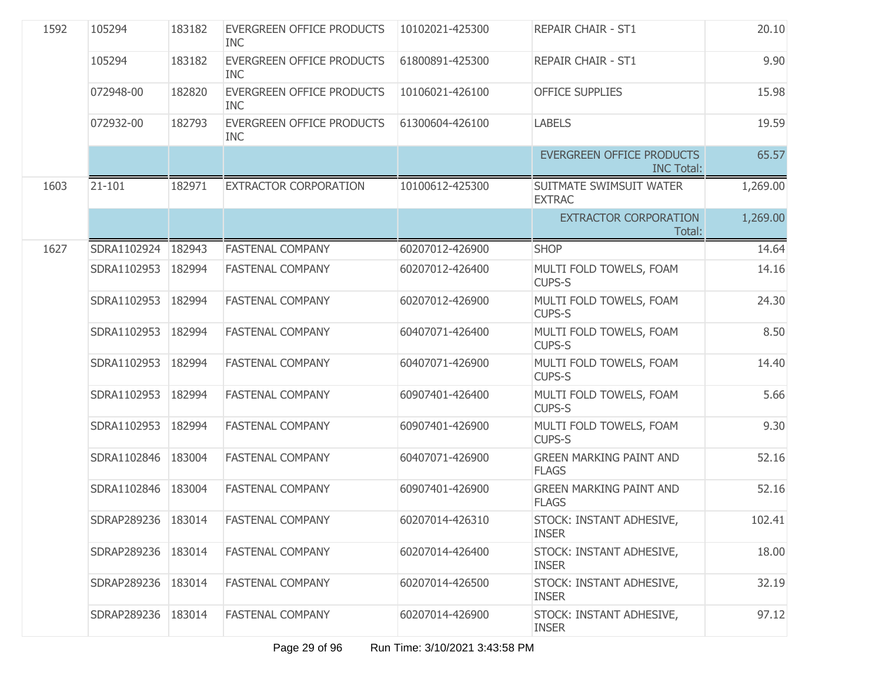| 1592 | 105294             | 183182 | EVERGREEN OFFICE PRODUCTS<br><b>INC</b> | 10102021-425300 | <b>REPAIR CHAIR - ST1</b>                             | 20.10    |
|------|--------------------|--------|-----------------------------------------|-----------------|-------------------------------------------------------|----------|
|      | 105294             | 183182 | EVERGREEN OFFICE PRODUCTS<br><b>INC</b> | 61800891-425300 | <b>REPAIR CHAIR - ST1</b>                             | 9.90     |
|      | 072948-00          | 182820 | EVERGREEN OFFICE PRODUCTS<br><b>INC</b> | 10106021-426100 | <b>OFFICE SUPPLIES</b>                                | 15.98    |
|      | 072932-00          | 182793 | EVERGREEN OFFICE PRODUCTS<br><b>INC</b> | 61300604-426100 | <b>LABELS</b>                                         | 19.59    |
|      |                    |        |                                         |                 | <b>EVERGREEN OFFICE PRODUCTS</b><br><b>INC Total:</b> | 65.57    |
| 1603 | $21 - 101$         | 182971 | EXTRACTOR CORPORATION                   | 10100612-425300 | SUITMATE SWIMSUIT WATER<br><b>EXTRAC</b>              | 1,269.00 |
|      |                    |        |                                         |                 | <b>EXTRACTOR CORPORATION</b><br>Total:                | 1,269.00 |
| 1627 | SDRA1102924        | 182943 | <b>FASTENAL COMPANY</b>                 | 60207012-426900 | <b>SHOP</b>                                           | 14.64    |
|      | SDRA1102953        | 182994 | <b>FASTENAL COMPANY</b>                 | 60207012-426400 | MULTI FOLD TOWELS, FOAM<br><b>CUPS-S</b>              | 14.16    |
|      | SDRA1102953        | 182994 | <b>FASTENAL COMPANY</b>                 | 60207012-426900 | MULTI FOLD TOWELS, FOAM<br><b>CUPS-S</b>              | 24.30    |
|      | SDRA1102953        | 182994 | FASTENAL COMPANY                        | 60407071-426400 | MULTI FOLD TOWELS, FOAM<br><b>CUPS-S</b>              | 8.50     |
|      | SDRA1102953        | 182994 | <b>FASTENAL COMPANY</b>                 | 60407071-426900 | MULTI FOLD TOWELS, FOAM<br><b>CUPS-S</b>              | 14.40    |
|      | SDRA1102953        | 182994 | <b>FASTENAL COMPANY</b>                 | 60907401-426400 | MULTI FOLD TOWELS, FOAM<br><b>CUPS-S</b>              | 5.66     |
|      | SDRA1102953        | 182994 | <b>FASTENAL COMPANY</b>                 | 60907401-426900 | MULTI FOLD TOWELS, FOAM<br><b>CUPS-S</b>              | 9.30     |
|      | SDRA1102846        | 183004 | <b>FASTENAL COMPANY</b>                 | 60407071-426900 | <b>GREEN MARKING PAINT AND</b><br><b>FLAGS</b>        | 52.16    |
|      | SDRA1102846        | 183004 | <b>FASTENAL COMPANY</b>                 | 60907401-426900 | <b>GREEN MARKING PAINT AND</b><br><b>FLAGS</b>        | 52.16    |
|      | SDRAP289236 183014 |        | FASTENAL COMPANY                        | 60207014-426310 | STOCK: INSTANT ADHESIVE,<br><b>INSER</b>              | 102.41   |
|      | SDRAP289236        | 183014 | <b>FASTENAL COMPANY</b>                 | 60207014-426400 | STOCK: INSTANT ADHESIVE,<br><b>INSER</b>              | 18.00    |
|      | SDRAP289236        | 183014 | <b>FASTENAL COMPANY</b>                 | 60207014-426500 | STOCK: INSTANT ADHESIVE,<br><b>INSER</b>              | 32.19    |
|      | SDRAP289236        | 183014 | FASTENAL COMPANY                        | 60207014-426900 | STOCK: INSTANT ADHESIVE,<br><b>INSER</b>              | 97.12    |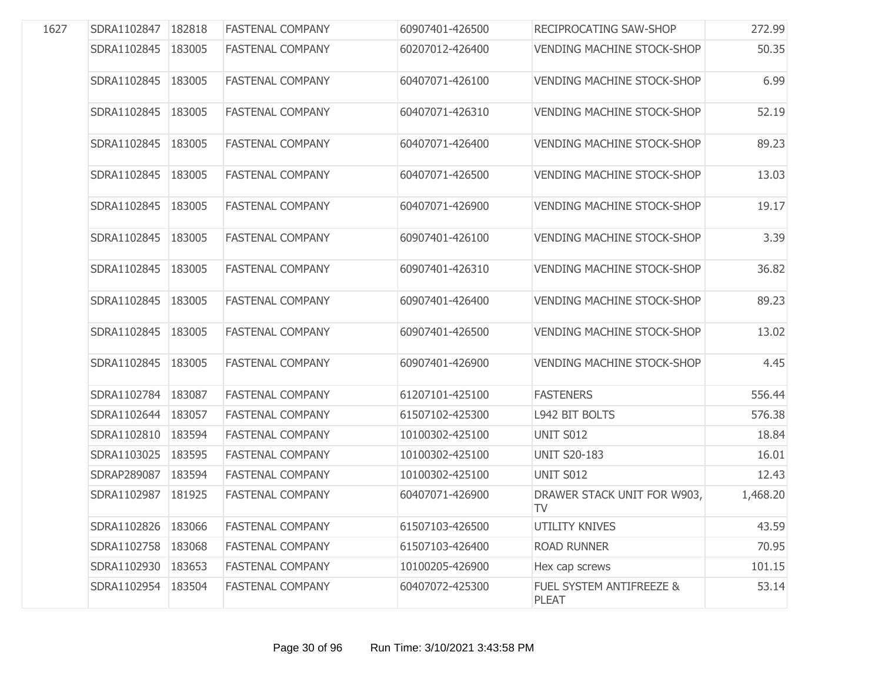| 1627 | SDRA1102847          | 182818 | <b>FASTENAL COMPANY</b> | 60907401-426500 | RECIPROCATING SAW-SHOP            | 272.99   |
|------|----------------------|--------|-------------------------|-----------------|-----------------------------------|----------|
|      | SDRA1102845          | 183005 | <b>FASTENAL COMPANY</b> | 60207012-426400 | <b>VENDING MACHINE STOCK-SHOP</b> | 50.35    |
|      | SDRA1102845          | 183005 | <b>FASTENAL COMPANY</b> | 60407071-426100 | <b>VENDING MACHINE STOCK-SHOP</b> | 6.99     |
|      | SDRA1102845          | 183005 | <b>FASTENAL COMPANY</b> | 60407071-426310 | <b>VENDING MACHINE STOCK-SHOP</b> | 52.19    |
|      | SDRA1102845          | 183005 | <b>FASTENAL COMPANY</b> | 60407071-426400 | <b>VENDING MACHINE STOCK-SHOP</b> | 89.23    |
|      | SDRA1102845          | 183005 | <b>FASTENAL COMPANY</b> | 60407071-426500 | <b>VENDING MACHINE STOCK-SHOP</b> | 13.03    |
|      | SDRA1102845          | 183005 | <b>FASTENAL COMPANY</b> | 60407071-426900 | <b>VENDING MACHINE STOCK-SHOP</b> | 19.17    |
|      | SDRA1102845          | 183005 | <b>FASTENAL COMPANY</b> | 60907401-426100 | <b>VENDING MACHINE STOCK-SHOP</b> | 3.39     |
|      | SDRA1102845          | 183005 | <b>FASTENAL COMPANY</b> | 60907401-426310 | <b>VENDING MACHINE STOCK-SHOP</b> | 36.82    |
|      | SDRA1102845          | 183005 | <b>FASTENAL COMPANY</b> | 60907401-426400 | <b>VENDING MACHINE STOCK-SHOP</b> | 89.23    |
|      | SDRA1102845          | 183005 | <b>FASTENAL COMPANY</b> | 60907401-426500 | <b>VENDING MACHINE STOCK-SHOP</b> | 13.02    |
|      | SDRA1102845          | 183005 | <b>FASTENAL COMPANY</b> | 60907401-426900 | <b>VENDING MACHINE STOCK-SHOP</b> | 4.45     |
|      | SDRA1102784          | 183087 | <b>FASTENAL COMPANY</b> | 61207101-425100 | <b>FASTENERS</b>                  | 556.44   |
|      | SDRA1102644   183057 |        | <b>FASTENAL COMPANY</b> | 61507102-425300 | L942 BIT BOLTS                    | 576.38   |
|      | SDRA1102810          | 183594 | <b>FASTENAL COMPANY</b> | 10100302-425100 | UNIT S012                         | 18.84    |
|      | SDRA1103025          | 183595 | <b>FASTENAL COMPANY</b> | 10100302-425100 | <b>UNIT S20-183</b>               | 16.01    |
|      | SDRAP289087          | 183594 | <b>FASTENAL COMPANY</b> | 10100302-425100 | <b>UNIT S012</b>                  | 12.43    |
|      | SDRA1102987          | 181925 | <b>FASTENAL COMPANY</b> | 60407071-426900 | DRAWER STACK UNIT FOR W903,<br>TV | 1,468.20 |
|      | SDRA1102826          | 183066 | <b>FASTENAL COMPANY</b> | 61507103-426500 | <b>UTILITY KNIVES</b>             | 43.59    |
|      | SDRA1102758          | 183068 | <b>FASTENAL COMPANY</b> | 61507103-426400 | <b>ROAD RUNNER</b>                | 70.95    |
|      | SDRA1102930          | 183653 | <b>FASTENAL COMPANY</b> | 10100205-426900 | Hex cap screws                    | 101.15   |
|      | SDRA1102954          | 183504 | <b>FASTENAL COMPANY</b> | 60407072-425300 | FUEL SYSTEM ANTIFREEZE &<br>PLEAT | 53.14    |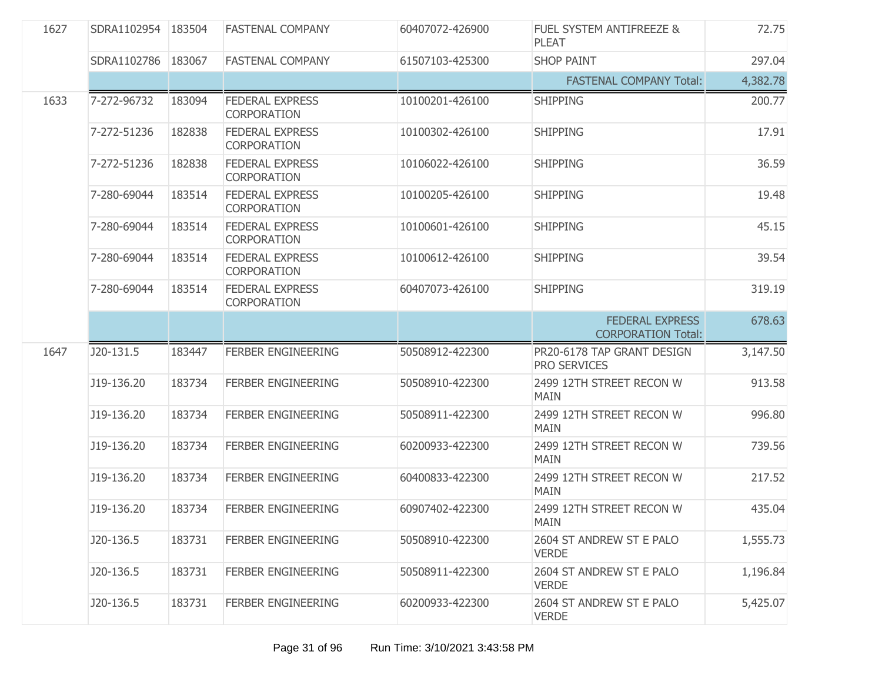| 1627 | SDRA1102954 183504 |        | <b>FASTENAL COMPANY</b>                      | 60407072-426900 | FUEL SYSTEM ANTIFREEZE &<br><b>PLEAT</b>            | 72.75    |
|------|--------------------|--------|----------------------------------------------|-----------------|-----------------------------------------------------|----------|
|      | SDRA1102786        | 183067 | <b>FASTENAL COMPANY</b>                      | 61507103-425300 | <b>SHOP PAINT</b>                                   | 297.04   |
|      |                    |        |                                              |                 | <b>FASTENAL COMPANY Total:</b>                      | 4,382.78 |
| 1633 | 7-272-96732        | 183094 | <b>FEDERAL EXPRESS</b><br>CORPORATION        | 10100201-426100 | <b>SHIPPING</b>                                     | 200.77   |
|      | 7-272-51236        | 182838 | <b>FEDERAL EXPRESS</b><br><b>CORPORATION</b> | 10100302-426100 | <b>SHIPPING</b>                                     | 17.91    |
|      | 7-272-51236        | 182838 | <b>FEDERAL EXPRESS</b><br><b>CORPORATION</b> | 10106022-426100 | <b>SHIPPING</b>                                     | 36.59    |
|      | 7-280-69044        | 183514 | <b>FEDERAL EXPRESS</b><br><b>CORPORATION</b> | 10100205-426100 | <b>SHIPPING</b>                                     | 19.48    |
|      | 7-280-69044        | 183514 | <b>FEDERAL EXPRESS</b><br><b>CORPORATION</b> | 10100601-426100 | <b>SHIPPING</b>                                     | 45.15    |
|      | 7-280-69044        | 183514 | <b>FEDERAL EXPRESS</b><br><b>CORPORATION</b> | 10100612-426100 | <b>SHIPPING</b>                                     | 39.54    |
|      | 7-280-69044        | 183514 | <b>FEDERAL EXPRESS</b><br>CORPORATION        | 60407073-426100 | <b>SHIPPING</b>                                     | 319.19   |
|      |                    |        |                                              |                 | <b>FEDERAL EXPRESS</b><br><b>CORPORATION Total:</b> | 678.63   |
| 1647 | J20-131.5          | 183447 | <b>FERBER ENGINEERING</b>                    | 50508912-422300 | PR20-6178 TAP GRANT DESIGN<br>PRO SERVICES          | 3,147.50 |
|      | J19-136.20         | 183734 | <b>FERBER ENGINEERING</b>                    | 50508910-422300 | 2499 12TH STREET RECON W<br><b>MAIN</b>             | 913.58   |
|      | J19-136.20         | 183734 | <b>FERBER ENGINEERING</b>                    | 50508911-422300 | 2499 12TH STREET RECON W<br><b>MAIN</b>             | 996.80   |
|      | J19-136.20         | 183734 | <b>FERBER ENGINEERING</b>                    | 60200933-422300 | 2499 12TH STREET RECON W<br><b>MAIN</b>             | 739.56   |
|      | J19-136.20         | 183734 | <b>FERBER ENGINEERING</b>                    | 60400833-422300 | 2499 12TH STREET RECON W<br><b>MAIN</b>             | 217.52   |
|      | J19-136.20         | 183734 | <b>FERBER ENGINEERING</b>                    | 60907402-422300 | 2499 12TH STREET RECON W<br>MAIN                    | 435.04   |
|      | J20-136.5          | 183731 | <b>FERBER ENGINEERING</b>                    | 50508910-422300 | 2604 ST ANDREW ST E PALO<br><b>VERDE</b>            | 1,555.73 |
|      | J20-136.5          | 183731 | FERBER ENGINEERING                           | 50508911-422300 | 2604 ST ANDREW ST E PALO<br><b>VERDE</b>            | 1,196.84 |
|      | J20-136.5          | 183731 | <b>FERBER ENGINEERING</b>                    | 60200933-422300 | 2604 ST ANDREW ST E PALO<br><b>VERDE</b>            | 5,425.07 |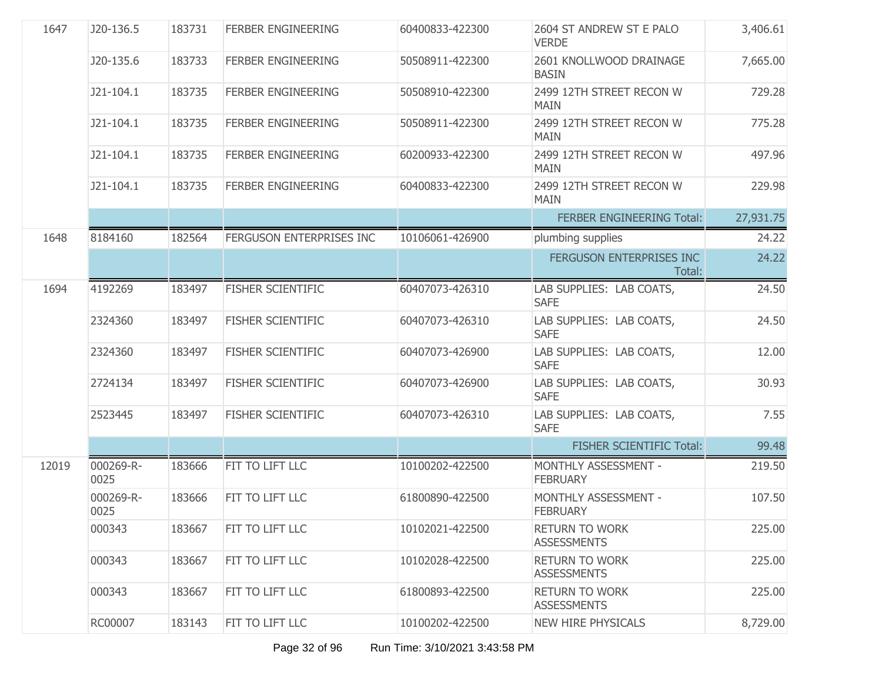| 1647  | J20-136.5         | 183731 | <b>FERBER ENGINEERING</b> | 60400833-422300 | 2604 ST ANDREW ST E PALO<br><b>VERDE</b>    | 3,406.61  |
|-------|-------------------|--------|---------------------------|-----------------|---------------------------------------------|-----------|
|       | J20-135.6         | 183733 | <b>FERBER ENGINEERING</b> | 50508911-422300 | 2601 KNOLLWOOD DRAINAGE<br><b>BASIN</b>     | 7,665.00  |
|       | J21-104.1         | 183735 | <b>FERBER ENGINEERING</b> | 50508910-422300 | 2499 12TH STREET RECON W<br><b>MAIN</b>     | 729.28    |
|       | J21-104.1         | 183735 | <b>FERBER ENGINEERING</b> | 50508911-422300 | 2499 12TH STREET RECON W<br><b>MAIN</b>     | 775.28    |
|       | J21-104.1         | 183735 | <b>FERBER ENGINEERING</b> | 60200933-422300 | 2499 12TH STREET RECON W<br><b>MAIN</b>     | 497.96    |
|       | J21-104.1         | 183735 | <b>FERBER ENGINEERING</b> | 60400833-422300 | 2499 12TH STREET RECON W<br><b>MAIN</b>     | 229.98    |
|       |                   |        |                           |                 | FERBER ENGINEERING Total:                   | 27,931.75 |
| 1648  | 8184160           | 182564 | FERGUSON ENTERPRISES INC  | 10106061-426900 | plumbing supplies                           | 24.22     |
|       |                   |        |                           |                 | FERGUSON ENTERPRISES INC<br>Total:          | 24.22     |
| 1694  | 4192269           | 183497 | <b>FISHER SCIENTIFIC</b>  | 60407073-426310 | LAB SUPPLIES: LAB COATS,<br><b>SAFE</b>     | 24.50     |
|       | 2324360           | 183497 | FISHER SCIENTIFIC         | 60407073-426310 | LAB SUPPLIES: LAB COATS,<br><b>SAFE</b>     | 24.50     |
|       | 2324360           | 183497 | <b>FISHER SCIENTIFIC</b>  | 60407073-426900 | LAB SUPPLIES: LAB COATS,<br><b>SAFE</b>     | 12.00     |
|       | 2724134           | 183497 | FISHER SCIENTIFIC         | 60407073-426900 | LAB SUPPLIES: LAB COATS,<br><b>SAFE</b>     | 30.93     |
|       | 2523445           | 183497 | FISHER SCIENTIFIC         | 60407073-426310 | LAB SUPPLIES: LAB COATS,<br><b>SAFE</b>     | 7.55      |
|       |                   |        |                           |                 | <b>FISHER SCIENTIFIC Total:</b>             | 99.48     |
| 12019 | 000269-R-<br>0025 | 183666 | FIT TO LIFT LLC           | 10100202-422500 | MONTHLY ASSESSMENT -<br><b>FEBRUARY</b>     | 219.50    |
|       | 000269-R-<br>0025 | 183666 | FIT TO LIFT LLC           | 61800890-422500 | MONTHLY ASSESSMENT -<br><b>FEBRUARY</b>     | 107.50    |
|       | 000343            | 183667 | FIT TO LIFT LLC           | 10102021-422500 | <b>RETURN TO WORK</b><br><b>ASSESSMENTS</b> | 225.00    |
|       | 000343            | 183667 | FIT TO LIFT LLC           | 10102028-422500 | <b>RETURN TO WORK</b><br><b>ASSESSMENTS</b> | 225.00    |
|       | 000343            | 183667 | FIT TO LIFT LLC           | 61800893-422500 | <b>RETURN TO WORK</b><br><b>ASSESSMENTS</b> | 225.00    |
|       | RC00007           | 183143 | FIT TO LIFT LLC           | 10100202-422500 | <b>NEW HIRE PHYSICALS</b>                   | 8,729.00  |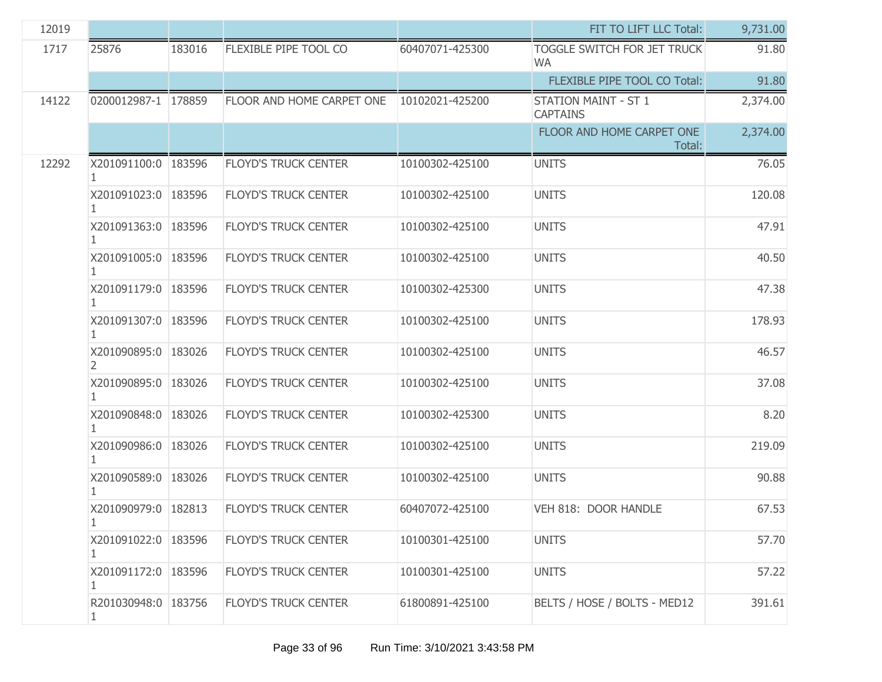| 12019 |                            |        |                             |                 | FIT TO LIFT LLC Total:                          | 9,731.00 |
|-------|----------------------------|--------|-----------------------------|-----------------|-------------------------------------------------|----------|
| 1717  | 25876                      | 183016 | FLEXIBLE PIPE TOOL CO       | 60407071-425300 | <b>TOGGLE SWITCH FOR JET TRUCK</b><br><b>WA</b> | 91.80    |
|       |                            |        |                             |                 | FLEXIBLE PIPE TOOL CO Total:                    | 91.80    |
| 14122 | 0200012987-1 178859        |        | FLOOR AND HOME CARPET ONE   | 10102021-425200 | <b>STATION MAINT - ST 1</b><br><b>CAPTAINS</b>  | 2,374.00 |
|       |                            |        |                             |                 | FLOOR AND HOME CARPET ONE<br>Total:             | 2,374.00 |
| 12292 | X201091100:0 183596        |        | <b>FLOYD'S TRUCK CENTER</b> | 10100302-425100 | <b>UNITS</b>                                    | 76.05    |
|       | X201091023:0 183596        |        | <b>FLOYD'S TRUCK CENTER</b> | 10100302-425100 | <b>UNITS</b>                                    | 120.08   |
|       | X201091363:0 183596        |        | <b>FLOYD'S TRUCK CENTER</b> | 10100302-425100 | <b>UNITS</b>                                    | 47.91    |
|       | X201091005:0 183596        |        | <b>FLOYD'S TRUCK CENTER</b> | 10100302-425100 | <b>UNITS</b>                                    | 40.50    |
|       | X201091179:0 183596        |        | <b>FLOYD'S TRUCK CENTER</b> | 10100302-425300 | <b>UNITS</b>                                    | 47.38    |
|       | X201091307:0 183596        |        | <b>FLOYD'S TRUCK CENTER</b> | 10100302-425100 | <b>UNITS</b>                                    | 178.93   |
|       | X201090895:0 183026<br>2   |        | <b>FLOYD'S TRUCK CENTER</b> | 10100302-425100 | <b>UNITS</b>                                    | 46.57    |
|       | X201090895:0   183026      |        | <b>FLOYD'S TRUCK CENTER</b> | 10100302-425100 | <b>UNITS</b>                                    | 37.08    |
|       | X201090848:0   183026      |        | <b>FLOYD'S TRUCK CENTER</b> | 10100302-425300 | <b>UNITS</b>                                    | 8.20     |
|       | X201090986:0 183026<br>1   |        | <b>FLOYD'S TRUCK CENTER</b> | 10100302-425100 | <b>UNITS</b>                                    | 219.09   |
|       | X201090589:0   183026      |        | <b>FLOYD'S TRUCK CENTER</b> | 10100302-425100 | <b>UNITS</b>                                    | 90.88    |
|       | X201090979:0 182813        |        | <b>FLOYD'S TRUCK CENTER</b> | 60407072-425100 | VEH 818: DOOR HANDLE                            | 67.53    |
|       | X201091022:0 183596<br>1   |        | <b>FLOYD'S TRUCK CENTER</b> | 10100301-425100 | <b>UNITS</b>                                    | 57.70    |
|       | X201091172:0 183596        |        | <b>FLOYD'S TRUCK CENTER</b> | 10100301-425100 | <b>UNITS</b>                                    | 57.22    |
|       | R201030948:0   183756<br>1 |        | <b>FLOYD'S TRUCK CENTER</b> | 61800891-425100 | BELTS / HOSE / BOLTS - MED12                    | 391.61   |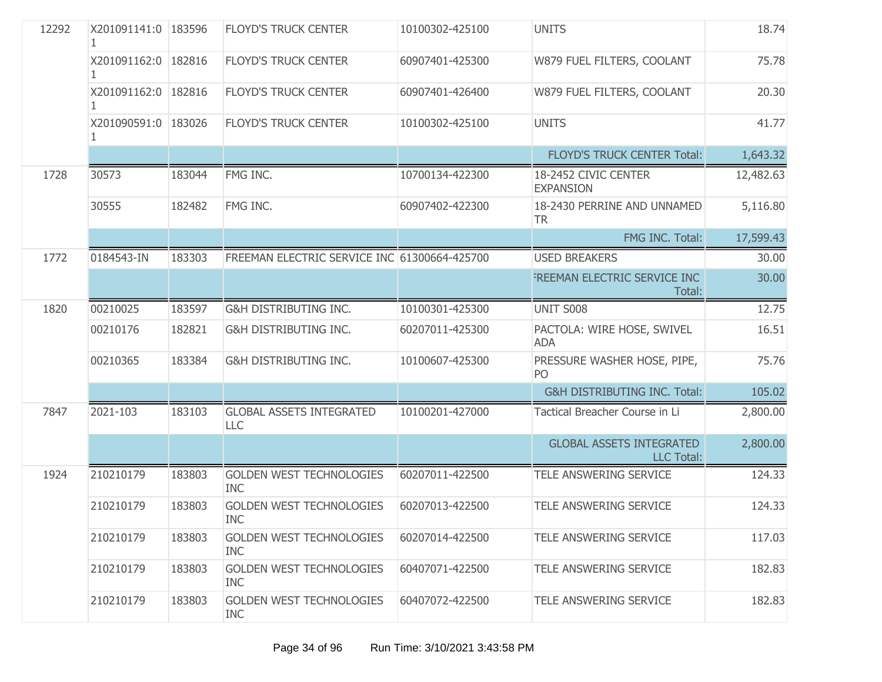| 12292 | X201091141:0   183596 |        | <b>FLOYD'S TRUCK CENTER</b>                   | 10100302-425100 | <b>UNITS</b>                                         | 18.74     |
|-------|-----------------------|--------|-----------------------------------------------|-----------------|------------------------------------------------------|-----------|
|       | X201091162:0 182816   |        | <b>FLOYD'S TRUCK CENTER</b>                   | 60907401-425300 | W879 FUEL FILTERS, COOLANT                           | 75.78     |
|       | X201091162:0 182816   |        | <b>FLOYD'S TRUCK CENTER</b>                   | 60907401-426400 | W879 FUEL FILTERS, COOLANT                           | 20.30     |
|       | X201090591:0   183026 |        | <b>FLOYD'S TRUCK CENTER</b>                   | 10100302-425100 | <b>UNITS</b>                                         | 41.77     |
|       |                       |        |                                               |                 | <b>FLOYD'S TRUCK CENTER Total:</b>                   | 1,643.32  |
| 1728  | 30573                 | 183044 | FMG INC.                                      | 10700134-422300 | 18-2452 CIVIC CENTER<br><b>EXPANSION</b>             | 12,482.63 |
|       | 30555                 | 182482 | FMG INC.                                      | 60907402-422300 | 18-2430 PERRINE AND UNNAMED<br><b>TR</b>             | 5,116.80  |
|       |                       |        |                                               |                 | FMG INC. Total:                                      | 17,599.43 |
| 1772  | 0184543-IN            | 183303 | FREEMAN ELECTRIC SERVICE INC 61300664-425700  |                 | <b>USED BREAKERS</b>                                 | 30.00     |
|       |                       |        |                                               |                 | FREEMAN ELECTRIC SERVICE INC<br>Total:               | 30.00     |
| 1820  | 00210025              | 183597 | G&H DISTRIBUTING INC.                         | 10100301-425300 | UNIT S008                                            | 12.75     |
|       | 00210176              | 182821 | G&H DISTRIBUTING INC.                         | 60207011-425300 | PACTOLA: WIRE HOSE, SWIVEL<br><b>ADA</b>             | 16.51     |
|       | 00210365              | 183384 | G&H DISTRIBUTING INC.                         | 10100607-425300 | PRESSURE WASHER HOSE, PIPE,<br>PO                    | 75.76     |
|       |                       |        |                                               |                 | G&H DISTRIBUTING INC. Total:                         | 105.02    |
| 7847  | 2021-103              | 183103 | <b>GLOBAL ASSETS INTEGRATED</b><br>LLC        | 10100201-427000 | Tactical Breacher Course in Li                       | 2,800.00  |
|       |                       |        |                                               |                 | <b>GLOBAL ASSETS INTEGRATED</b><br><b>LLC Total:</b> | 2,800.00  |
| 1924  | 210210179             | 183803 | <b>GOLDEN WEST TECHNOLOGIES</b><br><b>INC</b> | 60207011-422500 | TELE ANSWERING SERVICE                               | 124.33    |
|       | 210210179             | 183803 | <b>GOLDEN WEST TECHNOLOGIES</b><br>INC        | 60207013-422500 | TELE ANSWERING SERVICE                               | 124.33    |
|       | 210210179             | 183803 | <b>GOLDEN WEST TECHNOLOGIES</b><br><b>INC</b> | 60207014-422500 | TELE ANSWERING SERVICE                               | 117.03    |
|       | 210210179             | 183803 | <b>GOLDEN WEST TECHNOLOGIES</b><br><b>INC</b> | 60407071-422500 | TELE ANSWERING SERVICE                               | 182.83    |
|       | 210210179             | 183803 | <b>GOLDEN WEST TECHNOLOGIES</b><br><b>INC</b> | 60407072-422500 | TELE ANSWERING SERVICE                               | 182.83    |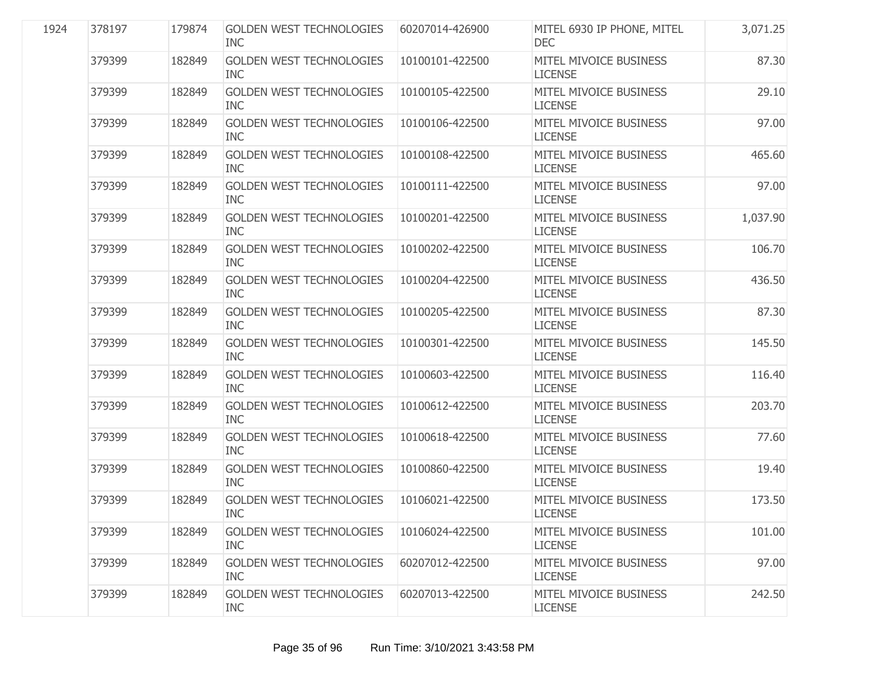| 1924 | 378197 | 179874 | <b>GOLDEN WEST TECHNOLOGIES</b><br><b>INC</b> | 60207014-426900 | MITEL 6930 IP PHONE, MITEL<br><b>DEC</b> | 3,071.25 |
|------|--------|--------|-----------------------------------------------|-----------------|------------------------------------------|----------|
|      | 379399 | 182849 | <b>GOLDEN WEST TECHNOLOGIES</b><br><b>INC</b> | 10100101-422500 | MITEL MIVOICE BUSINESS<br><b>LICENSE</b> | 87.30    |
|      | 379399 | 182849 | <b>GOLDEN WEST TECHNOLOGIES</b><br><b>INC</b> | 10100105-422500 | MITEL MIVOICE BUSINESS<br><b>LICENSE</b> | 29.10    |
|      | 379399 | 182849 | <b>GOLDEN WEST TECHNOLOGIES</b><br><b>INC</b> | 10100106-422500 | MITEL MIVOICE BUSINESS<br><b>LICENSE</b> | 97.00    |
|      | 379399 | 182849 | <b>GOLDEN WEST TECHNOLOGIES</b><br><b>INC</b> | 10100108-422500 | MITEL MIVOICE BUSINESS<br><b>LICENSE</b> | 465.60   |
|      | 379399 | 182849 | <b>GOLDEN WEST TECHNOLOGIES</b><br><b>INC</b> | 10100111-422500 | MITEL MIVOICE BUSINESS<br><b>LICENSE</b> | 97.00    |
|      | 379399 | 182849 | <b>GOLDEN WEST TECHNOLOGIES</b><br><b>INC</b> | 10100201-422500 | MITEL MIVOICE BUSINESS<br><b>LICENSE</b> | 1,037.90 |
|      | 379399 | 182849 | <b>GOLDEN WEST TECHNOLOGIES</b><br><b>INC</b> | 10100202-422500 | MITEL MIVOICE BUSINESS<br><b>LICENSE</b> | 106.70   |
|      | 379399 | 182849 | <b>GOLDEN WEST TECHNOLOGIES</b><br><b>INC</b> | 10100204-422500 | MITEL MIVOICE BUSINESS<br><b>LICENSE</b> | 436.50   |
|      | 379399 | 182849 | <b>GOLDEN WEST TECHNOLOGIES</b><br><b>INC</b> | 10100205-422500 | MITEL MIVOICE BUSINESS<br><b>LICENSE</b> | 87.30    |
|      | 379399 | 182849 | <b>GOLDEN WEST TECHNOLOGIES</b><br><b>INC</b> | 10100301-422500 | MITEL MIVOICE BUSINESS<br><b>LICENSE</b> | 145.50   |
|      | 379399 | 182849 | <b>GOLDEN WEST TECHNOLOGIES</b><br><b>INC</b> | 10100603-422500 | MITEL MIVOICE BUSINESS<br><b>LICENSE</b> | 116.40   |
|      | 379399 | 182849 | <b>GOLDEN WEST TECHNOLOGIES</b><br><b>INC</b> | 10100612-422500 | MITEL MIVOICE BUSINESS<br><b>LICENSE</b> | 203.70   |
|      | 379399 | 182849 | <b>GOLDEN WEST TECHNOLOGIES</b><br><b>INC</b> | 10100618-422500 | MITEL MIVOICE BUSINESS<br><b>LICENSE</b> | 77.60    |
|      | 379399 | 182849 | <b>GOLDEN WEST TECHNOLOGIES</b><br><b>INC</b> | 10100860-422500 | MITEL MIVOICE BUSINESS<br><b>LICENSE</b> | 19.40    |
|      | 379399 | 182849 | <b>GOLDEN WEST TECHNOLOGIES</b><br><b>INC</b> | 10106021-422500 | MITEL MIVOICE BUSINESS<br><b>LICENSE</b> | 173.50   |
|      | 379399 | 182849 | <b>GOLDEN WEST TECHNOLOGIES</b><br><b>INC</b> | 10106024-422500 | MITEL MIVOICE BUSINESS<br><b>LICENSE</b> | 101.00   |
|      | 379399 | 182849 | <b>GOLDEN WEST TECHNOLOGIES</b><br><b>INC</b> | 60207012-422500 | MITEL MIVOICE BUSINESS<br><b>LICENSE</b> | 97.00    |
|      | 379399 | 182849 | <b>GOLDEN WEST TECHNOLOGIES</b><br><b>INC</b> | 60207013-422500 | MITEL MIVOICE BUSINESS<br><b>LICENSE</b> | 242.50   |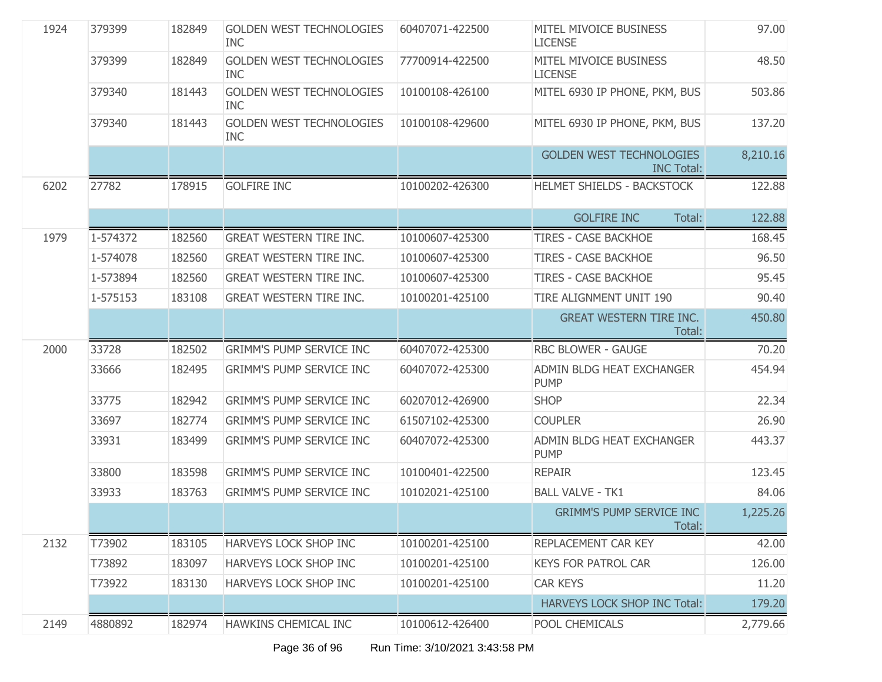| 1924 | 379399   | 182849 | <b>GOLDEN WEST TECHNOLOGIES</b><br><b>INC</b> | 60407071-422500 | MITEL MIVOICE BUSINESS<br><b>LICENSE</b>             | 97.00    |
|------|----------|--------|-----------------------------------------------|-----------------|------------------------------------------------------|----------|
|      | 379399   | 182849 | <b>GOLDEN WEST TECHNOLOGIES</b><br><b>INC</b> | 77700914-422500 | MITEL MIVOICE BUSINESS<br><b>LICENSE</b>             | 48.50    |
|      | 379340   | 181443 | <b>GOLDEN WEST TECHNOLOGIES</b><br><b>INC</b> | 10100108-426100 | MITEL 6930 IP PHONE, PKM, BUS                        | 503.86   |
|      | 379340   | 181443 | <b>GOLDEN WEST TECHNOLOGIES</b><br><b>INC</b> | 10100108-429600 | MITEL 6930 IP PHONE, PKM, BUS                        | 137.20   |
|      |          |        |                                               |                 | <b>GOLDEN WEST TECHNOLOGIES</b><br><b>INC Total:</b> | 8,210.16 |
| 6202 | 27782    | 178915 | <b>GOLFIRE INC</b>                            | 10100202-426300 | HELMET SHIELDS - BACKSTOCK                           | 122.88   |
|      |          |        |                                               |                 | <b>GOLFIRE INC</b><br>Total:                         | 122.88   |
| 1979 | 1-574372 | 182560 | <b>GREAT WESTERN TIRE INC.</b>                | 10100607-425300 | <b>TIRES - CASE BACKHOE</b>                          | 168.45   |
|      | 1-574078 | 182560 | <b>GREAT WESTERN TIRE INC.</b>                | 10100607-425300 | <b>TIRES - CASE BACKHOE</b>                          | 96.50    |
|      | 1-573894 | 182560 | <b>GREAT WESTERN TIRE INC.</b>                | 10100607-425300 | <b>TIRES - CASE BACKHOE</b>                          | 95.45    |
|      | 1-575153 | 183108 | <b>GREAT WESTERN TIRE INC.</b>                | 10100201-425100 | TIRE ALIGNMENT UNIT 190                              | 90.40    |
|      |          |        |                                               |                 | <b>GREAT WESTERN TIRE INC.</b><br>Total:             | 450.80   |
| 2000 | 33728    | 182502 | <b>GRIMM'S PUMP SERVICE INC</b>               | 60407072-425300 | RBC BLOWER - GAUGE                                   | 70.20    |
|      | 33666    | 182495 | <b>GRIMM'S PUMP SERVICE INC</b>               | 60407072-425300 | ADMIN BLDG HEAT EXCHANGER<br><b>PUMP</b>             | 454.94   |
|      | 33775    | 182942 | <b>GRIMM'S PUMP SERVICE INC</b>               | 60207012-426900 | <b>SHOP</b>                                          | 22.34    |
|      | 33697    | 182774 | <b>GRIMM'S PUMP SERVICE INC</b>               | 61507102-425300 | <b>COUPLER</b>                                       | 26.90    |
|      | 33931    | 183499 | <b>GRIMM'S PUMP SERVICE INC</b>               | 60407072-425300 | ADMIN BLDG HEAT EXCHANGER<br><b>PUMP</b>             | 443.37   |
|      | 33800    | 183598 | <b>GRIMM'S PUMP SERVICE INC</b>               | 10100401-422500 | <b>REPAIR</b>                                        | 123.45   |
|      |          |        |                                               |                 |                                                      |          |
|      | 33933    | 183763 | <b>GRIMM'S PUMP SERVICE INC</b>               | 10102021-425100 | <b>BALL VALVE - TK1</b>                              | 84.06    |
|      |          |        |                                               |                 | <b>GRIMM'S PUMP SERVICE INC</b><br>Total:            | 1,225.26 |
| 2132 | T73902   | 183105 | HARVEYS LOCK SHOP INC                         | 10100201-425100 | REPLACEMENT CAR KEY                                  | 42.00    |
|      | T73892   | 183097 | <b>HARVEYS LOCK SHOP INC</b>                  | 10100201-425100 | <b>KEYS FOR PATROL CAR</b>                           | 126.00   |
|      | T73922   | 183130 | HARVEYS LOCK SHOP INC                         | 10100201-425100 | <b>CAR KEYS</b>                                      | 11.20    |
|      |          |        |                                               |                 | <b>HARVEYS LOCK SHOP INC Total:</b>                  | 179.20   |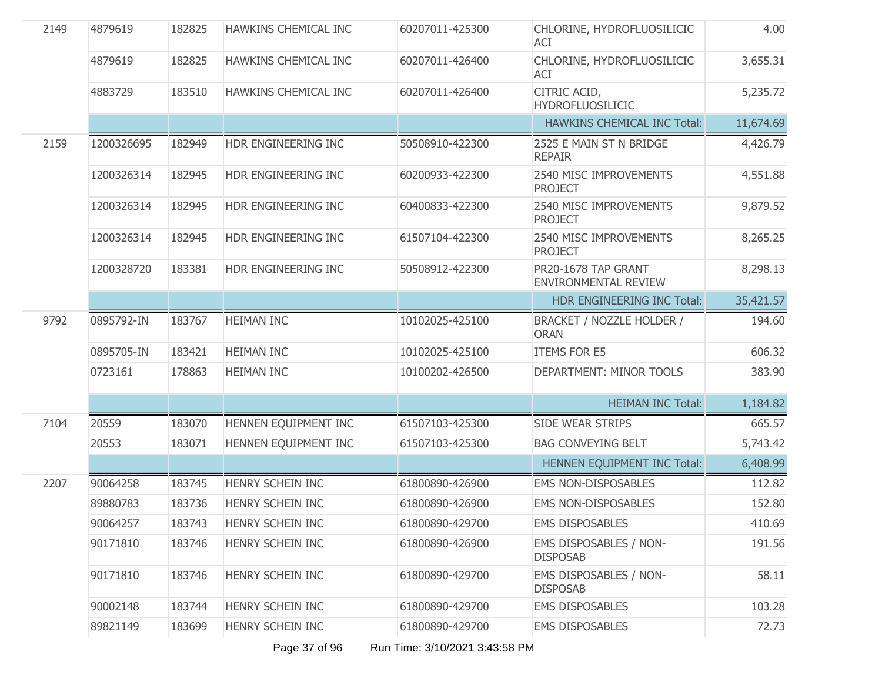| 2149 | 4879619    | 182825 | HAWKINS CHEMICAL INC | 60207011-425300 | CHLORINE, HYDROFLUOSILICIC<br>ACI                  | 4.00      |
|------|------------|--------|----------------------|-----------------|----------------------------------------------------|-----------|
|      | 4879619    | 182825 | HAWKINS CHEMICAL INC | 60207011-426400 | CHLORINE, HYDROFLUOSILICIC<br>ACI                  | 3,655.31  |
|      | 4883729    | 183510 | HAWKINS CHEMICAL INC | 60207011-426400 | CITRIC ACID,<br><b>HYDROFLUOSILICIC</b>            | 5,235.72  |
|      |            |        |                      |                 | <b>HAWKINS CHEMICAL INC Total:</b>                 | 11,674.69 |
| 2159 | 1200326695 | 182949 | HDR ENGINEERING INC  | 50508910-422300 | 2525 E MAIN ST N BRIDGE<br><b>REPAIR</b>           | 4,426.79  |
|      | 1200326314 | 182945 | HDR ENGINEERING INC  | 60200933-422300 | 2540 MISC IMPROVEMENTS<br><b>PROJECT</b>           | 4,551.88  |
|      | 1200326314 | 182945 | HDR ENGINEERING INC  | 60400833-422300 | 2540 MISC IMPROVEMENTS<br><b>PROJECT</b>           | 9,879.52  |
|      | 1200326314 | 182945 | HDR ENGINEERING INC  | 61507104-422300 | 2540 MISC IMPROVEMENTS<br><b>PROJECT</b>           | 8,265.25  |
|      | 1200328720 | 183381 | HDR ENGINEERING INC  | 50508912-422300 | PR20-1678 TAP GRANT<br><b>ENVIRONMENTAL REVIEW</b> | 8,298.13  |
|      |            |        |                      |                 | HDR ENGINEERING INC Total:                         | 35,421.57 |
| 9792 | 0895792-IN | 183767 | <b>HEIMAN INC</b>    | 10102025-425100 | BRACKET / NOZZLE HOLDER /<br><b>ORAN</b>           | 194.60    |
|      | 0895705-IN | 183421 | <b>HEIMAN INC</b>    | 10102025-425100 | <b>ITEMS FOR E5</b>                                | 606.32    |
|      | 0723161    | 178863 | <b>HEIMAN INC</b>    | 10100202-426500 | DEPARTMENT: MINOR TOOLS                            | 383.90    |
|      |            |        |                      |                 | <b>HEIMAN INC Total:</b>                           | 1,184.82  |
| 7104 | 20559      | 183070 | HENNEN EQUIPMENT INC | 61507103-425300 | <b>SIDE WEAR STRIPS</b>                            | 665.57    |
|      | 20553      | 183071 | HENNEN EQUIPMENT INC | 61507103-425300 | <b>BAG CONVEYING BELT</b>                          | 5,743.42  |
|      |            |        |                      |                 | HENNEN EQUIPMENT INC Total:                        | 6,408.99  |
| 2207 | 90064258   | 183745 | HENRY SCHEIN INC     | 61800890-426900 | <b>EMS NON-DISPOSABLES</b>                         | 112.82    |
|      | 89880783   | 183736 | HENRY SCHEIN INC     | 61800890-426900 | <b>EMS NON-DISPOSABLES</b>                         | 152.80    |
|      | 90064257   | 183743 | HENRY SCHEIN INC     | 61800890-429700 | <b>EMS DISPOSABLES</b>                             | 410.69    |
|      | 90171810   | 183746 | HENRY SCHEIN INC     | 61800890-426900 | <b>EMS DISPOSABLES / NON-</b><br><b>DISPOSAB</b>   | 191.56    |
|      | 90171810   | 183746 | HENRY SCHEIN INC     | 61800890-429700 | EMS DISPOSABLES / NON-<br><b>DISPOSAB</b>          | 58.11     |
|      | 90002148   | 183744 | HENRY SCHEIN INC     | 61800890-429700 | <b>EMS DISPOSABLES</b>                             | 103.28    |
|      | 89821149   | 183699 | HENRY SCHEIN INC     | 61800890-429700 | <b>EMS DISPOSABLES</b>                             | 72.73     |

Page 37 of 96 Run Time: 3/10/2021 3:43:58 PM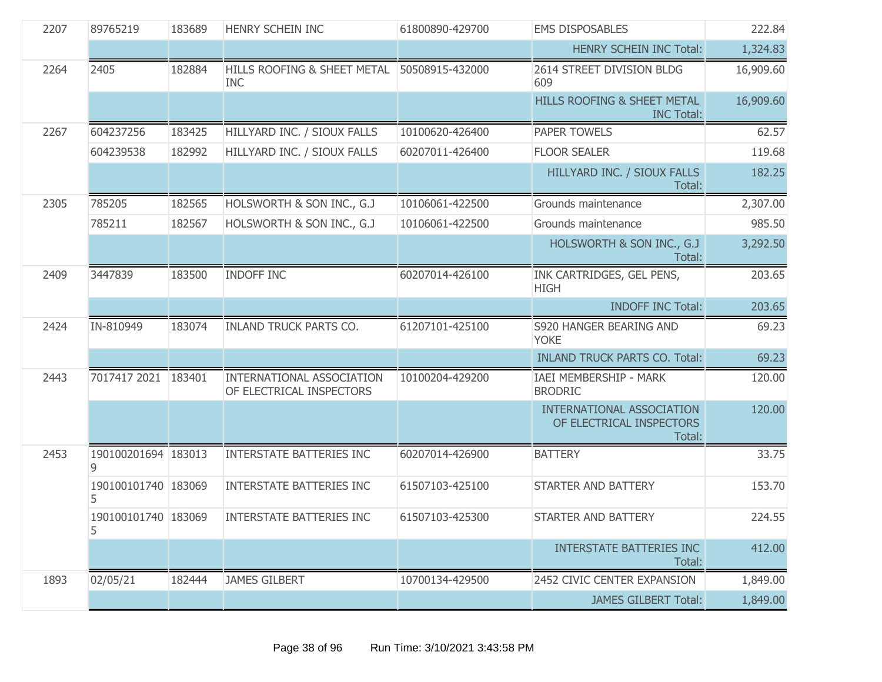| 2207 | 89765219                 | 183689 | HENRY SCHEIN INC                                          | 61800890-429700 | <b>EMS DISPOSABLES</b>                                                 | 222.84    |
|------|--------------------------|--------|-----------------------------------------------------------|-----------------|------------------------------------------------------------------------|-----------|
|      |                          |        |                                                           |                 | <b>HENRY SCHEIN INC Total:</b>                                         | 1,324.83  |
| 2264 | 2405                     | 182884 | HILLS ROOFING & SHEET METAL 50508915-432000<br><b>INC</b> |                 | 2614 STREET DIVISION BLDG<br>609                                       | 16,909.60 |
|      |                          |        |                                                           |                 | HILLS ROOFING & SHEET METAL<br><b>INC Total:</b>                       | 16,909.60 |
| 2267 | 604237256                | 183425 | HILLYARD INC. / SIOUX FALLS                               | 10100620-426400 | <b>PAPER TOWELS</b>                                                    | 62.57     |
|      | 604239538                | 182992 | HILLYARD INC. / SIOUX FALLS                               | 60207011-426400 | <b>FLOOR SEALER</b>                                                    | 119.68    |
|      |                          |        |                                                           |                 | HILLYARD INC. / SIOUX FALLS<br>Total:                                  | 182.25    |
| 2305 | 785205                   | 182565 | HOLSWORTH & SON INC., G.J                                 | 10106061-422500 | Grounds maintenance                                                    | 2,307.00  |
|      | 785211                   | 182567 | HOLSWORTH & SON INC., G.J                                 | 10106061-422500 | Grounds maintenance                                                    | 985.50    |
|      |                          |        |                                                           |                 | HOLSWORTH & SON INC., G.J.<br>Total:                                   | 3,292.50  |
| 2409 | 3447839                  | 183500 | <b>INDOFF INC</b>                                         | 60207014-426100 | INK CARTRIDGES, GEL PENS,<br><b>HIGH</b>                               | 203.65    |
|      |                          |        |                                                           |                 | <b>INDOFF INC Total:</b>                                               | 203.65    |
| 2424 | IN-810949                | 183074 | <b>INLAND TRUCK PARTS CO.</b>                             | 61207101-425100 | S920 HANGER BEARING AND<br><b>YOKE</b>                                 | 69.23     |
|      |                          |        |                                                           |                 | <b>INLAND TRUCK PARTS CO. Total:</b>                                   | 69.23     |
| 2443 | 7017417 2021             | 183401 | INTERNATIONAL ASSOCIATION<br>OF ELECTRICAL INSPECTORS     | 10100204-429200 | IAEI MEMBERSHIP - MARK<br><b>BRODRIC</b>                               | 120.00    |
|      |                          |        |                                                           |                 | <b>INTERNATIONAL ASSOCIATION</b><br>OF ELECTRICAL INSPECTORS<br>Total: | 120.00    |
| 2453 | 190100201694 183013      |        | <b>INTERSTATE BATTERIES INC</b>                           | 60207014-426900 | <b>BATTERY</b>                                                         | 33.75     |
|      | 190100101740 183069<br>5 |        | <b>INTERSTATE BATTERIES INC</b>                           | 61507103-425100 | STARTER AND BATTERY                                                    | 153.70    |
|      | 190100101740 183069<br>5 |        | INTERSTATE BATTERIES INC                                  | 61507103-425300 | STARTER AND BATTERY                                                    | 224.55    |
|      |                          |        |                                                           |                 | <b>INTERSTATE BATTERIES INC</b><br>Total:                              | 412.00    |
| 1893 | 02/05/21                 | 182444 | <b>JAMES GILBERT</b>                                      | 10700134-429500 | 2452 CIVIC CENTER EXPANSION                                            | 1,849.00  |
|      |                          |        |                                                           |                 | <b>JAMES GILBERT Total:</b>                                            | 1,849.00  |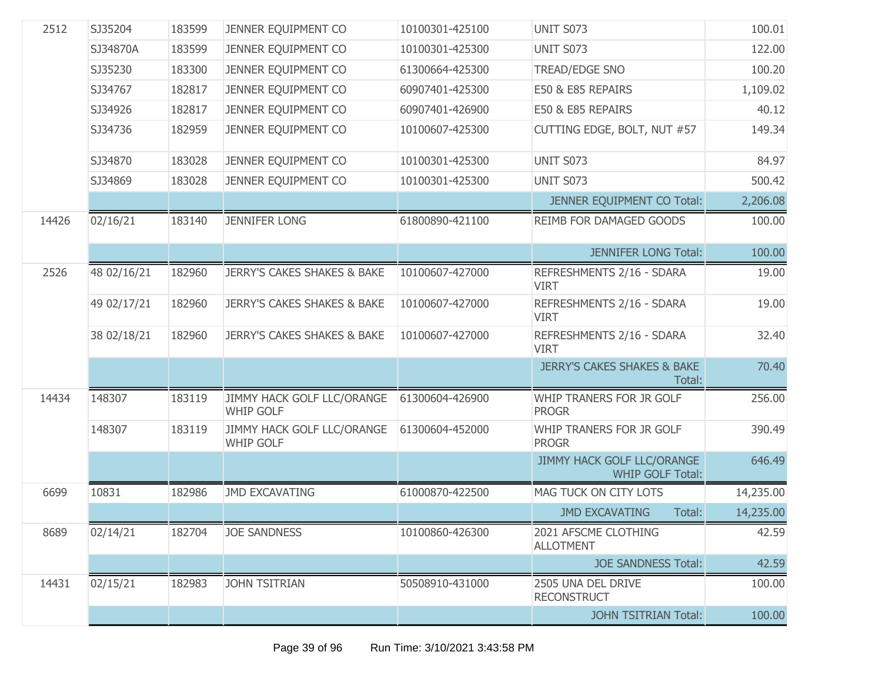| 2512  | SJ35204     | 183599 | JENNER EQUIPMENT CO                            | 10100301-425100 | UNIT S073                                             | 100.01    |
|-------|-------------|--------|------------------------------------------------|-----------------|-------------------------------------------------------|-----------|
|       | SJ34870A    | 183599 | JENNER EQUIPMENT CO                            | 10100301-425300 | <b>UNIT S073</b>                                      | 122.00    |
|       | SJ35230     | 183300 | JENNER EQUIPMENT CO                            | 61300664-425300 | TREAD/EDGE SNO                                        | 100.20    |
|       | SJ34767     | 182817 | JENNER EQUIPMENT CO                            | 60907401-425300 | E50 & E85 REPAIRS                                     | 1,109.02  |
|       | SJ34926     | 182817 | JENNER EQUIPMENT CO                            | 60907401-426900 | E50 & E85 REPAIRS                                     | 40.12     |
|       | SJ34736     | 182959 | JENNER EQUIPMENT CO                            | 10100607-425300 | CUTTING EDGE, BOLT, NUT #57                           | 149.34    |
|       | SJ34870     | 183028 | JENNER EQUIPMENT CO                            | 10100301-425300 | UNIT S073                                             | 84.97     |
|       | SJ34869     | 183028 | JENNER EQUIPMENT CO                            | 10100301-425300 | UNIT S073                                             | 500.42    |
|       |             |        |                                                |                 | JENNER EQUIPMENT CO Total:                            | 2,206.08  |
| 14426 | 02/16/21    | 183140 | <b>JENNIFER LONG</b>                           | 61800890-421100 | <b>REIMB FOR DAMAGED GOODS</b>                        | 100.00    |
|       |             |        |                                                |                 | <b>JENNIFER LONG Total:</b>                           | 100.00    |
| 2526  | 48 02/16/21 | 182960 | <b>JERRY'S CAKES SHAKES &amp; BAKE</b>         | 10100607-427000 | REFRESHMENTS 2/16 - SDARA<br><b>VIRT</b>              | 19.00     |
|       | 49 02/17/21 | 182960 | <b>JERRY'S CAKES SHAKES &amp; BAKE</b>         | 10100607-427000 | REFRESHMENTS 2/16 - SDARA<br><b>VIRT</b>              | 19.00     |
|       | 38 02/18/21 | 182960 | <b>JERRY'S CAKES SHAKES &amp; BAKE</b>         | 10100607-427000 | REFRESHMENTS 2/16 - SDARA<br><b>VIRT</b>              | 32.40     |
|       |             |        |                                                |                 | <b>JERRY'S CAKES SHAKES &amp; BAKE</b><br>Total:      | 70.40     |
| 14434 | 148307      | 183119 | JIMMY HACK GOLF LLC/ORANGE<br><b>WHIP GOLF</b> | 61300604-426900 | WHIP TRANERS FOR JR GOLF<br><b>PROGR</b>              | 256.00    |
|       | 148307      | 183119 | JIMMY HACK GOLF LLC/ORANGE<br><b>WHIP GOLF</b> | 61300604-452000 | WHIP TRANERS FOR JR GOLF<br><b>PROGR</b>              | 390.49    |
|       |             |        |                                                |                 | JIMMY HACK GOLF LLC/ORANGE<br><b>WHIP GOLF Total:</b> | 646.49    |
| 6699  | 10831       | 182986 | <b>JMD EXCAVATING</b>                          | 61000870-422500 | MAG TUCK ON CITY LOTS                                 | 14,235.00 |
|       |             |        |                                                |                 | <b>JMD EXCAVATING</b><br>Total:                       | 14,235.00 |
| 8689  | 02/14/21    | 182704 | <b>JOE SANDNESS</b>                            | 10100860-426300 | 2021 AFSCME CLOTHING<br><b>ALLOTMENT</b>              | 42.59     |
|       |             |        |                                                |                 | <b>JOE SANDNESS Total:</b>                            | 42.59     |
| 14431 | 02/15/21    | 182983 | <b>JOHN TSITRIAN</b>                           | 50508910-431000 | 2505 UNA DEL DRIVE<br><b>RECONSTRUCT</b>              | 100.00    |
|       |             |        |                                                |                 | <b>JOHN TSITRIAN Total:</b>                           | 100.00    |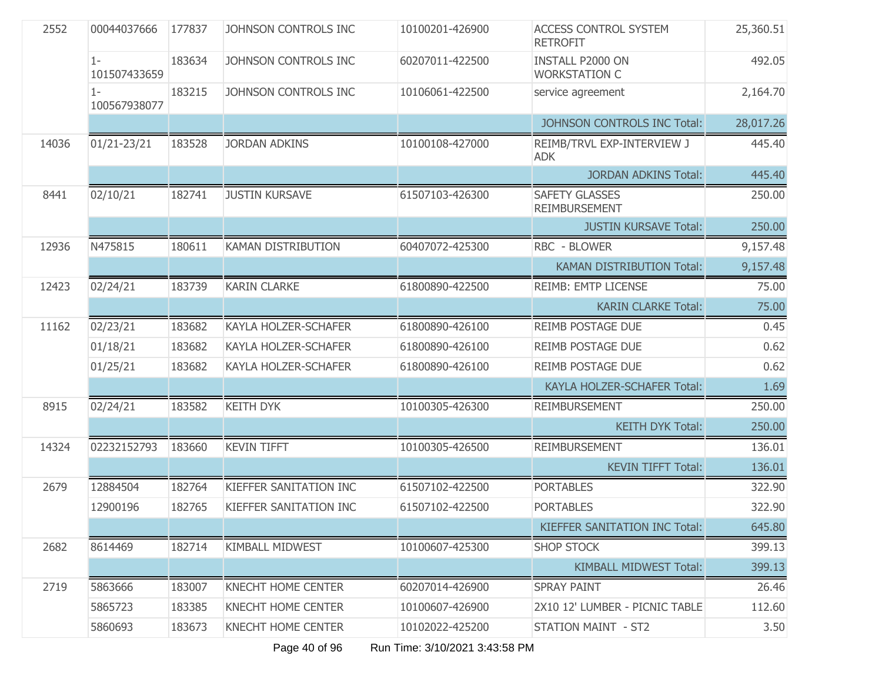| 2552  | 00044037666           | 177837 | JOHNSON CONTROLS INC        | 10100201-426900 | <b>ACCESS CONTROL SYSTEM</b><br><b>RETROFIT</b> | 25,360.51 |
|-------|-----------------------|--------|-----------------------------|-----------------|-------------------------------------------------|-----------|
|       | $1-$<br>101507433659  | 183634 | JOHNSON CONTROLS INC        | 60207011-422500 | <b>INSTALL P2000 ON</b><br><b>WORKSTATION C</b> | 492.05    |
|       | $1 -$<br>100567938077 | 183215 | JOHNSON CONTROLS INC        | 10106061-422500 | service agreement                               | 2,164.70  |
|       |                       |        |                             |                 | JOHNSON CONTROLS INC Total:                     | 28,017.26 |
| 14036 | $01/21 - 23/21$       | 183528 | <b>JORDAN ADKINS</b>        | 10100108-427000 | REIMB/TRVL EXP-INTERVIEW J<br><b>ADK</b>        | 445.40    |
|       |                       |        |                             |                 | <b>JORDAN ADKINS Total:</b>                     | 445.40    |
| 8441  | 02/10/21              | 182741 | <b>JUSTIN KURSAVE</b>       | 61507103-426300 | <b>SAFETY GLASSES</b><br><b>REIMBURSEMENT</b>   | 250.00    |
|       |                       |        |                             |                 | <b>JUSTIN KURSAVE Total:</b>                    | 250.00    |
| 12936 | N475815               | 180611 | <b>KAMAN DISTRIBUTION</b>   | 60407072-425300 | RBC - BLOWER                                    | 9,157.48  |
|       |                       |        |                             |                 | <b>KAMAN DISTRIBUTION Total:</b>                | 9,157.48  |
| 12423 | 02/24/21              | 183739 | <b>KARIN CLARKE</b>         | 61800890-422500 | REIMB: EMTP LICENSE                             | 75.00     |
|       |                       |        |                             |                 | <b>KARIN CLARKE Total:</b>                      | 75.00     |
| 11162 | 02/23/21              | 183682 | <b>KAYLA HOLZER-SCHAFER</b> | 61800890-426100 | <b>REIMB POSTAGE DUE</b>                        | 0.45      |
|       | 01/18/21              | 183682 | KAYLA HOLZER-SCHAFER        | 61800890-426100 | <b>REIMB POSTAGE DUE</b>                        | 0.62      |
|       | 01/25/21              | 183682 | KAYLA HOLZER-SCHAFER        | 61800890-426100 | <b>REIMB POSTAGE DUE</b>                        | 0.62      |
|       |                       |        |                             |                 | KAYLA HOLZER-SCHAFER Total:                     | 1.69      |
| 8915  | 02/24/21              | 183582 | <b>KEITH DYK</b>            | 10100305-426300 | <b>REIMBURSEMENT</b>                            | 250.00    |
|       |                       |        |                             |                 | <b>KEITH DYK Total:</b>                         | 250.00    |
| 14324 | 02232152793           | 183660 | <b>KEVIN TIFFT</b>          | 10100305-426500 | <b>REIMBURSEMENT</b>                            | 136.01    |
|       |                       |        |                             |                 | <b>KEVIN TIFFT Total:</b>                       | 136.01    |
| 2679  | 12884504              | 182764 | KIEFFER SANITATION INC      | 61507102-422500 | <b>PORTABLES</b>                                | 322.90    |
|       | 12900196              | 182765 | KIEFFER SANITATION INC      | 61507102-422500 | <b>PORTABLES</b>                                | 322.90    |
|       |                       |        |                             |                 | KIEFFER SANITATION INC Total:                   | 645.80    |
| 2682  | 8614469               | 182714 | <b>KIMBALL MIDWEST</b>      | 10100607-425300 | <b>SHOP STOCK</b>                               | 399.13    |
|       |                       |        |                             |                 | <b>KIMBALL MIDWEST Total:</b>                   | 399.13    |
| 2719  | 5863666               | 183007 | <b>KNECHT HOME CENTER</b>   | 60207014-426900 | <b>SPRAY PAINT</b>                              | 26.46     |
|       | 5865723               | 183385 | KNECHT HOME CENTER          | 10100607-426900 | 2X10 12' LUMBER - PICNIC TABLE                  | 112.60    |
|       | 5860693               | 183673 | <b>KNECHT HOME CENTER</b>   | 10102022-425200 | STATION MAINT - ST2                             | 3.50      |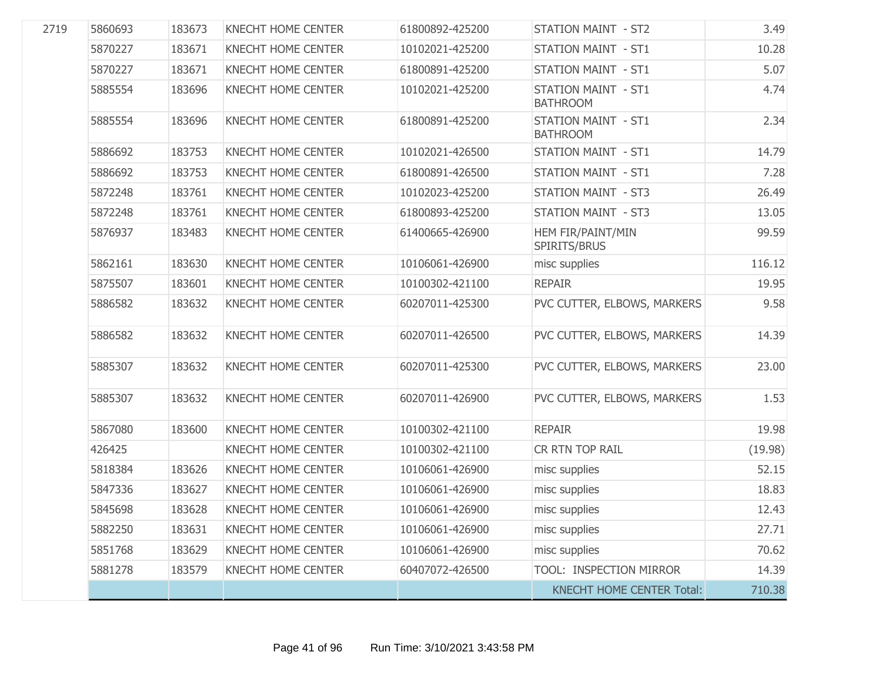| 2719 | 5860693 | 183673 | KNECHT HOME CENTER        | 61800892-425200 | <b>STATION MAINT - ST2</b>                    | 3.49    |
|------|---------|--------|---------------------------|-----------------|-----------------------------------------------|---------|
|      | 5870227 | 183671 | <b>KNECHT HOME CENTER</b> | 10102021-425200 | <b>STATION MAINT - ST1</b>                    | 10.28   |
|      | 5870227 | 183671 | <b>KNECHT HOME CENTER</b> | 61800891-425200 | <b>STATION MAINT - ST1</b>                    | 5.07    |
|      | 5885554 | 183696 | <b>KNECHT HOME CENTER</b> | 10102021-425200 | <b>STATION MAINT - ST1</b><br><b>BATHROOM</b> | 4.74    |
|      | 5885554 | 183696 | <b>KNECHT HOME CENTER</b> | 61800891-425200 | <b>STATION MAINT - ST1</b><br><b>BATHROOM</b> | 2.34    |
|      | 5886692 | 183753 | <b>KNECHT HOME CENTER</b> | 10102021-426500 | <b>STATION MAINT - ST1</b>                    | 14.79   |
|      | 5886692 | 183753 | <b>KNECHT HOME CENTER</b> | 61800891-426500 | <b>STATION MAINT - ST1</b>                    | 7.28    |
|      | 5872248 | 183761 | <b>KNECHT HOME CENTER</b> | 10102023-425200 | <b>STATION MAINT - ST3</b>                    | 26.49   |
|      | 5872248 | 183761 | <b>KNECHT HOME CENTER</b> | 61800893-425200 | <b>STATION MAINT - ST3</b>                    | 13.05   |
|      | 5876937 | 183483 | KNECHT HOME CENTER        | 61400665-426900 | HEM FIR/PAINT/MIN<br>SPIRITS/BRUS             | 99.59   |
|      | 5862161 | 183630 | KNECHT HOME CENTER        | 10106061-426900 | misc supplies                                 | 116.12  |
|      | 5875507 | 183601 | <b>KNECHT HOME CENTER</b> | 10100302-421100 | <b>REPAIR</b>                                 | 19.95   |
|      | 5886582 | 183632 | <b>KNECHT HOME CENTER</b> | 60207011-425300 | PVC CUTTER, ELBOWS, MARKERS                   | 9.58    |
|      | 5886582 | 183632 | KNECHT HOME CENTER        | 60207011-426500 | PVC CUTTER, ELBOWS, MARKERS                   | 14.39   |
|      | 5885307 | 183632 | <b>KNECHT HOME CENTER</b> | 60207011-425300 | PVC CUTTER, ELBOWS, MARKERS                   | 23.00   |
|      | 5885307 | 183632 | <b>KNECHT HOME CENTER</b> | 60207011-426900 | PVC CUTTER, ELBOWS, MARKERS                   | 1.53    |
|      | 5867080 | 183600 | <b>KNECHT HOME CENTER</b> | 10100302-421100 | <b>REPAIR</b>                                 | 19.98   |
|      | 426425  |        | <b>KNECHT HOME CENTER</b> | 10100302-421100 | CR RTN TOP RAIL                               | (19.98) |
|      | 5818384 | 183626 | <b>KNECHT HOME CENTER</b> | 10106061-426900 | misc supplies                                 | 52.15   |
|      | 5847336 | 183627 | <b>KNECHT HOME CENTER</b> | 10106061-426900 | misc supplies                                 | 18.83   |
|      | 5845698 | 183628 | <b>KNECHT HOME CENTER</b> | 10106061-426900 | misc supplies                                 | 12.43   |
|      | 5882250 | 183631 | <b>KNECHT HOME CENTER</b> | 10106061-426900 | misc supplies                                 | 27.71   |
|      | 5851768 | 183629 | <b>KNECHT HOME CENTER</b> | 10106061-426900 | misc supplies                                 | 70.62   |
|      | 5881278 | 183579 | <b>KNECHT HOME CENTER</b> | 60407072-426500 | TOOL: INSPECTION MIRROR                       | 14.39   |
|      |         |        |                           |                 | <b>KNECHT HOME CENTER Total:</b>              | 710.38  |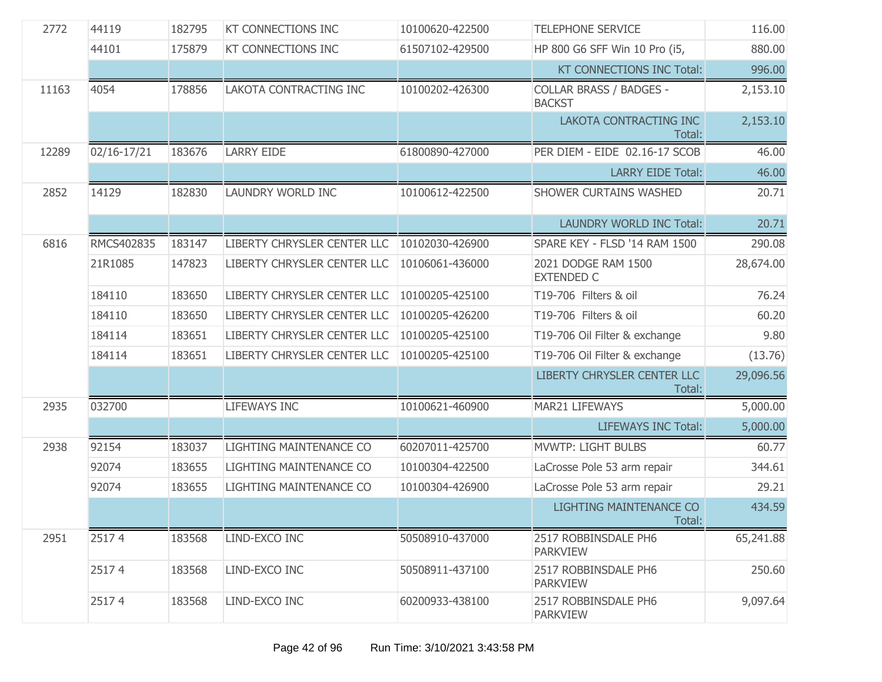| 2772  | 44119       | 182795 | <b>KT CONNECTIONS INC</b>   | 10100620-422500 | <b>TELEPHONE SERVICE</b>                        | 116.00    |
|-------|-------------|--------|-----------------------------|-----------------|-------------------------------------------------|-----------|
|       | 44101       | 175879 | <b>KT CONNECTIONS INC</b>   | 61507102-429500 | HP 800 G6 SFF Win 10 Pro (i5,                   | 880.00    |
|       |             |        |                             |                 | <b>KT CONNECTIONS INC Total:</b>                | 996.00    |
| 11163 | 4054        | 178856 | LAKOTA CONTRACTING INC      | 10100202-426300 | <b>COLLAR BRASS / BADGES -</b><br><b>BACKST</b> | 2,153.10  |
|       |             |        |                             |                 | LAKOTA CONTRACTING INC<br>Total:                | 2,153.10  |
| 12289 | 02/16-17/21 | 183676 | <b>LARRY EIDE</b>           | 61800890-427000 | PER DIEM - EIDE 02.16-17 SCOB                   | 46.00     |
|       |             |        |                             |                 | <b>LARRY EIDE Total:</b>                        | 46.00     |
| 2852  | 14129       | 182830 | LAUNDRY WORLD INC           | 10100612-422500 | SHOWER CURTAINS WASHED                          | 20.71     |
|       |             |        |                             |                 | <b>LAUNDRY WORLD INC Total:</b>                 | 20.71     |
| 6816  | RMCS402835  | 183147 | LIBERTY CHRYSLER CENTER LLC | 10102030-426900 | SPARE KEY - FLSD '14 RAM 1500                   | 290.08    |
|       | 21R1085     | 147823 | LIBERTY CHRYSLER CENTER LLC | 10106061-436000 | 2021 DODGE RAM 1500<br><b>EXTENDED C</b>        | 28,674.00 |
|       | 184110      | 183650 | LIBERTY CHRYSLER CENTER LLC | 10100205-425100 | T19-706 Filters & oil                           | 76.24     |
|       | 184110      | 183650 | LIBERTY CHRYSLER CENTER LLC | 10100205-426200 | T19-706 Filters & oil                           | 60.20     |
|       | 184114      | 183651 | LIBERTY CHRYSLER CENTER LLC | 10100205-425100 | T19-706 Oil Filter & exchange                   | 9.80      |
|       | 184114      | 183651 | LIBERTY CHRYSLER CENTER LLC | 10100205-425100 | T19-706 Oil Filter & exchange                   | (13.76)   |
|       |             |        |                             |                 | LIBERTY CHRYSLER CENTER LLC<br>Total:           | 29,096.56 |
| 2935  | 032700      |        | <b>LIFEWAYS INC</b>         | 10100621-460900 | MAR21 LIFEWAYS                                  | 5,000.00  |
|       |             |        |                             |                 | <b>LIFEWAYS INC Total:</b>                      | 5,000.00  |
| 2938  | 92154       | 183037 | LIGHTING MAINTENANCE CO     | 60207011-425700 | <b>MVWTP: LIGHT BULBS</b>                       | 60.77     |
|       | 92074       | 183655 | LIGHTING MAINTENANCE CO     | 10100304-422500 | LaCrosse Pole 53 arm repair                     | 344.61    |
|       | 92074       | 183655 | LIGHTING MAINTENANCE CO     | 10100304-426900 | LaCrosse Pole 53 arm repair                     | 29.21     |
|       |             |        |                             |                 | <b>LIGHTING MAINTENANCE CO</b><br>Total:        | 434.59    |
| 2951  | 25174       | 183568 | LIND-EXCO INC               | 50508910-437000 | 2517 ROBBINSDALE PH6<br><b>PARKVIEW</b>         | 65,241.88 |
|       | 25174       | 183568 | LIND-EXCO INC               | 50508911-437100 | 2517 ROBBINSDALE PH6<br><b>PARKVIEW</b>         | 250.60    |
|       | 25174       | 183568 | LIND-EXCO INC               | 60200933-438100 | 2517 ROBBINSDALE PH6<br><b>PARKVIEW</b>         | 9,097.64  |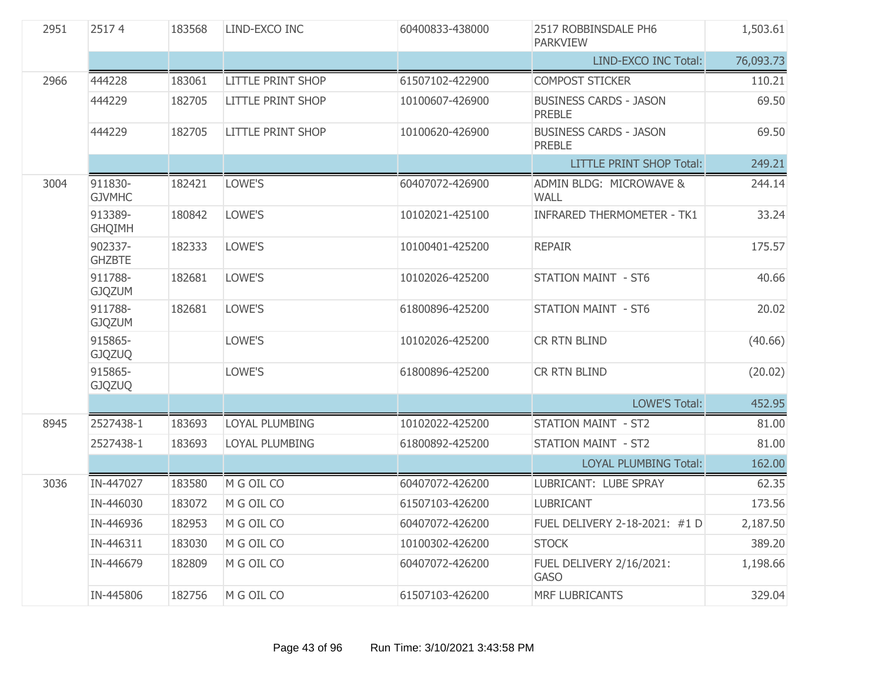| 2951 | 25174                    | 183568 | LIND-EXCO INC            | 60400833-438000 | 2517 ROBBINSDALE PH6<br><b>PARKVIEW</b>        | 1,503.61  |
|------|--------------------------|--------|--------------------------|-----------------|------------------------------------------------|-----------|
|      |                          |        |                          |                 | <b>LIND-EXCO INC Total:</b>                    | 76,093.73 |
| 2966 | 444228                   | 183061 | <b>LITTLE PRINT SHOP</b> | 61507102-422900 | <b>COMPOST STICKER</b>                         | 110.21    |
|      | 444229                   | 182705 | <b>LITTLE PRINT SHOP</b> | 10100607-426900 | <b>BUSINESS CARDS - JASON</b><br><b>PREBLE</b> | 69.50     |
|      | 444229                   | 182705 | <b>LITTLE PRINT SHOP</b> | 10100620-426900 | <b>BUSINESS CARDS - JASON</b><br><b>PREBLE</b> | 69.50     |
|      |                          |        |                          |                 | <b>LITTLE PRINT SHOP Total:</b>                | 249.21    |
| 3004 | 911830-<br><b>GJVMHC</b> | 182421 | LOWE'S                   | 60407072-426900 | ADMIN BLDG: MICROWAVE &<br><b>WALL</b>         | 244.14    |
|      | 913389-<br><b>GHQIMH</b> | 180842 | LOWE'S                   | 10102021-425100 | <b>INFRARED THERMOMETER - TK1</b>              | 33.24     |
|      | 902337-<br><b>GHZBTE</b> | 182333 | LOWE'S                   | 10100401-425200 | <b>REPAIR</b>                                  | 175.57    |
|      | 911788-<br><b>GJQZUM</b> | 182681 | LOWE'S                   | 10102026-425200 | <b>STATION MAINT - ST6</b>                     | 40.66     |
|      | 911788-<br><b>GJQZUM</b> | 182681 | LOWE'S                   | 61800896-425200 | <b>STATION MAINT - ST6</b>                     | 20.02     |
|      | 915865-<br><b>GJQZUQ</b> |        | LOWE'S                   | 10102026-425200 | CR RTN BLIND                                   | (40.66)   |
|      | 915865-<br><b>GJQZUQ</b> |        | LOWE'S                   | 61800896-425200 | CR RTN BLIND                                   | (20.02)   |
|      |                          |        |                          |                 | <b>LOWE'S Total:</b>                           | 452.95    |
| 8945 | 2527438-1                | 183693 | LOYAL PLUMBING           | 10102022-425200 | <b>STATION MAINT - ST2</b>                     | 81.00     |
|      | 2527438-1                | 183693 | LOYAL PLUMBING           | 61800892-425200 | STATION MAINT - ST2                            | 81.00     |
|      |                          |        |                          |                 | <b>LOYAL PLUMBING Total:</b>                   | 162.00    |
| 3036 | IN-447027                | 183580 | M G OIL CO               | 60407072-426200 | LUBRICANT: LUBE SPRAY                          | 62.35     |
|      | IN-446030                | 183072 | M G OIL CO               | 61507103-426200 | <b>LUBRICANT</b>                               | 173.56    |
|      | IN-446936                | 182953 | M G OIL CO               | 60407072-426200 | FUEL DELIVERY 2-18-2021: #1 D                  | 2,187.50  |
|      | IN-446311                | 183030 | M G OIL CO               | 10100302-426200 | <b>STOCK</b>                                   | 389.20    |
|      | IN-446679                | 182809 | M G OIL CO               | 60407072-426200 | FUEL DELIVERY 2/16/2021:<br><b>GASO</b>        | 1,198.66  |
|      | IN-445806                | 182756 | M G OIL CO               | 61507103-426200 | MRF LUBRICANTS                                 | 329.04    |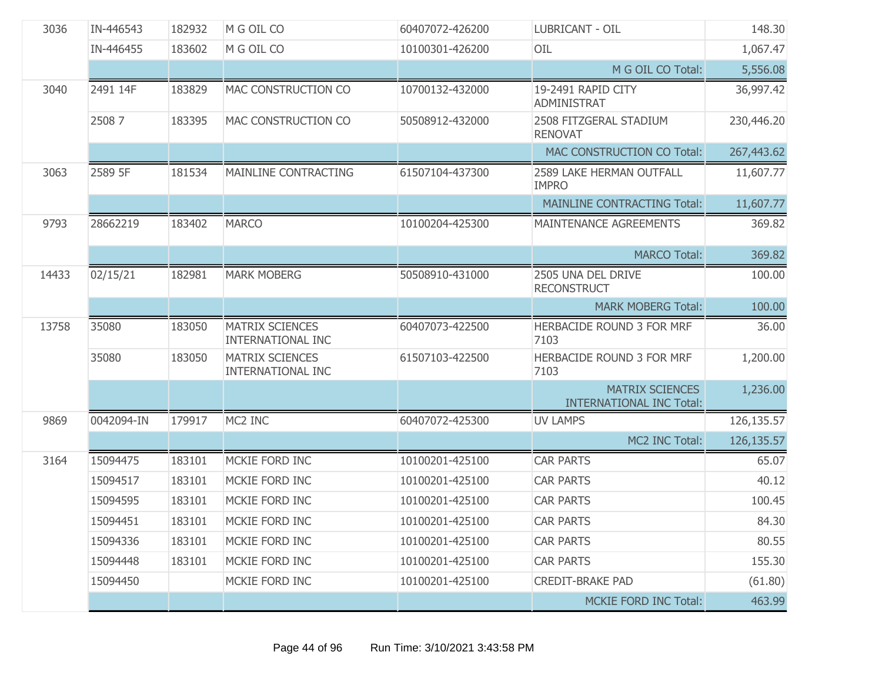| 3036  | IN-446543  | 182932 | M G OIL CO                                  | 60407072-426200 | LUBRICANT - OIL                                           | 148.30     |
|-------|------------|--------|---------------------------------------------|-----------------|-----------------------------------------------------------|------------|
|       | IN-446455  | 183602 | M G OIL CO                                  | 10100301-426200 | OIL                                                       | 1,067.47   |
|       |            |        |                                             |                 | M G OIL CO Total:                                         | 5,556.08   |
| 3040  | 2491 14F   | 183829 | MAC CONSTRUCTION CO                         | 10700132-432000 | 19-2491 RAPID CITY<br><b>ADMINISTRAT</b>                  | 36,997.42  |
|       | 25087      | 183395 | MAC CONSTRUCTION CO                         | 50508912-432000 | 2508 FITZGERAL STADIUM<br><b>RENOVAT</b>                  | 230,446.20 |
|       |            |        |                                             |                 | MAC CONSTRUCTION CO Total:                                | 267,443.62 |
| 3063  | 2589 5F    | 181534 | MAINLINE CONTRACTING                        | 61507104-437300 | 2589 LAKE HERMAN OUTFALL<br><b>IMPRO</b>                  | 11,607.77  |
|       |            |        |                                             |                 | <b>MAINLINE CONTRACTING Total:</b>                        | 11,607.77  |
| 9793  | 28662219   | 183402 | <b>MARCO</b>                                | 10100204-425300 | MAINTENANCE AGREEMENTS                                    | 369.82     |
|       |            |        |                                             |                 | <b>MARCO Total:</b>                                       | 369.82     |
| 14433 | 02/15/21   | 182981 | <b>MARK MOBERG</b>                          | 50508910-431000 | 2505 UNA DEL DRIVE<br><b>RECONSTRUCT</b>                  | 100.00     |
|       |            |        |                                             |                 | <b>MARK MOBERG Total:</b>                                 | 100.00     |
| 13758 | 35080      | 183050 | <b>MATRIX SCIENCES</b><br>INTERNATIONAL INC | 60407073-422500 | HERBACIDE ROUND 3 FOR MRF<br>7103                         | 36.00      |
|       | 35080      | 183050 | <b>MATRIX SCIENCES</b><br>INTERNATIONAL INC | 61507103-422500 | HERBACIDE ROUND 3 FOR MRF<br>7103                         | 1,200.00   |
|       |            |        |                                             |                 | <b>MATRIX SCIENCES</b><br><b>INTERNATIONAL INC Total:</b> | 1,236.00   |
| 9869  | 0042094-IN | 179917 | MC2 INC                                     | 60407072-425300 | <b>UV LAMPS</b>                                           | 126,135.57 |
|       |            |        |                                             |                 | MC2 INC Total:                                            | 126,135.57 |
| 3164  | 15094475   | 183101 | MCKIE FORD INC                              | 10100201-425100 | <b>CAR PARTS</b>                                          | 65.07      |
|       | 15094517   | 183101 | MCKIE FORD INC                              | 10100201-425100 | <b>CAR PARTS</b>                                          | 40.12      |
|       | 15094595   | 183101 | MCKIE FORD INC                              | 10100201-425100 | <b>CAR PARTS</b>                                          | 100.45     |
|       | 15094451   | 183101 | MCKIE FORD INC                              | 10100201-425100 | <b>CAR PARTS</b>                                          | 84.30      |
|       | 15094336   | 183101 | MCKIE FORD INC                              | 10100201-425100 | <b>CAR PARTS</b>                                          | 80.55      |
|       | 15094448   | 183101 | MCKIE FORD INC                              | 10100201-425100 | <b>CAR PARTS</b>                                          | 155.30     |
|       | 15094450   |        | MCKIE FORD INC                              | 10100201-425100 | <b>CREDIT-BRAKE PAD</b>                                   | (61.80)    |
|       |            |        |                                             |                 | <b>MCKIE FORD INC Total:</b>                              | 463.99     |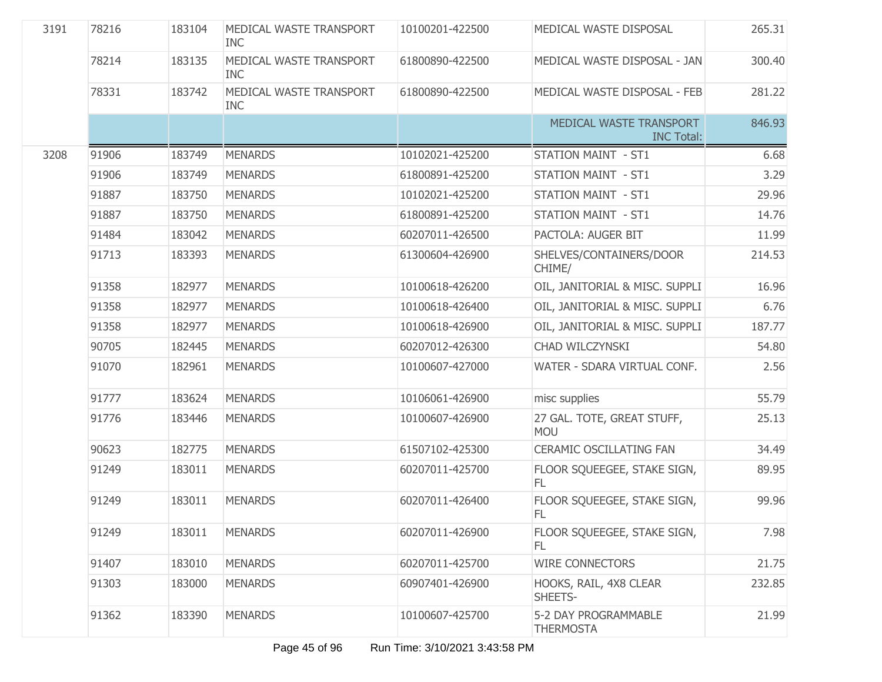| 3191 | 78216 | 183104 | MEDICAL WASTE TRANSPORT<br><b>INC</b> | 10100201-422500 | MEDICAL WASTE DISPOSAL                       | 265.31 |
|------|-------|--------|---------------------------------------|-----------------|----------------------------------------------|--------|
|      | 78214 | 183135 | MEDICAL WASTE TRANSPORT<br><b>INC</b> | 61800890-422500 | MEDICAL WASTE DISPOSAL - JAN                 | 300.40 |
|      | 78331 | 183742 | MEDICAL WASTE TRANSPORT<br><b>INC</b> | 61800890-422500 | MEDICAL WASTE DISPOSAL - FEB                 | 281.22 |
|      |       |        |                                       |                 | MEDICAL WASTE TRANSPORT<br><b>INC Total:</b> | 846.93 |
| 3208 | 91906 | 183749 | <b>MENARDS</b>                        | 10102021-425200 | <b>STATION MAINT - ST1</b>                   | 6.68   |
|      | 91906 | 183749 | <b>MENARDS</b>                        | 61800891-425200 | <b>STATION MAINT - ST1</b>                   | 3.29   |
|      | 91887 | 183750 | <b>MENARDS</b>                        | 10102021-425200 | <b>STATION MAINT - ST1</b>                   | 29.96  |
|      | 91887 | 183750 | <b>MENARDS</b>                        | 61800891-425200 | <b>STATION MAINT - ST1</b>                   | 14.76  |
|      | 91484 | 183042 | <b>MENARDS</b>                        | 60207011-426500 | PACTOLA: AUGER BIT                           | 11.99  |
|      | 91713 | 183393 | <b>MENARDS</b>                        | 61300604-426900 | SHELVES/CONTAINERS/DOOR<br>CHIME/            | 214.53 |
|      | 91358 | 182977 | <b>MENARDS</b>                        | 10100618-426200 | OIL, JANITORIAL & MISC. SUPPLI               | 16.96  |
|      | 91358 | 182977 | <b>MENARDS</b>                        | 10100618-426400 | OIL, JANITORIAL & MISC. SUPPLI               | 6.76   |
|      | 91358 | 182977 | <b>MENARDS</b>                        | 10100618-426900 | OIL, JANITORIAL & MISC. SUPPLI               | 187.77 |
|      | 90705 | 182445 | <b>MENARDS</b>                        | 60207012-426300 | CHAD WILCZYNSKI                              | 54.80  |
|      | 91070 | 182961 | <b>MENARDS</b>                        | 10100607-427000 | WATER - SDARA VIRTUAL CONF.                  | 2.56   |
|      | 91777 | 183624 | <b>MENARDS</b>                        | 10106061-426900 | misc supplies                                | 55.79  |
|      | 91776 | 183446 | <b>MENARDS</b>                        | 10100607-426900 | 27 GAL. TOTE, GREAT STUFF,<br><b>MOU</b>     | 25.13  |
|      | 90623 | 182775 | <b>MENARDS</b>                        | 61507102-425300 | <b>CERAMIC OSCILLATING FAN</b>               | 34.49  |
|      | 91249 | 183011 | <b>MENARDS</b>                        | 60207011-425700 | FLOOR SQUEEGEE, STAKE SIGN,<br>FL.           | 89.95  |
|      | 91249 | 183011 | <b>MENARDS</b>                        | 60207011-426400 | FLOOR SQUEEGEE, STAKE SIGN,<br>FL.           | 99.96  |
|      | 91249 | 183011 | <b>MENARDS</b>                        | 60207011-426900 | FLOOR SQUEEGEE, STAKE SIGN,<br>FL.           | 7.98   |
|      | 91407 | 183010 | <b>MENARDS</b>                        | 60207011-425700 | <b>WIRE CONNECTORS</b>                       | 21.75  |
|      | 91303 | 183000 | <b>MENARDS</b>                        | 60907401-426900 | HOOKS, RAIL, 4X8 CLEAR<br>SHEETS-            | 232.85 |
|      | 91362 | 183390 | <b>MENARDS</b>                        | 10100607-425700 | 5-2 DAY PROGRAMMABLE<br><b>THERMOSTA</b>     | 21.99  |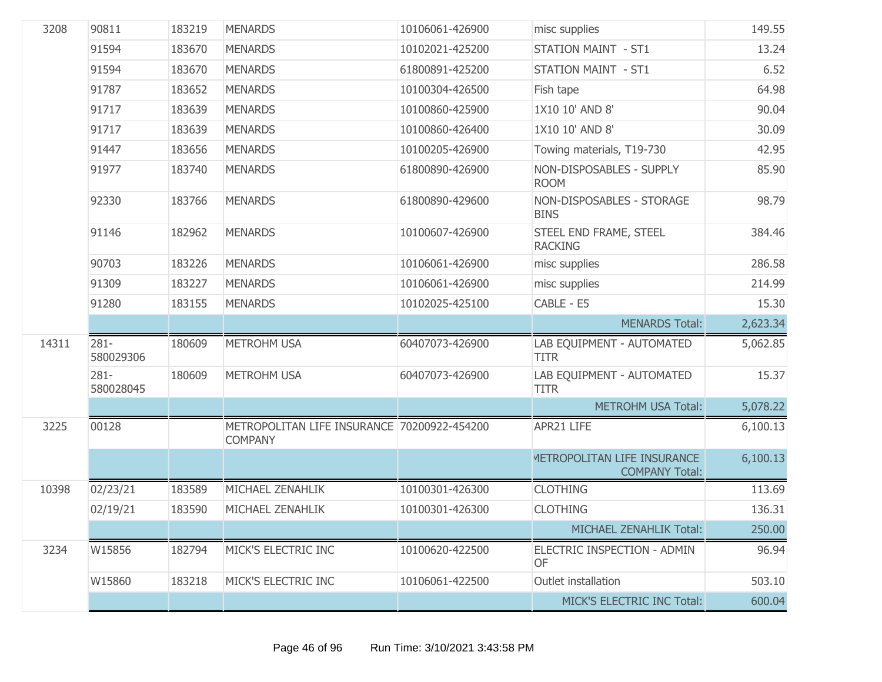| 3208  | 90811                | 183219 | <b>MENARDS</b>                                                | 10106061-426900 | misc supplies                                               | 149.55   |
|-------|----------------------|--------|---------------------------------------------------------------|-----------------|-------------------------------------------------------------|----------|
|       | 91594                | 183670 | <b>MENARDS</b>                                                | 10102021-425200 | <b>STATION MAINT - ST1</b>                                  | 13.24    |
|       | 91594                | 183670 | <b>MENARDS</b>                                                | 61800891-425200 | STATION MAINT - ST1                                         | 6.52     |
|       | 91787                | 183652 | <b>MENARDS</b>                                                | 10100304-426500 | Fish tape                                                   | 64.98    |
|       | 91717                | 183639 | <b>MENARDS</b>                                                | 10100860-425900 | 1X10 10' AND 8'                                             | 90.04    |
|       | 91717                | 183639 | <b>MENARDS</b>                                                | 10100860-426400 | 1X10 10' AND 8'                                             | 30.09    |
|       | 91447                | 183656 | <b>MENARDS</b>                                                | 10100205-426900 | Towing materials, T19-730                                   | 42.95    |
|       | 91977                | 183740 | <b>MENARDS</b>                                                | 61800890-426900 | NON-DISPOSABLES - SUPPLY<br><b>ROOM</b>                     | 85.90    |
|       | 92330                | 183766 | <b>MENARDS</b>                                                | 61800890-429600 | NON-DISPOSABLES - STORAGE<br><b>BINS</b>                    | 98.79    |
|       | 91146                | 182962 | <b>MENARDS</b>                                                | 10100607-426900 | STEEL END FRAME, STEEL<br><b>RACKING</b>                    | 384.46   |
|       | 90703                | 183226 | <b>MENARDS</b>                                                | 10106061-426900 | misc supplies                                               | 286.58   |
|       | 91309                | 183227 | <b>MENARDS</b>                                                | 10106061-426900 | misc supplies                                               | 214.99   |
|       | 91280                | 183155 | <b>MENARDS</b>                                                | 10102025-425100 | CABLE - E5                                                  | 15.30    |
|       |                      |        |                                                               |                 |                                                             |          |
|       |                      |        |                                                               |                 | <b>MENARDS Total:</b>                                       | 2,623.34 |
| 14311 | $281 -$<br>580029306 | 180609 | <b>METROHM USA</b>                                            | 60407073-426900 | LAB EQUIPMENT - AUTOMATED<br><b>TITR</b>                    | 5,062.85 |
|       | $281 -$<br>580028045 | 180609 | <b>METROHM USA</b>                                            | 60407073-426900 | LAB EQUIPMENT - AUTOMATED<br><b>TITR</b>                    | 15.37    |
|       |                      |        |                                                               |                 | <b>METROHM USA Total:</b>                                   | 5,078.22 |
| 3225  | 00128                |        | METROPOLITAN LIFE INSURANCE 70200922-454200<br><b>COMPANY</b> |                 | APR21 LIFE                                                  | 6,100.13 |
|       |                      |        |                                                               |                 | <b>METROPOLITAN LIFE INSURANCE</b><br><b>COMPANY Total:</b> | 6,100.13 |
| 10398 | 02/23/21             | 183589 | MICHAEL ZENAHLIK                                              | 10100301-426300 | <b>CLOTHING</b>                                             | 113.69   |
|       | 02/19/21             | 183590 | MICHAEL ZENAHLIK                                              | 10100301-426300 | <b>CLOTHING</b>                                             | 136.31   |
|       |                      |        |                                                               |                 | MICHAEL ZENAHLIK Total:                                     | 250.00   |
| 3234  | W15856               | 182794 | MICK'S ELECTRIC INC                                           | 10100620-422500 | ELECTRIC INSPECTION - ADMIN<br>OF                           | 96.94    |
|       | W15860               | 183218 | MICK'S ELECTRIC INC                                           | 10106061-422500 | Outlet installation                                         | 503.10   |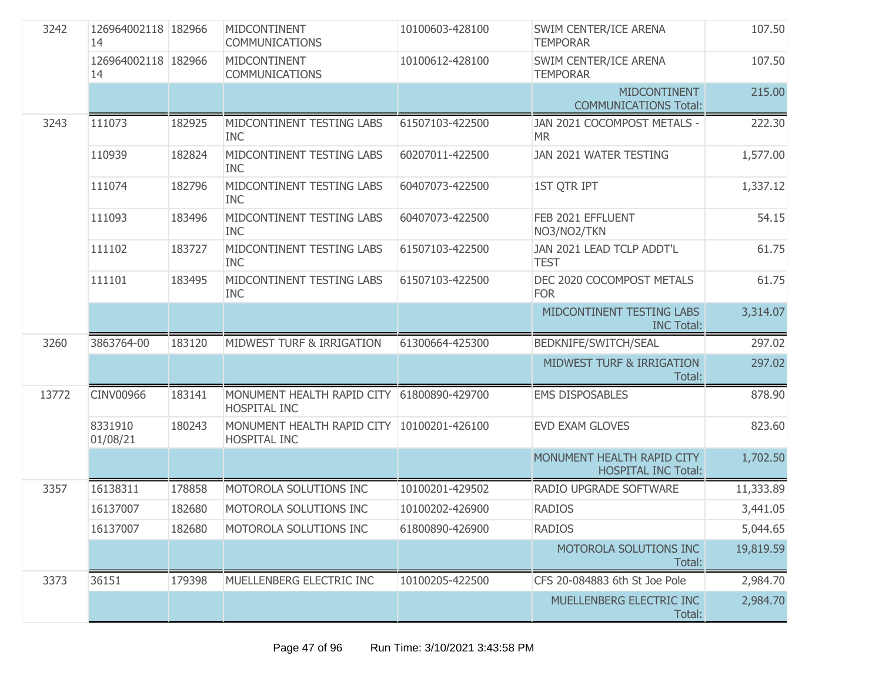| 3242  | 126964002118 182966<br>14 |        | MIDCONTINENT<br><b>COMMUNICATIONS</b>             | 10100603-428100 | SWIM CENTER/ICE ARENA<br><b>TEMPORAR</b>                 | 107.50    |
|-------|---------------------------|--------|---------------------------------------------------|-----------------|----------------------------------------------------------|-----------|
|       | 126964002118 182966<br>14 |        | MIDCONTINENT<br><b>COMMUNICATIONS</b>             | 10100612-428100 | SWIM CENTER/ICE ARENA<br><b>TEMPORAR</b>                 | 107.50    |
|       |                           |        |                                                   |                 | <b>MIDCONTINENT</b><br><b>COMMUNICATIONS Total:</b>      | 215.00    |
| 3243  | 111073                    | 182925 | MIDCONTINENT TESTING LABS<br><b>INC</b>           | 61507103-422500 | JAN 2021 COCOMPOST METALS -<br><b>MR</b>                 | 222.30    |
|       | 110939                    | 182824 | MIDCONTINENT TESTING LABS<br><b>INC</b>           | 60207011-422500 | JAN 2021 WATER TESTING                                   | 1,577.00  |
|       | 111074                    | 182796 | MIDCONTINENT TESTING LABS<br><b>INC</b>           | 60407073-422500 | <b>1ST QTR IPT</b>                                       | 1,337.12  |
|       | 111093                    | 183496 | MIDCONTINENT TESTING LABS<br><b>INC</b>           | 60407073-422500 | FEB 2021 EFFLUENT<br>NO3/NO2/TKN                         | 54.15     |
|       | 111102                    | 183727 | MIDCONTINENT TESTING LABS<br><b>INC</b>           | 61507103-422500 | JAN 2021 LEAD TCLP ADDT'L<br><b>TEST</b>                 | 61.75     |
|       | 111101                    | 183495 | MIDCONTINENT TESTING LABS<br><b>INC</b>           | 61507103-422500 | DEC 2020 COCOMPOST METALS<br><b>FOR</b>                  | 61.75     |
|       |                           |        |                                                   |                 | MIDCONTINENT TESTING LABS<br><b>INC Total:</b>           | 3,314.07  |
| 3260  | 3863764-00                | 183120 | MIDWEST TURF & IRRIGATION                         | 61300664-425300 | BEDKNIFE/SWITCH/SEAL                                     | 297.02    |
|       |                           |        |                                                   |                 | <b>MIDWEST TURF &amp; IRRIGATION</b><br>Total:           | 297.02    |
| 13772 | CINV00966                 | 183141 | MONUMENT HEALTH RAPID CITY<br><b>HOSPITAL INC</b> | 61800890-429700 | <b>EMS DISPOSABLES</b>                                   | 878.90    |
|       | 8331910<br>01/08/21       | 180243 | MONUMENT HEALTH RAPID CITY<br>HOSPITAL INC        | 10100201-426100 | <b>EVD EXAM GLOVES</b>                                   | 823.60    |
|       |                           |        |                                                   |                 | MONUMENT HEALTH RAPID CITY<br><b>HOSPITAL INC Total:</b> | 1,702.50  |
| 3357  | 16138311                  | 178858 | MOTOROLA SOLUTIONS INC                            | 10100201-429502 | RADIO UPGRADE SOFTWARE                                   | 11,333.89 |
|       | 16137007                  | 182680 | MOTOROLA SOLUTIONS INC                            | 10100202-426900 | <b>RADIOS</b>                                            | 3,441.05  |
|       | 16137007                  | 182680 | MOTOROLA SOLUTIONS INC                            | 61800890-426900 | <b>RADIOS</b>                                            | 5,044.65  |
|       |                           |        |                                                   |                 | MOTOROLA SOLUTIONS INC<br>Total:                         | 19,819.59 |
| 3373  | 36151                     | 179398 | MUELLENBERG ELECTRIC INC                          | 10100205-422500 | CFS 20-084883 6th St Joe Pole                            | 2,984.70  |
|       |                           |        |                                                   |                 | MUELLENBERG ELECTRIC INC<br>Total:                       | 2,984.70  |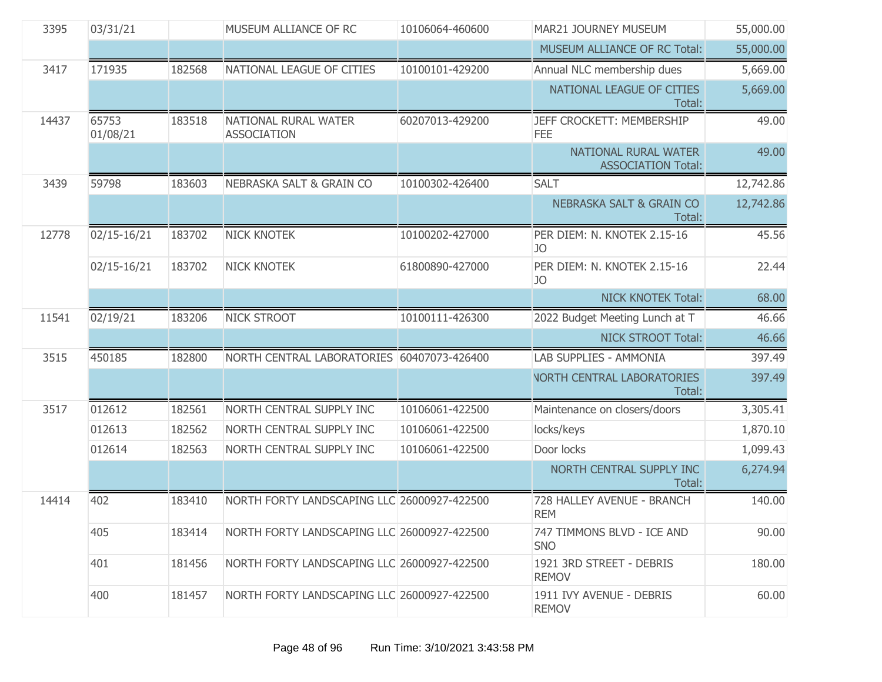| 3395  | 03/31/21          |        | MUSEUM ALLIANCE OF RC                       | 10106064-460600 | MAR21 JOURNEY MUSEUM                              | 55,000.00 |
|-------|-------------------|--------|---------------------------------------------|-----------------|---------------------------------------------------|-----------|
|       |                   |        |                                             |                 | MUSEUM ALLIANCE OF RC Total:                      | 55,000.00 |
| 3417  | 171935            | 182568 | NATIONAL LEAGUE OF CITIES                   | 10100101-429200 | Annual NLC membership dues                        | 5,669.00  |
|       |                   |        |                                             |                 | NATIONAL LEAGUE OF CITIES<br>Total:               | 5,669.00  |
| 14437 | 65753<br>01/08/21 | 183518 | NATIONAL RURAL WATER<br><b>ASSOCIATION</b>  | 60207013-429200 | JEFF CROCKETT: MEMBERSHIP<br>FEE                  | 49.00     |
|       |                   |        |                                             |                 | NATIONAL RURAL WATER<br><b>ASSOCIATION Total:</b> | 49.00     |
| 3439  | 59798             | 183603 | <b>NEBRASKA SALT &amp; GRAIN CO</b>         | 10100302-426400 | <b>SALT</b>                                       | 12,742.86 |
|       |                   |        |                                             |                 | <b>NEBRASKA SALT &amp; GRAIN CO</b><br>Total:     | 12,742.86 |
| 12778 | 02/15-16/21       | 183702 | <b>NICK KNOTEK</b>                          | 10100202-427000 | PER DIEM: N. KNOTEK 2.15-16<br>JO                 | 45.56     |
|       | 02/15-16/21       | 183702 | <b>NICK KNOTEK</b>                          | 61800890-427000 | PER DIEM: N. KNOTEK 2.15-16<br>JO                 | 22.44     |
|       |                   |        |                                             |                 | <b>NICK KNOTEK Total:</b>                         | 68.00     |
| 11541 | 02/19/21          | 183206 | <b>NICK STROOT</b>                          | 10100111-426300 | 2022 Budget Meeting Lunch at T                    | 46.66     |
|       |                   |        |                                             |                 | <b>NICK STROOT Total:</b>                         | 46.66     |
| 3515  | 450185            | 182800 | NORTH CENTRAL LABORATORIES                  | 60407073-426400 | LAB SUPPLIES - AMMONIA                            | 397.49    |
|       |                   |        |                                             |                 | <b>VORTH CENTRAL LABORATORIES</b><br>Total:       | 397.49    |
| 3517  | 012612            | 182561 | NORTH CENTRAL SUPPLY INC                    | 10106061-422500 | Maintenance on closers/doors                      | 3,305.41  |
|       | 012613            | 182562 | NORTH CENTRAL SUPPLY INC                    | 10106061-422500 | locks/keys                                        | 1,870.10  |
|       | 012614            | 182563 | NORTH CENTRAL SUPPLY INC                    | 10106061-422500 | Door locks                                        | 1,099.43  |
|       |                   |        |                                             |                 | NORTH CENTRAL SUPPLY INC<br>Total:                | 6,274.94  |
| 14414 | 402               | 183410 | NORTH FORTY LANDSCAPING LLC 26000927-422500 |                 | 728 HALLEY AVENUE - BRANCH<br><b>REM</b>          | 140.00    |
|       | 405               | 183414 | NORTH FORTY LANDSCAPING LLC 26000927-422500 |                 | 747 TIMMONS BLVD - ICE AND<br><b>SNO</b>          | 90.00     |
|       | 401               | 181456 | NORTH FORTY LANDSCAPING LLC 26000927-422500 |                 | 1921 3RD STREET - DEBRIS<br><b>REMOV</b>          | 180.00    |
|       | 400               | 181457 | NORTH FORTY LANDSCAPING LLC 26000927-422500 |                 | 1911 IVY AVENUE - DEBRIS<br><b>REMOV</b>          | 60.00     |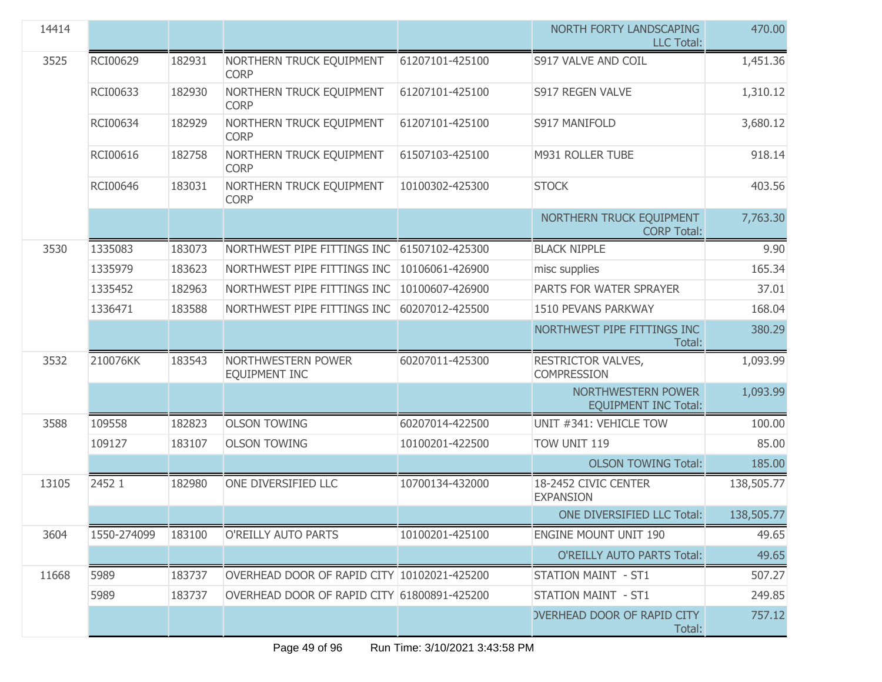| 14414 |             |        |                                             |                 | NORTH FORTY LANDSCAPING<br><b>LLC Total:</b>      | 470.00     |
|-------|-------------|--------|---------------------------------------------|-----------------|---------------------------------------------------|------------|
| 3525  | RCI00629    | 182931 | NORTHERN TRUCK EQUIPMENT<br><b>CORP</b>     | 61207101-425100 | S917 VALVE AND COIL                               | 1,451.36   |
|       | RCI00633    | 182930 | NORTHERN TRUCK EQUIPMENT<br><b>CORP</b>     | 61207101-425100 | S917 REGEN VALVE                                  | 1,310.12   |
|       | RCI00634    | 182929 | NORTHERN TRUCK EQUIPMENT<br><b>CORP</b>     | 61207101-425100 | S917 MANIFOLD                                     | 3,680.12   |
|       | RCI00616    | 182758 | NORTHERN TRUCK EQUIPMENT<br><b>CORP</b>     | 61507103-425100 | M931 ROLLER TUBE                                  | 918.14     |
|       | RCI00646    | 183031 | NORTHERN TRUCK EQUIPMENT<br><b>CORP</b>     | 10100302-425300 | <b>STOCK</b>                                      | 403.56     |
|       |             |        |                                             |                 | NORTHERN TRUCK EQUIPMENT<br><b>CORP Total:</b>    | 7,763.30   |
| 3530  | 1335083     | 183073 | NORTHWEST PIPE FITTINGS INC                 | 61507102-425300 | <b>BLACK NIPPLE</b>                               | 9.90       |
|       | 1335979     | 183623 | NORTHWEST PIPE FITTINGS INC                 | 10106061-426900 | misc supplies                                     | 165.34     |
|       | 1335452     | 182963 | NORTHWEST PIPE FITTINGS INC                 | 10100607-426900 | PARTS FOR WATER SPRAYER                           | 37.01      |
|       | 1336471     | 183588 | NORTHWEST PIPE FITTINGS INC                 | 60207012-425500 | 1510 PEVANS PARKWAY                               | 168.04     |
|       |             |        |                                             |                 | NORTHWEST PIPE FITTINGS INC<br>Total:             | 380.29     |
| 3532  | 210076KK    | 183543 | NORTHWESTERN POWER<br>EQUIPMENT INC         | 60207011-425300 | RESTRICTOR VALVES,<br><b>COMPRESSION</b>          | 1,093.99   |
|       |             |        |                                             |                 | NORTHWESTERN POWER<br><b>EQUIPMENT INC Total:</b> | 1,093.99   |
| 3588  | 109558      | 182823 | <b>OLSON TOWING</b>                         | 60207014-422500 | UNIT #341: VEHICLE TOW                            | 100.00     |
|       | 109127      | 183107 | <b>OLSON TOWING</b>                         | 10100201-422500 | TOW UNIT 119                                      | 85.00      |
|       |             |        |                                             |                 | <b>OLSON TOWING Total:</b>                        | 185.00     |
| 13105 | 2452 1      | 182980 | ONE DIVERSIFIED LLC                         | 10700134-432000 | 18-2452 CIVIC CENTER<br><b>EXPANSION</b>          | 138,505.77 |
|       |             |        |                                             |                 | ONE DIVERSIFIED LLC Total:                        | 138,505.77 |
| 3604  | 1550-274099 | 183100 | O'REILLY AUTO PARTS                         | 10100201-425100 | <b>ENGINE MOUNT UNIT 190</b>                      | 49.65      |
|       |             |        |                                             |                 | <b>O'REILLY AUTO PARTS Total:</b>                 | 49.65      |
| 11668 | 5989        | 183737 | OVERHEAD DOOR OF RAPID CITY 10102021-425200 |                 | <b>STATION MAINT - ST1</b>                        | 507.27     |
|       | 5989        | 183737 | OVERHEAD DOOR OF RAPID CITY 61800891-425200 |                 | STATION MAINT - ST1                               | 249.85     |
|       |             |        |                                             |                 | <b>OVERHEAD DOOR OF RAPID CITY</b><br>Total:      | 757.12     |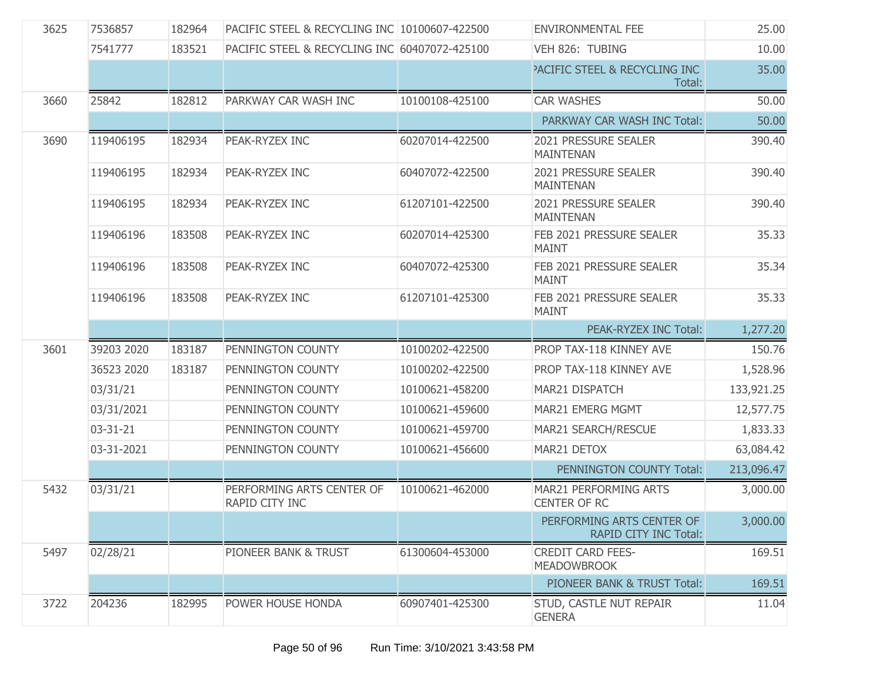| 3625 | 7536857        | 182964 | PACIFIC STEEL & RECYCLING INC 10100607-422500 |                 | <b>ENVIRONMENTAL FEE</b>                           | 25.00      |
|------|----------------|--------|-----------------------------------------------|-----------------|----------------------------------------------------|------------|
|      | 7541777        | 183521 | PACIFIC STEEL & RECYCLING INC 60407072-425100 |                 | VEH 826: TUBING                                    | 10.00      |
|      |                |        |                                               |                 | <b>PACIFIC STEEL &amp; RECYCLING INC</b><br>Total: | 35.00      |
| 3660 | 25842          | 182812 | PARKWAY CAR WASH INC                          | 10100108-425100 | <b>CAR WASHES</b>                                  | 50.00      |
|      |                |        |                                               |                 | PARKWAY CAR WASH INC Total:                        | 50.00      |
| 3690 | 119406195      | 182934 | PEAK-RYZEX INC                                | 60207014-422500 | <b>2021 PRESSURE SEALER</b><br><b>MAINTENAN</b>    | 390.40     |
|      | 119406195      | 182934 | PEAK-RYZEX INC                                | 60407072-422500 | 2021 PRESSURE SEALER<br><b>MAINTENAN</b>           | 390.40     |
|      | 119406195      | 182934 | PEAK-RYZEX INC                                | 61207101-422500 | 2021 PRESSURE SEALER<br><b>MAINTENAN</b>           | 390.40     |
|      | 119406196      | 183508 | PEAK-RYZEX INC                                | 60207014-425300 | FEB 2021 PRESSURE SEALER<br><b>MAINT</b>           | 35.33      |
|      | 119406196      | 183508 | PEAK-RYZEX INC                                | 60407072-425300 | FEB 2021 PRESSURE SEALER<br><b>MAINT</b>           | 35.34      |
|      | 119406196      | 183508 | PEAK-RYZEX INC                                | 61207101-425300 | FEB 2021 PRESSURE SEALER<br><b>MAINT</b>           | 35.33      |
|      |                |        |                                               |                 |                                                    |            |
|      |                |        |                                               |                 | PEAK-RYZEX INC Total:                              | 1,277.20   |
| 3601 | 39203 2020     | 183187 | PENNINGTON COUNTY                             | 10100202-422500 | PROP TAX-118 KINNEY AVE                            | 150.76     |
|      | 36523 2020     | 183187 | PENNINGTON COUNTY                             | 10100202-422500 | PROP TAX-118 KINNEY AVE                            | 1,528.96   |
|      | 03/31/21       |        | PENNINGTON COUNTY                             | 10100621-458200 | MAR21 DISPATCH                                     | 133,921.25 |
|      | 03/31/2021     |        | PENNINGTON COUNTY                             | 10100621-459600 | MAR21 EMERG MGMT                                   | 12,577.75  |
|      | $03 - 31 - 21$ |        | PENNINGTON COUNTY                             | 10100621-459700 | MAR21 SEARCH/RESCUE                                | 1,833.33   |
|      | 03-31-2021     |        | PENNINGTON COUNTY                             | 10100621-456600 | MAR21 DETOX                                        | 63,084.42  |
|      |                |        |                                               |                 | PENNINGTON COUNTY Total:                           | 213,096.47 |
| 5432 | 03/31/21       |        | PERFORMING ARTS CENTER OF<br>RAPID CITY INC   | 10100621-462000 | MAR21 PERFORMING ARTS<br><b>CENTER OF RC</b>       | 3,000.00   |
|      |                |        |                                               |                 | PERFORMING ARTS CENTER OF<br>RAPID CITY INC Total: | 3,000.00   |
| 5497 | 02/28/21       |        | PIONEER BANK & TRUST                          | 61300604-453000 | <b>CREDIT CARD FEES-</b><br><b>MEADOWBROOK</b>     | 169.51     |
|      |                |        |                                               |                 | PIONEER BANK & TRUST Total:                        | 169.51     |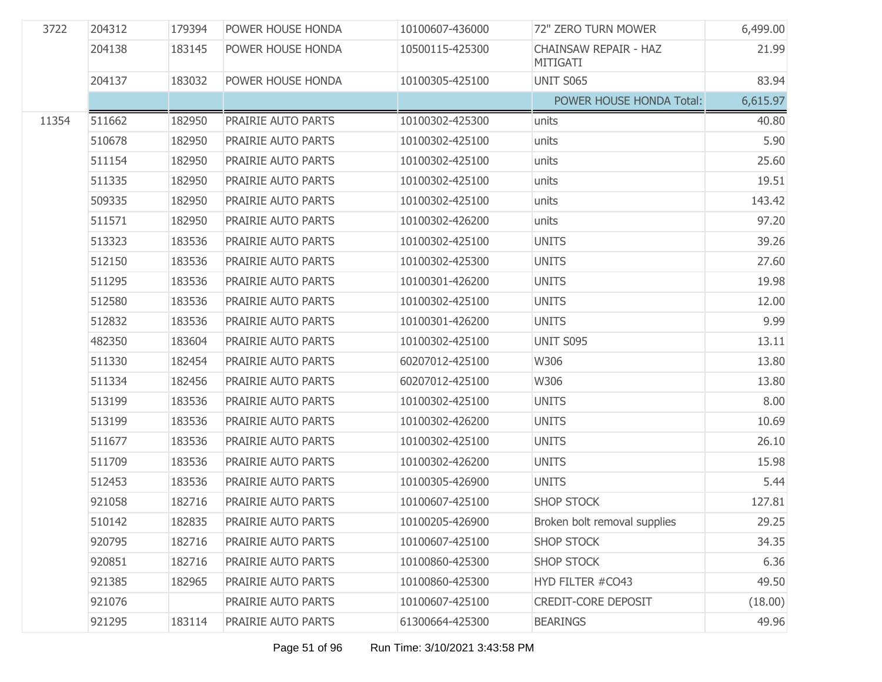| 3722  | 204312 | 179394 | POWER HOUSE HONDA  | 10100607-436000 | 72" ZERO TURN MOWER                      | 6,499.00 |
|-------|--------|--------|--------------------|-----------------|------------------------------------------|----------|
|       | 204138 | 183145 | POWER HOUSE HONDA  | 10500115-425300 | CHAINSAW REPAIR - HAZ<br><b>MITIGATI</b> | 21.99    |
|       | 204137 | 183032 | POWER HOUSE HONDA  | 10100305-425100 | UNIT S065                                | 83.94    |
|       |        |        |                    |                 | POWER HOUSE HONDA Total:                 | 6,615.97 |
| 11354 | 511662 | 182950 | PRAIRIE AUTO PARTS | 10100302-425300 | units                                    | 40.80    |
|       | 510678 | 182950 | PRAIRIE AUTO PARTS | 10100302-425100 | units                                    | 5.90     |
|       | 511154 | 182950 | PRAIRIE AUTO PARTS | 10100302-425100 | units                                    | 25.60    |
|       | 511335 | 182950 | PRAIRIE AUTO PARTS | 10100302-425100 | units                                    | 19.51    |
|       | 509335 | 182950 | PRAIRIE AUTO PARTS | 10100302-425100 | units                                    | 143.42   |
|       | 511571 | 182950 | PRAIRIE AUTO PARTS | 10100302-426200 | units                                    | 97.20    |
|       | 513323 | 183536 | PRAIRIE AUTO PARTS | 10100302-425100 | <b>UNITS</b>                             | 39.26    |
|       | 512150 | 183536 | PRAIRIE AUTO PARTS | 10100302-425300 | <b>UNITS</b>                             | 27.60    |
|       | 511295 | 183536 | PRAIRIE AUTO PARTS | 10100301-426200 | <b>UNITS</b>                             | 19.98    |
|       | 512580 | 183536 | PRAIRIE AUTO PARTS | 10100302-425100 | <b>UNITS</b>                             | 12.00    |
|       | 512832 | 183536 | PRAIRIE AUTO PARTS | 10100301-426200 | <b>UNITS</b>                             | 9.99     |
|       | 482350 | 183604 | PRAIRIE AUTO PARTS | 10100302-425100 | UNIT S095                                | 13.11    |
|       | 511330 | 182454 | PRAIRIE AUTO PARTS | 60207012-425100 | W306                                     | 13.80    |
|       | 511334 | 182456 | PRAIRIE AUTO PARTS | 60207012-425100 | W306                                     | 13.80    |
|       | 513199 | 183536 | PRAIRIE AUTO PARTS | 10100302-425100 | <b>UNITS</b>                             | 8.00     |
|       | 513199 | 183536 | PRAIRIE AUTO PARTS | 10100302-426200 | <b>UNITS</b>                             | 10.69    |
|       | 511677 | 183536 | PRAIRIE AUTO PARTS | 10100302-425100 | <b>UNITS</b>                             | 26.10    |
|       | 511709 | 183536 | PRAIRIE AUTO PARTS | 10100302-426200 | <b>UNITS</b>                             | 15.98    |
|       | 512453 | 183536 | PRAIRIE AUTO PARTS | 10100305-426900 | <b>UNITS</b>                             | 5.44     |
|       | 921058 | 182716 | PRAIRIE AUTO PARTS | 10100607-425100 | <b>SHOP STOCK</b>                        | 127.81   |
|       | 510142 | 182835 | PRAIRIE AUTO PARTS | 10100205-426900 | Broken bolt removal supplies             | 29.25    |
|       | 920795 | 182716 | PRAIRIE AUTO PARTS | 10100607-425100 | <b>SHOP STOCK</b>                        | 34.35    |
|       | 920851 | 182716 | PRAIRIE AUTO PARTS | 10100860-425300 | <b>SHOP STOCK</b>                        | 6.36     |
|       | 921385 | 182965 | PRAIRIE AUTO PARTS | 10100860-425300 | HYD FILTER #CO43                         | 49.50    |
|       | 921076 |        | PRAIRIE AUTO PARTS | 10100607-425100 | CREDIT-CORE DEPOSIT                      | (18.00)  |
|       | 921295 | 183114 | PRAIRIE AUTO PARTS | 61300664-425300 | <b>BEARINGS</b>                          | 49.96    |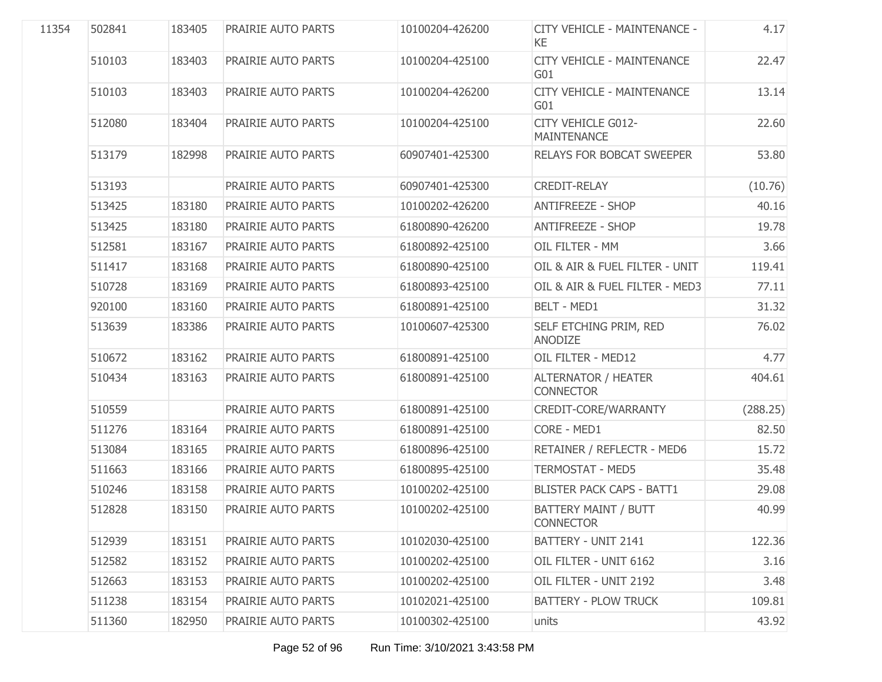| 11354 | 502841 | 183405 | <b>PRAIRIE AUTO PARTS</b> | 10100204-426200 | CITY VEHICLE - MAINTENANCE -<br>KE              | 4.17     |
|-------|--------|--------|---------------------------|-----------------|-------------------------------------------------|----------|
|       | 510103 | 183403 | PRAIRIE AUTO PARTS        | 10100204-425100 | <b>CITY VEHICLE - MAINTENANCE</b><br>G01        | 22.47    |
|       | 510103 | 183403 | PRAIRIE AUTO PARTS        | 10100204-426200 | <b>CITY VEHICLE - MAINTENANCE</b><br>G01        | 13.14    |
|       | 512080 | 183404 | PRAIRIE AUTO PARTS        | 10100204-425100 | CITY VEHICLE G012-<br><b>MAINTENANCE</b>        | 22.60    |
|       | 513179 | 182998 | PRAIRIE AUTO PARTS        | 60907401-425300 | <b>RELAYS FOR BOBCAT SWEEPER</b>                | 53.80    |
|       | 513193 |        | PRAIRIE AUTO PARTS        | 60907401-425300 | <b>CREDIT-RELAY</b>                             | (10.76)  |
|       | 513425 | 183180 | PRAIRIE AUTO PARTS        | 10100202-426200 | <b>ANTIFREEZE - SHOP</b>                        | 40.16    |
|       | 513425 | 183180 | PRAIRIE AUTO PARTS        | 61800890-426200 | <b>ANTIFREEZE - SHOP</b>                        | 19.78    |
|       | 512581 | 183167 | PRAIRIE AUTO PARTS        | 61800892-425100 | OIL FILTER - MM                                 | 3.66     |
|       | 511417 | 183168 | PRAIRIE AUTO PARTS        | 61800890-425100 | OIL & AIR & FUEL FILTER - UNIT                  | 119.41   |
|       | 510728 | 183169 | PRAIRIE AUTO PARTS        | 61800893-425100 | OIL & AIR & FUEL FILTER - MED3                  | 77.11    |
|       | 920100 | 183160 | PRAIRIE AUTO PARTS        | 61800891-425100 | <b>BELT - MED1</b>                              | 31.32    |
|       | 513639 | 183386 | PRAIRIE AUTO PARTS        | 10100607-425300 | SELF ETCHING PRIM, RED<br>ANODIZE               | 76.02    |
|       | 510672 | 183162 | PRAIRIE AUTO PARTS        | 61800891-425100 | OIL FILTER - MED12                              | 4.77     |
|       | 510434 | 183163 | <b>PRAIRIE AUTO PARTS</b> | 61800891-425100 | <b>ALTERNATOR / HEATER</b><br><b>CONNECTOR</b>  | 404.61   |
|       | 510559 |        | PRAIRIE AUTO PARTS        | 61800891-425100 | CREDIT-CORE/WARRANTY                            | (288.25) |
|       | 511276 | 183164 | PRAIRIE AUTO PARTS        | 61800891-425100 | CORE - MED1                                     | 82.50    |
|       | 513084 | 183165 | PRAIRIE AUTO PARTS        | 61800896-425100 | RETAINER / REFLECTR - MED6                      | 15.72    |
|       | 511663 | 183166 | PRAIRIE AUTO PARTS        | 61800895-425100 | <b>TERMOSTAT - MED5</b>                         | 35.48    |
|       | 510246 | 183158 | PRAIRIE AUTO PARTS        | 10100202-425100 | <b>BLISTER PACK CAPS - BATT1</b>                | 29.08    |
|       | 512828 | 183150 | PRAIRIE AUTO PARTS        | 10100202-425100 | <b>BATTERY MAINT / BUTT</b><br><b>CONNECTOR</b> | 40.99    |
|       | 512939 | 183151 | PRAIRIE AUTO PARTS        | 10102030-425100 | BATTERY - UNIT 2141                             | 122.36   |
|       | 512582 | 183152 | PRAIRIE AUTO PARTS        | 10100202-425100 | OIL FILTER - UNIT 6162                          | 3.16     |
|       | 512663 | 183153 | PRAIRIE AUTO PARTS        | 10100202-425100 | OIL FILTER - UNIT 2192                          | 3.48     |
|       | 511238 | 183154 | PRAIRIE AUTO PARTS        | 10102021-425100 | <b>BATTERY - PLOW TRUCK</b>                     | 109.81   |
|       | 511360 | 182950 | PRAIRIE AUTO PARTS        | 10100302-425100 | units                                           | 43.92    |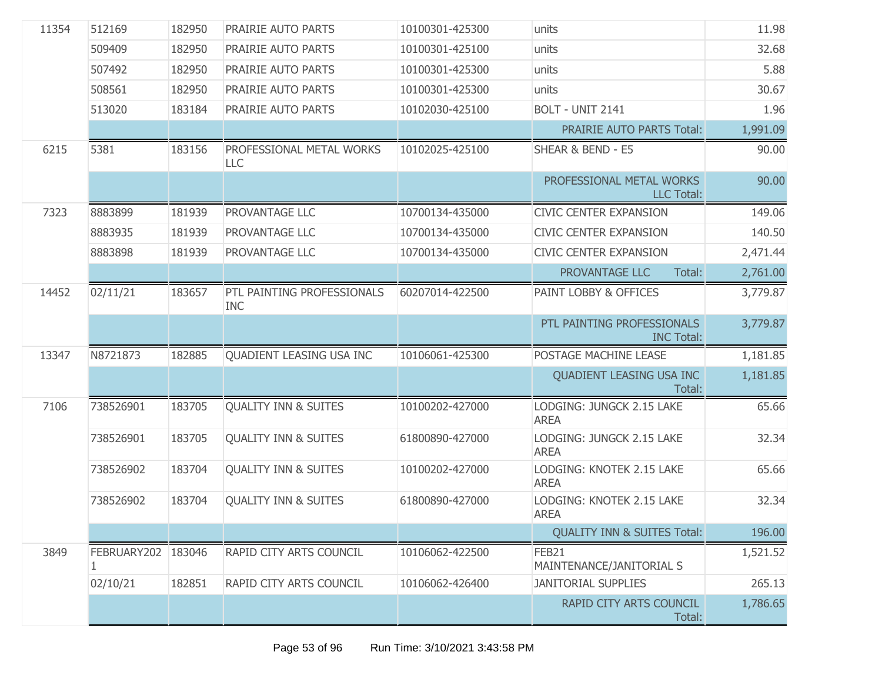| 11354 | 512169                  | 182950 | PRAIRIE AUTO PARTS                       | 10100301-425300 | units                                           | 11.98    |
|-------|-------------------------|--------|------------------------------------------|-----------------|-------------------------------------------------|----------|
|       | 509409                  | 182950 | PRAIRIE AUTO PARTS                       | 10100301-425100 | units                                           | 32.68    |
|       | 507492                  | 182950 | PRAIRIE AUTO PARTS                       | 10100301-425300 | units                                           | 5.88     |
|       | 508561                  | 182950 | PRAIRIE AUTO PARTS                       | 10100301-425300 | units                                           | 30.67    |
|       | 513020                  | 183184 | PRAIRIE AUTO PARTS                       | 10102030-425100 | BOLT - UNIT 2141                                | 1.96     |
|       |                         |        |                                          |                 | <b>PRAIRIE AUTO PARTS Total:</b>                | 1,991.09 |
| 6215  | 5381                    | 183156 | PROFESSIONAL METAL WORKS<br>LLC          | 10102025-425100 | SHEAR & BEND - E5                               | 90.00    |
|       |                         |        |                                          |                 | PROFESSIONAL METAL WORKS<br><b>LLC Total:</b>   | 90.00    |
| 7323  | 8883899                 | 181939 | PROVANTAGE LLC                           | 10700134-435000 | <b>CIVIC CENTER EXPANSION</b>                   | 149.06   |
|       | 8883935                 | 181939 | PROVANTAGE LLC                           | 10700134-435000 | <b>CIVIC CENTER EXPANSION</b>                   | 140.50   |
|       | 8883898                 | 181939 | PROVANTAGE LLC                           | 10700134-435000 | <b>CIVIC CENTER EXPANSION</b>                   | 2,471.44 |
|       |                         |        |                                          |                 | PROVANTAGE LLC<br>Total:                        | 2,761.00 |
| 14452 | 02/11/21                | 183657 | PTL PAINTING PROFESSIONALS<br><b>INC</b> | 60207014-422500 | PAINT LOBBY & OFFICES                           | 3,779.87 |
|       |                         |        |                                          |                 | PTL PAINTING PROFESSIONALS<br><b>INC Total:</b> | 3,779.87 |
| 13347 | N8721873                | 182885 | QUADIENT LEASING USA INC                 | 10106061-425300 | POSTAGE MACHINE LEASE                           | 1,181.85 |
|       |                         |        |                                          |                 | QUADIENT LEASING USA INC<br>Total:              | 1,181.85 |
| 7106  | 738526901               | 183705 | <b>QUALITY INN &amp; SUITES</b>          | 10100202-427000 | LODGING: JUNGCK 2.15 LAKE<br><b>AREA</b>        | 65.66    |
|       | 738526901               | 183705 | <b>QUALITY INN &amp; SUITES</b>          | 61800890-427000 | LODGING: JUNGCK 2.15 LAKE<br><b>AREA</b>        | 32.34    |
|       | 738526902               | 183704 | <b>OUALITY INN &amp; SUITES</b>          | 10100202-427000 | LODGING: KNOTEK 2.15 LAKE<br><b>AREA</b>        | 65.66    |
|       | 738526902               | 183704 | <b>OUALITY INN &amp; SUITES</b>          | 61800890-427000 | LODGING: KNOTEK 2.15 LAKE<br><b>AREA</b>        | 32.34    |
|       |                         |        |                                          |                 | <b>QUALITY INN &amp; SUITES Total:</b>          | 196.00   |
| 3849  | FEBRUARY202 183046<br>1 |        | RAPID CITY ARTS COUNCIL                  | 10106062-422500 | FEB21<br>MAINTENANCE/JANITORIAL S               | 1,521.52 |
|       | 02/10/21                | 182851 | RAPID CITY ARTS COUNCIL                  | 10106062-426400 | <b>JANITORIAL SUPPLIES</b>                      | 265.13   |
|       |                         |        |                                          |                 | RAPID CITY ARTS COUNCIL<br>Total:               | 1,786.65 |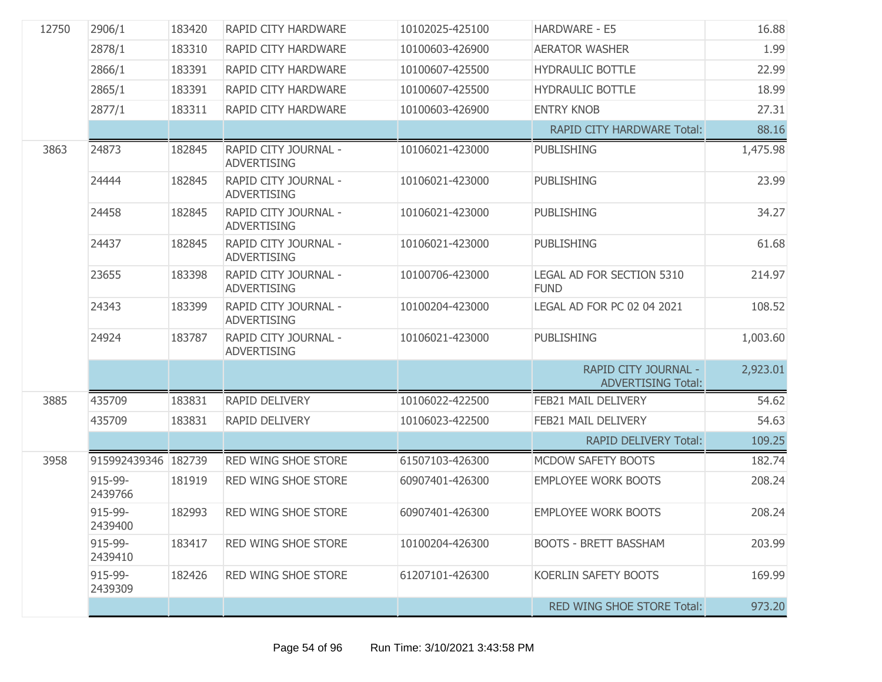| 12750 | 2906/1              | 183420 | RAPID CITY HARDWARE                        | 10102025-425100 | <b>HARDWARE - E5</b>                              | 16.88    |
|-------|---------------------|--------|--------------------------------------------|-----------------|---------------------------------------------------|----------|
|       | 2878/1              | 183310 | RAPID CITY HARDWARE                        | 10100603-426900 | <b>AERATOR WASHER</b>                             | 1.99     |
|       | 2866/1              | 183391 | RAPID CITY HARDWARE                        | 10100607-425500 | <b>HYDRAULIC BOTTLE</b>                           | 22.99    |
|       | 2865/1              | 183391 | RAPID CITY HARDWARE                        | 10100607-425500 | <b>HYDRAULIC BOTTLE</b>                           | 18.99    |
|       | 2877/1              | 183311 | RAPID CITY HARDWARE                        | 10100603-426900 | <b>ENTRY KNOB</b>                                 | 27.31    |
|       |                     |        |                                            |                 | <b>RAPID CITY HARDWARE Total:</b>                 | 88.16    |
| 3863  | 24873               | 182845 | RAPID CITY JOURNAL -<br><b>ADVERTISING</b> | 10106021-423000 | <b>PUBLISHING</b>                                 | 1,475.98 |
|       | 24444               | 182845 | RAPID CITY JOURNAL -<br><b>ADVERTISING</b> | 10106021-423000 | <b>PUBLISHING</b>                                 | 23.99    |
|       | 24458               | 182845 | RAPID CITY JOURNAL -<br><b>ADVERTISING</b> | 10106021-423000 | <b>PUBLISHING</b>                                 | 34.27    |
|       | 24437               | 182845 | RAPID CITY JOURNAL -<br><b>ADVERTISING</b> | 10106021-423000 | <b>PUBLISHING</b>                                 | 61.68    |
|       | 23655               | 183398 | RAPID CITY JOURNAL -<br><b>ADVERTISING</b> | 10100706-423000 | LEGAL AD FOR SECTION 5310<br><b>FUND</b>          | 214.97   |
|       | 24343               | 183399 | RAPID CITY JOURNAL -<br><b>ADVERTISING</b> | 10100204-423000 | <b>LEGAL AD FOR PC 02 04 2021</b>                 | 108.52   |
|       | 24924               | 183787 | RAPID CITY JOURNAL -<br><b>ADVERTISING</b> | 10106021-423000 | <b>PUBLISHING</b>                                 | 1,003.60 |
|       |                     |        |                                            |                 | RAPID CITY JOURNAL -<br><b>ADVERTISING Total:</b> | 2,923.01 |
| 3885  | 435709              | 183831 | RAPID DELIVERY                             | 10106022-422500 | FEB21 MAIL DELIVERY                               | 54.62    |
|       | 435709              | 183831 | RAPID DELIVERY                             | 10106023-422500 | FEB21 MAIL DELIVERY                               | 54.63    |
|       |                     |        |                                            |                 | <b>RAPID DELIVERY Total:</b>                      | 109.25   |
| 3958  | 915992439346 182739 |        | RED WING SHOE STORE                        | 61507103-426300 | MCDOW SAFETY BOOTS                                | 182.74   |
|       | 915-99-<br>2439766  | 181919 | <b>RED WING SHOE STORE</b>                 | 60907401-426300 | <b>EMPLOYEE WORK BOOTS</b>                        | 208.24   |
|       | 915-99-<br>2439400  | 182993 | RED WING SHOE STORE                        | 60907401-426300 | <b>EMPLOYEE WORK BOOTS</b>                        | 208.24   |
|       | 915-99-<br>2439410  | 183417 | <b>RED WING SHOE STORE</b>                 | 10100204-426300 | <b>BOOTS - BRETT BASSHAM</b>                      | 203.99   |
|       | 915-99-<br>2439309  | 182426 | <b>RED WING SHOE STORE</b>                 | 61207101-426300 | KOERLIN SAFETY BOOTS                              | 169.99   |
|       |                     |        |                                            |                 | <b>RED WING SHOE STORE Total:</b>                 | 973.20   |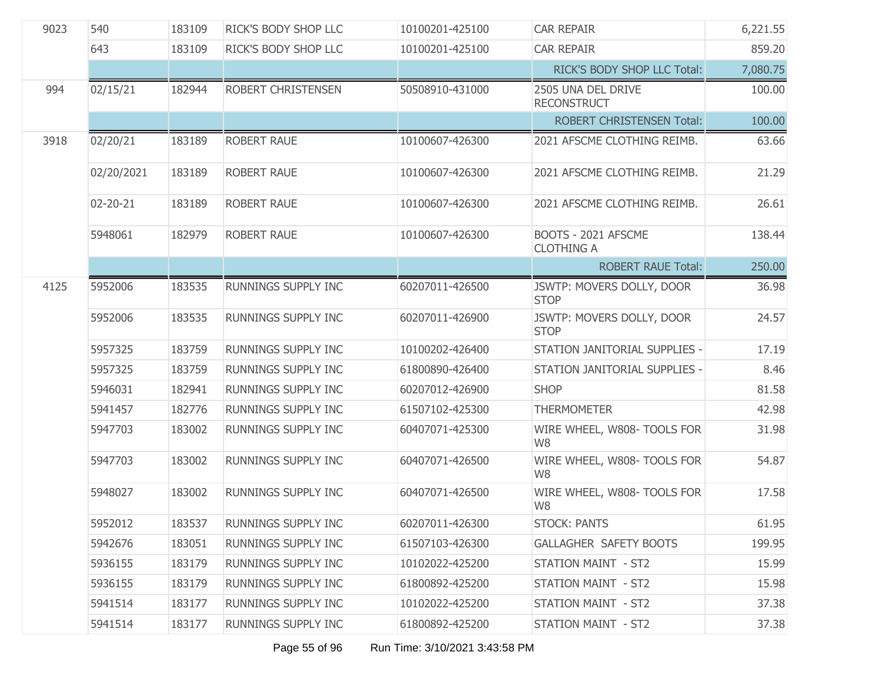| 9023 | 540        | 183109 | RICK'S BODY SHOP LLC       | 10100201-425100 | <b>CAR REPAIR</b>                        | 6,221.55 |
|------|------------|--------|----------------------------|-----------------|------------------------------------------|----------|
|      | 643        | 183109 | RICK'S BODY SHOP LLC       | 10100201-425100 | <b>CAR REPAIR</b>                        | 859.20   |
|      |            |        |                            |                 | RICK'S BODY SHOP LLC Total:              | 7,080.75 |
| 994  | 02/15/21   | 182944 | ROBERT CHRISTENSEN         | 50508910-431000 | 2505 UNA DEL DRIVE<br><b>RECONSTRUCT</b> | 100.00   |
|      |            |        |                            |                 | <b>ROBERT CHRISTENSEN Total:</b>         | 100.00   |
| 3918 | 02/20/21   | 183189 | ROBERT RAUE                | 10100607-426300 | 2021 AFSCME CLOTHING REIMB.              | 63.66    |
|      | 02/20/2021 | 183189 | ROBERT RAUE                | 10100607-426300 | 2021 AFSCME CLOTHING REIMB.              | 21.29    |
|      | 02-20-21   | 183189 | <b>ROBERT RAUE</b>         | 10100607-426300 | 2021 AFSCME CLOTHING REIMB.              | 26.61    |
|      | 5948061    | 182979 | <b>ROBERT RAUE</b>         | 10100607-426300 | BOOTS - 2021 AFSCME<br><b>CLOTHING A</b> | 138.44   |
|      |            |        |                            |                 | <b>ROBERT RAUE Total:</b>                | 250.00   |
| 4125 | 5952006    | 183535 | <b>RUNNINGS SUPPLY INC</b> | 60207011-426500 | JSWTP: MOVERS DOLLY, DOOR<br><b>STOP</b> | 36.98    |
|      | 5952006    | 183535 | RUNNINGS SUPPLY INC        | 60207011-426900 | JSWTP: MOVERS DOLLY, DOOR<br><b>STOP</b> | 24.57    |
|      | 5957325    | 183759 | RUNNINGS SUPPLY INC        | 10100202-426400 | STATION JANITORIAL SUPPLIES -            | 17.19    |
|      | 5957325    | 183759 | RUNNINGS SUPPLY INC        | 61800890-426400 | STATION JANITORIAL SUPPLIES -            | 8.46     |
|      | 5946031    | 182941 | RUNNINGS SUPPLY INC        | 60207012-426900 | <b>SHOP</b>                              | 81.58    |
|      | 5941457    | 182776 | RUNNINGS SUPPLY INC        | 61507102-425300 | <b>THERMOMETER</b>                       | 42.98    |
|      | 5947703    | 183002 | RUNNINGS SUPPLY INC        | 60407071-425300 | WIRE WHEEL, W808- TOOLS FOR<br>W8        | 31.98    |
|      | 5947703    | 183002 | RUNNINGS SUPPLY INC        | 60407071-426500 | WIRE WHEEL, W808- TOOLS FOR<br>W8        | 54.87    |
|      | 5948027    | 183002 | RUNNINGS SUPPLY INC        | 60407071-426500 | WIRE WHEEL, W808- TOOLS FOR<br>W8        | 17.58    |
|      | 5952012    | 183537 | <b>RUNNINGS SUPPLY INC</b> | 60207011-426300 | STOCK: PANTS                             | 61.95    |
|      | 5942676    | 183051 | RUNNINGS SUPPLY INC        | 61507103-426300 | GALLAGHER SAFETY BOOTS                   | 199.95   |
|      | 5936155    | 183179 | RUNNINGS SUPPLY INC        | 10102022-425200 | STATION MAINT - ST2                      | 15.99    |
|      | 5936155    | 183179 | RUNNINGS SUPPLY INC        | 61800892-425200 | STATION MAINT - ST2                      | 15.98    |
|      | 5941514    | 183177 | RUNNINGS SUPPLY INC        | 10102022-425200 | STATION MAINT - ST2                      | 37.38    |
|      | 5941514    | 183177 | RUNNINGS SUPPLY INC        | 61800892-425200 | STATION MAINT - ST2                      | 37.38    |
|      |            |        |                            |                 |                                          |          |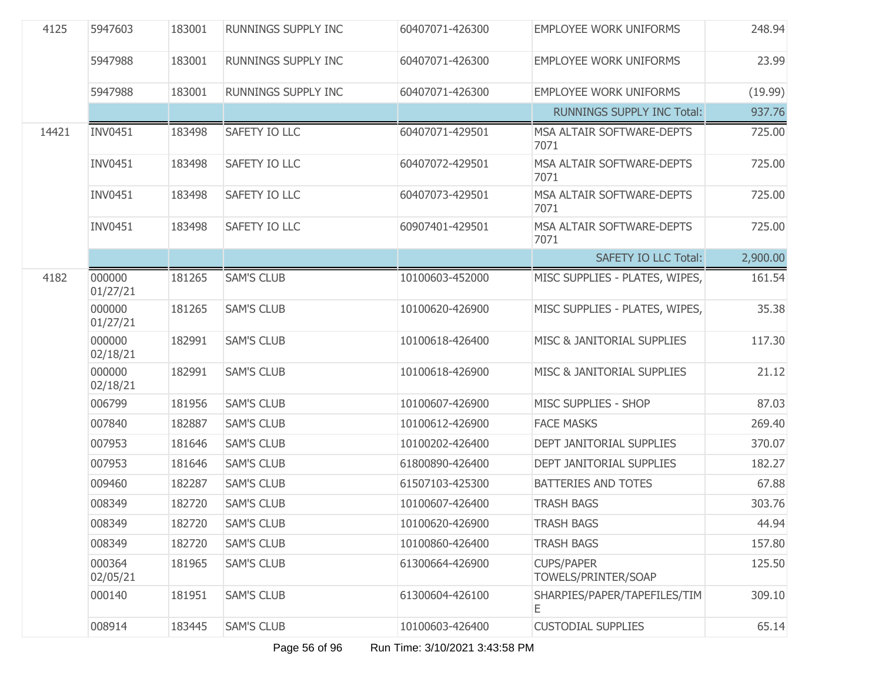| 4125  | 5947603            | 183001 | RUNNINGS SUPPLY INC        | 60407071-426300 | <b>EMPLOYEE WORK UNIFORMS</b>            | 248.94   |
|-------|--------------------|--------|----------------------------|-----------------|------------------------------------------|----------|
|       | 5947988            | 183001 | RUNNINGS SUPPLY INC        | 60407071-426300 | <b>EMPLOYEE WORK UNIFORMS</b>            | 23.99    |
|       | 5947988            | 183001 | <b>RUNNINGS SUPPLY INC</b> | 60407071-426300 | <b>EMPLOYEE WORK UNIFORMS</b>            | (19.99)  |
|       |                    |        |                            |                 | <b>RUNNINGS SUPPLY INC Total:</b>        | 937.76   |
| 14421 | <b>INV0451</b>     | 183498 | SAFETY IO LLC              | 60407071-429501 | MSA ALTAIR SOFTWARE-DEPTS<br>7071        | 725.00   |
|       | <b>INV0451</b>     | 183498 | SAFETY IO LLC              | 60407072-429501 | MSA ALTAIR SOFTWARE-DEPTS<br>7071        | 725.00   |
|       | <b>INV0451</b>     | 183498 | SAFETY IO LLC              | 60407073-429501 | MSA ALTAIR SOFTWARE-DEPTS<br>7071        | 725.00   |
|       | <b>INV0451</b>     | 183498 | SAFETY IO LLC              | 60907401-429501 | MSA ALTAIR SOFTWARE-DEPTS<br>7071        | 725.00   |
|       |                    |        |                            |                 | <b>SAFETY IO LLC Total:</b>              | 2,900.00 |
| 4182  | 000000<br>01/27/21 | 181265 | <b>SAM'S CLUB</b>          | 10100603-452000 | MISC SUPPLIES - PLATES, WIPES,           | 161.54   |
|       | 000000<br>01/27/21 | 181265 | <b>SAM'S CLUB</b>          | 10100620-426900 | MISC SUPPLIES - PLATES, WIPES,           | 35.38    |
|       | 000000<br>02/18/21 | 182991 | <b>SAM'S CLUB</b>          | 10100618-426400 | MISC & JANITORIAL SUPPLIES               | 117.30   |
|       | 000000<br>02/18/21 | 182991 | <b>SAM'S CLUB</b>          | 10100618-426900 | MISC & JANITORIAL SUPPLIES               | 21.12    |
|       | 006799             | 181956 | <b>SAM'S CLUB</b>          | 10100607-426900 | MISC SUPPLIES - SHOP                     | 87.03    |
|       | 007840             | 182887 | <b>SAM'S CLUB</b>          | 10100612-426900 | <b>FACE MASKS</b>                        | 269.40   |
|       | 007953             | 181646 | <b>SAM'S CLUB</b>          | 10100202-426400 | DEPT JANITORIAL SUPPLIES                 | 370.07   |
|       | 007953             | 181646 | <b>SAM'S CLUB</b>          | 61800890-426400 | DEPT JANITORIAL SUPPLIES                 | 182.27   |
|       | 009460             | 182287 | <b>SAM'S CLUB</b>          | 61507103-425300 | BATTERIES AND TOTES                      | 67.88    |
|       | 008349             | 182720 | <b>SAM'S CLUB</b>          | 10100607-426400 | <b>TRASH BAGS</b>                        | 303.76   |
|       | 008349             | 182720 | <b>SAM'S CLUB</b>          | 10100620-426900 | TRASH BAGS                               | 44.94    |
|       | 008349             | 182720 | <b>SAM'S CLUB</b>          | 10100860-426400 | <b>TRASH BAGS</b>                        | 157.80   |
|       | 000364<br>02/05/21 | 181965 | <b>SAM'S CLUB</b>          | 61300664-426900 | <b>CUPS/PAPER</b><br>TOWELS/PRINTER/SOAP | 125.50   |
|       | 000140             | 181951 | <b>SAM'S CLUB</b>          | 61300604-426100 | SHARPIES/PAPER/TAPEFILES/TIM<br>Е        | 309.10   |
|       | 008914             | 183445 | <b>SAM'S CLUB</b>          | 10100603-426400 | <b>CUSTODIAL SUPPLIES</b>                | 65.14    |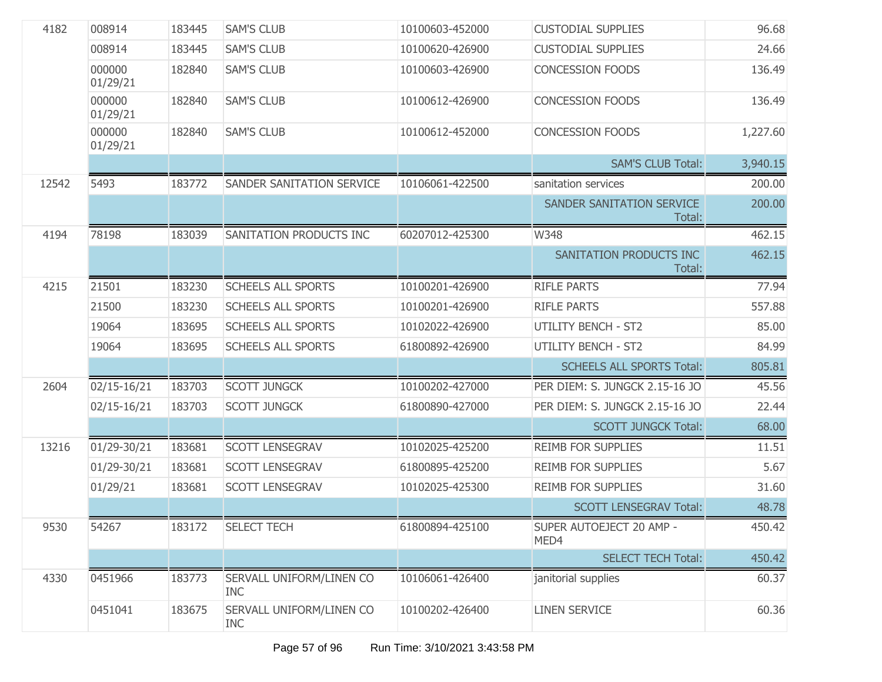| 4182  | 008914             | 183445 | <b>SAM'S CLUB</b>                      | 10100603-452000 | <b>CUSTODIAL SUPPLIES</b>           | 96.68    |
|-------|--------------------|--------|----------------------------------------|-----------------|-------------------------------------|----------|
|       | 008914             | 183445 | <b>SAM'S CLUB</b>                      | 10100620-426900 | <b>CUSTODIAL SUPPLIES</b>           | 24.66    |
|       | 000000<br>01/29/21 | 182840 | <b>SAM'S CLUB</b>                      | 10100603-426900 | <b>CONCESSION FOODS</b>             | 136.49   |
|       | 000000<br>01/29/21 | 182840 | <b>SAM'S CLUB</b>                      | 10100612-426900 | <b>CONCESSION FOODS</b>             | 136.49   |
|       | 000000<br>01/29/21 | 182840 | <b>SAM'S CLUB</b>                      | 10100612-452000 | <b>CONCESSION FOODS</b>             | 1,227.60 |
|       |                    |        |                                        |                 | <b>SAM'S CLUB Total:</b>            | 3,940.15 |
| 12542 | 5493               | 183772 | SANDER SANITATION SERVICE              | 10106061-422500 | sanitation services                 | 200.00   |
|       |                    |        |                                        |                 | SANDER SANITATION SERVICE<br>Total: | 200.00   |
| 4194  | 78198              | 183039 | SANITATION PRODUCTS INC                | 60207012-425300 | W348                                | 462.15   |
|       |                    |        |                                        |                 | SANITATION PRODUCTS INC<br>Total:   | 462.15   |
| 4215  | 21501              | 183230 | <b>SCHEELS ALL SPORTS</b>              | 10100201-426900 | <b>RIFLE PARTS</b>                  | 77.94    |
|       | 21500              | 183230 | <b>SCHEELS ALL SPORTS</b>              | 10100201-426900 | <b>RIFLE PARTS</b>                  | 557.88   |
|       | 19064              | 183695 | <b>SCHEELS ALL SPORTS</b>              | 10102022-426900 | <b>UTILITY BENCH - ST2</b>          | 85.00    |
|       | 19064              | 183695 | <b>SCHEELS ALL SPORTS</b>              | 61800892-426900 | <b>UTILITY BENCH - ST2</b>          | 84.99    |
|       |                    |        |                                        |                 | <b>SCHEELS ALL SPORTS Total:</b>    | 805.81   |
| 2604  | 02/15-16/21        | 183703 | <b>SCOTT JUNGCK</b>                    | 10100202-427000 | PER DIEM: S. JUNGCK 2.15-16 JO      | 45.56    |
|       | 02/15-16/21        | 183703 | <b>SCOTT JUNGCK</b>                    | 61800890-427000 | PER DIEM: S. JUNGCK 2.15-16 JO      | 22.44    |
|       |                    |        |                                        |                 | <b>SCOTT JUNGCK Total:</b>          | 68.00    |
| 13216 | 01/29-30/21        | 183681 | <b>SCOTT LENSEGRAV</b>                 | 10102025-425200 | <b>REIMB FOR SUPPLIES</b>           | 11.51    |
|       | 01/29-30/21        | 183681 | <b>SCOTT LENSEGRAV</b>                 | 61800895-425200 | <b>REIMB FOR SUPPLIES</b>           | 5.67     |
|       | 01/29/21           | 183681 | <b>SCOTT LENSEGRAV</b>                 | 10102025-425300 | <b>REIMB FOR SUPPLIES</b>           | 31.60    |
|       |                    |        |                                        |                 | <b>SCOTT LENSEGRAV Total:</b>       | 48.78    |
| 9530  | 54267              | 183172 | SELECT TECH                            | 61800894-425100 | SUPER AUTOEJECT 20 AMP -<br>MED4    | 450.42   |
|       |                    |        |                                        |                 | <b>SELECT TECH Total:</b>           | 450.42   |
| 4330  | 0451966            | 183773 | SERVALL UNIFORM/LINEN CO<br><b>INC</b> | 10106061-426400 | janitorial supplies                 | 60.37    |
|       | 0451041            | 183675 | SERVALL UNIFORM/LINEN CO<br><b>INC</b> | 10100202-426400 | <b>LINEN SERVICE</b>                | 60.36    |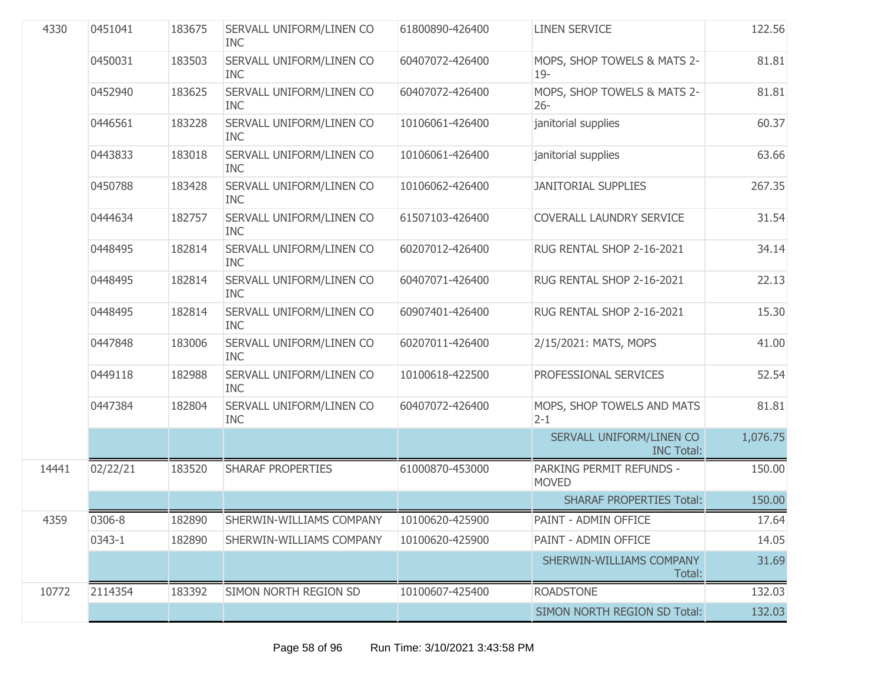| 4330  | 0451041  | 183675 | SERVALL UNIFORM/LINEN CO<br><b>INC</b>          | 61800890-426400 | <b>LINEN SERVICE</b>                          | 122.56   |
|-------|----------|--------|-------------------------------------------------|-----------------|-----------------------------------------------|----------|
|       | 0450031  | 183503 | SERVALL UNIFORM/LINEN CO<br><b>INC</b>          | 60407072-426400 | MOPS, SHOP TOWELS & MATS 2-<br>$19-$          | 81.81    |
|       | 0452940  | 183625 | SERVALL UNIFORM/LINEN CO<br><b>INC</b>          | 60407072-426400 | MOPS, SHOP TOWELS & MATS 2-<br>$26 -$         | 81.81    |
|       | 0446561  | 183228 | SERVALL UNIFORM/LINEN CO<br><b>INC</b>          | 10106061-426400 | janitorial supplies                           | 60.37    |
|       | 0443833  | 183018 | SERVALL UNIFORM/LINEN CO<br><b>INC</b>          | 10106061-426400 | janitorial supplies                           | 63.66    |
|       | 0450788  | 183428 | SERVALL UNIFORM/LINEN CO<br><b>INC</b>          | 10106062-426400 | <b>JANITORIAL SUPPLIES</b>                    | 267.35   |
|       | 0444634  | 182757 | SERVALL UNIFORM/LINEN CO<br><b>INC</b>          | 61507103-426400 | COVERALL LAUNDRY SERVICE                      | 31.54    |
|       | 0448495  | 182814 | SERVALL UNIFORM/LINEN CO<br><b>INC</b>          | 60207012-426400 | RUG RENTAL SHOP 2-16-2021                     | 34.14    |
|       | 0448495  | 182814 | SERVALL UNIFORM/LINEN CO<br><b>INC</b>          | 60407071-426400 | RUG RENTAL SHOP 2-16-2021                     | 22.13    |
|       | 0448495  | 182814 | SERVALL UNIFORM/LINEN CO<br><b>INC</b>          | 60907401-426400 | RUG RENTAL SHOP 2-16-2021                     | 15.30    |
|       | 0447848  | 183006 | SERVALL UNIFORM/LINEN CO<br><b>INC</b>          | 60207011-426400 | 2/15/2021: MATS, MOPS                         | 41.00    |
|       | 0449118  | 182988 | SERVALL UNIFORM/LINEN CO<br><b>INC</b>          | 10100618-422500 | PROFESSIONAL SERVICES                         | 52.54    |
|       | 0447384  | 182804 | SERVALL UNIFORM/LINEN CO<br><b>INC</b>          | 60407072-426400 | MOPS, SHOP TOWELS AND MATS<br>$2 - 1$         | 81.81    |
|       |          |        |                                                 |                 | SERVALL UNIFORM/LINEN CO<br><b>INC Total:</b> | 1,076.75 |
| 14441 | 02/22/21 | 183520 | <b>SHARAF PROPERTIES</b>                        | 61000870-453000 | PARKING PERMIT REFUNDS -<br><b>MOVED</b>      | 150.00   |
|       |          |        |                                                 |                 | <b>SHARAF PROPERTIES Total:</b>               | 150.00   |
| 4359  | 0306-8   |        | 182890 SHERWIN-WILLIAMS COMPANY 10100620-425900 |                 | PAINT - ADMIN OFFICE                          | 17.64    |
|       | 0343-1   | 182890 | SHERWIN-WILLIAMS COMPANY                        | 10100620-425900 | PAINT - ADMIN OFFICE                          | 14.05    |
|       |          |        |                                                 |                 | SHERWIN-WILLIAMS COMPANY<br>Total:            | 31.69    |
| 10772 | 2114354  | 183392 | SIMON NORTH REGION SD                           | 10100607-425400 | <b>ROADSTONE</b>                              | 132.03   |
|       |          |        |                                                 |                 | SIMON NORTH REGION SD Total:                  | 132.03   |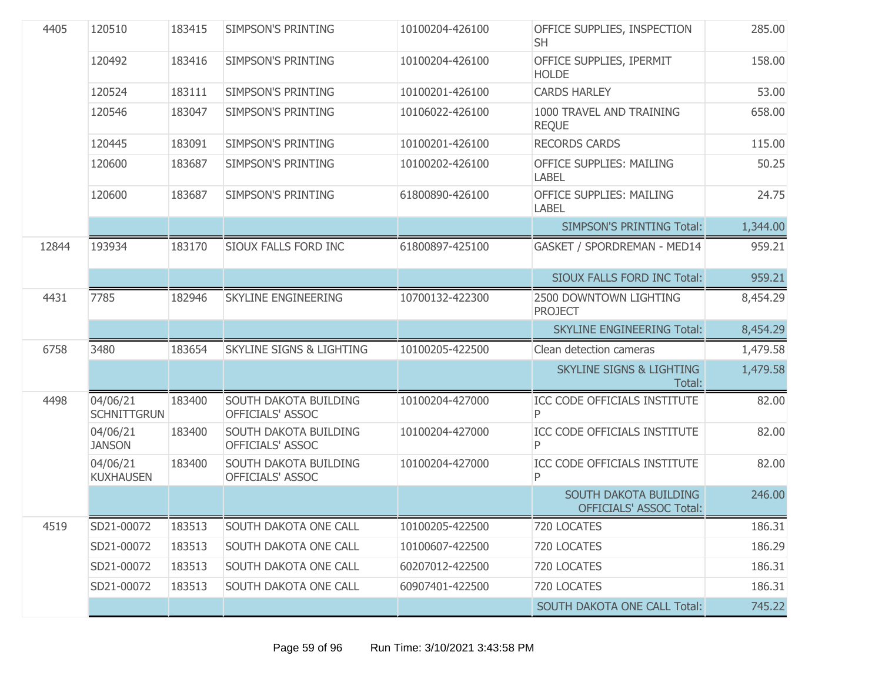| 4405  | 120510                         | 183415 | SIMPSON'S PRINTING                               | 10100204-426100 | OFFICE SUPPLIES, INSPECTION<br><b>SH</b>                | 285.00   |
|-------|--------------------------------|--------|--------------------------------------------------|-----------------|---------------------------------------------------------|----------|
|       | 120492                         | 183416 | <b>SIMPSON'S PRINTING</b>                        | 10100204-426100 | OFFICE SUPPLIES, IPERMIT<br><b>HOLDE</b>                | 158.00   |
|       | 120524                         | 183111 | <b>SIMPSON'S PRINTING</b>                        | 10100201-426100 | <b>CARDS HARLEY</b>                                     | 53.00    |
|       | 120546                         | 183047 | <b>SIMPSON'S PRINTING</b>                        | 10106022-426100 | 1000 TRAVEL AND TRAINING<br><b>REQUE</b>                | 658.00   |
|       | 120445                         | 183091 | <b>SIMPSON'S PRINTING</b>                        | 10100201-426100 | <b>RECORDS CARDS</b>                                    | 115.00   |
|       | 120600                         | 183687 | SIMPSON'S PRINTING                               | 10100202-426100 | OFFICE SUPPLIES: MAILING<br><b>LABEL</b>                | 50.25    |
|       | 120600                         | 183687 | SIMPSON'S PRINTING                               | 61800890-426100 | OFFICE SUPPLIES: MAILING<br><b>LABEL</b>                | 24.75    |
|       |                                |        |                                                  |                 | <b>SIMPSON'S PRINTING Total:</b>                        | 1,344.00 |
| 12844 | 193934                         | 183170 | SIOUX FALLS FORD INC                             | 61800897-425100 | GASKET / SPORDREMAN - MED14                             | 959.21   |
|       |                                |        |                                                  |                 | <b>SIOUX FALLS FORD INC Total:</b>                      | 959.21   |
| 4431  | 7785                           | 182946 | SKYLINE ENGINEERING                              | 10700132-422300 | 2500 DOWNTOWN LIGHTING<br><b>PROJECT</b>                | 8,454.29 |
|       |                                |        |                                                  |                 | <b>SKYLINE ENGINEERING Total:</b>                       | 8,454.29 |
| 6758  | 3480                           | 183654 | <b>SKYLINE SIGNS &amp; LIGHTING</b>              | 10100205-422500 | Clean detection cameras                                 | 1,479.58 |
|       |                                |        |                                                  |                 | <b>SKYLINE SIGNS &amp; LIGHTING</b><br>Total:           | 1,479.58 |
| 4498  | 04/06/21<br><b>SCHNITTGRUN</b> | 183400 | SOUTH DAKOTA BUILDING<br>OFFICIALS' ASSOC        | 10100204-427000 | ICC CODE OFFICIALS INSTITUTE<br>P                       | 82.00    |
|       | 04/06/21<br><b>JANSON</b>      | 183400 | SOUTH DAKOTA BUILDING<br>OFFICIALS' ASSOC        | 10100204-427000 | ICC CODE OFFICIALS INSTITUTE<br>Ρ                       | 82.00    |
|       | 04/06/21<br><b>KUXHAUSEN</b>   | 183400 | <b>SOUTH DAKOTA BUILDING</b><br>OFFICIALS' ASSOC | 10100204-427000 | ICC CODE OFFICIALS INSTITUTE<br>P                       | 82.00    |
|       |                                |        |                                                  |                 | SOUTH DAKOTA BUILDING<br><b>OFFICIALS' ASSOC Total:</b> | 246.00   |
| 4519  | SD21-00072                     | 183513 | SOUTH DAKOTA ONE CALL                            | 10100205-422500 | 720 LOCATES                                             | 186.31   |
|       | SD21-00072                     | 183513 | SOUTH DAKOTA ONE CALL                            | 10100607-422500 | 720 LOCATES                                             | 186.29   |
|       | SD21-00072                     | 183513 | SOUTH DAKOTA ONE CALL                            | 60207012-422500 | 720 LOCATES                                             | 186.31   |
|       | SD21-00072                     | 183513 | SOUTH DAKOTA ONE CALL                            | 60907401-422500 | 720 LOCATES                                             | 186.31   |
|       |                                |        |                                                  |                 | <b>SOUTH DAKOTA ONE CALL Total:</b>                     | 745.22   |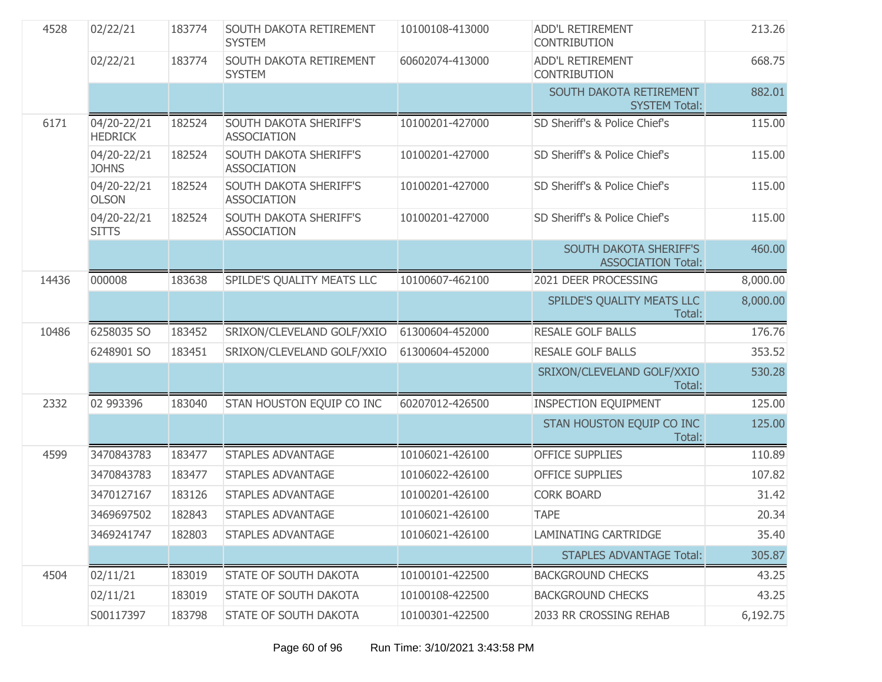| 4528  | 02/22/21                      | 183774 | SOUTH DAKOTA RETIREMENT<br><b>SYSTEM</b>            | 10100108-413000 | <b>ADD'L RETIREMENT</b><br><b>CONTRIBUTION</b>      | 213.26   |
|-------|-------------------------------|--------|-----------------------------------------------------|-----------------|-----------------------------------------------------|----------|
|       | 02/22/21                      | 183774 | SOUTH DAKOTA RETIREMENT<br><b>SYSTEM</b>            | 60602074-413000 | <b>ADD'L RETIREMENT</b><br><b>CONTRIBUTION</b>      | 668.75   |
|       |                               |        |                                                     |                 | SOUTH DAKOTA RETIREMENT<br><b>SYSTEM Total:</b>     | 882.01   |
| 6171  | 04/20-22/21<br><b>HEDRICK</b> | 182524 | SOUTH DAKOTA SHERIFF'S<br><b>ASSOCIATION</b>        | 10100201-427000 | SD Sheriff's & Police Chief's                       | 115.00   |
|       | 04/20-22/21<br><b>JOHNS</b>   | 182524 | <b>SOUTH DAKOTA SHERIFF'S</b><br><b>ASSOCIATION</b> | 10100201-427000 | SD Sheriff's & Police Chief's                       | 115.00   |
|       | 04/20-22/21<br><b>OLSON</b>   | 182524 | <b>SOUTH DAKOTA SHERIFF'S</b><br><b>ASSOCIATION</b> | 10100201-427000 | SD Sheriff's & Police Chief's                       | 115.00   |
|       | 04/20-22/21<br><b>SITTS</b>   | 182524 | SOUTH DAKOTA SHERIFF'S<br><b>ASSOCIATION</b>        | 10100201-427000 | SD Sheriff's & Police Chief's                       | 115.00   |
|       |                               |        |                                                     |                 | SOUTH DAKOTA SHERIFF'S<br><b>ASSOCIATION Total:</b> | 460.00   |
| 14436 | 000008                        | 183638 | SPILDE'S QUALITY MEATS LLC                          | 10100607-462100 | 2021 DEER PROCESSING                                | 8,000.00 |
|       |                               |        |                                                     |                 | SPILDE'S QUALITY MEATS LLC<br>Total:                | 8,000.00 |
| 10486 | 6258035 SO                    | 183452 | SRIXON/CLEVELAND GOLF/XXIO                          | 61300604-452000 | <b>RESALE GOLF BALLS</b>                            | 176.76   |
|       | 6248901 SO                    | 183451 | SRIXON/CLEVELAND GOLF/XXIO                          | 61300604-452000 | <b>RESALE GOLF BALLS</b>                            | 353.52   |
|       |                               |        |                                                     |                 | SRIXON/CLEVELAND GOLF/XXIO<br>Total:                | 530.28   |
| 2332  | 02 993396                     | 183040 | STAN HOUSTON EQUIP CO INC                           | 60207012-426500 | <b>INSPECTION EQUIPMENT</b>                         | 125.00   |
|       |                               |        |                                                     |                 | STAN HOUSTON EQUIP CO INC<br>Total:                 | 125.00   |
| 4599  | 3470843783                    |        |                                                     |                 |                                                     |          |
|       |                               | 183477 | <b>STAPLES ADVANTAGE</b>                            | 10106021-426100 | <b>OFFICE SUPPLIES</b>                              | 110.89   |
|       | 3470843783                    | 183477 | <b>STAPLES ADVANTAGE</b>                            | 10106022-426100 | <b>OFFICE SUPPLIES</b>                              | 107.82   |
|       | 3470127167                    | 183126 | <b>STAPLES ADVANTAGE</b>                            | 10100201-426100 | <b>CORK BOARD</b>                                   | 31.42    |
|       | 3469697502                    | 182843 | <b>STAPLES ADVANTAGE</b>                            | 10106021-426100 | <b>TAPE</b>                                         | 20.34    |
|       | 3469241747                    | 182803 | <b>STAPLES ADVANTAGE</b>                            | 10106021-426100 | LAMINATING CARTRIDGE                                | 35.40    |
|       |                               |        |                                                     |                 | <b>STAPLES ADVANTAGE Total:</b>                     | 305.87   |
| 4504  | 02/11/21                      | 183019 | STATE OF SOUTH DAKOTA                               | 10100101-422500 | <b>BACKGROUND CHECKS</b>                            | 43.25    |
|       | 02/11/21                      | 183019 | STATE OF SOUTH DAKOTA                               | 10100108-422500 | <b>BACKGROUND CHECKS</b>                            | 43.25    |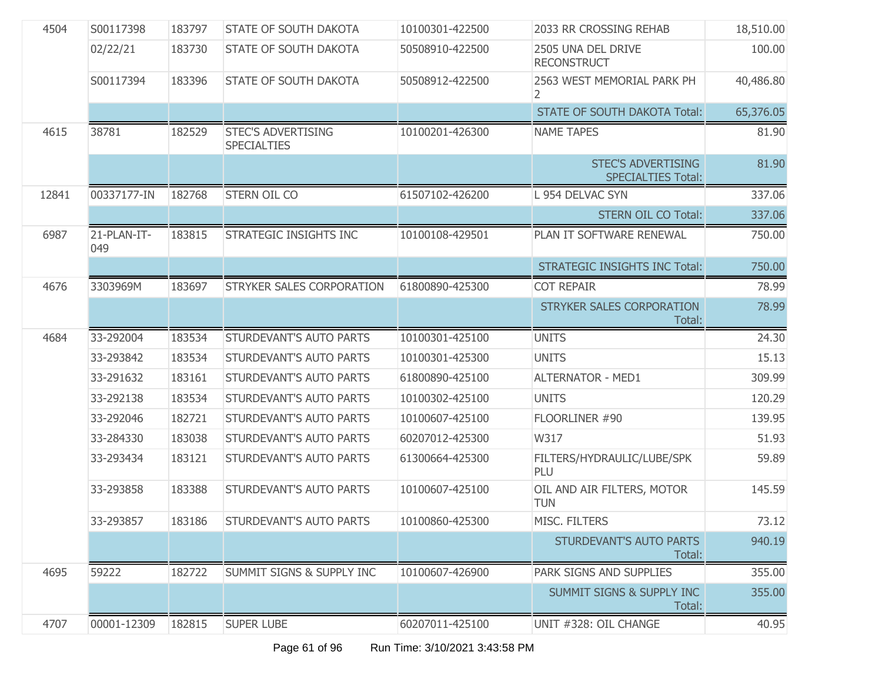| 4504  | S00117398          | 183797 | <b>STATE OF SOUTH DAKOTA</b>                    | 10100301-422500 | 2033 RR CROSSING REHAB                                 | 18,510.00 |
|-------|--------------------|--------|-------------------------------------------------|-----------------|--------------------------------------------------------|-----------|
|       | 02/22/21           | 183730 | <b>STATE OF SOUTH DAKOTA</b>                    | 50508910-422500 | 2505 UNA DEL DRIVE<br><b>RECONSTRUCT</b>               | 100.00    |
|       | S00117394          | 183396 | STATE OF SOUTH DAKOTA                           | 50508912-422500 | 2563 WEST MEMORIAL PARK PH<br>2                        | 40,486.80 |
|       |                    |        |                                                 |                 | <b>STATE OF SOUTH DAKOTA Total:</b>                    | 65,376.05 |
| 4615  | 38781              | 182529 | <b>STEC'S ADVERTISING</b><br><b>SPECIALTIES</b> | 10100201-426300 | <b>NAME TAPES</b>                                      | 81.90     |
|       |                    |        |                                                 |                 | <b>STEC'S ADVERTISING</b><br><b>SPECIALTIES Total:</b> | 81.90     |
| 12841 | 00337177-IN        | 182768 | STERN OIL CO                                    | 61507102-426200 | L 954 DELVAC SYN                                       | 337.06    |
|       |                    |        |                                                 |                 | <b>STERN OIL CO Total:</b>                             | 337.06    |
| 6987  | 21-PLAN-IT-<br>049 | 183815 | STRATEGIC INSIGHTS INC                          | 10100108-429501 | PLAN IT SOFTWARE RENEWAL                               | 750.00    |
|       |                    |        |                                                 |                 | <b>STRATEGIC INSIGHTS INC Total:</b>                   | 750.00    |
| 4676  | 3303969M           | 183697 | STRYKER SALES CORPORATION                       | 61800890-425300 | <b>COT REPAIR</b>                                      | 78.99     |
|       |                    |        |                                                 |                 | STRYKER SALES CORPORATION<br>Total:                    | 78.99     |
|       |                    |        |                                                 |                 |                                                        |           |
| 4684  | 33-292004          | 183534 | STURDEVANT'S AUTO PARTS                         | 10100301-425100 | <b>UNITS</b>                                           | 24.30     |
|       | 33-293842          | 183534 | STURDEVANT'S AUTO PARTS                         | 10100301-425300 | <b>UNITS</b>                                           | 15.13     |
|       | 33-291632          | 183161 | STURDEVANT'S AUTO PARTS                         | 61800890-425100 | <b>ALTERNATOR - MED1</b>                               | 309.99    |
|       | 33-292138          | 183534 | STURDEVANT'S AUTO PARTS                         | 10100302-425100 | <b>UNITS</b>                                           | 120.29    |
|       | 33-292046          | 182721 | STURDEVANT'S AUTO PARTS                         | 10100607-425100 | FLOORLINER #90                                         | 139.95    |
|       | 33-284330          | 183038 | <b>STURDEVANT'S AUTO PARTS</b>                  | 60207012-425300 | W317                                                   | 51.93     |
|       | 33-293434          | 183121 | <b>STURDEVANT'S AUTO PARTS</b>                  | 61300664-425300 | FILTERS/HYDRAULIC/LUBE/SPK<br>PLU                      | 59.89     |
|       | 33-293858          | 183388 | STURDEVANT'S AUTO PARTS                         | 10100607-425100 | OIL AND AIR FILTERS, MOTOR<br><b>TUN</b>               | 145.59    |
|       | 33-293857          | 183186 | STURDEVANT'S AUTO PARTS                         | 10100860-425300 | MISC. FILTERS                                          | 73.12     |
|       |                    |        |                                                 |                 | STURDEVANT'S AUTO PARTS<br>Total:                      | 940.19    |
| 4695  | 59222              | 182722 | SUMMIT SIGNS & SUPPLY INC                       | 10100607-426900 | PARK SIGNS AND SUPPLIES                                | 355.00    |
|       |                    |        |                                                 |                 | <b>SUMMIT SIGNS &amp; SUPPLY INC</b><br>Total:         | 355.00    |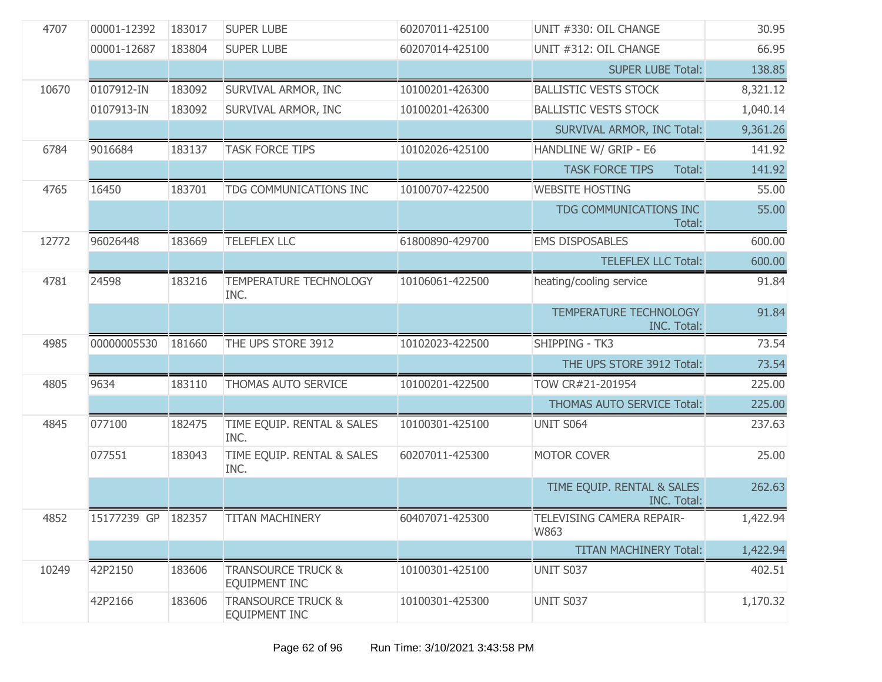| 4707  | 00001-12392        | 183017 | <b>SUPER LUBE</b>                                     | 60207011-425100 | UNIT #330: OIL CHANGE                               | 30.95    |
|-------|--------------------|--------|-------------------------------------------------------|-----------------|-----------------------------------------------------|----------|
|       | 00001-12687        | 183804 | <b>SUPER LUBE</b>                                     | 60207014-425100 | UNIT #312: OIL CHANGE                               | 66.95    |
|       |                    |        |                                                       |                 | <b>SUPER LUBE Total:</b>                            | 138.85   |
| 10670 | 0107912-IN         | 183092 | SURVIVAL ARMOR, INC                                   | 10100201-426300 | <b>BALLISTIC VESTS STOCK</b>                        | 8,321.12 |
|       | 0107913-IN         | 183092 | SURVIVAL ARMOR, INC                                   | 10100201-426300 | <b>BALLISTIC VESTS STOCK</b>                        | 1,040.14 |
|       |                    |        |                                                       |                 | <b>SURVIVAL ARMOR, INC Total:</b>                   | 9,361.26 |
| 6784  | 9016684            | 183137 | <b>TASK FORCE TIPS</b>                                | 10102026-425100 | HANDLINE W/ GRIP - E6                               | 141.92   |
|       |                    |        |                                                       |                 | <b>TASK FORCE TIPS</b><br>Total:                    | 141.92   |
| 4765  | 16450              | 183701 | TDG COMMUNICATIONS INC                                | 10100707-422500 | <b>WEBSITE HOSTING</b>                              | 55.00    |
|       |                    |        |                                                       |                 | TDG COMMUNICATIONS INC<br>Total:                    | 55.00    |
| 12772 | 96026448           | 183669 | <b>TELEFLEX LLC</b>                                   | 61800890-429700 | <b>EMS DISPOSABLES</b>                              | 600.00   |
|       |                    |        |                                                       |                 | <b>TELEFLEX LLC Total:</b>                          | 600.00   |
| 4781  | 24598              | 183216 | TEMPERATURE TECHNOLOGY<br>INC.                        | 10106061-422500 | heating/cooling service                             | 91.84    |
|       |                    |        |                                                       |                 | <b>TEMPERATURE TECHNOLOGY</b><br><b>INC. Total:</b> | 91.84    |
| 4985  | 00000005530        | 181660 | THE UPS STORE 3912                                    | 10102023-422500 | SHIPPING - TK3                                      | 73.54    |
|       |                    |        |                                                       |                 | THE UPS STORE 3912 Total:                           | 73.54    |
| 4805  | 9634               | 183110 | THOMAS AUTO SERVICE                                   | 10100201-422500 | TOW CR#21-201954                                    | 225.00   |
|       |                    |        |                                                       |                 | THOMAS AUTO SERVICE Total:                          | 225.00   |
| 4845  | 077100             | 182475 | TIME EQUIP. RENTAL & SALES<br>INC.                    | 10100301-425100 | <b>UNIT S064</b>                                    | 237.63   |
|       | 077551             | 183043 | TIME EQUIP. RENTAL & SALES<br>INC.                    | 60207011-425300 | MOTOR COVER                                         | 25.00    |
|       |                    |        |                                                       |                 | TIME EQUIP. RENTAL & SALES<br>INC. Total:           | 262.63   |
| 4852  | 15177239 GP 182357 |        | <b>TITAN MACHINERY</b>                                | 60407071-425300 | TELEVISING CAMERA REPAIR-<br>W863                   | 1,422.94 |
|       |                    |        |                                                       |                 | <b>TITAN MACHINERY Total:</b>                       | 1,422.94 |
| 10249 | 42P2150            | 183606 | <b>TRANSOURCE TRUCK &amp;</b><br>EQUIPMENT INC        | 10100301-425100 | UNIT S037                                           | 402.51   |
|       | 42P2166            | 183606 | <b>TRANSOURCE TRUCK &amp;</b><br><b>EQUIPMENT INC</b> | 10100301-425300 | UNIT S037                                           | 1,170.32 |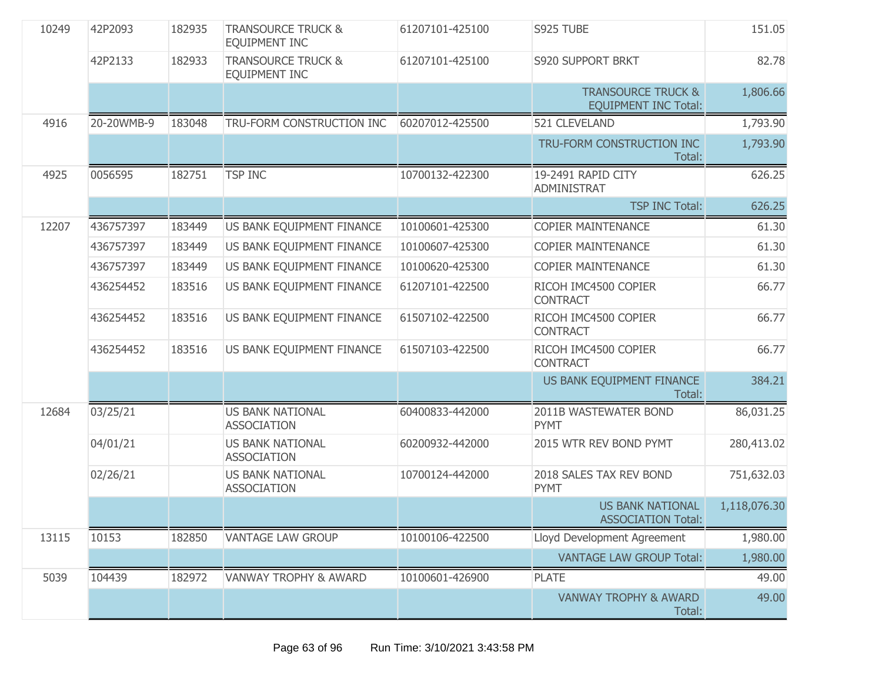| 10249 | 42P2093    | 182935 | <b>TRANSOURCE TRUCK &amp;</b><br><b>EQUIPMENT INC</b> | 61207101-425100 | S925 TUBE                                                    | 151.05       |
|-------|------------|--------|-------------------------------------------------------|-----------------|--------------------------------------------------------------|--------------|
|       | 42P2133    | 182933 | <b>TRANSOURCE TRUCK &amp;</b><br><b>EQUIPMENT INC</b> | 61207101-425100 | <b>S920 SUPPORT BRKT</b>                                     | 82.78        |
|       |            |        |                                                       |                 | <b>TRANSOURCE TRUCK &amp;</b><br><b>EQUIPMENT INC Total:</b> | 1,806.66     |
| 4916  | 20-20WMB-9 | 183048 | TRU-FORM CONSTRUCTION INC                             | 60207012-425500 | 521 CLEVELAND                                                | 1,793.90     |
|       |            |        |                                                       |                 | TRU-FORM CONSTRUCTION INC<br>Total:                          | 1,793.90     |
| 4925  | 0056595    | 182751 | <b>TSP INC</b>                                        | 10700132-422300 | 19-2491 RAPID CITY<br>ADMINISTRAT                            | 626.25       |
|       |            |        |                                                       |                 | <b>TSP INC Total:</b>                                        | 626.25       |
| 12207 | 436757397  | 183449 | US BANK EQUIPMENT FINANCE                             | 10100601-425300 | <b>COPIER MAINTENANCE</b>                                    | 61.30        |
|       | 436757397  | 183449 | US BANK EQUIPMENT FINANCE                             | 10100607-425300 | <b>COPIER MAINTENANCE</b>                                    | 61.30        |
|       | 436757397  | 183449 | US BANK EQUIPMENT FINANCE                             | 10100620-425300 | <b>COPIER MAINTENANCE</b>                                    | 61.30        |
|       | 436254452  | 183516 | US BANK EQUIPMENT FINANCE                             | 61207101-422500 | RICOH IMC4500 COPIER<br><b>CONTRACT</b>                      | 66.77        |
|       | 436254452  | 183516 | US BANK EQUIPMENT FINANCE                             | 61507102-422500 | RICOH IMC4500 COPIER<br><b>CONTRACT</b>                      | 66.77        |
|       | 436254452  | 183516 | US BANK EQUIPMENT FINANCE                             | 61507103-422500 | RICOH IMC4500 COPIER<br><b>CONTRACT</b>                      | 66.77        |
|       |            |        |                                                       |                 | US BANK EQUIPMENT FINANCE<br>Total:                          | 384.21       |
| 12684 | 03/25/21   |        | <b>US BANK NATIONAL</b><br><b>ASSOCIATION</b>         | 60400833-442000 | 2011B WASTEWATER BOND<br>PYMT                                | 86,031.25    |
|       | 04/01/21   |        | <b>US BANK NATIONAL</b><br><b>ASSOCIATION</b>         | 60200932-442000 | 2015 WTR REV BOND PYMT                                       | 280,413.02   |
|       | 02/26/21   |        | <b>US BANK NATIONAL</b><br><b>ASSOCIATION</b>         | 10700124-442000 | 2018 SALES TAX REV BOND<br><b>PYMT</b>                       | 751,632.03   |
|       |            |        |                                                       |                 | <b>US BANK NATIONAL</b><br><b>ASSOCIATION Total:</b>         | 1,118,076.30 |
| 13115 | 10153      | 182850 | <b>VANTAGE LAW GROUP</b>                              | 10100106-422500 | Lloyd Development Agreement                                  | 1,980.00     |
|       |            |        |                                                       |                 | <b>VANTAGE LAW GROUP Total:</b>                              | 1,980.00     |
| 5039  | 104439     | 182972 | <b>VANWAY TROPHY &amp; AWARD</b>                      | 10100601-426900 | <b>PLATE</b>                                                 | 49.00        |
|       |            |        |                                                       |                 | <b>VANWAY TROPHY &amp; AWARD</b><br>Total:                   | 49.00        |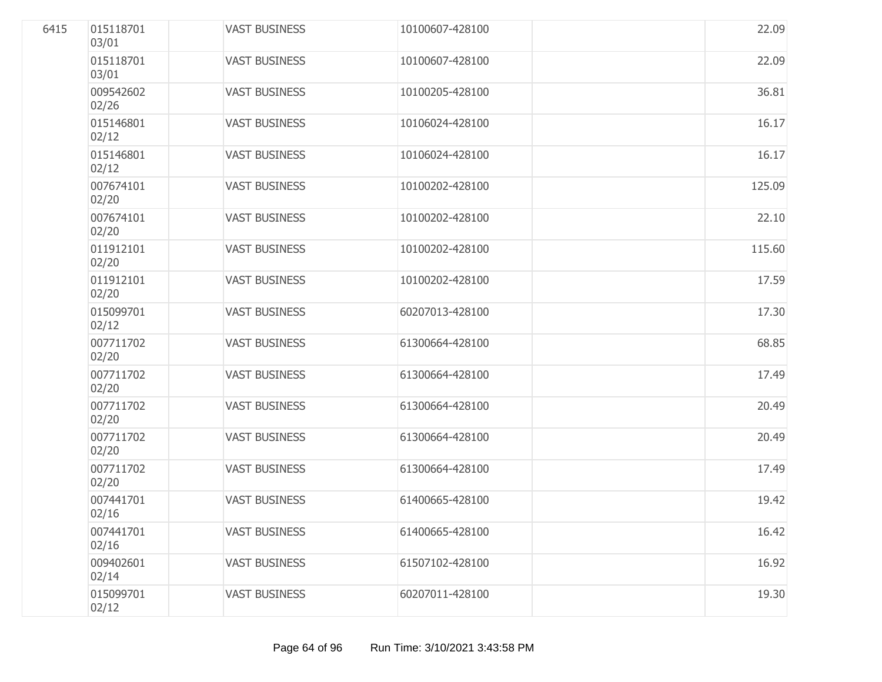| 6415 | 015118701<br>03/01 | <b>VAST BUSINESS</b> | 10100607-428100 | 22.09  |
|------|--------------------|----------------------|-----------------|--------|
|      | 015118701<br>03/01 | <b>VAST BUSINESS</b> | 10100607-428100 | 22.09  |
|      | 009542602<br>02/26 | <b>VAST BUSINESS</b> | 10100205-428100 | 36.81  |
|      | 015146801<br>02/12 | <b>VAST BUSINESS</b> | 10106024-428100 | 16.17  |
|      | 015146801<br>02/12 | <b>VAST BUSINESS</b> | 10106024-428100 | 16.17  |
|      | 007674101<br>02/20 | <b>VAST BUSINESS</b> | 10100202-428100 | 125.09 |
|      | 007674101<br>02/20 | <b>VAST BUSINESS</b> | 10100202-428100 | 22.10  |
|      | 011912101<br>02/20 | <b>VAST BUSINESS</b> | 10100202-428100 | 115.60 |
|      | 011912101<br>02/20 | <b>VAST BUSINESS</b> | 10100202-428100 | 17.59  |
|      | 015099701<br>02/12 | <b>VAST BUSINESS</b> | 60207013-428100 | 17.30  |
|      | 007711702<br>02/20 | <b>VAST BUSINESS</b> | 61300664-428100 | 68.85  |
|      | 007711702<br>02/20 | <b>VAST BUSINESS</b> | 61300664-428100 | 17.49  |
|      | 007711702<br>02/20 | <b>VAST BUSINESS</b> | 61300664-428100 | 20.49  |
|      | 007711702<br>02/20 | <b>VAST BUSINESS</b> | 61300664-428100 | 20.49  |
|      | 007711702<br>02/20 | <b>VAST BUSINESS</b> | 61300664-428100 | 17.49  |
|      | 007441701<br>02/16 | <b>VAST BUSINESS</b> | 61400665-428100 | 19.42  |
|      | 007441701<br>02/16 | <b>VAST BUSINESS</b> | 61400665-428100 | 16.42  |
|      | 009402601<br>02/14 | <b>VAST BUSINESS</b> | 61507102-428100 | 16.92  |
|      | 015099701<br>02/12 | <b>VAST BUSINESS</b> | 60207011-428100 | 19.30  |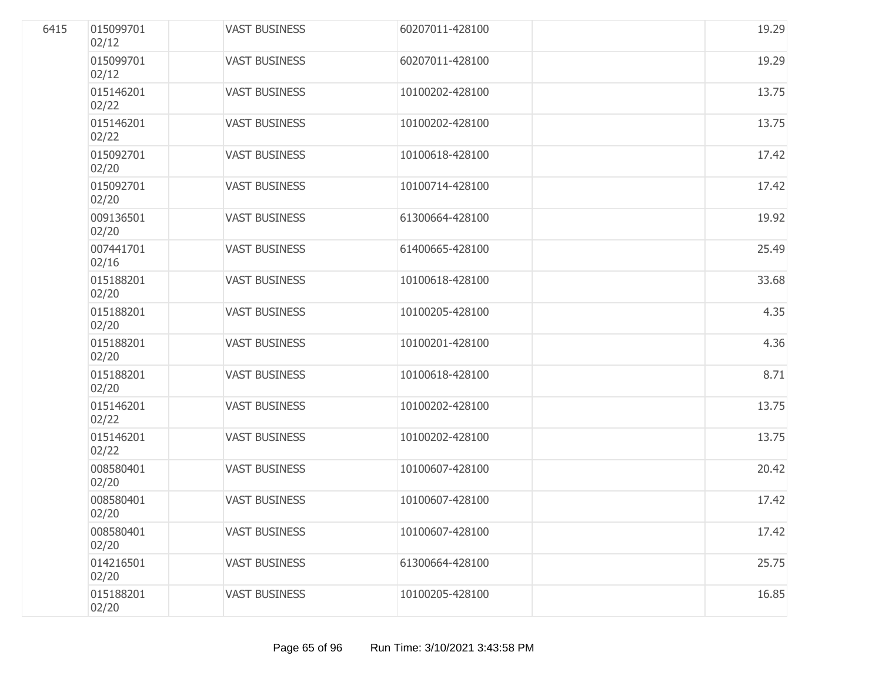| 6415 | 015099701<br>02/12 | <b>VAST BUSINESS</b> | 60207011-428100 | 19.29 |
|------|--------------------|----------------------|-----------------|-------|
|      | 015099701<br>02/12 | <b>VAST BUSINESS</b> | 60207011-428100 | 19.29 |
|      | 015146201<br>02/22 | <b>VAST BUSINESS</b> | 10100202-428100 | 13.75 |
|      | 015146201<br>02/22 | <b>VAST BUSINESS</b> | 10100202-428100 | 13.75 |
|      | 015092701<br>02/20 | <b>VAST BUSINESS</b> | 10100618-428100 | 17.42 |
|      | 015092701<br>02/20 | <b>VAST BUSINESS</b> | 10100714-428100 | 17.42 |
|      | 009136501<br>02/20 | <b>VAST BUSINESS</b> | 61300664-428100 | 19.92 |
|      | 007441701<br>02/16 | <b>VAST BUSINESS</b> | 61400665-428100 | 25.49 |
|      | 015188201<br>02/20 | <b>VAST BUSINESS</b> | 10100618-428100 | 33.68 |
|      | 015188201<br>02/20 | <b>VAST BUSINESS</b> | 10100205-428100 | 4.35  |
|      | 015188201<br>02/20 | <b>VAST BUSINESS</b> | 10100201-428100 | 4.36  |
|      | 015188201<br>02/20 | <b>VAST BUSINESS</b> | 10100618-428100 | 8.71  |
|      | 015146201<br>02/22 | <b>VAST BUSINESS</b> | 10100202-428100 | 13.75 |
|      | 015146201<br>02/22 | <b>VAST BUSINESS</b> | 10100202-428100 | 13.75 |
|      | 008580401<br>02/20 | <b>VAST BUSINESS</b> | 10100607-428100 | 20.42 |
|      | 008580401<br>02/20 | <b>VAST BUSINESS</b> | 10100607-428100 | 17.42 |
|      | 008580401<br>02/20 | <b>VAST BUSINESS</b> | 10100607-428100 | 17.42 |
|      | 014216501<br>02/20 | <b>VAST BUSINESS</b> | 61300664-428100 | 25.75 |
|      | 015188201<br>02/20 | <b>VAST BUSINESS</b> | 10100205-428100 | 16.85 |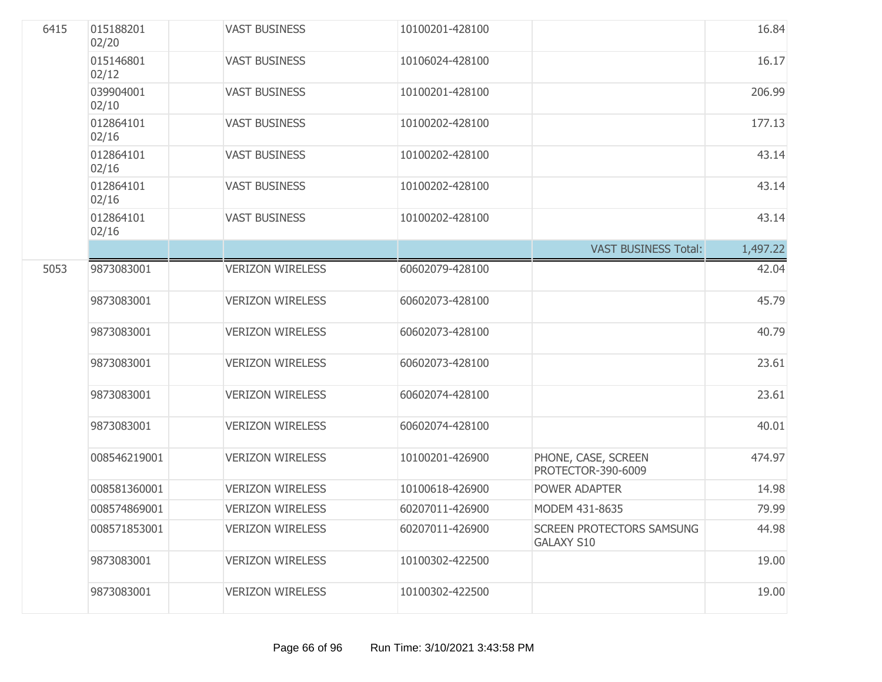| 6415 | 015188201<br>02/20 | <b>VAST BUSINESS</b>    | 10100201-428100 |                                                | 16.84    |
|------|--------------------|-------------------------|-----------------|------------------------------------------------|----------|
|      | 015146801<br>02/12 | <b>VAST BUSINESS</b>    | 10106024-428100 |                                                | 16.17    |
|      | 039904001<br>02/10 | <b>VAST BUSINESS</b>    | 10100201-428100 |                                                | 206.99   |
|      | 012864101<br>02/16 | <b>VAST BUSINESS</b>    | 10100202-428100 |                                                | 177.13   |
|      | 012864101<br>02/16 | <b>VAST BUSINESS</b>    | 10100202-428100 |                                                | 43.14    |
|      | 012864101<br>02/16 | <b>VAST BUSINESS</b>    | 10100202-428100 |                                                | 43.14    |
|      | 012864101<br>02/16 | <b>VAST BUSINESS</b>    | 10100202-428100 |                                                | 43.14    |
|      |                    |                         |                 | <b>VAST BUSINESS Total:</b>                    | 1,497.22 |
| 5053 | 9873083001         | <b>VERIZON WIRELESS</b> | 60602079-428100 |                                                | 42.04    |
|      | 9873083001         | <b>VERIZON WIRELESS</b> | 60602073-428100 |                                                | 45.79    |
|      | 9873083001         | <b>VERIZON WIRELESS</b> | 60602073-428100 |                                                | 40.79    |
|      | 9873083001         | <b>VERIZON WIRELESS</b> | 60602073-428100 |                                                | 23.61    |
|      | 9873083001         | <b>VERIZON WIRELESS</b> | 60602074-428100 |                                                | 23.61    |
|      | 9873083001         | <b>VERIZON WIRELESS</b> | 60602074-428100 |                                                | 40.01    |
|      | 008546219001       | <b>VERIZON WIRELESS</b> | 10100201-426900 | PHONE, CASE, SCREEN<br>PROTECTOR-390-6009      | 474.97   |
|      | 008581360001       | <b>VERIZON WIRELESS</b> | 10100618-426900 | POWER ADAPTER                                  | 14.98    |
|      | 008574869001       | <b>VERIZON WIRELESS</b> | 60207011-426900 | MODEM 431-8635                                 | 79.99    |
|      | 008571853001       | <b>VERIZON WIRELESS</b> | 60207011-426900 | SCREEN PROTECTORS SAMSUNG<br><b>GALAXY S10</b> | 44.98    |
|      | 9873083001         | <b>VERIZON WIRELESS</b> | 10100302-422500 |                                                | 19.00    |
|      | 9873083001         | <b>VERIZON WIRELESS</b> | 10100302-422500 |                                                | 19.00    |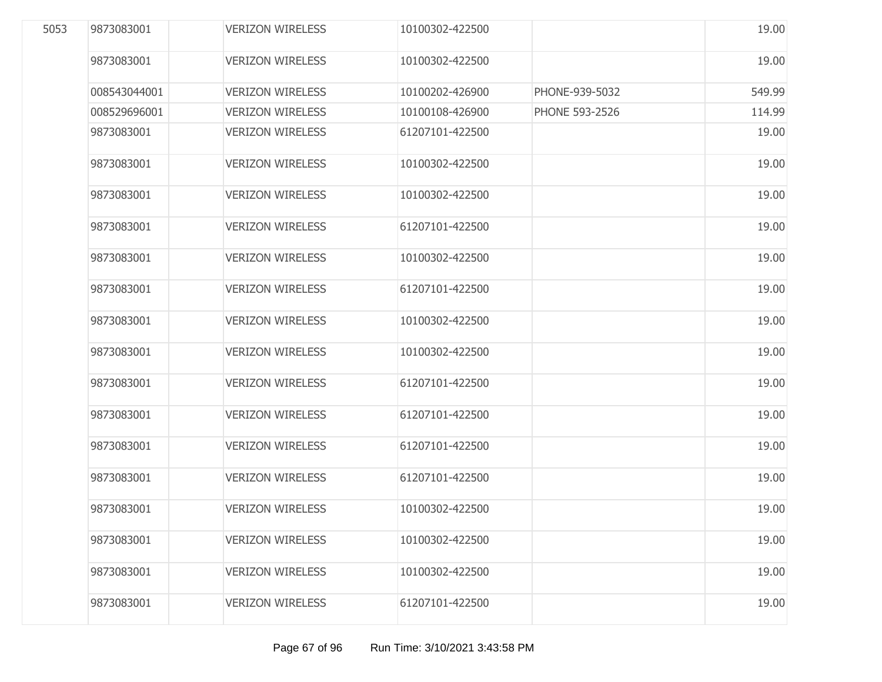| 5053 | 9873083001   | <b>VERIZON WIRELESS</b> | 10100302-422500 |                       | 19.00  |
|------|--------------|-------------------------|-----------------|-----------------------|--------|
|      | 9873083001   | <b>VERIZON WIRELESS</b> | 10100302-422500 |                       | 19.00  |
|      | 008543044001 | <b>VERIZON WIRELESS</b> | 10100202-426900 | PHONE-939-5032        | 549.99 |
|      | 008529696001 | <b>VERIZON WIRELESS</b> | 10100108-426900 | <b>PHONE 593-2526</b> | 114.99 |
|      | 9873083001   | <b>VERIZON WIRELESS</b> | 61207101-422500 |                       | 19.00  |
|      | 9873083001   | <b>VERIZON WIRELESS</b> | 10100302-422500 |                       | 19.00  |
|      | 9873083001   | <b>VERIZON WIRELESS</b> | 10100302-422500 |                       | 19.00  |
|      | 9873083001   | <b>VERIZON WIRELESS</b> | 61207101-422500 |                       | 19.00  |
|      | 9873083001   | <b>VERIZON WIRELESS</b> | 10100302-422500 |                       | 19.00  |
|      | 9873083001   | <b>VERIZON WIRELESS</b> | 61207101-422500 |                       | 19.00  |
|      | 9873083001   | <b>VERIZON WIRELESS</b> | 10100302-422500 |                       | 19.00  |
|      | 9873083001   | <b>VERIZON WIRELESS</b> | 10100302-422500 |                       | 19.00  |
|      | 9873083001   | <b>VERIZON WIRELESS</b> | 61207101-422500 |                       | 19.00  |
|      | 9873083001   | <b>VERIZON WIRELESS</b> | 61207101-422500 |                       | 19.00  |
|      | 9873083001   | <b>VERIZON WIRELESS</b> | 61207101-422500 |                       | 19.00  |
|      | 9873083001   | <b>VERIZON WIRELESS</b> | 61207101-422500 |                       | 19.00  |
|      | 9873083001   | <b>VERIZON WIRELESS</b> | 10100302-422500 |                       | 19.00  |
|      | 9873083001   | <b>VERIZON WIRELESS</b> | 10100302-422500 |                       | 19.00  |
|      | 9873083001   | <b>VERIZON WIRELESS</b> | 10100302-422500 |                       | 19.00  |
|      | 9873083001   | <b>VERIZON WIRELESS</b> | 61207101-422500 |                       | 19.00  |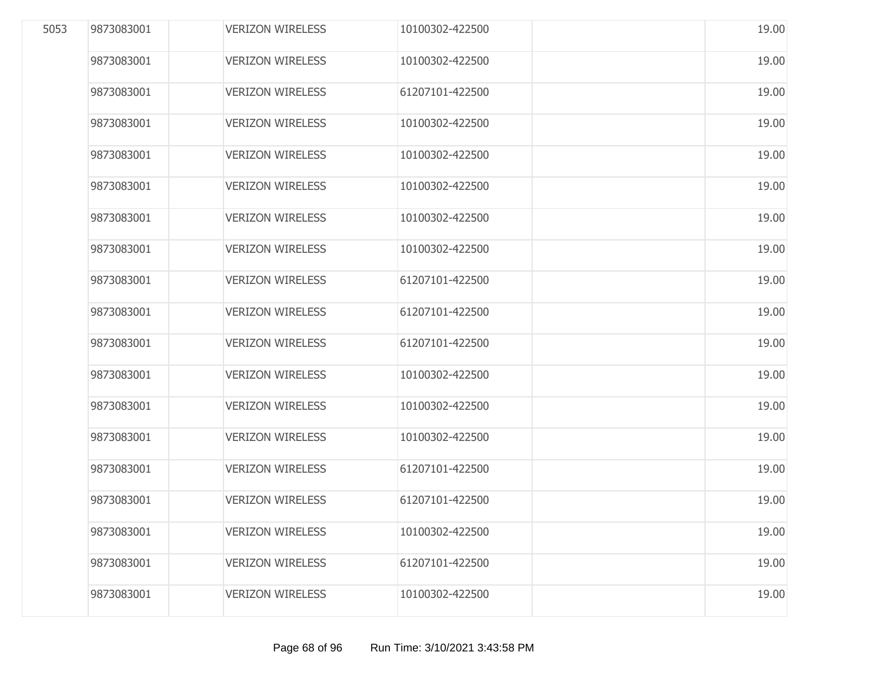| 5053 | 9873083001 | <b>VERIZON WIRELESS</b> | 10100302-422500 | 19.00 |
|------|------------|-------------------------|-----------------|-------|
|      | 9873083001 | <b>VERIZON WIRELESS</b> | 10100302-422500 | 19.00 |
|      | 9873083001 | <b>VERIZON WIRELESS</b> | 61207101-422500 | 19.00 |
|      | 9873083001 | <b>VERIZON WIRELESS</b> | 10100302-422500 | 19.00 |
|      | 9873083001 | <b>VERIZON WIRELESS</b> | 10100302-422500 | 19.00 |
|      | 9873083001 | <b>VERIZON WIRELESS</b> | 10100302-422500 | 19.00 |
|      | 9873083001 | <b>VERIZON WIRELESS</b> | 10100302-422500 | 19.00 |
|      | 9873083001 | <b>VERIZON WIRELESS</b> | 10100302-422500 | 19.00 |
|      | 9873083001 | <b>VERIZON WIRELESS</b> | 61207101-422500 | 19.00 |
|      | 9873083001 | <b>VERIZON WIRELESS</b> | 61207101-422500 | 19.00 |
|      | 9873083001 | <b>VERIZON WIRELESS</b> | 61207101-422500 | 19.00 |
|      | 9873083001 | <b>VERIZON WIRELESS</b> | 10100302-422500 | 19.00 |
|      | 9873083001 | <b>VERIZON WIRELESS</b> | 10100302-422500 | 19.00 |
|      | 9873083001 | <b>VERIZON WIRELESS</b> | 10100302-422500 | 19.00 |
|      | 9873083001 | <b>VERIZON WIRELESS</b> | 61207101-422500 | 19.00 |
|      | 9873083001 | <b>VERIZON WIRELESS</b> | 61207101-422500 | 19.00 |
|      | 9873083001 | <b>VERIZON WIRELESS</b> | 10100302-422500 | 19.00 |
|      | 9873083001 | <b>VERIZON WIRELESS</b> | 61207101-422500 | 19.00 |
|      | 9873083001 | <b>VERIZON WIRELESS</b> | 10100302-422500 | 19.00 |
|      |            |                         |                 |       |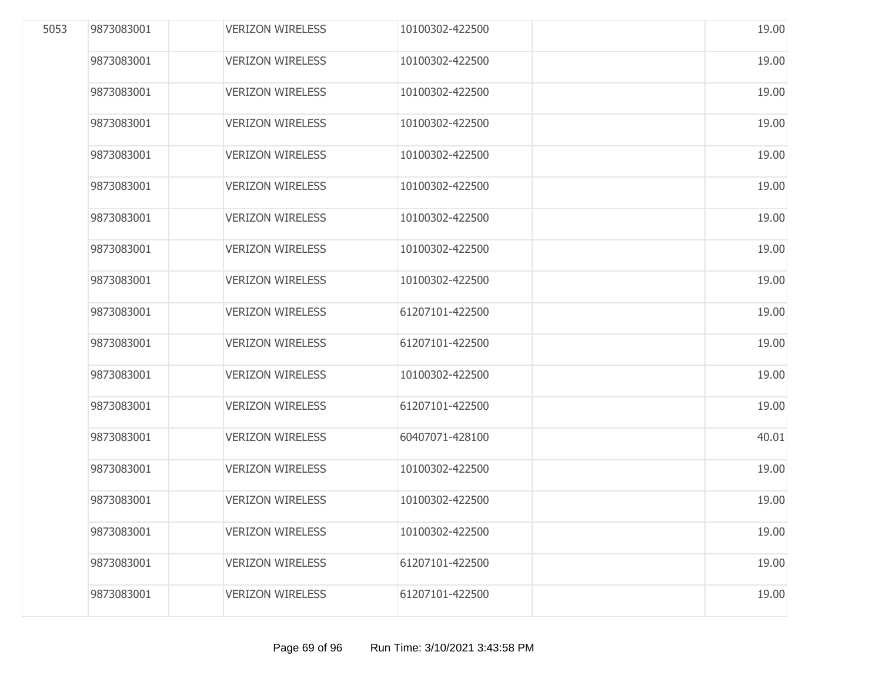| 5053 | 9873083001 | <b>VERIZON WIRELESS</b> | 10100302-422500 | 19.00 |
|------|------------|-------------------------|-----------------|-------|
|      | 9873083001 | <b>VERIZON WIRELESS</b> | 10100302-422500 | 19.00 |
|      | 9873083001 | <b>VERIZON WIRELESS</b> | 10100302-422500 | 19.00 |
|      | 9873083001 | <b>VERIZON WIRELESS</b> | 10100302-422500 | 19.00 |
|      | 9873083001 | <b>VERIZON WIRELESS</b> | 10100302-422500 | 19.00 |
|      | 9873083001 | <b>VERIZON WIRELESS</b> | 10100302-422500 | 19.00 |
|      | 9873083001 | <b>VERIZON WIRELESS</b> | 10100302-422500 | 19.00 |
|      | 9873083001 | <b>VERIZON WIRELESS</b> | 10100302-422500 | 19.00 |
|      | 9873083001 | <b>VERIZON WIRELESS</b> | 10100302-422500 | 19.00 |
|      | 9873083001 | <b>VERIZON WIRELESS</b> | 61207101-422500 | 19.00 |
|      | 9873083001 | <b>VERIZON WIRELESS</b> | 61207101-422500 | 19.00 |
|      | 9873083001 | <b>VERIZON WIRELESS</b> | 10100302-422500 | 19.00 |
|      | 9873083001 | <b>VERIZON WIRELESS</b> | 61207101-422500 | 19.00 |
|      | 9873083001 | <b>VERIZON WIRELESS</b> | 60407071-428100 | 40.01 |
|      | 9873083001 | <b>VERIZON WIRELESS</b> | 10100302-422500 | 19.00 |
|      | 9873083001 | <b>VERIZON WIRELESS</b> | 10100302-422500 | 19.00 |
|      | 9873083001 | <b>VERIZON WIRELESS</b> | 10100302-422500 | 19.00 |
|      | 9873083001 | <b>VERIZON WIRELESS</b> | 61207101-422500 | 19.00 |
|      | 9873083001 | <b>VERIZON WIRELESS</b> | 61207101-422500 | 19.00 |
|      |            |                         |                 |       |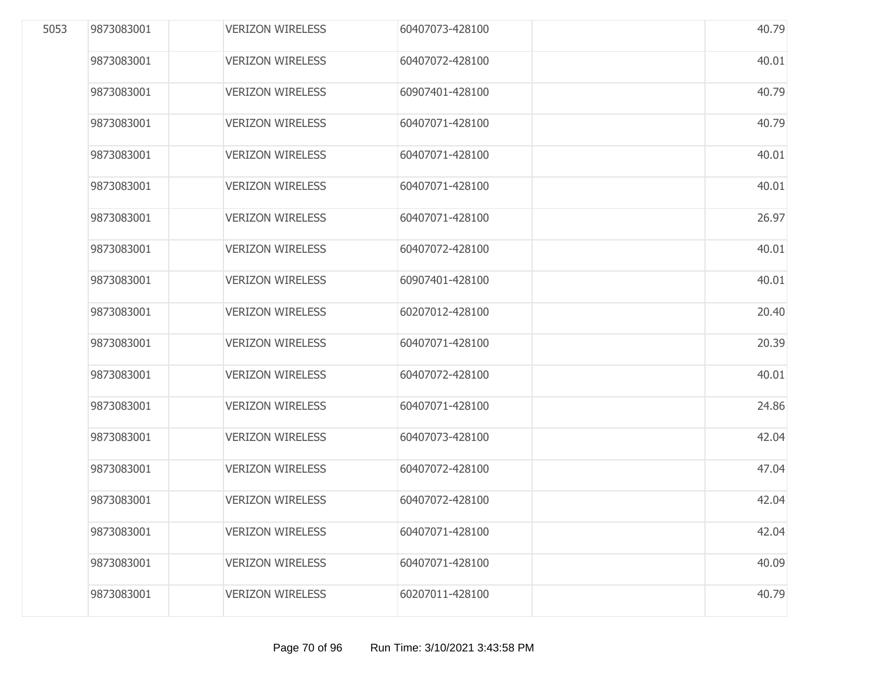| 5053 | 9873083001 | <b>VERIZON WIRELESS</b> | 60407073-428100 | 40.79 |
|------|------------|-------------------------|-----------------|-------|
|      | 9873083001 | <b>VERIZON WIRELESS</b> | 60407072-428100 | 40.01 |
|      | 9873083001 | <b>VERIZON WIRELESS</b> | 60907401-428100 | 40.79 |
|      | 9873083001 | <b>VERIZON WIRELESS</b> | 60407071-428100 | 40.79 |
|      | 9873083001 | <b>VERIZON WIRELESS</b> | 60407071-428100 | 40.01 |
|      | 9873083001 | <b>VERIZON WIRELESS</b> | 60407071-428100 | 40.01 |
|      | 9873083001 | <b>VERIZON WIRELESS</b> | 60407071-428100 | 26.97 |
|      | 9873083001 | <b>VERIZON WIRELESS</b> | 60407072-428100 | 40.01 |
|      | 9873083001 | <b>VERIZON WIRELESS</b> | 60907401-428100 | 40.01 |
|      | 9873083001 | <b>VERIZON WIRELESS</b> | 60207012-428100 | 20.40 |
|      | 9873083001 | <b>VERIZON WIRELESS</b> | 60407071-428100 | 20.39 |
|      | 9873083001 | <b>VERIZON WIRELESS</b> | 60407072-428100 | 40.01 |
|      | 9873083001 | <b>VERIZON WIRELESS</b> | 60407071-428100 | 24.86 |
|      | 9873083001 | <b>VERIZON WIRELESS</b> | 60407073-428100 | 42.04 |
|      | 9873083001 | <b>VERIZON WIRELESS</b> | 60407072-428100 | 47.04 |
|      | 9873083001 | <b>VERIZON WIRELESS</b> | 60407072-428100 | 42.04 |
|      | 9873083001 | <b>VERIZON WIRELESS</b> | 60407071-428100 | 42.04 |
|      | 9873083001 | <b>VERIZON WIRELESS</b> | 60407071-428100 | 40.09 |
|      | 9873083001 | <b>VERIZON WIRELESS</b> | 60207011-428100 | 40.79 |
|      |            |                         |                 |       |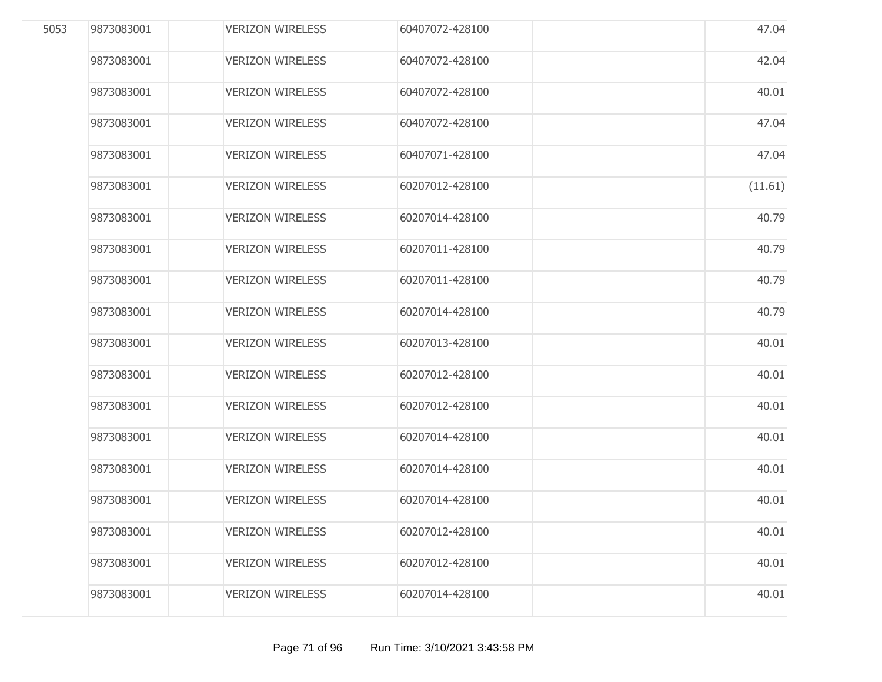| 5053 | 9873083001 | <b>VERIZON WIRELESS</b> | 60407072-428100 | 47.04   |
|------|------------|-------------------------|-----------------|---------|
|      | 9873083001 | <b>VERIZON WIRELESS</b> | 60407072-428100 | 42.04   |
|      | 9873083001 | <b>VERIZON WIRELESS</b> | 60407072-428100 | 40.01   |
|      | 9873083001 | <b>VERIZON WIRELESS</b> | 60407072-428100 | 47.04   |
|      | 9873083001 | <b>VERIZON WIRELESS</b> | 60407071-428100 | 47.04   |
|      | 9873083001 | <b>VERIZON WIRELESS</b> | 60207012-428100 | (11.61) |
|      | 9873083001 | <b>VERIZON WIRELESS</b> | 60207014-428100 | 40.79   |
|      | 9873083001 | <b>VERIZON WIRELESS</b> | 60207011-428100 | 40.79   |
|      | 9873083001 | <b>VERIZON WIRELESS</b> | 60207011-428100 | 40.79   |
|      | 9873083001 | <b>VERIZON WIRELESS</b> | 60207014-428100 | 40.79   |
|      | 9873083001 | <b>VERIZON WIRELESS</b> | 60207013-428100 | 40.01   |
|      | 9873083001 | <b>VERIZON WIRELESS</b> | 60207012-428100 | 40.01   |
|      | 9873083001 | <b>VERIZON WIRELESS</b> | 60207012-428100 | 40.01   |
|      | 9873083001 | <b>VERIZON WIRELESS</b> | 60207014-428100 | 40.01   |
|      | 9873083001 | <b>VERIZON WIRELESS</b> | 60207014-428100 | 40.01   |
|      | 9873083001 | <b>VERIZON WIRELESS</b> | 60207014-428100 | 40.01   |
|      | 9873083001 | <b>VERIZON WIRELESS</b> | 60207012-428100 | 40.01   |
|      | 9873083001 | <b>VERIZON WIRELESS</b> | 60207012-428100 | 40.01   |
|      | 9873083001 | <b>VERIZON WIRELESS</b> | 60207014-428100 | 40.01   |
|      |            |                         |                 |         |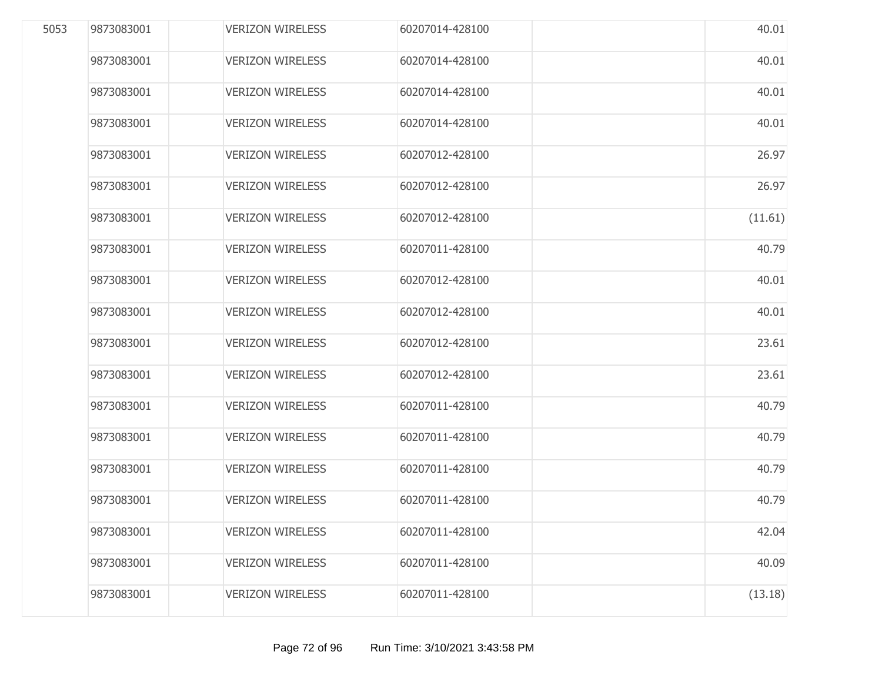| 5053 | 9873083001 | <b>VERIZON WIRELESS</b> | 60207014-428100 | 40.01   |
|------|------------|-------------------------|-----------------|---------|
|      | 9873083001 | <b>VERIZON WIRELESS</b> | 60207014-428100 | 40.01   |
|      | 9873083001 | <b>VERIZON WIRELESS</b> | 60207014-428100 | 40.01   |
|      | 9873083001 | <b>VERIZON WIRELESS</b> | 60207014-428100 | 40.01   |
|      | 9873083001 | <b>VERIZON WIRELESS</b> | 60207012-428100 | 26.97   |
|      | 9873083001 | <b>VERIZON WIRELESS</b> | 60207012-428100 | 26.97   |
|      | 9873083001 | <b>VERIZON WIRELESS</b> | 60207012-428100 | (11.61) |
|      | 9873083001 | <b>VERIZON WIRELESS</b> | 60207011-428100 | 40.79   |
|      | 9873083001 | <b>VERIZON WIRELESS</b> | 60207012-428100 | 40.01   |
|      | 9873083001 | <b>VERIZON WIRELESS</b> | 60207012-428100 | 40.01   |
|      | 9873083001 | <b>VERIZON WIRELESS</b> | 60207012-428100 | 23.61   |
|      | 9873083001 | <b>VERIZON WIRELESS</b> | 60207012-428100 | 23.61   |
|      | 9873083001 | <b>VERIZON WIRELESS</b> | 60207011-428100 | 40.79   |
|      | 9873083001 | <b>VERIZON WIRELESS</b> | 60207011-428100 | 40.79   |
|      | 9873083001 | <b>VERIZON WIRELESS</b> | 60207011-428100 | 40.79   |
|      | 9873083001 | <b>VERIZON WIRELESS</b> | 60207011-428100 | 40.79   |
|      | 9873083001 | <b>VERIZON WIRELESS</b> | 60207011-428100 | 42.04   |
|      | 9873083001 | <b>VERIZON WIRELESS</b> | 60207011-428100 | 40.09   |
|      | 9873083001 | <b>VERIZON WIRELESS</b> | 60207011-428100 | (13.18) |
|      |            |                         |                 |         |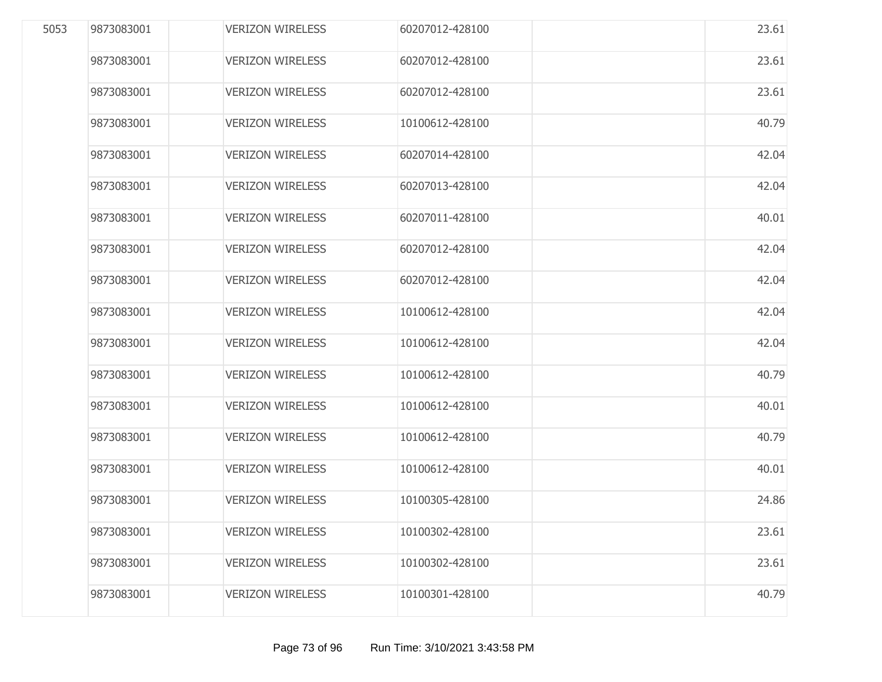| 5053 | 9873083001 | <b>VERIZON WIRELESS</b> | 60207012-428100 | 23.61 |
|------|------------|-------------------------|-----------------|-------|
|      | 9873083001 | <b>VERIZON WIRELESS</b> | 60207012-428100 | 23.61 |
|      | 9873083001 | <b>VERIZON WIRELESS</b> | 60207012-428100 | 23.61 |
|      | 9873083001 | <b>VERIZON WIRELESS</b> | 10100612-428100 | 40.79 |
|      | 9873083001 | <b>VERIZON WIRELESS</b> | 60207014-428100 | 42.04 |
|      | 9873083001 | <b>VERIZON WIRELESS</b> | 60207013-428100 | 42.04 |
|      | 9873083001 | <b>VERIZON WIRELESS</b> | 60207011-428100 | 40.01 |
|      | 9873083001 | <b>VERIZON WIRELESS</b> | 60207012-428100 | 42.04 |
|      | 9873083001 | <b>VERIZON WIRELESS</b> | 60207012-428100 | 42.04 |
|      | 9873083001 | <b>VERIZON WIRELESS</b> | 10100612-428100 | 42.04 |
|      | 9873083001 | <b>VERIZON WIRELESS</b> | 10100612-428100 | 42.04 |
|      | 9873083001 | <b>VERIZON WIRELESS</b> | 10100612-428100 | 40.79 |
|      | 9873083001 | <b>VERIZON WIRELESS</b> | 10100612-428100 | 40.01 |
|      | 9873083001 | <b>VERIZON WIRELESS</b> | 10100612-428100 | 40.79 |
|      | 9873083001 | <b>VERIZON WIRELESS</b> | 10100612-428100 | 40.01 |
|      | 9873083001 | <b>VERIZON WIRELESS</b> | 10100305-428100 | 24.86 |
|      | 9873083001 | <b>VERIZON WIRELESS</b> | 10100302-428100 | 23.61 |
|      | 9873083001 | <b>VERIZON WIRELESS</b> | 10100302-428100 | 23.61 |
|      | 9873083001 | <b>VERIZON WIRELESS</b> | 10100301-428100 | 40.79 |
|      |            |                         |                 |       |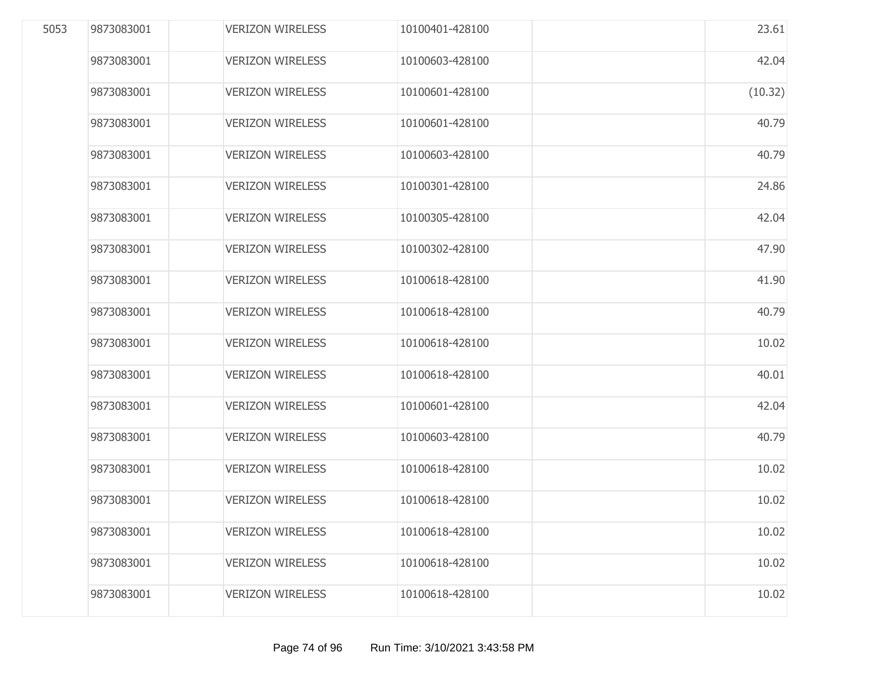| 5053 | 9873083001 | <b>VERIZON WIRELESS</b> | 10100401-428100 | 23.61   |
|------|------------|-------------------------|-----------------|---------|
|      | 9873083001 | <b>VERIZON WIRELESS</b> | 10100603-428100 | 42.04   |
|      | 9873083001 | <b>VERIZON WIRELESS</b> | 10100601-428100 | (10.32) |
|      | 9873083001 | <b>VERIZON WIRELESS</b> | 10100601-428100 | 40.79   |
|      | 9873083001 | <b>VERIZON WIRELESS</b> | 10100603-428100 | 40.79   |
|      | 9873083001 | <b>VERIZON WIRELESS</b> | 10100301-428100 | 24.86   |
|      | 9873083001 | <b>VERIZON WIRELESS</b> | 10100305-428100 | 42.04   |
|      | 9873083001 | <b>VERIZON WIRELESS</b> | 10100302-428100 | 47.90   |
|      | 9873083001 | <b>VERIZON WIRELESS</b> | 10100618-428100 | 41.90   |
|      | 9873083001 | <b>VERIZON WIRELESS</b> | 10100618-428100 | 40.79   |
|      | 9873083001 | <b>VERIZON WIRELESS</b> | 10100618-428100 | 10.02   |
|      | 9873083001 | <b>VERIZON WIRELESS</b> | 10100618-428100 | 40.01   |
|      | 9873083001 | <b>VERIZON WIRELESS</b> | 10100601-428100 | 42.04   |
|      | 9873083001 | <b>VERIZON WIRELESS</b> | 10100603-428100 | 40.79   |
|      | 9873083001 | <b>VERIZON WIRELESS</b> | 10100618-428100 | 10.02   |
|      | 9873083001 | <b>VERIZON WIRELESS</b> | 10100618-428100 | 10.02   |
|      | 9873083001 | <b>VERIZON WIRELESS</b> | 10100618-428100 | 10.02   |
|      | 9873083001 | <b>VERIZON WIRELESS</b> | 10100618-428100 | 10.02   |
|      | 9873083001 | <b>VERIZON WIRELESS</b> | 10100618-428100 | 10.02   |
|      |            |                         |                 |         |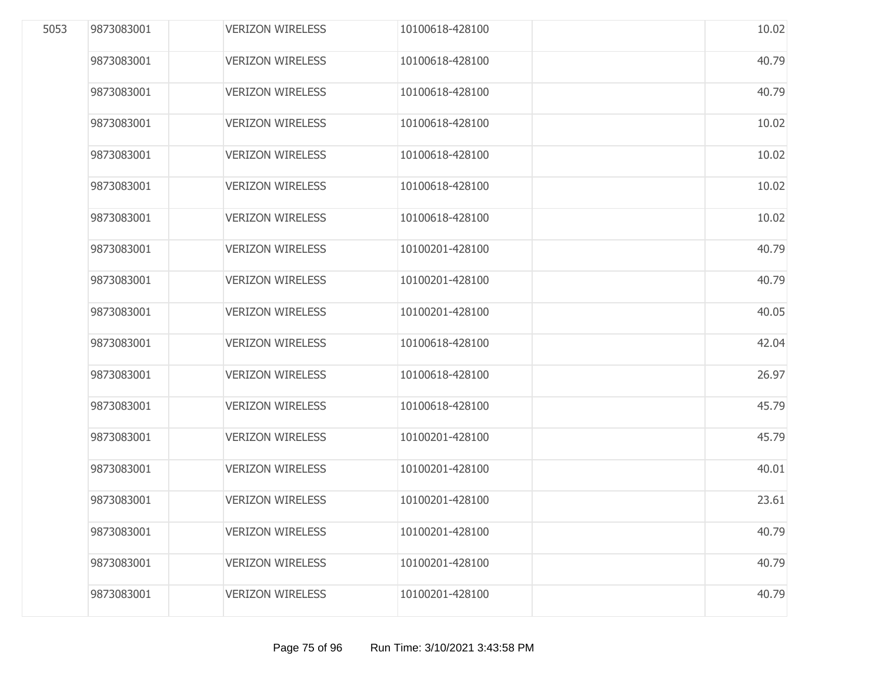| 5053 | 9873083001 | <b>VERIZON WIRELESS</b> | 10100618-428100 | 10.02 |
|------|------------|-------------------------|-----------------|-------|
|      | 9873083001 | <b>VERIZON WIRELESS</b> | 10100618-428100 | 40.79 |
|      | 9873083001 | <b>VERIZON WIRELESS</b> | 10100618-428100 | 40.79 |
|      | 9873083001 | <b>VERIZON WIRELESS</b> | 10100618-428100 | 10.02 |
|      | 9873083001 | <b>VERIZON WIRELESS</b> | 10100618-428100 | 10.02 |
|      | 9873083001 | <b>VERIZON WIRELESS</b> | 10100618-428100 | 10.02 |
|      | 9873083001 | <b>VERIZON WIRELESS</b> | 10100618-428100 | 10.02 |
|      | 9873083001 | <b>VERIZON WIRELESS</b> | 10100201-428100 | 40.79 |
|      | 9873083001 | <b>VERIZON WIRELESS</b> | 10100201-428100 | 40.79 |
|      | 9873083001 | <b>VERIZON WIRELESS</b> | 10100201-428100 | 40.05 |
|      | 9873083001 | <b>VERIZON WIRELESS</b> | 10100618-428100 | 42.04 |
|      | 9873083001 | <b>VERIZON WIRELESS</b> | 10100618-428100 | 26.97 |
|      | 9873083001 | <b>VERIZON WIRELESS</b> | 10100618-428100 | 45.79 |
|      | 9873083001 | <b>VERIZON WIRELESS</b> | 10100201-428100 | 45.79 |
|      | 9873083001 | <b>VERIZON WIRELESS</b> | 10100201-428100 | 40.01 |
|      | 9873083001 | <b>VERIZON WIRELESS</b> | 10100201-428100 | 23.61 |
|      | 9873083001 | <b>VERIZON WIRELESS</b> | 10100201-428100 | 40.79 |
|      | 9873083001 | <b>VERIZON WIRELESS</b> | 10100201-428100 | 40.79 |
|      | 9873083001 | <b>VERIZON WIRELESS</b> | 10100201-428100 | 40.79 |
|      |            |                         |                 |       |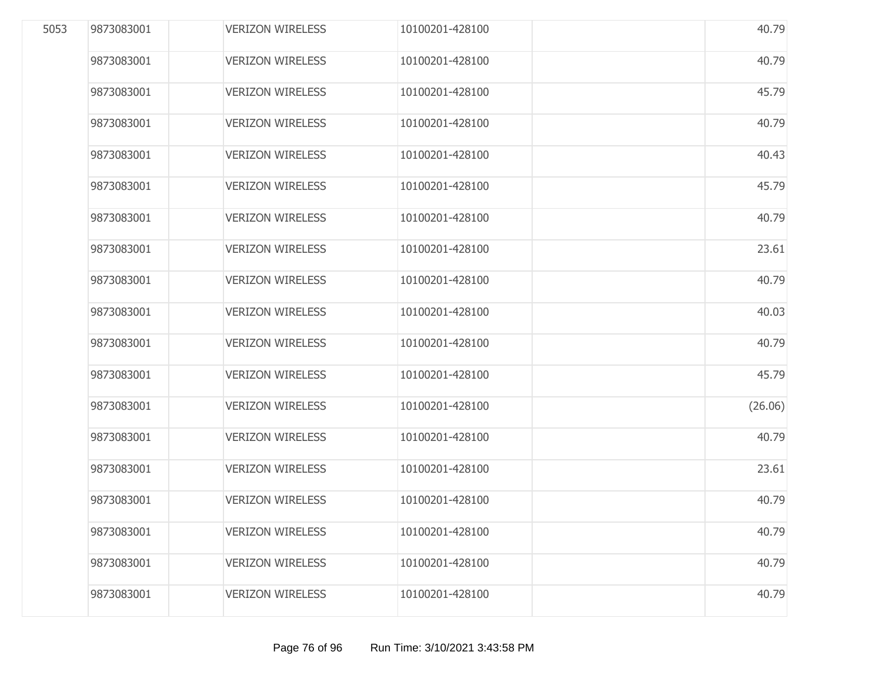| 5053 | 9873083001 | <b>VERIZON WIRELESS</b> | 10100201-428100 | 40.79   |
|------|------------|-------------------------|-----------------|---------|
|      | 9873083001 | <b>VERIZON WIRELESS</b> | 10100201-428100 | 40.79   |
|      | 9873083001 | <b>VERIZON WIRELESS</b> | 10100201-428100 | 45.79   |
|      | 9873083001 | <b>VERIZON WIRELESS</b> | 10100201-428100 | 40.79   |
|      | 9873083001 | <b>VERIZON WIRELESS</b> | 10100201-428100 | 40.43   |
|      | 9873083001 | <b>VERIZON WIRELESS</b> | 10100201-428100 | 45.79   |
|      | 9873083001 | <b>VERIZON WIRELESS</b> | 10100201-428100 | 40.79   |
|      | 9873083001 | <b>VERIZON WIRELESS</b> | 10100201-428100 | 23.61   |
|      | 9873083001 | <b>VERIZON WIRELESS</b> | 10100201-428100 | 40.79   |
|      | 9873083001 | <b>VERIZON WIRELESS</b> | 10100201-428100 | 40.03   |
|      | 9873083001 | <b>VERIZON WIRELESS</b> | 10100201-428100 | 40.79   |
|      | 9873083001 | <b>VERIZON WIRELESS</b> | 10100201-428100 | 45.79   |
|      | 9873083001 | <b>VERIZON WIRELESS</b> | 10100201-428100 | (26.06) |
|      | 9873083001 | <b>VERIZON WIRELESS</b> | 10100201-428100 | 40.79   |
|      | 9873083001 | <b>VERIZON WIRELESS</b> | 10100201-428100 | 23.61   |
|      | 9873083001 | <b>VERIZON WIRELESS</b> | 10100201-428100 | 40.79   |
|      | 9873083001 | <b>VERIZON WIRELESS</b> | 10100201-428100 | 40.79   |
|      | 9873083001 | <b>VERIZON WIRELESS</b> | 10100201-428100 | 40.79   |
|      | 9873083001 | <b>VERIZON WIRELESS</b> | 10100201-428100 | 40.79   |
|      |            |                         |                 |         |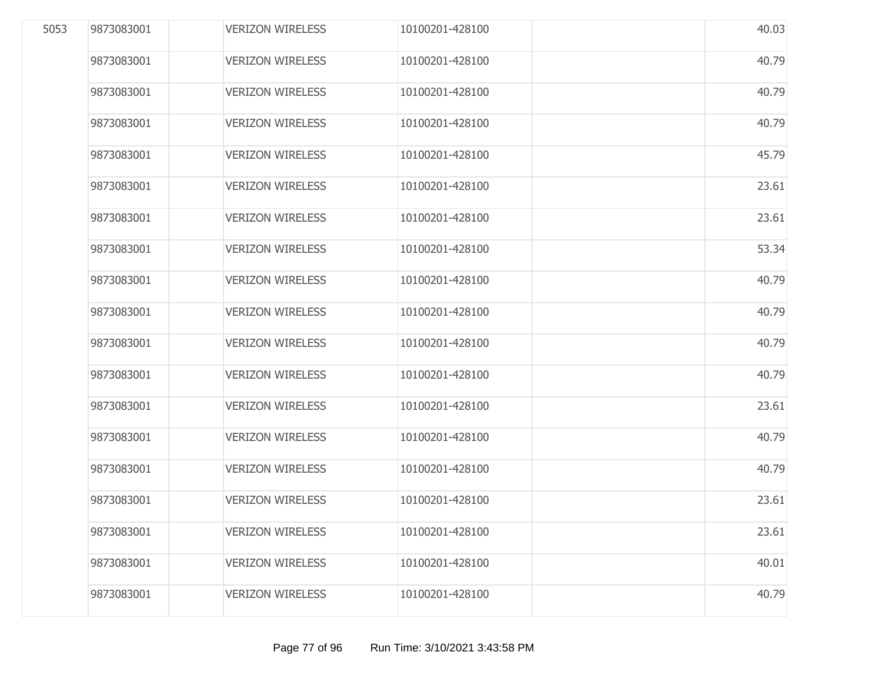| 5053 | 9873083001 | <b>VERIZON WIRELESS</b> | 10100201-428100 | 40.03 |
|------|------------|-------------------------|-----------------|-------|
|      | 9873083001 | <b>VERIZON WIRELESS</b> | 10100201-428100 | 40.79 |
|      | 9873083001 | <b>VERIZON WIRELESS</b> | 10100201-428100 | 40.79 |
|      | 9873083001 | <b>VERIZON WIRELESS</b> | 10100201-428100 | 40.79 |
|      | 9873083001 | <b>VERIZON WIRELESS</b> | 10100201-428100 | 45.79 |
|      | 9873083001 | <b>VERIZON WIRELESS</b> | 10100201-428100 | 23.61 |
|      | 9873083001 | <b>VERIZON WIRELESS</b> | 10100201-428100 | 23.61 |
|      | 9873083001 | <b>VERIZON WIRELESS</b> | 10100201-428100 | 53.34 |
|      | 9873083001 | <b>VERIZON WIRELESS</b> | 10100201-428100 | 40.79 |
|      | 9873083001 | <b>VERIZON WIRELESS</b> | 10100201-428100 | 40.79 |
|      | 9873083001 | <b>VERIZON WIRELESS</b> | 10100201-428100 | 40.79 |
|      | 9873083001 | <b>VERIZON WIRELESS</b> | 10100201-428100 | 40.79 |
|      | 9873083001 | <b>VERIZON WIRELESS</b> | 10100201-428100 | 23.61 |
|      | 9873083001 | <b>VERIZON WIRELESS</b> | 10100201-428100 | 40.79 |
|      | 9873083001 | <b>VERIZON WIRELESS</b> | 10100201-428100 | 40.79 |
|      | 9873083001 | <b>VERIZON WIRELESS</b> | 10100201-428100 | 23.61 |
|      | 9873083001 | <b>VERIZON WIRELESS</b> | 10100201-428100 | 23.61 |
|      | 9873083001 | <b>VERIZON WIRELESS</b> | 10100201-428100 | 40.01 |
|      | 9873083001 | <b>VERIZON WIRELESS</b> | 10100201-428100 | 40.79 |
|      |            |                         |                 |       |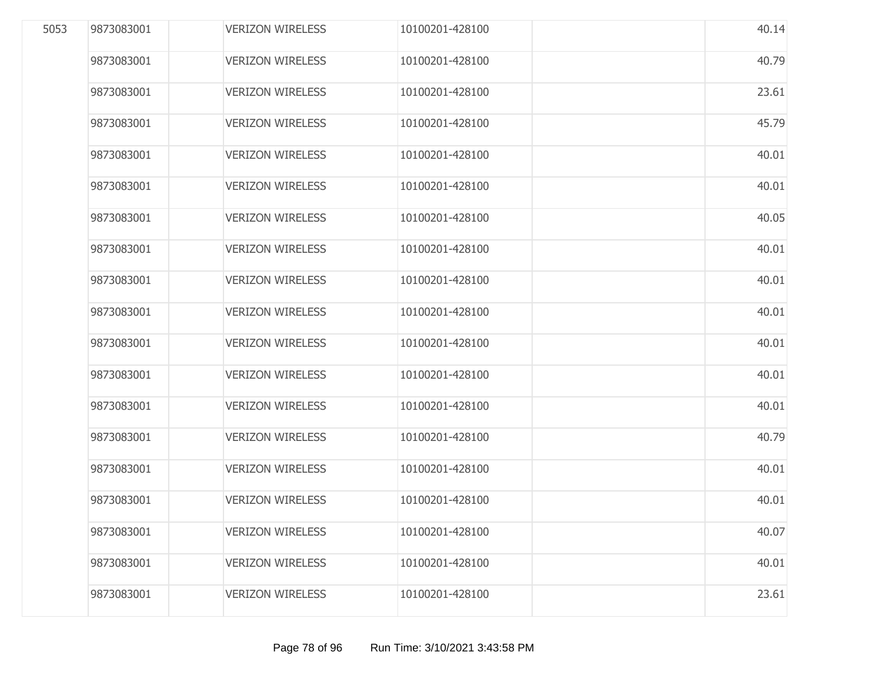| 5053 | 9873083001 | <b>VERIZON WIRELESS</b> | 10100201-428100 | 40.14 |
|------|------------|-------------------------|-----------------|-------|
|      | 9873083001 | <b>VERIZON WIRELESS</b> | 10100201-428100 | 40.79 |
|      | 9873083001 | <b>VERIZON WIRELESS</b> | 10100201-428100 | 23.61 |
|      | 9873083001 | <b>VERIZON WIRELESS</b> | 10100201-428100 | 45.79 |
|      | 9873083001 | <b>VERIZON WIRELESS</b> | 10100201-428100 | 40.01 |
|      | 9873083001 | <b>VERIZON WIRELESS</b> | 10100201-428100 | 40.01 |
|      | 9873083001 | <b>VERIZON WIRELESS</b> | 10100201-428100 | 40.05 |
|      | 9873083001 | <b>VERIZON WIRELESS</b> | 10100201-428100 | 40.01 |
|      | 9873083001 | <b>VERIZON WIRELESS</b> | 10100201-428100 | 40.01 |
|      | 9873083001 | <b>VERIZON WIRELESS</b> | 10100201-428100 | 40.01 |
|      | 9873083001 | <b>VERIZON WIRELESS</b> | 10100201-428100 | 40.01 |
|      | 9873083001 | <b>VERIZON WIRELESS</b> | 10100201-428100 | 40.01 |
|      | 9873083001 | <b>VERIZON WIRELESS</b> | 10100201-428100 | 40.01 |
|      | 9873083001 | <b>VERIZON WIRELESS</b> | 10100201-428100 | 40.79 |
|      | 9873083001 | <b>VERIZON WIRELESS</b> | 10100201-428100 | 40.01 |
|      | 9873083001 | <b>VERIZON WIRELESS</b> | 10100201-428100 | 40.01 |
|      | 9873083001 | <b>VERIZON WIRELESS</b> | 10100201-428100 | 40.07 |
|      | 9873083001 | <b>VERIZON WIRELESS</b> | 10100201-428100 | 40.01 |
|      | 9873083001 | <b>VERIZON WIRELESS</b> | 10100201-428100 | 23.61 |
|      |            |                         |                 |       |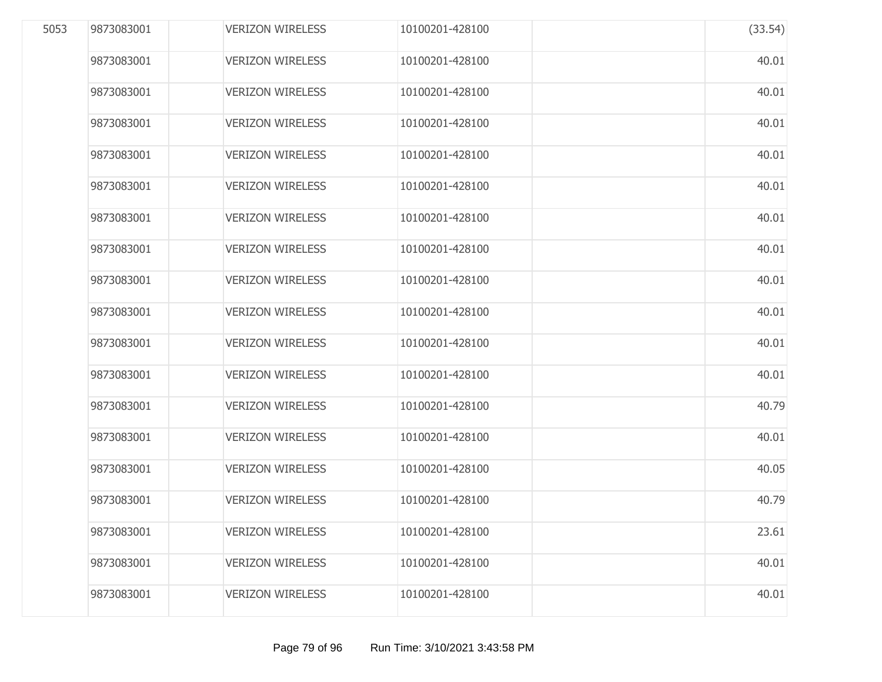| 5053 | 9873083001 | <b>VERIZON WIRELESS</b> | 10100201-428100 | (33.54) |
|------|------------|-------------------------|-----------------|---------|
|      | 9873083001 | <b>VERIZON WIRELESS</b> | 10100201-428100 | 40.01   |
|      | 9873083001 | <b>VERIZON WIRELESS</b> | 10100201-428100 | 40.01   |
|      | 9873083001 | <b>VERIZON WIRELESS</b> | 10100201-428100 | 40.01   |
|      | 9873083001 | <b>VERIZON WIRELESS</b> | 10100201-428100 | 40.01   |
|      | 9873083001 | <b>VERIZON WIRELESS</b> | 10100201-428100 | 40.01   |
|      | 9873083001 | <b>VERIZON WIRELESS</b> | 10100201-428100 | 40.01   |
|      | 9873083001 | <b>VERIZON WIRELESS</b> | 10100201-428100 | 40.01   |
|      | 9873083001 | <b>VERIZON WIRELESS</b> | 10100201-428100 | 40.01   |
|      | 9873083001 | <b>VERIZON WIRELESS</b> | 10100201-428100 | 40.01   |
|      | 9873083001 | <b>VERIZON WIRELESS</b> | 10100201-428100 | 40.01   |
|      | 9873083001 | <b>VERIZON WIRELESS</b> | 10100201-428100 | 40.01   |
|      | 9873083001 | <b>VERIZON WIRELESS</b> | 10100201-428100 | 40.79   |
|      | 9873083001 | <b>VERIZON WIRELESS</b> | 10100201-428100 | 40.01   |
|      | 9873083001 | <b>VERIZON WIRELESS</b> | 10100201-428100 | 40.05   |
|      | 9873083001 | <b>VERIZON WIRELESS</b> | 10100201-428100 | 40.79   |
|      | 9873083001 | <b>VERIZON WIRELESS</b> | 10100201-428100 | 23.61   |
|      | 9873083001 | <b>VERIZON WIRELESS</b> | 10100201-428100 | 40.01   |
|      | 9873083001 | <b>VERIZON WIRELESS</b> | 10100201-428100 | 40.01   |
|      |            |                         |                 |         |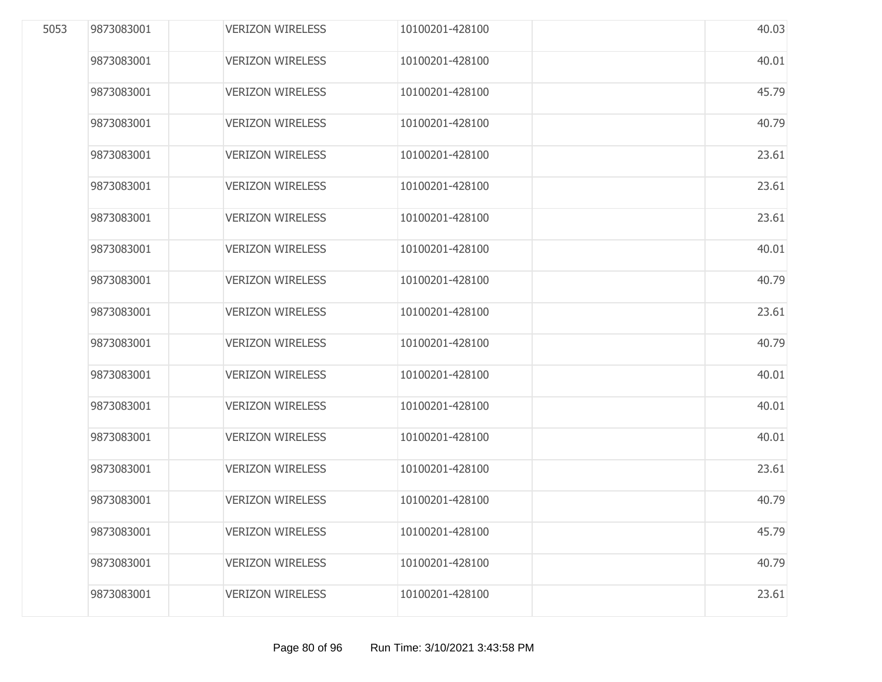| 5053 | 9873083001 | <b>VERIZON WIRELESS</b> | 10100201-428100 | 40.03 |
|------|------------|-------------------------|-----------------|-------|
|      | 9873083001 | <b>VERIZON WIRELESS</b> | 10100201-428100 | 40.01 |
|      | 9873083001 | <b>VERIZON WIRELESS</b> | 10100201-428100 | 45.79 |
|      | 9873083001 | <b>VERIZON WIRELESS</b> | 10100201-428100 | 40.79 |
|      | 9873083001 | <b>VERIZON WIRELESS</b> | 10100201-428100 | 23.61 |
|      | 9873083001 | <b>VERIZON WIRELESS</b> | 10100201-428100 | 23.61 |
|      | 9873083001 | <b>VERIZON WIRELESS</b> | 10100201-428100 | 23.61 |
|      | 9873083001 | <b>VERIZON WIRELESS</b> | 10100201-428100 | 40.01 |
|      | 9873083001 | <b>VERIZON WIRELESS</b> | 10100201-428100 | 40.79 |
|      | 9873083001 | <b>VERIZON WIRELESS</b> | 10100201-428100 | 23.61 |
|      | 9873083001 | <b>VERIZON WIRELESS</b> | 10100201-428100 | 40.79 |
|      | 9873083001 | <b>VERIZON WIRELESS</b> | 10100201-428100 | 40.01 |
|      | 9873083001 | <b>VERIZON WIRELESS</b> | 10100201-428100 | 40.01 |
|      | 9873083001 | <b>VERIZON WIRELESS</b> | 10100201-428100 | 40.01 |
|      | 9873083001 | <b>VERIZON WIRELESS</b> | 10100201-428100 | 23.61 |
|      | 9873083001 | <b>VERIZON WIRELESS</b> | 10100201-428100 | 40.79 |
|      | 9873083001 | <b>VERIZON WIRELESS</b> | 10100201-428100 | 45.79 |
|      | 9873083001 | <b>VERIZON WIRELESS</b> | 10100201-428100 | 40.79 |
|      | 9873083001 | <b>VERIZON WIRELESS</b> | 10100201-428100 | 23.61 |
|      |            |                         |                 |       |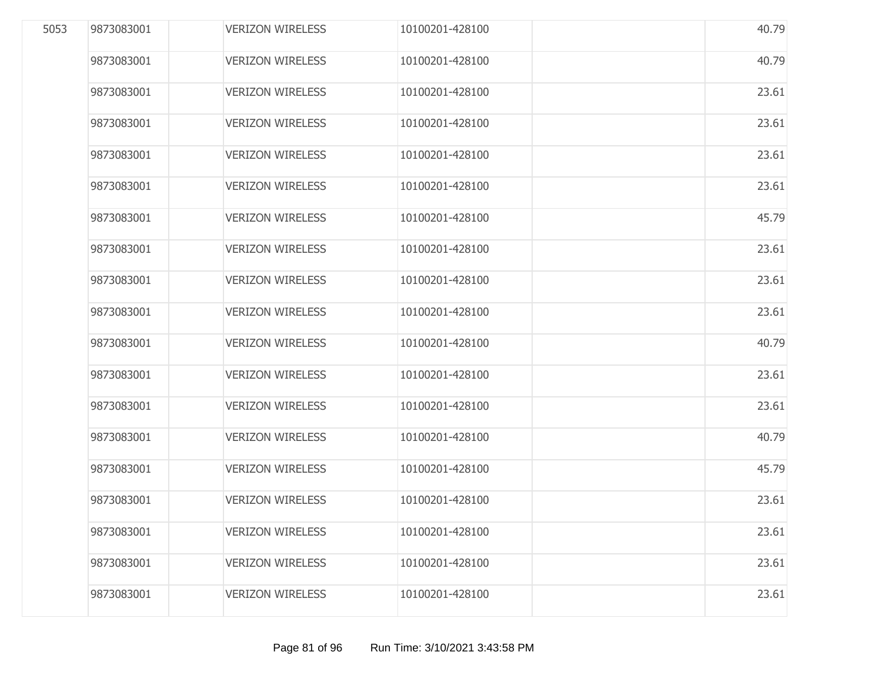| 5053 | 9873083001 | <b>VERIZON WIRELESS</b> | 10100201-428100 | 40.79 |
|------|------------|-------------------------|-----------------|-------|
|      | 9873083001 | <b>VERIZON WIRELESS</b> | 10100201-428100 | 40.79 |
|      | 9873083001 | <b>VERIZON WIRELESS</b> | 10100201-428100 | 23.61 |
|      | 9873083001 | <b>VERIZON WIRELESS</b> | 10100201-428100 | 23.61 |
|      | 9873083001 | <b>VERIZON WIRELESS</b> | 10100201-428100 | 23.61 |
|      | 9873083001 | <b>VERIZON WIRELESS</b> | 10100201-428100 | 23.61 |
|      | 9873083001 | <b>VERIZON WIRELESS</b> | 10100201-428100 | 45.79 |
|      | 9873083001 | <b>VERIZON WIRELESS</b> | 10100201-428100 | 23.61 |
|      | 9873083001 | <b>VERIZON WIRELESS</b> | 10100201-428100 | 23.61 |
|      | 9873083001 | <b>VERIZON WIRELESS</b> | 10100201-428100 | 23.61 |
|      | 9873083001 | <b>VERIZON WIRELESS</b> | 10100201-428100 | 40.79 |
|      | 9873083001 | <b>VERIZON WIRELESS</b> | 10100201-428100 | 23.61 |
|      | 9873083001 | <b>VERIZON WIRELESS</b> | 10100201-428100 | 23.61 |
|      | 9873083001 | <b>VERIZON WIRELESS</b> | 10100201-428100 | 40.79 |
|      | 9873083001 | <b>VERIZON WIRELESS</b> | 10100201-428100 | 45.79 |
|      | 9873083001 | <b>VERIZON WIRELESS</b> | 10100201-428100 | 23.61 |
|      | 9873083001 | <b>VERIZON WIRELESS</b> | 10100201-428100 | 23.61 |
|      | 9873083001 | <b>VERIZON WIRELESS</b> | 10100201-428100 | 23.61 |
|      | 9873083001 | <b>VERIZON WIRELESS</b> | 10100201-428100 | 23.61 |
|      |            |                         |                 |       |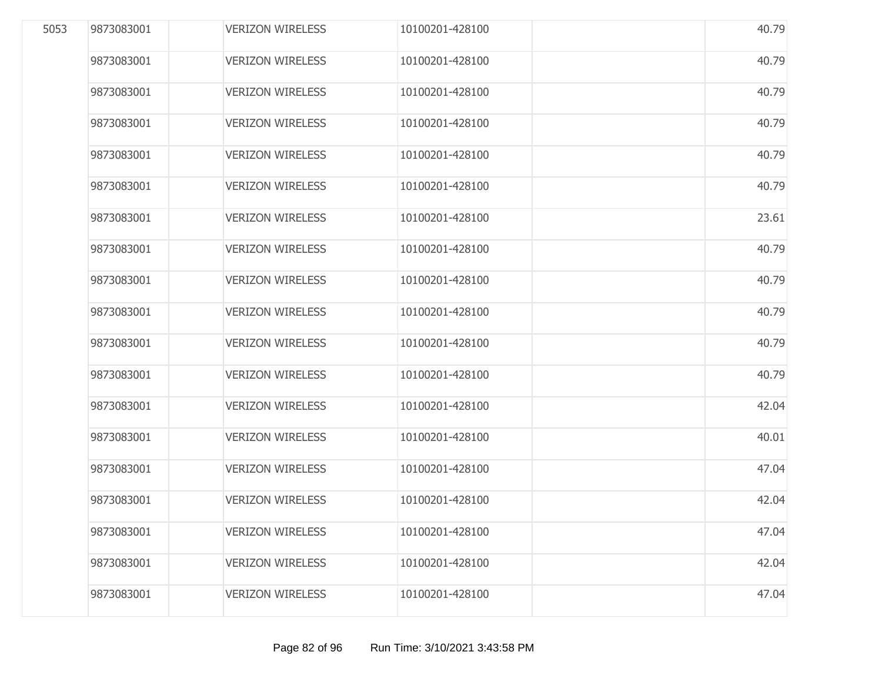| 5053 | 9873083001 | <b>VERIZON WIRELESS</b> | 10100201-428100 | 40.79 |
|------|------------|-------------------------|-----------------|-------|
|      | 9873083001 | <b>VERIZON WIRELESS</b> | 10100201-428100 | 40.79 |
|      | 9873083001 | <b>VERIZON WIRELESS</b> | 10100201-428100 | 40.79 |
|      | 9873083001 | <b>VERIZON WIRELESS</b> | 10100201-428100 | 40.79 |
|      | 9873083001 | <b>VERIZON WIRELESS</b> | 10100201-428100 | 40.79 |
|      | 9873083001 | <b>VERIZON WIRELESS</b> | 10100201-428100 | 40.79 |
|      | 9873083001 | <b>VERIZON WIRELESS</b> | 10100201-428100 | 23.61 |
|      | 9873083001 | <b>VERIZON WIRELESS</b> | 10100201-428100 | 40.79 |
|      | 9873083001 | <b>VERIZON WIRELESS</b> | 10100201-428100 | 40.79 |
|      | 9873083001 | <b>VERIZON WIRELESS</b> | 10100201-428100 | 40.79 |
|      | 9873083001 | <b>VERIZON WIRELESS</b> | 10100201-428100 | 40.79 |
|      | 9873083001 | <b>VERIZON WIRELESS</b> | 10100201-428100 | 40.79 |
|      | 9873083001 | <b>VERIZON WIRELESS</b> | 10100201-428100 | 42.04 |
|      | 9873083001 | <b>VERIZON WIRELESS</b> | 10100201-428100 | 40.01 |
|      | 9873083001 | <b>VERIZON WIRELESS</b> | 10100201-428100 | 47.04 |
|      | 9873083001 | <b>VERIZON WIRELESS</b> | 10100201-428100 | 42.04 |
|      | 9873083001 | <b>VERIZON WIRELESS</b> | 10100201-428100 | 47.04 |
|      | 9873083001 | <b>VERIZON WIRELESS</b> | 10100201-428100 | 42.04 |
|      | 9873083001 | <b>VERIZON WIRELESS</b> | 10100201-428100 | 47.04 |
|      |            |                         |                 |       |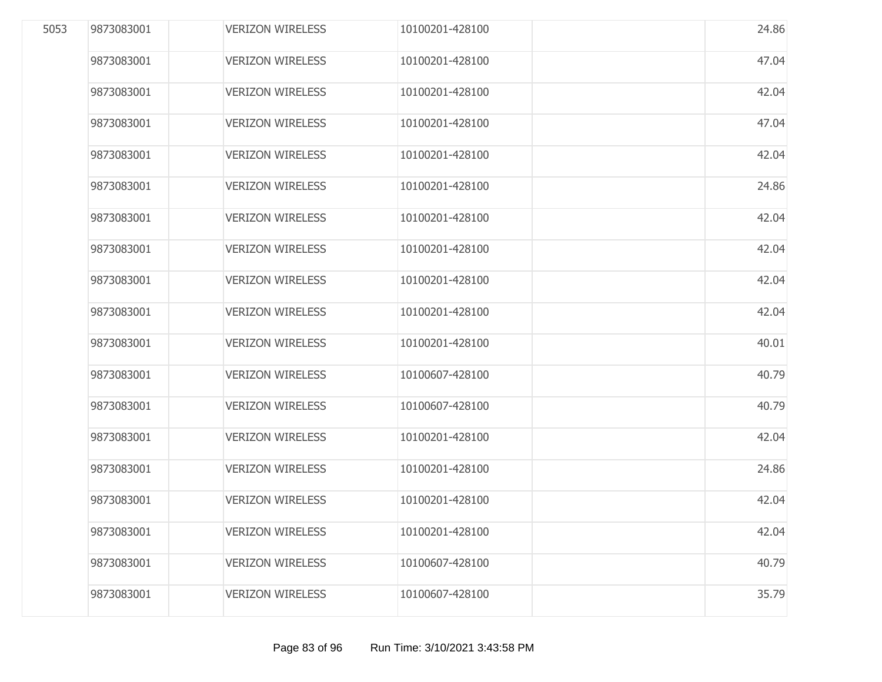| 5053 | 9873083001 | <b>VERIZON WIRELESS</b> | 10100201-428100 | 24.86 |
|------|------------|-------------------------|-----------------|-------|
|      | 9873083001 | <b>VERIZON WIRELESS</b> | 10100201-428100 | 47.04 |
|      | 9873083001 | <b>VERIZON WIRELESS</b> | 10100201-428100 | 42.04 |
|      | 9873083001 | <b>VERIZON WIRELESS</b> | 10100201-428100 | 47.04 |
|      | 9873083001 | <b>VERIZON WIRELESS</b> | 10100201-428100 | 42.04 |
|      | 9873083001 | <b>VERIZON WIRELESS</b> | 10100201-428100 | 24.86 |
|      | 9873083001 | <b>VERIZON WIRELESS</b> | 10100201-428100 | 42.04 |
|      | 9873083001 | <b>VERIZON WIRELESS</b> | 10100201-428100 | 42.04 |
|      | 9873083001 | <b>VERIZON WIRELESS</b> | 10100201-428100 | 42.04 |
|      | 9873083001 | <b>VERIZON WIRELESS</b> | 10100201-428100 | 42.04 |
|      | 9873083001 | <b>VERIZON WIRELESS</b> | 10100201-428100 | 40.01 |
|      | 9873083001 | <b>VERIZON WIRELESS</b> | 10100607-428100 | 40.79 |
|      | 9873083001 | <b>VERIZON WIRELESS</b> | 10100607-428100 | 40.79 |
|      | 9873083001 | <b>VERIZON WIRELESS</b> | 10100201-428100 | 42.04 |
|      | 9873083001 | <b>VERIZON WIRELESS</b> | 10100201-428100 | 24.86 |
|      | 9873083001 | <b>VERIZON WIRELESS</b> | 10100201-428100 | 42.04 |
|      | 9873083001 | <b>VERIZON WIRELESS</b> | 10100201-428100 | 42.04 |
|      | 9873083001 | <b>VERIZON WIRELESS</b> | 10100607-428100 | 40.79 |
|      | 9873083001 | <b>VERIZON WIRELESS</b> | 10100607-428100 | 35.79 |
|      |            |                         |                 |       |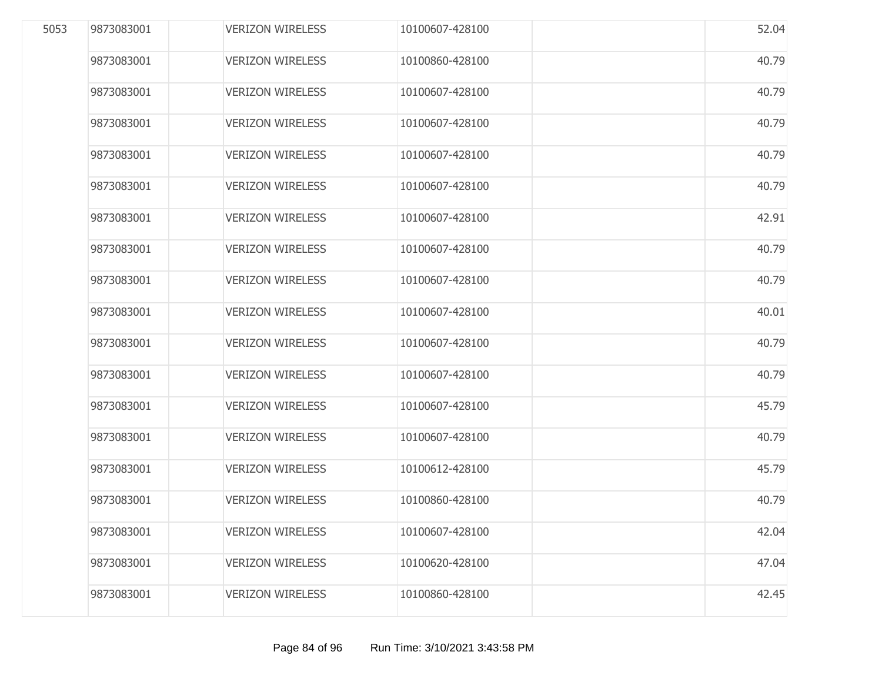| 5053 | 9873083001 | <b>VERIZON WIRELESS</b> | 10100607-428100 | 52.04 |
|------|------------|-------------------------|-----------------|-------|
|      | 9873083001 | <b>VERIZON WIRELESS</b> | 10100860-428100 | 40.79 |
|      | 9873083001 | <b>VERIZON WIRELESS</b> | 10100607-428100 | 40.79 |
|      | 9873083001 | <b>VERIZON WIRELESS</b> | 10100607-428100 | 40.79 |
|      | 9873083001 | <b>VERIZON WIRELESS</b> | 10100607-428100 | 40.79 |
|      | 9873083001 | <b>VERIZON WIRELESS</b> | 10100607-428100 | 40.79 |
|      | 9873083001 | <b>VERIZON WIRELESS</b> | 10100607-428100 | 42.91 |
|      | 9873083001 | <b>VERIZON WIRELESS</b> | 10100607-428100 | 40.79 |
|      | 9873083001 | <b>VERIZON WIRELESS</b> | 10100607-428100 | 40.79 |
|      | 9873083001 | <b>VERIZON WIRELESS</b> | 10100607-428100 | 40.01 |
|      | 9873083001 | <b>VERIZON WIRELESS</b> | 10100607-428100 | 40.79 |
|      | 9873083001 | <b>VERIZON WIRELESS</b> | 10100607-428100 | 40.79 |
|      | 9873083001 | <b>VERIZON WIRELESS</b> | 10100607-428100 | 45.79 |
|      | 9873083001 | <b>VERIZON WIRELESS</b> | 10100607-428100 | 40.79 |
|      | 9873083001 | <b>VERIZON WIRELESS</b> | 10100612-428100 | 45.79 |
|      | 9873083001 | <b>VERIZON WIRELESS</b> | 10100860-428100 | 40.79 |
|      | 9873083001 | <b>VERIZON WIRELESS</b> | 10100607-428100 | 42.04 |
|      | 9873083001 | <b>VERIZON WIRELESS</b> | 10100620-428100 | 47.04 |
|      | 9873083001 | <b>VERIZON WIRELESS</b> | 10100860-428100 | 42.45 |
|      |            |                         |                 |       |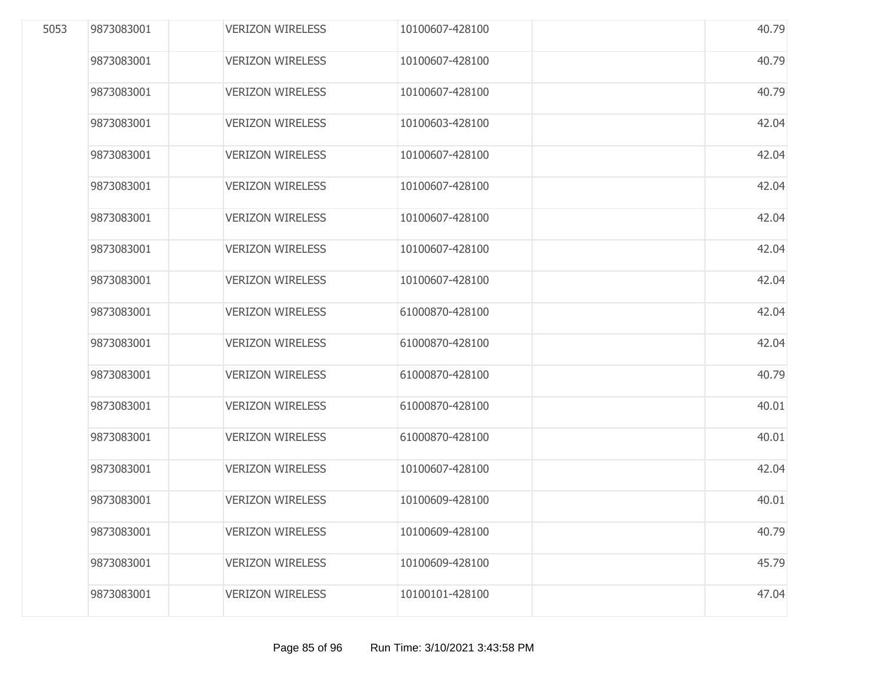| 5053 | 9873083001 | <b>VERIZON WIRELESS</b> | 10100607-428100 | 40.79 |
|------|------------|-------------------------|-----------------|-------|
|      | 9873083001 | <b>VERIZON WIRELESS</b> | 10100607-428100 | 40.79 |
|      | 9873083001 | <b>VERIZON WIRELESS</b> | 10100607-428100 | 40.79 |
|      | 9873083001 | <b>VERIZON WIRELESS</b> | 10100603-428100 | 42.04 |
|      | 9873083001 | <b>VERIZON WIRELESS</b> | 10100607-428100 | 42.04 |
|      | 9873083001 | <b>VERIZON WIRELESS</b> | 10100607-428100 | 42.04 |
|      | 9873083001 | <b>VERIZON WIRELESS</b> | 10100607-428100 | 42.04 |
|      | 9873083001 | <b>VERIZON WIRELESS</b> | 10100607-428100 | 42.04 |
|      | 9873083001 | <b>VERIZON WIRELESS</b> | 10100607-428100 | 42.04 |
|      | 9873083001 | <b>VERIZON WIRELESS</b> | 61000870-428100 | 42.04 |
|      | 9873083001 | <b>VERIZON WIRELESS</b> | 61000870-428100 | 42.04 |
|      | 9873083001 | <b>VERIZON WIRELESS</b> | 61000870-428100 | 40.79 |
|      | 9873083001 | <b>VERIZON WIRELESS</b> | 61000870-428100 | 40.01 |
|      | 9873083001 | <b>VERIZON WIRELESS</b> | 61000870-428100 | 40.01 |
|      | 9873083001 | <b>VERIZON WIRELESS</b> | 10100607-428100 | 42.04 |
|      | 9873083001 | <b>VERIZON WIRELESS</b> | 10100609-428100 | 40.01 |
|      | 9873083001 | <b>VERIZON WIRELESS</b> | 10100609-428100 | 40.79 |
|      | 9873083001 | <b>VERIZON WIRELESS</b> | 10100609-428100 | 45.79 |
|      | 9873083001 | <b>VERIZON WIRELESS</b> | 10100101-428100 | 47.04 |
|      |            |                         |                 |       |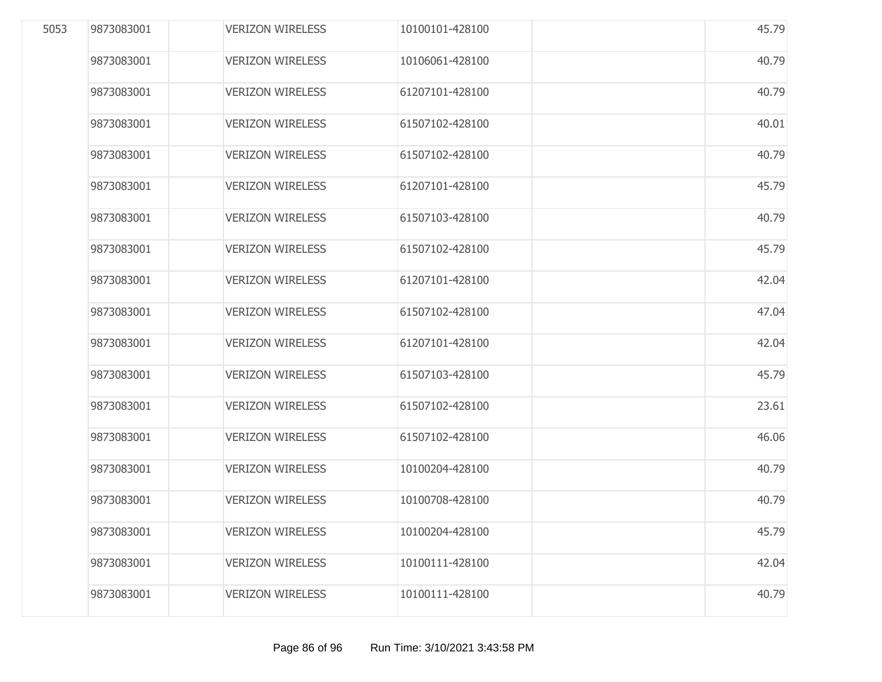| 5053 | 9873083001 | <b>VERIZON WIRELESS</b> | 10100101-428100 | 45.79 |
|------|------------|-------------------------|-----------------|-------|
|      | 9873083001 | <b>VERIZON WIRELESS</b> | 10106061-428100 | 40.79 |
|      | 9873083001 | <b>VERIZON WIRELESS</b> | 61207101-428100 | 40.79 |
|      | 9873083001 | <b>VERIZON WIRELESS</b> | 61507102-428100 | 40.01 |
|      | 9873083001 | <b>VERIZON WIRELESS</b> | 61507102-428100 | 40.79 |
|      | 9873083001 | <b>VERIZON WIRELESS</b> | 61207101-428100 | 45.79 |
|      | 9873083001 | <b>VERIZON WIRELESS</b> | 61507103-428100 | 40.79 |
|      | 9873083001 | <b>VERIZON WIRELESS</b> | 61507102-428100 | 45.79 |
|      | 9873083001 | <b>VERIZON WIRELESS</b> | 61207101-428100 | 42.04 |
|      | 9873083001 | <b>VERIZON WIRELESS</b> | 61507102-428100 | 47.04 |
|      | 9873083001 | <b>VERIZON WIRELESS</b> | 61207101-428100 | 42.04 |
|      | 9873083001 | <b>VERIZON WIRELESS</b> | 61507103-428100 | 45.79 |
|      | 9873083001 | <b>VERIZON WIRELESS</b> | 61507102-428100 | 23.61 |
|      | 9873083001 | <b>VERIZON WIRELESS</b> | 61507102-428100 | 46.06 |
|      | 9873083001 | <b>VERIZON WIRELESS</b> | 10100204-428100 | 40.79 |
|      | 9873083001 | <b>VERIZON WIRELESS</b> | 10100708-428100 | 40.79 |
|      | 9873083001 | <b>VERIZON WIRELESS</b> | 10100204-428100 | 45.79 |
|      | 9873083001 | <b>VERIZON WIRELESS</b> | 10100111-428100 | 42.04 |
|      | 9873083001 | <b>VERIZON WIRELESS</b> | 10100111-428100 | 40.79 |
|      |            |                         |                 |       |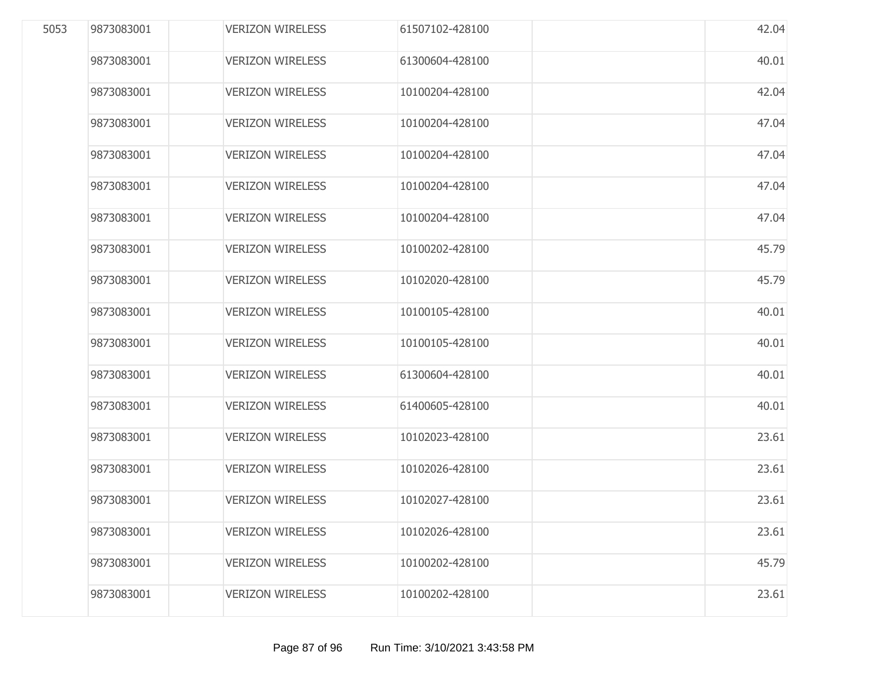| 5053 | 9873083001 | <b>VERIZON WIRELESS</b> | 61507102-428100 | 42.04 |
|------|------------|-------------------------|-----------------|-------|
|      | 9873083001 | <b>VERIZON WIRELESS</b> | 61300604-428100 | 40.01 |
|      | 9873083001 | <b>VERIZON WIRELESS</b> | 10100204-428100 | 42.04 |
|      | 9873083001 | <b>VERIZON WIRELESS</b> | 10100204-428100 | 47.04 |
|      | 9873083001 | <b>VERIZON WIRELESS</b> | 10100204-428100 | 47.04 |
|      | 9873083001 | <b>VERIZON WIRELESS</b> | 10100204-428100 | 47.04 |
|      | 9873083001 | <b>VERIZON WIRELESS</b> | 10100204-428100 | 47.04 |
|      | 9873083001 | <b>VERIZON WIRELESS</b> | 10100202-428100 | 45.79 |
|      | 9873083001 | <b>VERIZON WIRELESS</b> | 10102020-428100 | 45.79 |
|      | 9873083001 | <b>VERIZON WIRELESS</b> | 10100105-428100 | 40.01 |
|      | 9873083001 | <b>VERIZON WIRELESS</b> | 10100105-428100 | 40.01 |
|      | 9873083001 | <b>VERIZON WIRELESS</b> | 61300604-428100 | 40.01 |
|      | 9873083001 | <b>VERIZON WIRELESS</b> | 61400605-428100 | 40.01 |
|      | 9873083001 | <b>VERIZON WIRELESS</b> | 10102023-428100 | 23.61 |
|      | 9873083001 | <b>VERIZON WIRELESS</b> | 10102026-428100 | 23.61 |
|      | 9873083001 | <b>VERIZON WIRELESS</b> | 10102027-428100 | 23.61 |
|      | 9873083001 | <b>VERIZON WIRELESS</b> | 10102026-428100 | 23.61 |
|      | 9873083001 | <b>VERIZON WIRELESS</b> | 10100202-428100 | 45.79 |
|      | 9873083001 | <b>VERIZON WIRELESS</b> | 10100202-428100 | 23.61 |
|      |            |                         |                 |       |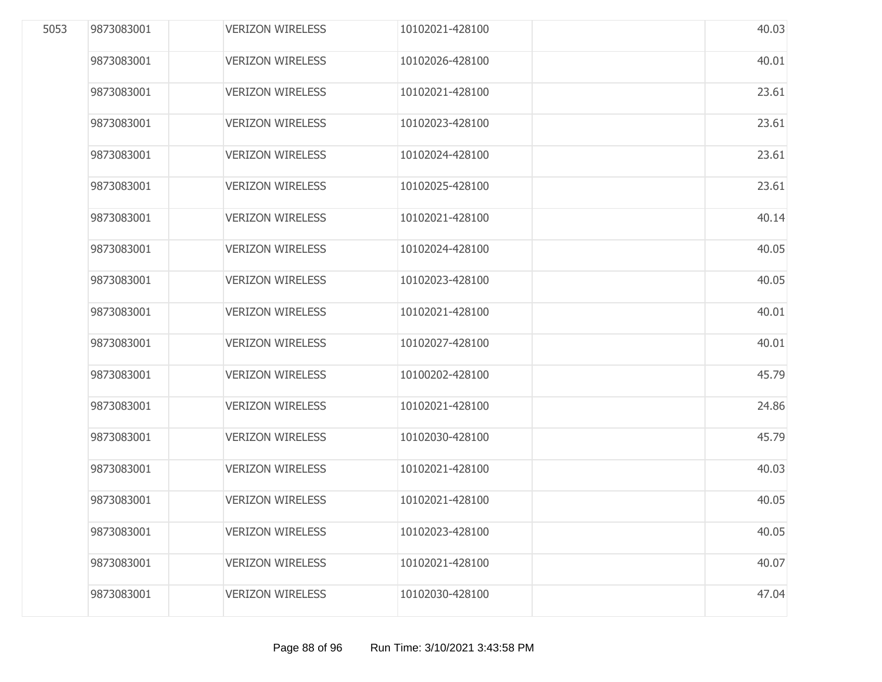| 5053 | 9873083001 | <b>VERIZON WIRELESS</b> | 10102021-428100 | 40.03 |
|------|------------|-------------------------|-----------------|-------|
|      | 9873083001 | <b>VERIZON WIRELESS</b> | 10102026-428100 | 40.01 |
|      | 9873083001 | <b>VERIZON WIRELESS</b> | 10102021-428100 | 23.61 |
|      | 9873083001 | <b>VERIZON WIRELESS</b> | 10102023-428100 | 23.61 |
|      | 9873083001 | <b>VERIZON WIRELESS</b> | 10102024-428100 | 23.61 |
|      | 9873083001 | <b>VERIZON WIRELESS</b> | 10102025-428100 | 23.61 |
|      | 9873083001 | <b>VERIZON WIRELESS</b> | 10102021-428100 | 40.14 |
|      | 9873083001 | <b>VERIZON WIRELESS</b> | 10102024-428100 | 40.05 |
|      | 9873083001 | <b>VERIZON WIRELESS</b> | 10102023-428100 | 40.05 |
|      | 9873083001 | <b>VERIZON WIRELESS</b> | 10102021-428100 | 40.01 |
|      | 9873083001 | <b>VERIZON WIRELESS</b> | 10102027-428100 | 40.01 |
|      | 9873083001 | <b>VERIZON WIRELESS</b> | 10100202-428100 | 45.79 |
|      | 9873083001 | <b>VERIZON WIRELESS</b> | 10102021-428100 | 24.86 |
|      | 9873083001 | <b>VERIZON WIRELESS</b> | 10102030-428100 | 45.79 |
|      | 9873083001 | <b>VERIZON WIRELESS</b> | 10102021-428100 | 40.03 |
|      | 9873083001 | <b>VERIZON WIRELESS</b> | 10102021-428100 | 40.05 |
|      | 9873083001 | <b>VERIZON WIRELESS</b> | 10102023-428100 | 40.05 |
|      | 9873083001 | <b>VERIZON WIRELESS</b> | 10102021-428100 | 40.07 |
|      | 9873083001 | <b>VERIZON WIRELESS</b> | 10102030-428100 | 47.04 |
|      |            |                         |                 |       |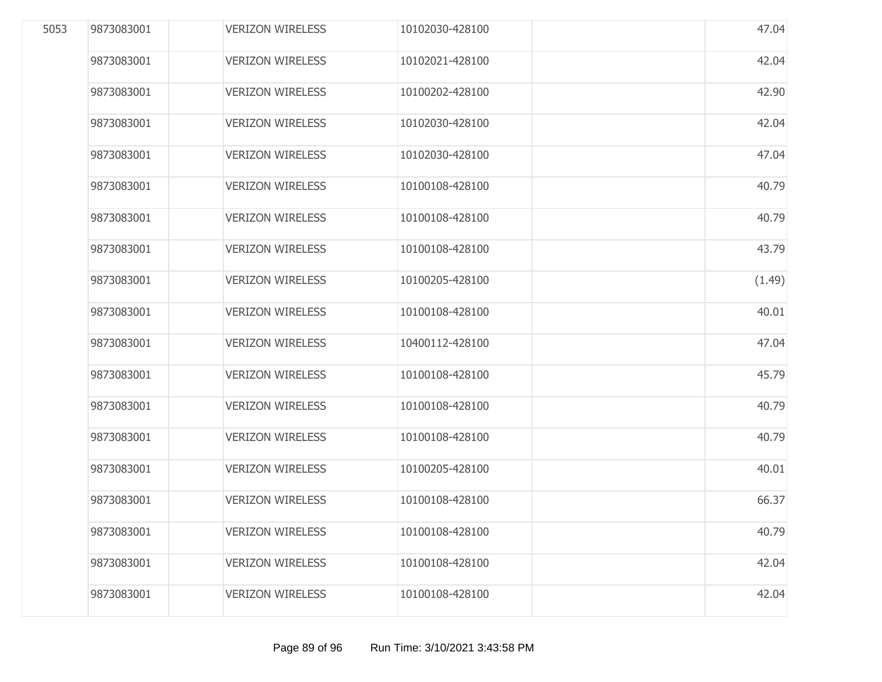| 5053 | 9873083001 | <b>VERIZON WIRELESS</b> | 10102030-428100 | 47.04  |
|------|------------|-------------------------|-----------------|--------|
|      | 9873083001 | <b>VERIZON WIRELESS</b> | 10102021-428100 | 42.04  |
|      | 9873083001 | <b>VERIZON WIRELESS</b> | 10100202-428100 | 42.90  |
|      | 9873083001 | <b>VERIZON WIRELESS</b> | 10102030-428100 | 42.04  |
|      | 9873083001 | <b>VERIZON WIRELESS</b> | 10102030-428100 | 47.04  |
|      | 9873083001 | <b>VERIZON WIRELESS</b> | 10100108-428100 | 40.79  |
|      | 9873083001 | <b>VERIZON WIRELESS</b> | 10100108-428100 | 40.79  |
|      | 9873083001 | <b>VERIZON WIRELESS</b> | 10100108-428100 | 43.79  |
|      | 9873083001 | <b>VERIZON WIRELESS</b> | 10100205-428100 | (1.49) |
|      | 9873083001 | <b>VERIZON WIRELESS</b> | 10100108-428100 | 40.01  |
|      | 9873083001 | <b>VERIZON WIRELESS</b> | 10400112-428100 | 47.04  |
|      | 9873083001 | <b>VERIZON WIRELESS</b> | 10100108-428100 | 45.79  |
|      | 9873083001 | <b>VERIZON WIRELESS</b> | 10100108-428100 | 40.79  |
|      | 9873083001 | <b>VERIZON WIRELESS</b> | 10100108-428100 | 40.79  |
|      | 9873083001 | <b>VERIZON WIRELESS</b> | 10100205-428100 | 40.01  |
|      | 9873083001 | <b>VERIZON WIRELESS</b> | 10100108-428100 | 66.37  |
|      | 9873083001 | <b>VERIZON WIRELESS</b> | 10100108-428100 | 40.79  |
|      | 9873083001 | <b>VERIZON WIRELESS</b> | 10100108-428100 | 42.04  |
|      | 9873083001 | <b>VERIZON WIRELESS</b> | 10100108-428100 | 42.04  |
|      |            |                         |                 |        |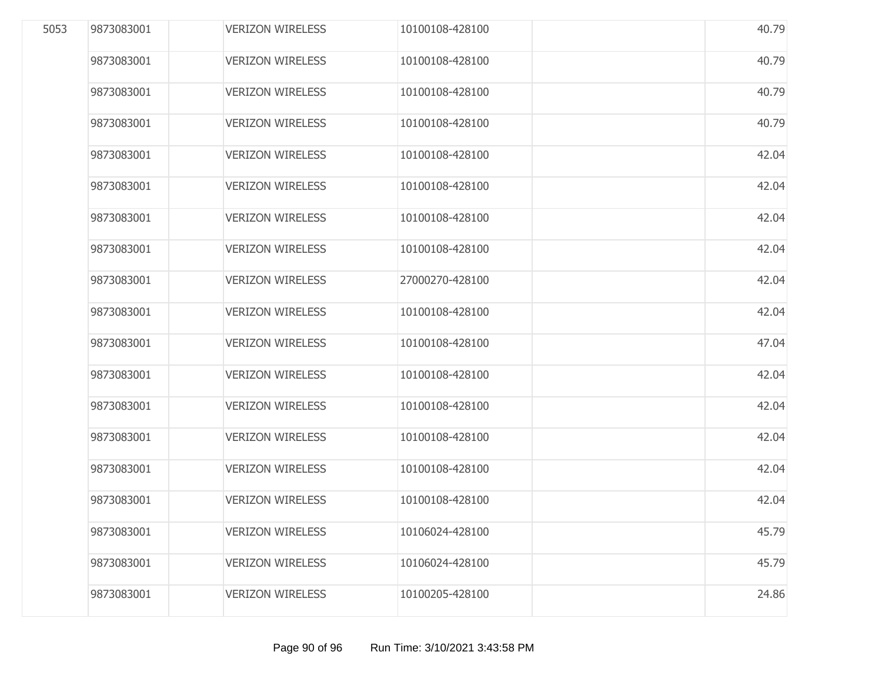| 5053 | 9873083001 | <b>VERIZON WIRELESS</b> | 10100108-428100 | 40.79 |
|------|------------|-------------------------|-----------------|-------|
|      | 9873083001 | <b>VERIZON WIRELESS</b> | 10100108-428100 | 40.79 |
|      | 9873083001 | <b>VERIZON WIRELESS</b> | 10100108-428100 | 40.79 |
|      | 9873083001 | <b>VERIZON WIRELESS</b> | 10100108-428100 | 40.79 |
|      | 9873083001 | <b>VERIZON WIRELESS</b> | 10100108-428100 | 42.04 |
|      | 9873083001 | <b>VERIZON WIRELESS</b> | 10100108-428100 | 42.04 |
|      | 9873083001 | <b>VERIZON WIRELESS</b> | 10100108-428100 | 42.04 |
|      | 9873083001 | <b>VERIZON WIRELESS</b> | 10100108-428100 | 42.04 |
|      | 9873083001 | <b>VERIZON WIRELESS</b> | 27000270-428100 | 42.04 |
|      | 9873083001 | <b>VERIZON WIRELESS</b> | 10100108-428100 | 42.04 |
|      | 9873083001 | <b>VERIZON WIRELESS</b> | 10100108-428100 | 47.04 |
|      | 9873083001 | <b>VERIZON WIRELESS</b> | 10100108-428100 | 42.04 |
|      | 9873083001 | <b>VERIZON WIRELESS</b> | 10100108-428100 | 42.04 |
|      | 9873083001 | <b>VERIZON WIRELESS</b> | 10100108-428100 | 42.04 |
|      | 9873083001 | <b>VERIZON WIRELESS</b> | 10100108-428100 | 42.04 |
|      | 9873083001 | <b>VERIZON WIRELESS</b> | 10100108-428100 | 42.04 |
|      | 9873083001 | <b>VERIZON WIRELESS</b> | 10106024-428100 | 45.79 |
|      | 9873083001 | <b>VERIZON WIRELESS</b> | 10106024-428100 | 45.79 |
|      | 9873083001 | <b>VERIZON WIRELESS</b> | 10100205-428100 | 24.86 |
|      |            |                         |                 |       |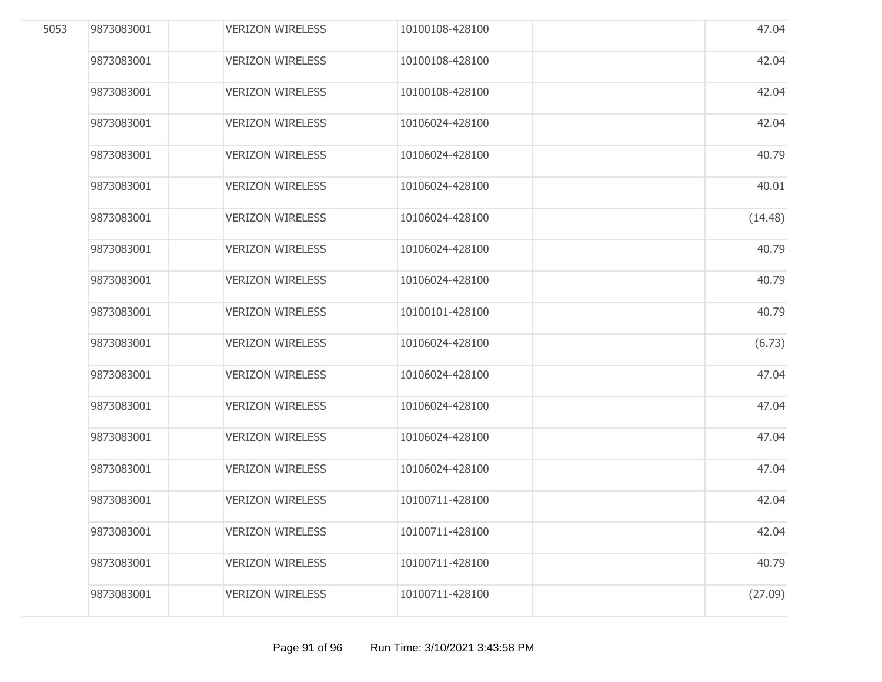| 5053 | 9873083001 | <b>VERIZON WIRELESS</b> | 10100108-428100 | 47.04   |
|------|------------|-------------------------|-----------------|---------|
|      | 9873083001 | <b>VERIZON WIRELESS</b> | 10100108-428100 | 42.04   |
|      | 9873083001 | <b>VERIZON WIRELESS</b> | 10100108-428100 | 42.04   |
|      | 9873083001 | <b>VERIZON WIRELESS</b> | 10106024-428100 | 42.04   |
|      | 9873083001 | <b>VERIZON WIRELESS</b> | 10106024-428100 | 40.79   |
|      | 9873083001 | <b>VERIZON WIRELESS</b> | 10106024-428100 | 40.01   |
|      | 9873083001 | <b>VERIZON WIRELESS</b> | 10106024-428100 | (14.48) |
|      | 9873083001 | <b>VERIZON WIRELESS</b> | 10106024-428100 | 40.79   |
|      | 9873083001 | <b>VERIZON WIRELESS</b> | 10106024-428100 | 40.79   |
|      | 9873083001 | <b>VERIZON WIRELESS</b> | 10100101-428100 | 40.79   |
|      | 9873083001 | <b>VERIZON WIRELESS</b> | 10106024-428100 | (6.73)  |
|      | 9873083001 | <b>VERIZON WIRELESS</b> | 10106024-428100 | 47.04   |
|      | 9873083001 | <b>VERIZON WIRELESS</b> | 10106024-428100 | 47.04   |
|      | 9873083001 | <b>VERIZON WIRELESS</b> | 10106024-428100 | 47.04   |
|      | 9873083001 | <b>VERIZON WIRELESS</b> | 10106024-428100 | 47.04   |
|      | 9873083001 | <b>VERIZON WIRELESS</b> | 10100711-428100 | 42.04   |
|      | 9873083001 | <b>VERIZON WIRELESS</b> | 10100711-428100 | 42.04   |
|      | 9873083001 | <b>VERIZON WIRELESS</b> | 10100711-428100 | 40.79   |
|      | 9873083001 | <b>VERIZON WIRELESS</b> | 10100711-428100 | (27.09) |
|      |            |                         |                 |         |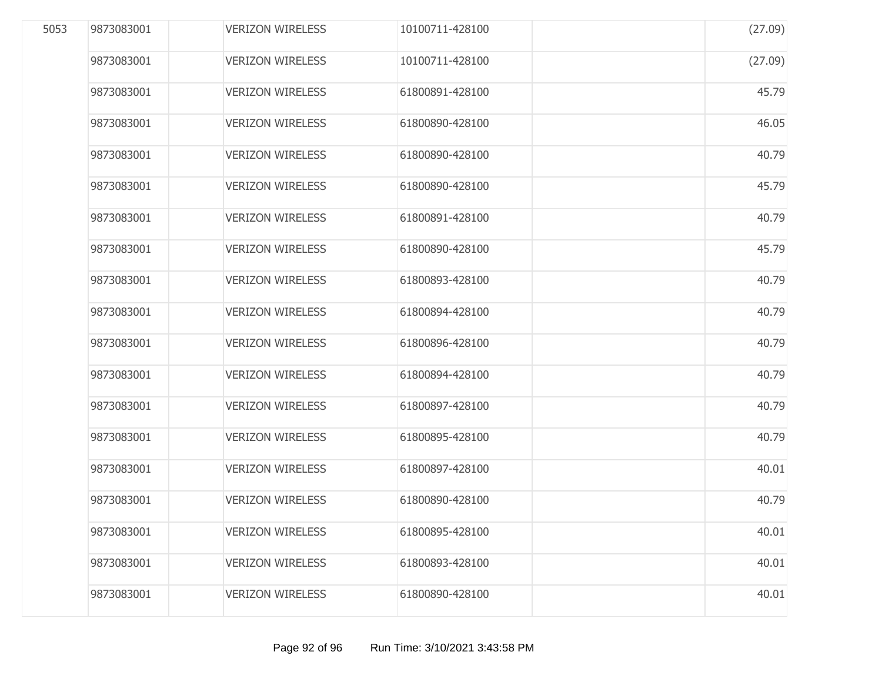| 5053 | 9873083001 | <b>VERIZON WIRELESS</b> | 10100711-428100 | (27.09) |
|------|------------|-------------------------|-----------------|---------|
|      | 9873083001 | <b>VERIZON WIRELESS</b> | 10100711-428100 | (27.09) |
|      | 9873083001 | <b>VERIZON WIRELESS</b> | 61800891-428100 | 45.79   |
|      | 9873083001 | <b>VERIZON WIRELESS</b> | 61800890-428100 | 46.05   |
|      | 9873083001 | <b>VERIZON WIRELESS</b> | 61800890-428100 | 40.79   |
|      | 9873083001 | <b>VERIZON WIRELESS</b> | 61800890-428100 | 45.79   |
|      | 9873083001 | <b>VERIZON WIRELESS</b> | 61800891-428100 | 40.79   |
|      | 9873083001 | <b>VERIZON WIRELESS</b> | 61800890-428100 | 45.79   |
|      | 9873083001 | <b>VERIZON WIRELESS</b> | 61800893-428100 | 40.79   |
|      | 9873083001 | <b>VERIZON WIRELESS</b> | 61800894-428100 | 40.79   |
|      | 9873083001 | <b>VERIZON WIRELESS</b> | 61800896-428100 | 40.79   |
|      | 9873083001 | <b>VERIZON WIRELESS</b> | 61800894-428100 | 40.79   |
|      | 9873083001 | <b>VERIZON WIRELESS</b> | 61800897-428100 | 40.79   |
|      | 9873083001 | <b>VERIZON WIRELESS</b> | 61800895-428100 | 40.79   |
|      | 9873083001 | <b>VERIZON WIRELESS</b> | 61800897-428100 | 40.01   |
|      | 9873083001 | <b>VERIZON WIRELESS</b> | 61800890-428100 | 40.79   |
|      | 9873083001 | <b>VERIZON WIRELESS</b> | 61800895-428100 | 40.01   |
|      | 9873083001 | <b>VERIZON WIRELESS</b> | 61800893-428100 | 40.01   |
|      | 9873083001 | <b>VERIZON WIRELESS</b> | 61800890-428100 | 40.01   |
|      |            |                         |                 |         |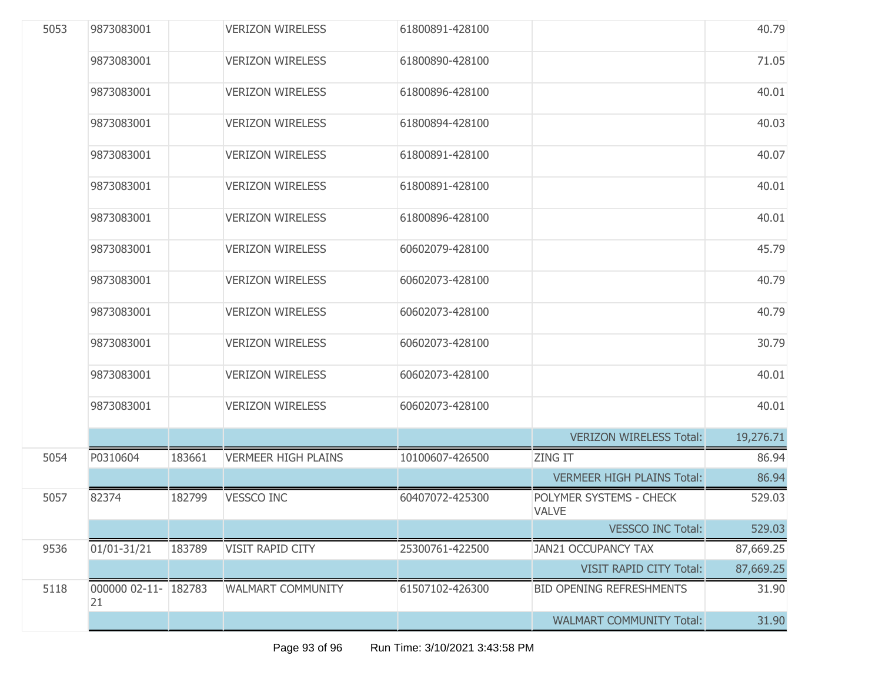| 5053 | 9873083001                 |        | <b>VERIZON WIRELESS</b>    | 61800891-428100 |                                         | 40.79     |
|------|----------------------------|--------|----------------------------|-----------------|-----------------------------------------|-----------|
|      | 9873083001                 |        | <b>VERIZON WIRELESS</b>    | 61800890-428100 |                                         | 71.05     |
|      | 9873083001                 |        | <b>VERIZON WIRELESS</b>    | 61800896-428100 |                                         | 40.01     |
|      | 9873083001                 |        | <b>VERIZON WIRELESS</b>    | 61800894-428100 |                                         | 40.03     |
|      | 9873083001                 |        | <b>VERIZON WIRELESS</b>    | 61800891-428100 |                                         | 40.07     |
|      | 9873083001                 |        | <b>VERIZON WIRELESS</b>    | 61800891-428100 |                                         | 40.01     |
|      | 9873083001                 |        | <b>VERIZON WIRELESS</b>    | 61800896-428100 |                                         | 40.01     |
|      | 9873083001                 |        | <b>VERIZON WIRELESS</b>    | 60602079-428100 |                                         | 45.79     |
|      | 9873083001                 |        | <b>VERIZON WIRELESS</b>    | 60602073-428100 |                                         | 40.79     |
|      | 9873083001                 |        | <b>VERIZON WIRELESS</b>    | 60602073-428100 |                                         | 40.79     |
|      | 9873083001                 |        | <b>VERIZON WIRELESS</b>    | 60602073-428100 |                                         | 30.79     |
|      | 9873083001                 |        | <b>VERIZON WIRELESS</b>    | 60602073-428100 |                                         | 40.01     |
|      | 9873083001                 |        | <b>VERIZON WIRELESS</b>    | 60602073-428100 |                                         | 40.01     |
|      |                            |        |                            |                 | <b>VERIZON WIRELESS Total:</b>          | 19,276.71 |
| 5054 | P0310604                   | 183661 | <b>VERMEER HIGH PLAINS</b> | 10100607-426500 | <b>ZING IT</b>                          | 86.94     |
|      |                            |        |                            |                 | <b>VERMEER HIGH PLAINS Total:</b>       | 86.94     |
| 5057 | 82374                      | 182799 | <b>VESSCO INC</b>          | 60407072-425300 | POLYMER SYSTEMS - CHECK<br><b>VALVE</b> | 529.03    |
|      |                            |        |                            |                 | <b>VESSCO INC Total:</b>                | 529.03    |
| 9536 | 01/01-31/21                | 183789 | VISIT RAPID CITY           | 25300761-422500 | <b>JAN21 OCCUPANCY TAX</b>              | 87,669.25 |
|      |                            |        |                            |                 | VISIT RAPID CITY Total:                 | 87,669.25 |
| 5118 | 000000 02-11- 182783<br>21 |        | <b>WALMART COMMUNITY</b>   | 61507102-426300 | <b>BID OPENING REFRESHMENTS</b>         | 31.90     |
|      |                            |        |                            |                 | <b>WALMART COMMUNITY Total:</b>         | 31.90     |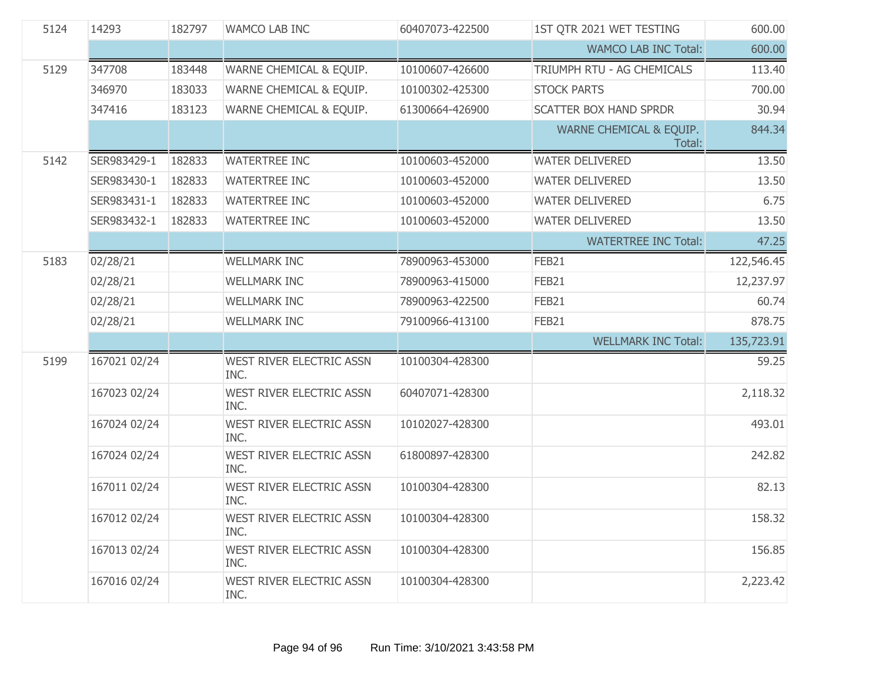| 5124 | 14293        | 182797 | <b>WAMCO LAB INC</b>                    | 60407073-422500 | 1ST QTR 2021 WET TESTING          | 600.00     |
|------|--------------|--------|-----------------------------------------|-----------------|-----------------------------------|------------|
|      |              |        |                                         |                 | <b>WAMCO LAB INC Total:</b>       | 600.00     |
| 5129 | 347708       | 183448 | WARNE CHEMICAL & EQUIP.                 | 10100607-426600 | TRIUMPH RTU - AG CHEMICALS        | 113.40     |
|      | 346970       | 183033 | WARNE CHEMICAL & EQUIP.                 | 10100302-425300 | <b>STOCK PARTS</b>                | 700.00     |
|      | 347416       | 183123 | WARNE CHEMICAL & EQUIP.                 | 61300664-426900 | <b>SCATTER BOX HAND SPRDR</b>     | 30.94      |
|      |              |        |                                         |                 | WARNE CHEMICAL & EQUIP.<br>Total: | 844.34     |
| 5142 | SER983429-1  | 182833 | <b>WATERTREE INC</b>                    | 10100603-452000 | <b>WATER DELIVERED</b>            | 13.50      |
|      | SER983430-1  | 182833 | <b>WATERTREE INC</b>                    | 10100603-452000 | <b>WATER DELIVERED</b>            | 13.50      |
|      | SER983431-1  | 182833 | <b>WATERTREE INC</b>                    | 10100603-452000 | <b>WATER DELIVERED</b>            | 6.75       |
|      | SER983432-1  | 182833 | <b>WATERTREE INC</b>                    | 10100603-452000 | <b>WATER DELIVERED</b>            | 13.50      |
|      |              |        |                                         |                 | <b>WATERTREE INC Total:</b>       | 47.25      |
| 5183 | 02/28/21     |        | <b>WELLMARK INC</b>                     | 78900963-453000 | FEB21                             | 122,546.45 |
|      | 02/28/21     |        | <b>WELLMARK INC</b>                     | 78900963-415000 | FEB21                             | 12,237.97  |
|      | 02/28/21     |        | <b>WELLMARK INC</b>                     | 78900963-422500 | FEB21                             | 60.74      |
|      | 02/28/21     |        | <b>WELLMARK INC</b>                     | 79100966-413100 | FEB21                             | 878.75     |
|      |              |        |                                         |                 | <b>WELLMARK INC Total:</b>        | 135,723.91 |
| 5199 | 167021 02/24 |        | <b>WEST RIVER ELECTRIC ASSN</b><br>INC. | 10100304-428300 |                                   | 59.25      |
|      | 167023 02/24 |        | <b>WEST RIVER ELECTRIC ASSN</b><br>INC. | 60407071-428300 |                                   | 2,118.32   |
|      | 167024 02/24 |        | <b>WEST RIVER ELECTRIC ASSN</b><br>INC. | 10102027-428300 |                                   | 493.01     |
|      | 167024 02/24 |        | WEST RIVER ELECTRIC ASSN<br>INC.        | 61800897-428300 |                                   | 242.82     |
|      | 167011 02/24 |        | WEST RIVER ELECTRIC ASSN<br>INC.        | 10100304-428300 |                                   | 82.13      |
|      | 167012 02/24 |        | <b>WEST RIVER ELECTRIC ASSN</b><br>INC. | 10100304-428300 |                                   | 158.32     |
|      | 167013 02/24 |        | WEST RIVER ELECTRIC ASSN<br>INC.        | 10100304-428300 |                                   | 156.85     |
|      | 167016 02/24 |        | WEST RIVER ELECTRIC ASSN<br>INC.        | 10100304-428300 |                                   | 2,223.42   |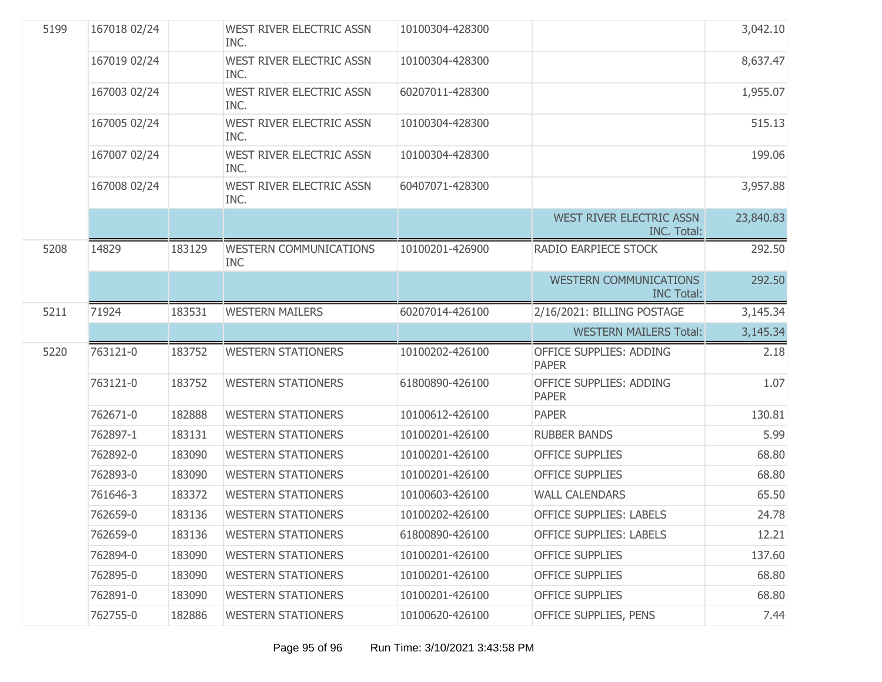| 5199 | 167018 02/24 |        | WEST RIVER ELECTRIC ASSN<br>INC.            | 10100304-428300 |                                                    | 3,042.10  |
|------|--------------|--------|---------------------------------------------|-----------------|----------------------------------------------------|-----------|
|      | 167019 02/24 |        | WEST RIVER ELECTRIC ASSN<br>INC.            | 10100304-428300 |                                                    | 8,637.47  |
|      | 167003 02/24 |        | WEST RIVER ELECTRIC ASSN<br>INC.            | 60207011-428300 |                                                    | 1,955.07  |
|      | 167005 02/24 |        | WEST RIVER ELECTRIC ASSN<br>INC.            | 10100304-428300 |                                                    | 515.13    |
|      | 167007 02/24 |        | WEST RIVER ELECTRIC ASSN<br>INC.            | 10100304-428300 |                                                    | 199.06    |
|      | 167008 02/24 |        | WEST RIVER ELECTRIC ASSN<br>INC.            | 60407071-428300 |                                                    | 3,957.88  |
|      |              |        |                                             |                 | <b>WEST RIVER ELECTRIC ASSN</b><br>INC. Total:     | 23,840.83 |
| 5208 | 14829        | 183129 | <b>WESTERN COMMUNICATIONS</b><br><b>INC</b> | 10100201-426900 | RADIO EARPIECE STOCK                               | 292.50    |
|      |              |        |                                             |                 | <b>WESTERN COMMUNICATIONS</b><br><b>INC Total:</b> | 292.50    |
| 5211 | 71924        | 183531 | <b>WESTERN MAILERS</b>                      | 60207014-426100 | 2/16/2021: BILLING POSTAGE                         | 3,145.34  |
|      |              |        |                                             |                 |                                                    |           |
|      |              |        |                                             |                 | <b>WESTERN MAILERS Total:</b>                      | 3,145.34  |
| 5220 | 763121-0     | 183752 | <b>WESTERN STATIONERS</b>                   | 10100202-426100 | OFFICE SUPPLIES: ADDING<br><b>PAPER</b>            | 2.18      |
|      | 763121-0     | 183752 | <b>WESTERN STATIONERS</b>                   | 61800890-426100 | OFFICE SUPPLIES: ADDING<br><b>PAPER</b>            | 1.07      |
|      | 762671-0     | 182888 | <b>WESTERN STATIONERS</b>                   | 10100612-426100 | <b>PAPER</b>                                       | 130.81    |
|      | 762897-1     | 183131 | <b>WESTERN STATIONERS</b>                   | 10100201-426100 | <b>RUBBER BANDS</b>                                | 5.99      |
|      | 762892-0     | 183090 | <b>WESTERN STATIONERS</b>                   | 10100201-426100 | <b>OFFICE SUPPLIES</b>                             | 68.80     |
|      | 762893-0     | 183090 | <b>WESTERN STATIONERS</b>                   | 10100201-426100 | <b>OFFICE SUPPLIES</b>                             | 68.80     |
|      | 761646-3     | 183372 | <b>WESTERN STATIONERS</b>                   | 10100603-426100 | <b>WALL CALENDARS</b>                              | 65.50     |
|      | 762659-0     | 183136 | <b>WESTERN STATIONERS</b>                   | 10100202-426100 | <b>OFFICE SUPPLIES: LABELS</b>                     | 24.78     |
|      | 762659-0     | 183136 | <b>WESTERN STATIONERS</b>                   | 61800890-426100 | <b>OFFICE SUPPLIES: LABELS</b>                     | 12.21     |
|      | 762894-0     | 183090 | <b>WESTERN STATIONERS</b>                   | 10100201-426100 | <b>OFFICE SUPPLIES</b>                             | 137.60    |
|      | 762895-0     | 183090 | <b>WESTERN STATIONERS</b>                   | 10100201-426100 | <b>OFFICE SUPPLIES</b>                             | 68.80     |
|      | 762891-0     | 183090 | <b>WESTERN STATIONERS</b>                   | 10100201-426100 | <b>OFFICE SUPPLIES</b>                             | 68.80     |